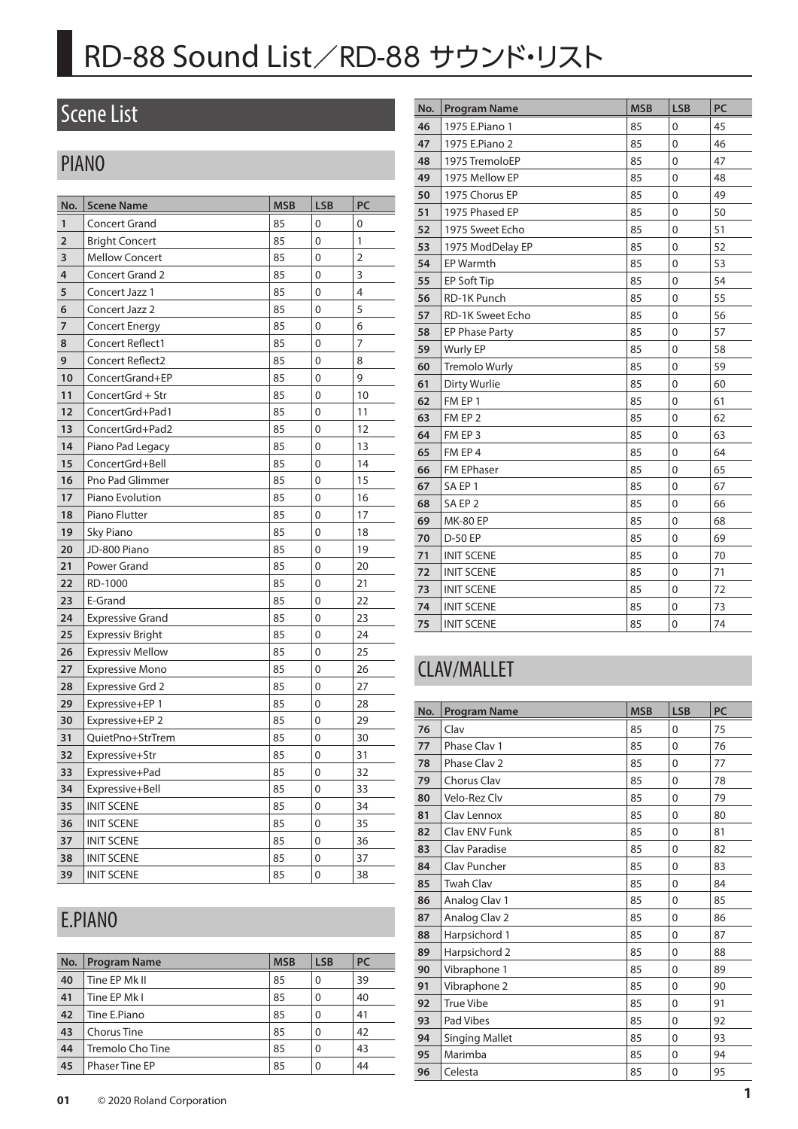### Scene List

### PIANO

| No.            | <b>Scene Name</b>       | <b>MSB</b> | <b>LSB</b>     | PC             |
|----------------|-------------------------|------------|----------------|----------------|
| 1              | <b>Concert Grand</b>    | 85         | 0              | 0              |
| $\overline{2}$ | <b>Bright Concert</b>   | 85         | 0              | 1              |
| 3              | <b>Mellow Concert</b>   | 85         | 0              | $\overline{2}$ |
| 4              | <b>Concert Grand 2</b>  | 85         | 0              | 3              |
| 5              | Concert Jazz 1          | 85         | 0              | 4              |
| 6              | Concert Jazz 2          | 85         | 0              | 5              |
| $\overline{7}$ | <b>Concert Energy</b>   | 85         | 0              | 6              |
| 8              | <b>Concert Reflect1</b> | 85         | 0              | 7              |
| 9              | Concert Reflect2        | 85         | 0              | 8              |
| 10             | ConcertGrand+EP         | 85         | 0              | 9              |
| 11             | ConcertGrd + Str        | 85         | 0              | 10             |
| 12             | ConcertGrd+Pad1         | 85         | 0              | 11             |
| 13             | ConcertGrd+Pad2         | 85         | 0              | 12             |
| 14             | Piano Pad Legacy        | 85         | 0              | 13             |
| 15             | ConcertGrd+Bell         | 85         | 0              | 14             |
| 16             | <b>Pno Pad Glimmer</b>  | 85         | 0              | 15             |
| 17             | Piano Evolution         | 85         | 0              | 16             |
| 18             | Piano Flutter           | 85         | 0              | 17             |
| 19             | Sky Piano               | 85         | $\overline{0}$ | 18             |
| 20             | JD-800 Piano            | 85         | 0              | 19             |
| 21             | Power Grand             | 85         | $\overline{0}$ | 20             |
| 22             | RD-1000                 | 85         | 0              | 21             |
| 23             | E-Grand                 | 85         | 0              | 22             |
| 24             | <b>Expressive Grand</b> | 85         | 0              | 23             |
| 25             | <b>Expressiv Bright</b> | 85         | 0              | 24             |
| 26             | <b>Expressiv Mellow</b> | 85         | 0              | 25             |
| 27             | <b>Expressive Mono</b>  | 85         | 0              | 26             |
| 28             | <b>Expressive Grd 2</b> | 85         | 0              | 27             |
| 29             | Expressive+EP 1         | 85         | 0              | 28             |
| 30             | Expressive+EP 2         | 85         | 0              | 29             |
| 31             | QuietPno+StrTrem        | 85         | 0              | 30             |
| 32             | Expressive+Str          | 85         | 0              | 31             |
| 33             | Expressive+Pad          | 85         | 0              | 32             |
| 34             | Expressive+Bell         | 85         | 0              | 33             |
| 35             | <b>INIT SCENE</b>       | 85         | 0              | 34             |
| 36             | <b>INIT SCENE</b>       | 85         | 0              | 35             |
| 37             | <b>INIT SCENE</b>       | 85         | 0              | 36             |
| 38             | <b>INIT SCENE</b>       | 85         | 0              | 37             |
| 39             | <b>INIT SCENE</b>       | 85         | 0              | 38             |

### 1975 Mellow EP 85 0 48 1975 Chorus EP 85 0 49 | 1975 Phased EP | 85 | 0 | 50 1975 Sweet Echo 85 0 51 1975 ModDelay EP 85 0 52 EP Warmth 85 0 53 EP Soft Tip 85 0 54 RD-1K Punch 85 0 55 RD-1K Sweet Echo 85 0 56 EP Phase Party **85** 0 57 Wurly EP 85 0 58 Tremolo Wurly 85 0 59 Dirty Wurlie 85 0 60 FM EP 1 85 0 61 FM EP 2 85 0 62 FM EP 3 85 0 63 FM EP 4 85 0 64 FM EPhaser 85 0 65 SA EP 1 85 0 67 SA EP 2 85 0 66 MK-80 EP 85 0 68 D-50 EP 85 0 69 INIT SCENE 85 0 70 INIT SCENE 85 0 71 INIT SCENE 85 0 72 **74 INIT SCENE** 85 0 73

**No. Program Name MSB LSB PC**  1975 E.Piano 1 85 0 45 1975 E.Piano 2 85 0 46 1975 TremoloEP 85 0 47

### CLAV/MALLET

| No. | <b>Program Name</b>   | <b>MSB</b> | <b>LSB</b>     | PC |
|-----|-----------------------|------------|----------------|----|
| 76  | Clav                  | 85         | $\mathbf{0}$   | 75 |
| 77  | Phase Clav 1          | 85         | $\mathbf{0}$   | 76 |
| 78  | Phase Clay 2          | 85         | $\mathbf{0}$   | 77 |
| 79  | Chorus Clav           | 85         | $\mathbf{0}$   | 78 |
| 80  | Velo-Rez Clv          | 85         | 0              | 79 |
| 81  | Clav Lennox           | 85         | 0              | 80 |
| 82  | Clav ENV Funk         | 85         | 0              | 81 |
| 83  | <b>Clay Paradise</b>  | 85         | 0              | 82 |
| 84  | Clav Puncher          | 85         | 0              | 83 |
| 85  | <b>Twah Clav</b>      | 85         | 0              | 84 |
| 86  | Analog Clav 1         | 85         | 0              | 85 |
| 87  | Analog Clav 2         | 85         | $\overline{0}$ | 86 |
| 88  | Harpsichord 1         | 85         | 0              | 87 |
| 89  | Harpsichord 2         | 85         | 0              | 88 |
| 90  | Vibraphone 1          | 85         | $\overline{0}$ | 89 |
| 91  | Vibraphone 2          | 85         | 0              | 90 |
| 92  | <b>True Vibe</b>      | 85         | 0              | 91 |
| 93  | Pad Vibes             | 85         | 0              | 92 |
| 94  | <b>Singing Mallet</b> | 85         | 0              | 93 |
| 95  | Marimba               | 85         | 0              | 94 |
| 96  | Celesta               | 85         | 0              | 95 |

INIT SCENE 85 0 74

### E.PIANO

| No. | <b>Program Name</b>   | <b>MSB</b> | <b>LSB</b> | <b>PC</b> |
|-----|-----------------------|------------|------------|-----------|
| 40  | Tine EP Mk II         | 85         | 0          | 39        |
| 41  | Tine EP Mk I          | 85         | 0          | 40        |
| 42  | Tine E.Piano          | 85         | 0          | 41        |
| 43  | Chorus Tine           | 85         | 0          | 42        |
| 44  | Tremolo Cho Tine      | 85         | 0          | 43        |
| 45  | <b>Phaser Tine EP</b> | 85         | 0          | 44        |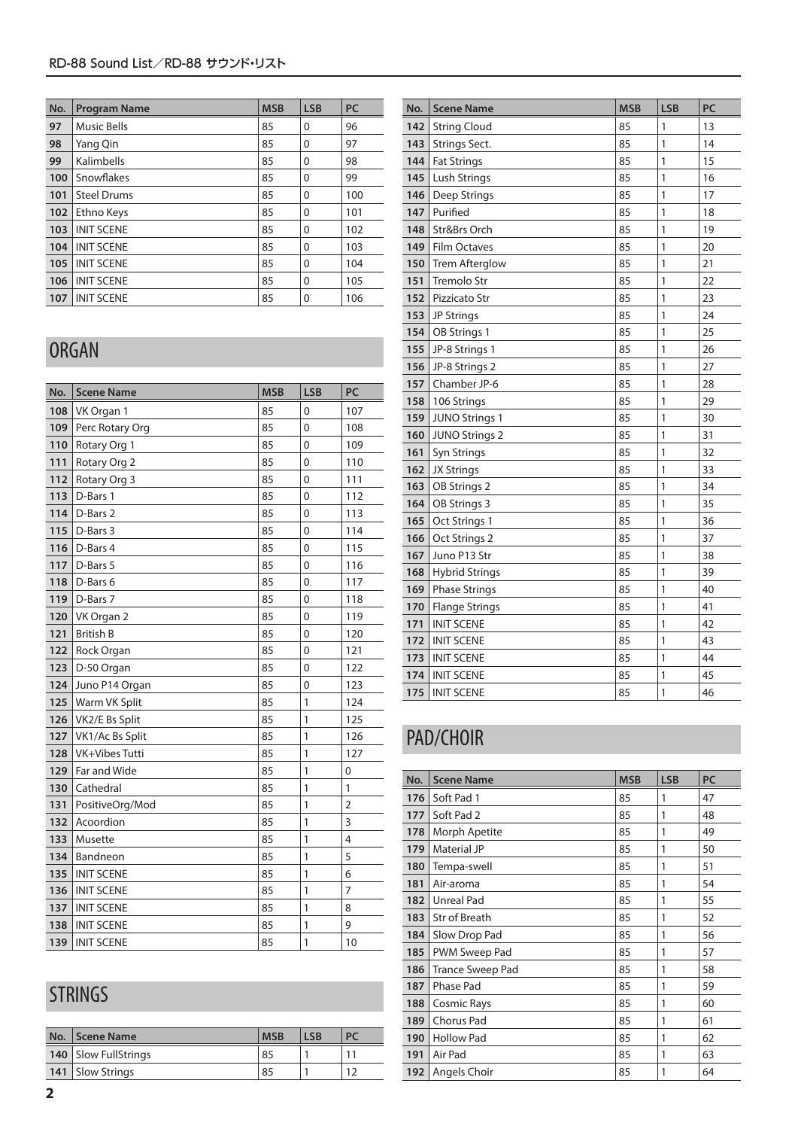| No. | <b>Program Name</b> | <b>MSB</b> | <b>LSB</b> | PC  |
|-----|---------------------|------------|------------|-----|
| 97  | <b>Music Bells</b>  | 85         | 0          | 96  |
| 98  | Yang Qin            | 85         | $\Omega$   | 97  |
| 99  | Kalimbells          | 85         | $\Omega$   | 98  |
| 100 | Snowflakes          | 85         | $\Omega$   | 99  |
| 101 | <b>Steel Drums</b>  | 85         | $\Omega$   | 100 |
| 102 | Ethno Keys          | 85         | $\Omega$   | 101 |
| 103 | <b>INIT SCENE</b>   | 85         | $\Omega$   | 102 |
| 104 | <b>INIT SCENE</b>   | 85         | $\Omega$   | 103 |
| 105 | <b>INIT SCENE</b>   | 85         | $\Omega$   | 104 |
| 106 | <b>INIT SCENE</b>   | 85         | $\Omega$   | 105 |
| 107 | <b>INIT SCENE</b>   | 85         | $\Omega$   | 106 |

### ORGAN

| No. | <b>Scene Name</b> | <b>MSB</b> | <b>LSB</b>   | PC             |
|-----|-------------------|------------|--------------|----------------|
| 108 | VK Organ 1        | 85         | 0            | 107            |
| 109 | Perc Rotary Org   | 85         | $\mathbf 0$  | 108            |
| 110 | Rotary Org 1      | 85         | 0            | 109            |
| 111 | Rotary Org 2      | 85         | $\mathbf{0}$ | 110            |
| 112 | Rotary Org 3      | 85         | $\mathbf 0$  | 111            |
| 113 | D-Bars 1          | 85         | 0            | 112            |
| 114 | D-Bars 2          | 85         | 0            | 113            |
| 115 | D-Bars 3          | 85         | 0            | 114            |
| 116 | D-Bars 4          | 85         | $\mathbf 0$  | 115            |
| 117 | D-Bars 5          | 85         | $\mathbf 0$  | 116            |
| 118 | D-Bars 6          | 85         | $\mathbf 0$  | 117            |
| 119 | D-Bars 7          | 85         | 0            | 118            |
| 120 | VK Organ 2        | 85         | $\mathbf 0$  | 119            |
| 121 | <b>British B</b>  | 85         | $\mathbf{0}$ | 120            |
| 122 | Rock Organ        | 85         | 0            | 121            |
| 123 | D-50 Organ        | 85         | $\mathbf{0}$ | 122            |
| 124 | Juno P14 Organ    | 85         | $\mathbf 0$  | 123            |
| 125 | Warm VK Split     | 85         | 1            | 124            |
| 126 | VK2/E Bs Split    | 85         | 1            | 125            |
| 127 | VK1/Ac Bs Split   | 85         | 1            | 126            |
| 128 | VK+Vibes Tutti    | 85         | 1            | 127            |
| 129 | Far and Wide      | 85         | 1            | $\mathbf{0}$   |
| 130 | Cathedral         | 85         | 1            | 1              |
| 131 | PositiveOrg/Mod   | 85         | 1            | $\overline{2}$ |
| 132 | Acoordion         | 85         | 1            | 3              |
| 133 | Musette           | 85         | 1            | $\overline{4}$ |
| 134 | Bandneon          | 85         | 1            | 5              |
| 135 | <b>INIT SCENE</b> | 85         | 1            | 6              |
| 136 | <b>INIT SCENE</b> | 85         | 1            | $\overline{7}$ |
| 137 | <b>INIT SCENE</b> | 85         | 1            | 8              |
| 138 | <b>INIT SCENE</b> | 85         | 1            | 9              |
| 139 | <b>INIT SCENE</b> | 85         | $\mathbf{1}$ | 10             |

### STRINGS

| No. Scene Name         | <b>MSB</b> | LSB |  |
|------------------------|------------|-----|--|
| 140   Slow FullStrings | 85         |     |  |
| 141   Slow Strings     | 85         |     |  |

| No. | <b>Scene Name</b>     | <b>MSB</b> | <b>LSB</b> | PC |
|-----|-----------------------|------------|------------|----|
| 142 | <b>String Cloud</b>   | 85         | 1          | 13 |
| 143 | Strings Sect.         | 85         | 1          | 14 |
| 144 | <b>Fat Strings</b>    | 85         | 1          | 15 |
| 145 | Lush Strings          | 85         | 1          | 16 |
| 146 | Deep Strings          | 85         | 1          | 17 |
| 147 | Purified              | 85         | 1          | 18 |
| 148 | Str&Brs Orch          | 85         | 1          | 19 |
| 149 | Film Octaves          | 85         | 1          | 20 |
| 150 | <b>Trem Afterglow</b> | 85         | 1          | 21 |
| 151 | <b>Tremolo Str</b>    | 85         | 1          | 22 |
| 152 | Pizzicato Str         | 85         | 1          | 23 |
| 153 | <b>JP Strings</b>     | 85         | 1          | 24 |
| 154 | OB Strings 1          | 85         | 1          | 25 |
| 155 | JP-8 Strings 1        | 85         | 1          | 26 |
| 156 | JP-8 Strings 2        | 85         | 1          | 27 |
| 157 | Chamber JP-6          | 85         | 1          | 28 |
| 158 | 106 Strings           | 85         | 1          | 29 |
| 159 | <b>JUNO Strings 1</b> | 85         | 1          | 30 |
| 160 | <b>JUNO Strings 2</b> | 85         | 1          | 31 |
| 161 | Syn Strings           | 85         | 1          | 32 |
| 162 | <b>JX Strings</b>     | 85         | 1          | 33 |
| 163 | OB Strings 2          | 85         | 1          | 34 |
| 164 | OB Strings 3          | 85         | 1          | 35 |
| 165 | Oct Strings 1         | 85         | 1          | 36 |
| 166 | Oct Strings 2         | 85         | 1          | 37 |
| 167 | Juno P13 Str          | 85         | 1          | 38 |
| 168 | <b>Hybrid Strings</b> | 85         | 1          | 39 |
| 169 | <b>Phase Strings</b>  | 85         | 1          | 40 |
| 170 | <b>Flange Strings</b> | 85         | 1          | 41 |
| 171 | <b>INIT SCENE</b>     | 85         | 1          | 42 |
| 172 | <b>INIT SCENE</b>     | 85         | 1          | 43 |
| 173 | <b>INIT SCENE</b>     | 85         | 1          | 44 |
| 174 | <b>INIT SCENE</b>     | 85         | 1          | 45 |
| 175 | <b>INIT SCENE</b>     | 85         | 1          | 46 |

## PAD/CHOIR

| No. | <b>Scene Name</b>       | <b>MSB</b> | <b>LSB</b> | PC |
|-----|-------------------------|------------|------------|----|
| 176 | Soft Pad 1              | 85         | 1          | 47 |
| 177 | Soft Pad 2              | 85         | 1          | 48 |
| 178 | Morph Apetite           | 85         | 1          | 49 |
| 179 | Material JP             | 85         | 1          | 50 |
| 180 | Tempa-swell             | 85         | 1          | 51 |
| 181 | Air-aroma               | 85         | 1          | 54 |
| 182 | Unreal Pad              | 85         | 1          | 55 |
| 183 | Str of Breath           | 85         | 1          | 52 |
| 184 | Slow Drop Pad           | 85         | 1          | 56 |
| 185 | PWM Sweep Pad           | 85         | 1          | 57 |
| 186 | <b>Trance Sweep Pad</b> | 85         | 1          | 58 |
| 187 | Phase Pad               | 85         | 1          | 59 |
| 188 | Cosmic Rays             | 85         | 1          | 60 |
| 189 | Chorus Pad              | 85         | 1          | 61 |
| 190 | <b>Hollow Pad</b>       | 85         | 1          | 62 |
| 191 | Air Pad                 | 85         | 1          | 63 |
| 192 | Angels Choir            | 85         | 1          | 64 |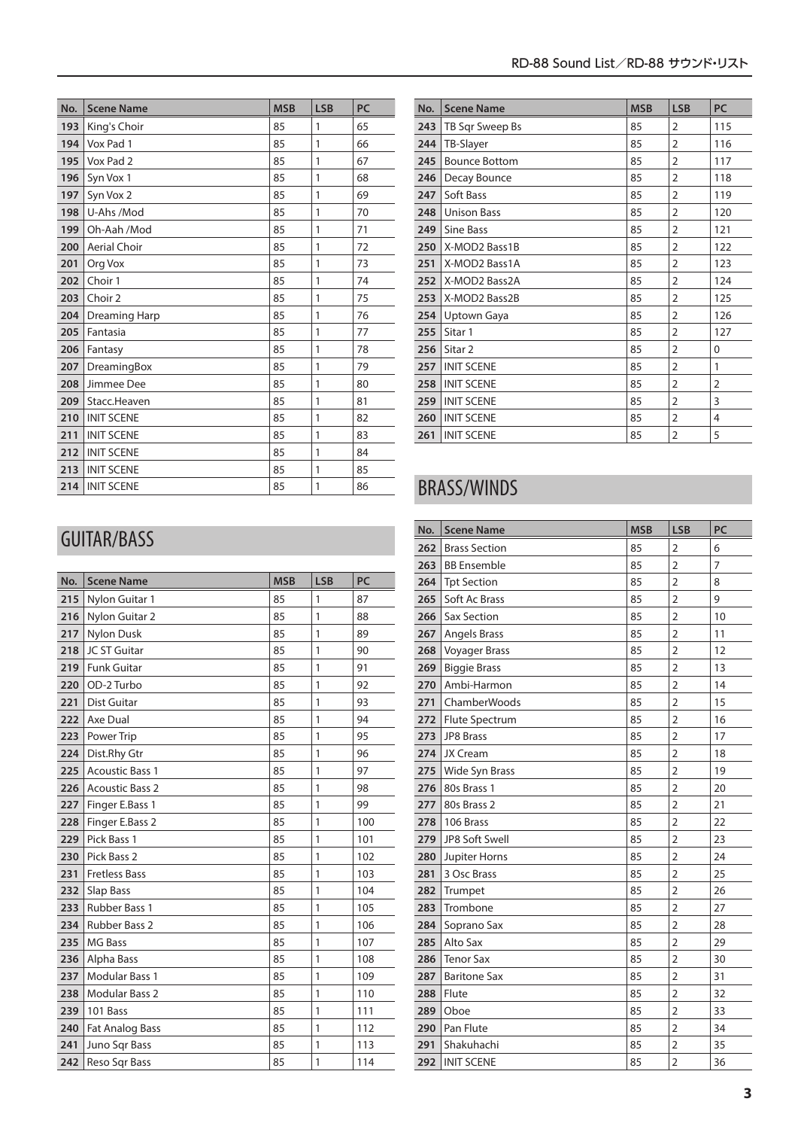| No. | <b>Scene Name</b>   | <b>MSB</b> | <b>LSB</b> | <b>PC</b> |
|-----|---------------------|------------|------------|-----------|
| 193 | King's Choir        | 85         | 1          | 65        |
| 194 | Vox Pad 1           | 85         | 1          | 66        |
| 195 | Vox Pad 2           | 85         | 1          | 67        |
| 196 | Syn Vox 1           | 85         | 1          | 68        |
| 197 | Syn Vox 2           | 85         | 1          | 69        |
| 198 | U-Ahs /Mod          | 85         | 1          | 70        |
| 199 | Oh-Aah /Mod         | 85         | 1          | 71        |
| 200 | <b>Aerial Choir</b> | 85         | 1          | 72        |
| 201 | Org Vox             | 85         | 1          | 73        |
| 202 | Choir 1             | 85         | 1          | 74        |
| 203 | Choir 2             | 85         | 1          | 75        |
| 204 | Dreaming Harp       | 85         | 1          | 76        |
| 205 | Fantasia            | 85         | 1          | 77        |
| 206 | Fantasy             | 85         | 1          | 78        |
| 207 | DreamingBox         | 85         | 1          | 79        |
| 208 | Jimmee Dee          | 85         | 1          | 80        |
| 209 | Stacc.Heaven        | 85         | 1          | 81        |
| 210 | <b>INIT SCENE</b>   | 85         | 1          | 82        |
| 211 | <b>INIT SCENE</b>   | 85         | 1          | 83        |
| 212 | <b>INIT SCENE</b>   | 85         | 1          | 84        |
| 213 | <b>INIT SCENE</b>   | 85         | 1          | 85        |
| 214 | <b>INIT SCENE</b>   | 85         | 1          | 86        |

| No. | <b>Scene Name</b>    | <b>MSB</b> | <b>LSB</b>     | PC             |
|-----|----------------------|------------|----------------|----------------|
| 243 | TB Sqr Sweep Bs      | 85         | 2              | 115            |
| 244 | TB-Slayer            | 85         | 2              | 116            |
| 245 | <b>Bounce Bottom</b> | 85         | 2              | 117            |
| 246 | Decay Bounce         | 85         | $\overline{2}$ | 118            |
| 247 | Soft Bass            | 85         | 2              | 119            |
| 248 | <b>Unison Bass</b>   | 85         | 2              | 120            |
| 249 | Sine Bass            | 85         | $\overline{2}$ | 121            |
| 250 | X-MOD2 Bass1B        | 85         | 2              | 122            |
| 251 | X-MOD2 Bass1A        | 85         | 2              | 123            |
| 252 | X-MOD2 Bass2A        | 85         | 2              | 124            |
| 253 | X-MOD2 Bass2B        | 85         | 2              | 125            |
| 254 | Uptown Gaya          | 85         | $\overline{2}$ | 126            |
| 255 | Sitar 1              | 85         | 2              | 127            |
| 256 | Sitar <sub>2</sub>   | 85         | 2              | 0              |
| 257 | <b>INIT SCENE</b>    | 85         | $\overline{2}$ | 1              |
| 258 | <b>INIT SCENE</b>    | 85         | 2              | $\overline{2}$ |
| 259 | <b>INIT SCENE</b>    | 85         | 2              | 3              |
| 260 | <b>INIT SCENE</b>    | 85         | 2              | 4              |
| 261 | <b>INIT SCENE</b>    | 85         | 2              | 5              |

### BRASS/WINDS

| No. | <b>Scene Name</b>    | <b>MSB</b> | <b>LSB</b>     | PC |
|-----|----------------------|------------|----------------|----|
| 262 | <b>Brass Section</b> | 85         | $\overline{2}$ | 6  |
| 263 | <b>BB</b> Ensemble   | 85         | $\overline{2}$ | 7  |
| 264 | <b>Tpt Section</b>   | 85         | $\overline{2}$ | 8  |
| 265 | Soft Ac Brass        | 85         | $\overline{2}$ | 9  |
| 266 | <b>Sax Section</b>   | 85         | $\overline{2}$ | 10 |
| 267 | <b>Angels Brass</b>  | 85         | $\overline{2}$ | 11 |
| 268 | <b>Voyager Brass</b> | 85         | 2              | 12 |
| 269 | <b>Biggie Brass</b>  | 85         | $\overline{2}$ | 13 |
| 270 | Ambi-Harmon          | 85         | $\overline{2}$ | 14 |
| 271 | ChamberWoods         | 85         | $\overline{2}$ | 15 |
| 272 | Flute Spectrum       | 85         | $\overline{2}$ | 16 |
| 273 | JP8 Brass            | 85         | $\overline{2}$ | 17 |
| 274 | JX Cream             | 85         | 2              | 18 |
| 275 | Wide Syn Brass       | 85         | $\overline{2}$ | 19 |
| 276 | 80s Brass 1          | 85         | $\overline{2}$ | 20 |
| 277 | 80s Brass 2          | 85         | $\overline{2}$ | 21 |
| 278 | 106 Brass            | 85         | $\overline{2}$ | 22 |
| 279 | JP8 Soft Swell       | 85         | $\overline{2}$ | 23 |
| 280 | Jupiter Horns        | 85         | $\overline{2}$ | 24 |
| 281 | 3 Osc Brass          | 85         | $\overline{2}$ | 25 |
| 282 | Trumpet              | 85         | $\overline{2}$ | 26 |
| 283 | Trombone             | 85         | $\overline{2}$ | 27 |
| 284 | Soprano Sax          | 85         | $\overline{2}$ | 28 |
| 285 | Alto Sax             | 85         | $\overline{2}$ | 29 |
| 286 | <b>Tenor Sax</b>     | 85         | $\overline{2}$ | 30 |
| 287 | <b>Baritone Sax</b>  | 85         | $\overline{2}$ | 31 |
| 288 | Flute                | 85         | $\overline{2}$ | 32 |
| 289 | Oboe                 | 85         | $\overline{2}$ | 33 |
| 290 | Pan Flute            | 85         | $\overline{2}$ | 34 |
| 291 | Shakuhachi           | 85         | $\overline{2}$ | 35 |
| 292 | <b>INIT SCENE</b>    | 85         | $\overline{2}$ | 36 |

### GUITAR/BASS

| No. | <b>Scene Name</b>      | <b>MSB</b> | <b>LSB</b>   | PC  |
|-----|------------------------|------------|--------------|-----|
| 215 | Nylon Guitar 1         | 85         | $\mathbf{1}$ | 87  |
| 216 | Nylon Guitar 2         | 85         | $\mathbf{1}$ | 88  |
| 217 | Nylon Dusk             | 85         | $\mathbf{1}$ | 89  |
| 218 | JC ST Guitar           | 85         | $\mathbf{1}$ | 90  |
| 219 | <b>Funk Guitar</b>     | 85         | $\mathbf{1}$ | 91  |
| 220 | OD-2 Turbo             | 85         | $\mathbf{1}$ | 92  |
| 221 | <b>Dist Guitar</b>     | 85         | $\mathbf{1}$ | 93  |
| 222 | Axe Dual               | 85         | 1            | 94  |
| 223 | Power Trip             | 85         | 1            | 95  |
| 224 | Dist.Rhy Gtr           | 85         | $\mathbf{1}$ | 96  |
| 225 | <b>Acoustic Bass 1</b> | 85         | $\mathbf{1}$ | 97  |
| 226 | <b>Acoustic Bass 2</b> | 85         | $\mathbf{1}$ | 98  |
| 227 | Finger E.Bass 1        | 85         | 1            | 99  |
| 228 | Finger E.Bass 2        | 85         | 1            | 100 |
| 229 | Pick Bass 1            | 85         | 1            | 101 |
| 230 | Pick Bass 2            | 85         | 1            | 102 |
| 231 | <b>Fretless Bass</b>   | 85         | 1            | 103 |
| 232 | Slap Bass              | 85         | 1            | 104 |
| 233 | <b>Rubber Bass 1</b>   | 85         | 1            | 105 |
| 234 | <b>Rubber Bass 2</b>   | 85         | 1            | 106 |
| 235 | <b>MG Bass</b>         | 85         | 1            | 107 |
| 236 | Alpha Bass             | 85         | 1            | 108 |
| 237 | Modular Bass 1         | 85         | 1            | 109 |
| 238 | <b>Modular Bass 2</b>  | 85         | 1            | 110 |
| 239 | 101 Bass               | 85         | 1            | 111 |
| 240 | <b>Fat Analog Bass</b> | 85         | 1            | 112 |
| 241 | Juno Sqr Bass          | 85         | 1            | 113 |
| 242 | Reso Sgr Bass          | 85         | $\mathbf{1}$ | 114 |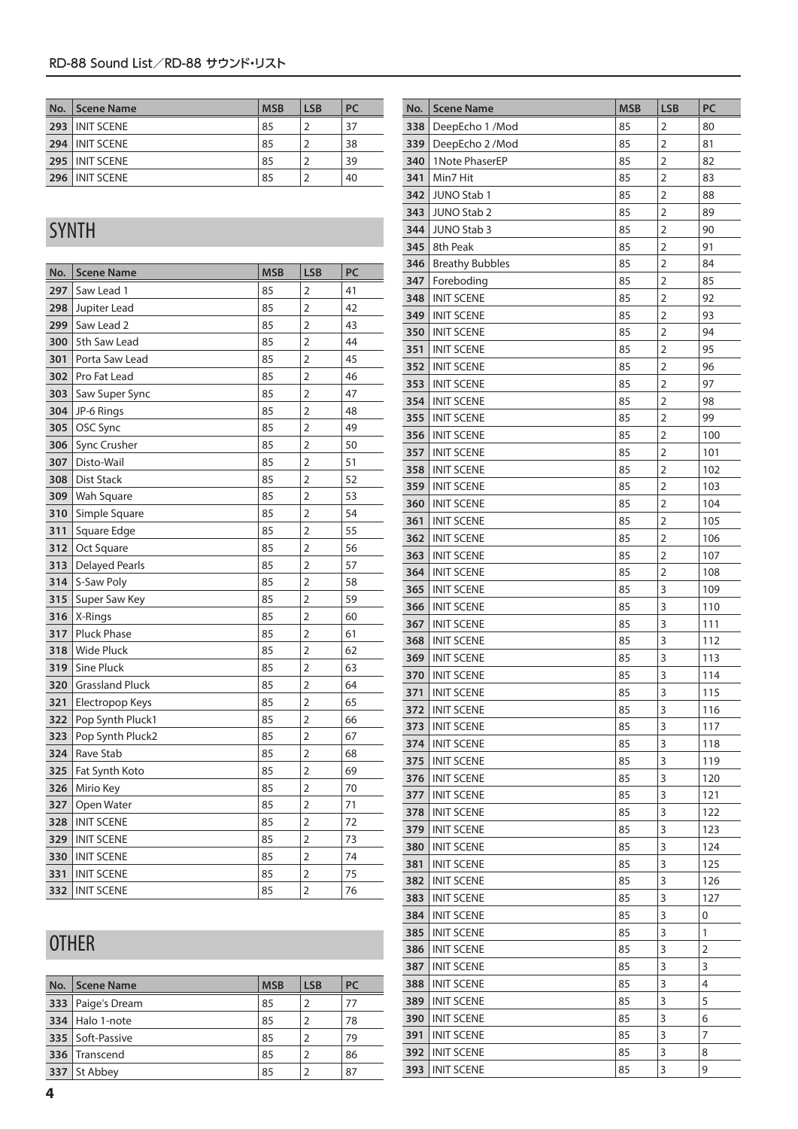| No. | Scene Name        | <b>MSB</b> | <b>LSB</b> | <b>PC</b> |
|-----|-------------------|------------|------------|-----------|
| 293 | <b>INIT SCENE</b> | 85         |            | 37        |
|     | 294 INIT SCENE    | 85         |            | 38        |
|     | 295 I INIT SCENE  | 85         |            | 39        |
|     | 296 INIT SCENE    | 85         |            | 40        |

### SYNTH

| No. | <b>Scene Name</b>      | <b>MSB</b>                 | <b>LSB</b>           | PC |  |  |  |
|-----|------------------------|----------------------------|----------------------|----|--|--|--|
| 297 | Saw Lead 1             | 85                         | $\overline{2}$       | 41 |  |  |  |
| 298 | Jupiter Lead           | 85                         | $\overline{2}$       | 42 |  |  |  |
| 299 | Saw Lead 2             | 85                         | $\overline{2}$       | 43 |  |  |  |
| 300 | 5th Saw Lead           | 85                         | $\overline{2}$       | 44 |  |  |  |
| 301 | Porta Saw Lead         | 85                         | 2                    | 45 |  |  |  |
| 302 | Pro Fat Lead           | 85                         | 2                    | 46 |  |  |  |
| 303 | Saw Super Sync         | 85                         | 2                    | 47 |  |  |  |
| 304 | JP-6 Rings             | 85                         | 2                    | 48 |  |  |  |
| 305 | OSC Sync               | 85                         | 2                    | 49 |  |  |  |
| 306 | Sync Crusher           | 85                         | 2                    | 50 |  |  |  |
| 307 | Disto-Wail             | 85                         | $\overline{2}$       | 51 |  |  |  |
| 308 | <b>Dist Stack</b>      | 85                         | $\overline{2}$       | 52 |  |  |  |
| 309 | Wah Square             | 85                         | $\overline{2}$       | 53 |  |  |  |
| 310 | Simple Square          | 85                         | $\overline{2}$       | 54 |  |  |  |
| 311 | Square Edge            | 85                         | $\overline{2}$       | 55 |  |  |  |
| 312 | Oct Square             | 85                         | $\overline{2}$<br>56 |    |  |  |  |
| 313 | <b>Delayed Pearls</b>  | 85                         | $\overline{2}$<br>57 |    |  |  |  |
| 314 | S-Saw Poly             | 85                         | $\overline{2}$       | 58 |  |  |  |
| 315 | Super Saw Key          | 85                         | $\overline{2}$       | 59 |  |  |  |
| 316 | X-Rings                | 85                         | $\overline{2}$<br>60 |    |  |  |  |
| 317 | <b>Pluck Phase</b>     | 85                         | $\overline{2}$       | 61 |  |  |  |
| 318 | <b>Wide Pluck</b>      | 85<br>$\overline{2}$<br>62 |                      |    |  |  |  |
| 319 | <b>Sine Pluck</b>      | 85                         | $\overline{2}$       | 63 |  |  |  |
| 320 | <b>Grassland Pluck</b> | 85                         | $\overline{2}$       | 64 |  |  |  |
| 321 | Electropop Keys        | 85                         | $\overline{2}$       | 65 |  |  |  |
| 322 | Pop Synth Pluck1       | 85                         | $\overline{2}$       | 66 |  |  |  |
| 323 | Pop Synth Pluck2       | 85                         | $\overline{2}$       | 67 |  |  |  |
| 324 | Rave Stab              | 85                         | $\overline{2}$       | 68 |  |  |  |
| 325 | Fat Synth Koto         | 85                         | $\overline{2}$       | 69 |  |  |  |
| 326 | Mirio Key              | 85                         | $\overline{2}$       | 70 |  |  |  |
| 327 | Open Water             | 85                         | $\overline{2}$       | 71 |  |  |  |
| 328 | <b>INIT SCENE</b>      | 85                         | $\overline{2}$       | 72 |  |  |  |
| 329 | <b>INIT SCENE</b>      | 85                         | $\overline{2}$       | 73 |  |  |  |
| 330 | <b>INIT SCENE</b>      | 85                         | $\overline{2}$       | 74 |  |  |  |
| 331 | <b>INIT SCENE</b>      | 85                         | $\overline{2}$       | 75 |  |  |  |
| 332 | <b>INIT SCENE</b>      | 85                         | $\overline{2}$       | 76 |  |  |  |

## **OTHER**

| No. | Scene Name          | <b>MSB</b> | <b>LSB</b>    | <b>PC</b> |
|-----|---------------------|------------|---------------|-----------|
|     | 333   Paige's Dream | 85         |               | 77        |
|     | 334 Halo 1-note     | 85         |               | 78        |
|     | 335   Soft-Passive  | 85         | $\mathcal{P}$ | 79        |
|     | 336 Transcend       | 85         | $\mathcal{P}$ | 86        |
| 337 | St Abbey            | 85         |               | 87        |

| No. | <b>Scene Name</b>      | <b>MSB</b> | <b>LSB</b>     | PC  |
|-----|------------------------|------------|----------------|-----|
| 338 | DeepEcho 1 /Mod        | 85         | 2              | 80  |
| 339 | DeepEcho 2 / Mod       | 85         | 2              | 81  |
| 340 | 1Note PhaserEP         | 85         | 2              | 82  |
| 341 | Min7 Hit               | 85         | $\overline{2}$ | 83  |
| 342 | <b>JUNO Stab 1</b>     | 85         | 2              | 88  |
| 343 | JUNO Stab 2            | 85         | 2              | 89  |
| 344 | <b>JUNO Stab 3</b>     | 85         | $\overline{2}$ | 90  |
| 345 | 8th Peak               | 85         | 2              | 91  |
| 346 | <b>Breathy Bubbles</b> | 85         | 2              | 84  |
| 347 | Foreboding             | 85         | 2              | 85  |
| 348 | <b>INIT SCENE</b>      | 85         | 2              | 92  |
| 349 | <b>INIT SCENE</b>      | 85         | 2              | 93  |
| 350 | <b>INIT SCENE</b>      | 85         | 2              | 94  |
| 351 | <b>INIT SCENE</b>      | 85         | 2              | 95  |
| 352 | <b>INIT SCENE</b>      | 85         | $\overline{2}$ | 96  |
| 353 | <b>INIT SCENE</b>      | 85         | 2              | 97  |
| 354 | <b>INIT SCENE</b>      | 85         | 2              | 98  |
| 355 | <b>INIT SCENE</b>      | 85         | 2              | 99  |
| 356 | <b>INIT SCENE</b>      | 85         | $\overline{2}$ | 100 |
| 357 | <b>INIT SCENE</b>      | 85         | 2              | 101 |
| 358 | <b>INIT SCENE</b>      | 85         | 2              | 102 |
| 359 | <b>INIT SCENE</b>      | 85         | 2              | 103 |
| 360 | <b>INIT SCENE</b>      | 85         | $\overline{2}$ | 104 |
| 361 | <b>INIT SCENE</b>      | 85         | 2              | 105 |
| 362 | <b>INIT SCENE</b>      | 85         | $\overline{2}$ | 106 |
| 363 | <b>INIT SCENE</b>      | 85         | $\overline{2}$ | 107 |
| 364 | <b>INIT SCENE</b>      | 85         | 2              | 108 |
| 365 | <b>INIT SCENE</b>      | 85         | 3              | 109 |
| 366 | <b>INIT SCENE</b>      | 85         | 3              | 110 |
| 367 | <b>INIT SCENE</b>      | 85         | 3              | 111 |
| 368 | <b>INIT SCENE</b>      | 85         | 3              | 112 |
| 369 | <b>INIT SCENE</b>      | 85         | 3              | 113 |
| 370 | <b>INIT SCENE</b>      | 85         | 3              | 114 |
| 371 | <b>INIT SCENE</b>      | 85         | 3              | 115 |
| 372 | <b>INIT SCENE</b>      | 85         | 3              | 116 |
| 373 | <b>INIT SCENE</b>      | 85         | 3              | 117 |
| 374 | <b>INIT SCENE</b>      | 85         | 3              | 118 |
| 375 | <b>INIT SCENE</b>      | 85         | 3              | 119 |
| 376 | <b>INIT SCENE</b>      | 85         | 3              | 120 |
| 377 | <b>INIT SCENE</b>      | 85         | 3              | 121 |
| 378 | <b>INIT SCENE</b>      | 85         | 3              | 122 |
| 379 | <b>INIT SCENE</b>      | 85         | 3              | 123 |
| 380 | <b>INIT SCENE</b>      | 85         | 3              | 124 |
| 381 | <b>INIT SCENE</b>      | 85         | 3              | 125 |
| 382 | <b>INIT SCENE</b>      | 85         | 3              | 126 |
| 383 | <b>INIT SCENE</b>      | 85         | 3              | 127 |
| 384 | <b>INIT SCENE</b>      | 85         | 3              | 0   |
| 385 | <b>INIT SCENE</b>      | 85         | 3              | 1   |
| 386 | <b>INIT SCENE</b>      | 85         | 3              | 2   |
| 387 | <b>INIT SCENE</b>      | 85         | 3              | 3   |
| 388 | <b>INIT SCENE</b>      | 85         | 3              | 4   |
| 389 | <b>INIT SCENE</b>      | 85         | 3              | 5   |
| 390 | <b>INIT SCENE</b>      | 85         | 3              | 6   |
| 391 | <b>INIT SCENE</b>      | 85         | 3              | 7   |
| 392 | <b>INIT SCENE</b>      | 85         | 3              | 8   |
| 393 | <b>INIT SCENE</b>      |            | 3              | 9   |
|     |                        | 85         |                |     |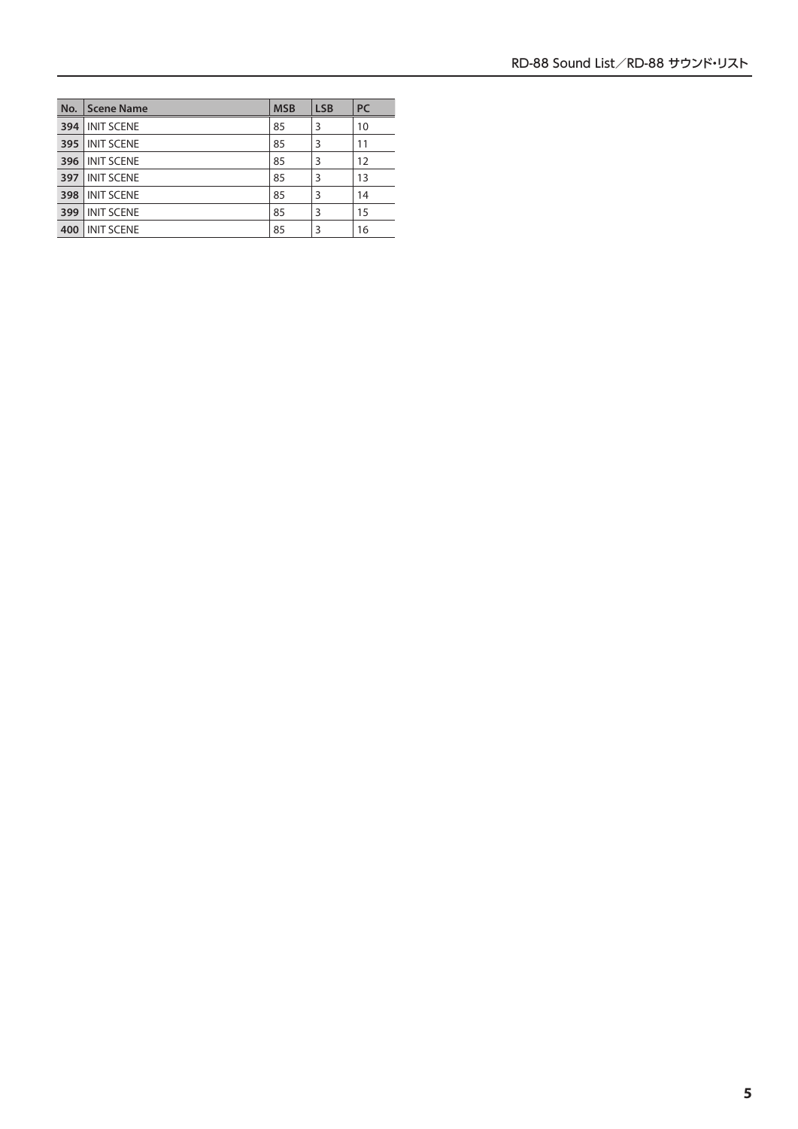| No. | Scene Name        | <b>MSB</b> | <b>LSB</b> | <b>PC</b> |
|-----|-------------------|------------|------------|-----------|
| 394 | <b>INIT SCENE</b> | 85         | 3          | 10        |
| 395 | <b>INIT SCENE</b> | 85         | 3          | 11        |
| 396 | <b>INIT SCENE</b> | 85         | 3          | 12        |
| 397 | <b>INIT SCENE</b> | 85         | 3          | 13        |
| 398 | <b>INIT SCENE</b> | 85         | 3          | 14        |
| 399 | <b>INIT SCENE</b> | 85         | 3          | 15        |
| 400 | <b>INIT SCENE</b> | 85         | 3          | 16        |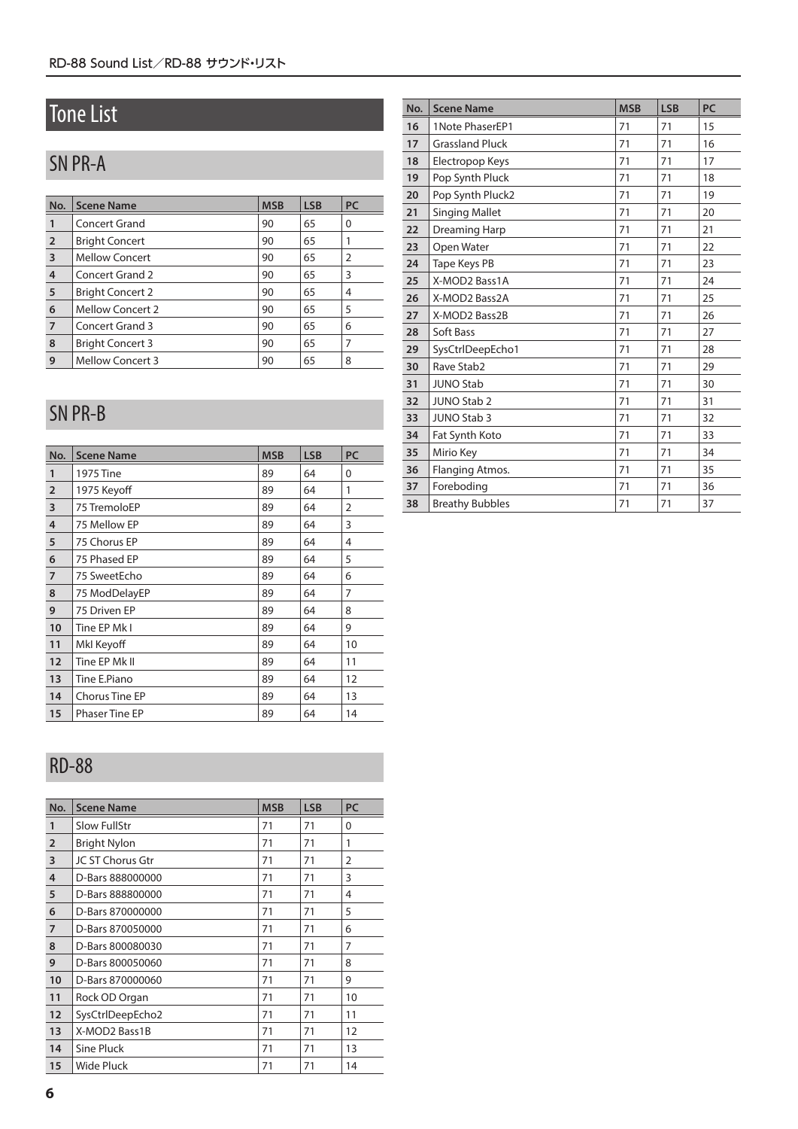## Tone List

## SN PR-A

| No.            | <b>Scene Name</b>       | <b>MSB</b> | <b>LSB</b> | PC |
|----------------|-------------------------|------------|------------|----|
|                | Concert Grand           | 90         | 65         | 0  |
| $\overline{2}$ | <b>Bright Concert</b>   | 90         | 65         |    |
| 3              | Mellow Concert          | 90         | 65         | 2  |
| 4              | Concert Grand 2         | 90         | 65         | 3  |
| 5              | <b>Bright Concert 2</b> | 90         | 65         | 4  |
| 6              | <b>Mellow Concert 2</b> | 90         | 65         | 5  |
| $\overline{7}$ | Concert Grand 3         | 90         | 65         | 6  |
| 8              | <b>Bright Concert 3</b> | 90         | 65         | 7  |
| 9              | <b>Mellow Concert 3</b> | 90         | 65         | 8  |

### SN PR-B

| No.            | <b>Scene Name</b>     | <b>MSB</b>    | <b>LSB</b> | PC             |  |  |
|----------------|-----------------------|---------------|------------|----------------|--|--|
| 1              | 1975 Tine             | 89            | 64         | 0              |  |  |
| $\overline{2}$ | 1975 Keyoff           | 89            | 64         | 1              |  |  |
| 3              | 75 TremoloEP          | 89            | 64         | $\overline{2}$ |  |  |
| $\overline{4}$ | 75 Mellow EP          | 89            | 64         | 3              |  |  |
| 5              | 75 Chorus EP          | 89            | 64         | 4              |  |  |
| 6              | 75 Phased EP          | 89            | 64         | 5              |  |  |
| $\overline{7}$ | 75 SweetEcho          | 89            | 64         | 6              |  |  |
| 8              | 75 ModDelayEP         | 89            | 64         | $\overline{7}$ |  |  |
| 9              | 75 Driven EP          | 89<br>64<br>8 |            |                |  |  |
| 10             | Tine EP Mk I          | 89            | 64         | 9              |  |  |
| 11             | Mkl Keyoff            | 89            | 64         | 10             |  |  |
| 12             | Tine EP Mk II         | 89            | 64         | 11             |  |  |
| 13             | Tine E.Piano          | 89            | 64         | 12             |  |  |
| 14             | <b>Chorus Tine EP</b> | 89            | 64         | 13             |  |  |
| 15             | <b>Phaser Tine EP</b> | 89            | 64         | 14             |  |  |

### RD-88

| No.            | <b>Scene Name</b>   | <b>MSB</b> | <b>LSB</b> | <b>PC</b>      |
|----------------|---------------------|------------|------------|----------------|
| 1              | <b>Slow FullStr</b> | 71         | 71         | $\Omega$       |
| $\overline{2}$ | <b>Bright Nylon</b> | 71         | 71         | 1              |
| 3              | JC ST Chorus Gtr    | 71         | 71         | $\overline{2}$ |
| 4              | D-Bars 888000000    | 71         | 71         | 3              |
| 5              | D-Bars 888800000    | 71         | 71         | 4              |
| 6              | D-Bars 870000000    | 71         | 71         | 5              |
| $\overline{7}$ | D-Bars 870050000    | 71         | 71         | 6              |
| 8              | D-Bars 800080030    | 71         | 71         | 7              |
| 9              | D-Bars 800050060    | 71         | 71         | 8              |
| 10             | D-Bars 870000060    | 71         | 71         | 9              |
| 11             | Rock OD Organ       | 71         | 71         | 10             |
| 12             | SysCtrlDeepEcho2    | 71         | 71         | 11             |
| 13             | X-MOD2 Bass1B       | 71         | 71         | 12             |
| 14             | Sine Pluck          | 71         | 71         | 13             |
| 15             | Wide Pluck          | 71         | 71         | 14             |

| No. | <b>Scene Name</b>      | <b>MSB</b> | <b>LSB</b> | PC |
|-----|------------------------|------------|------------|----|
| 16  | 1Note PhaserEP1        | 71         | 71         | 15 |
| 17  | <b>Grassland Pluck</b> | 71         | 71         | 16 |
| 18  | Electropop Keys        | 71         | 71         | 17 |
| 19  | Pop Synth Pluck        | 71         | 71         | 18 |
| 20  | Pop Synth Pluck2       | 71         | 71         | 19 |
| 21  | <b>Singing Mallet</b>  | 71         | 71         | 20 |
| 22  | Dreaming Harp          | 71         | 71         | 21 |
| 23  | Open Water             | 71         | 71         | 22 |
| 24  | Tape Keys PB           | 71         | 71         | 23 |
| 25  | X-MOD2 Bass1A          | 71         | 71         | 24 |
| 26  | X-MOD2 Bass2A          | 71         | 71         | 25 |
| 27  | X-MOD2 Bass2B          | 71         | 71         | 26 |
| 28  | Soft Bass              | 71         | 71         | 27 |
| 29  | SysCtrlDeepEcho1       | 71         | 71         | 28 |
| 30  | Rave Stab2             | 71         | 71         | 29 |
| 31  | <b>JUNO Stab</b>       | 71         | 71         | 30 |
| 32  | <b>JUNO Stab 2</b>     | 71         | 71         | 31 |
| 33  | <b>JUNO Stab 3</b>     | 71         | 71         | 32 |
| 34  | Fat Synth Koto         | 71         | 71         | 33 |
| 35  | Mirio Key              | 71         | 71         | 34 |
| 36  | Flanging Atmos.        | 71         | 71         | 35 |
| 37  | Foreboding             | 71         | 71         | 36 |
| 38  | <b>Breathy Bubbles</b> | 71         | 71         | 37 |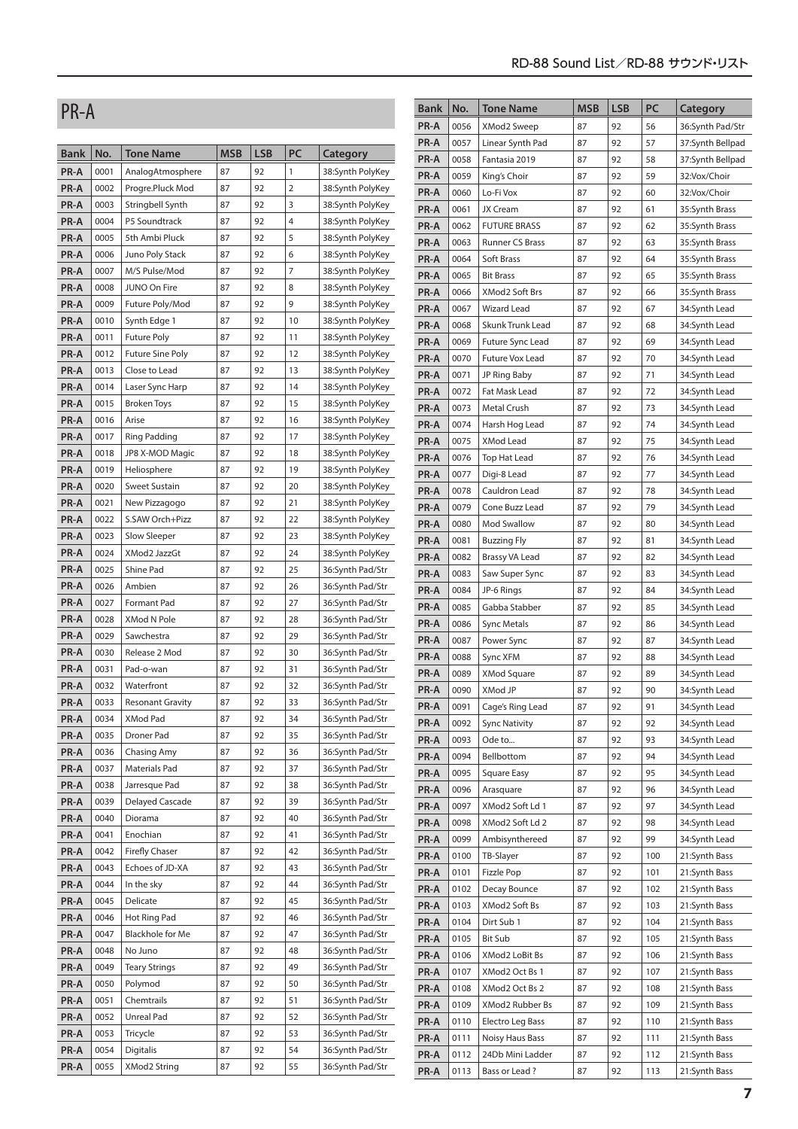| PR-A         |              |                                       |            |            |                |                                      | Bank | No.  | <b>Tone Name</b>       | <b>MSB</b> | <b>LSB</b> | PC  | Category         |
|--------------|--------------|---------------------------------------|------------|------------|----------------|--------------------------------------|------|------|------------------------|------------|------------|-----|------------------|
|              |              |                                       |            |            |                |                                      | PR-A | 0056 | XMod2 Sweep            | 87         | 92         | 56  | 36:Synth Pad/Str |
|              |              |                                       |            |            |                |                                      | PR-A | 0057 | Linear Synth Pad       | 87         | 92         | 57  | 37:Synth Bellpad |
| <b>Bank</b>  | No.          | Tone Name                             | <b>MSB</b> | <b>LSB</b> | PC             | Category                             | PR-A | 0058 | Fantasia 2019          | 87         | 92         | 58  | 37:Synth Bellpad |
| PR-A         | 0001         | AnalogAtmosphere                      | 87         | 92         | $\mathbf{1}$   | 38:Synth PolyKey                     | PR-A | 0059 | King's Choir           | 87         | 92         | 59  | 32:Vox/Choir     |
| PR-A         | 0002         | Progre.Pluck Mod                      | 87         | 92         | $\overline{2}$ | 38:Synth PolyKey                     | PR-A | 0060 | Lo-Fi Vox              | 87         | 92         | 60  | 32:Vox/Choir     |
| PR-A         | 0003         | Stringbell Synth                      | 87         | 92         | 3              | 38:Synth PolyKey                     | PR-A | 0061 | JX Cream               | 87         | 92         | 61  | 35:Synth Brass   |
| PR-A         | 0004         | P5 Soundtrack                         | 87         | 92         | 4              | 38:Synth PolyKey                     | PR-A | 0062 | <b>FUTURE BRASS</b>    | 87         | 92         | 62  | 35:Synth Brass   |
| PR-A         | 0005         | 5th Ambi Pluck                        | 87         | 92         | 5              | 38:Synth PolyKey                     | PR-A | 0063 | <b>Runner CS Brass</b> | 87         | 92         | 63  | 35:Synth Brass   |
| PR-A         | 0006         | Juno Poly Stack                       | 87         | 92         | 6              | 38:Synth PolyKey                     | PR-A | 0064 | Soft Brass             | 87         | 92         | 64  | 35:Synth Brass   |
| PR-A         | 0007         | M/S Pulse/Mod                         | 87         | 92         | 7              | 38:Synth PolyKey                     | PR-A | 0065 | <b>Bit Brass</b>       | 87         | 92         | 65  | 35:Synth Brass   |
| PR-A         | 0008         | JUNO On Fire                          | 87         | 92         | 8              | 38:Synth PolyKey                     | PR-A | 0066 | XMod2 Soft Brs         | 87         | 92         | 66  | 35:Synth Brass   |
| PR-A         | 0009         | Future Poly/Mod                       | 87         | 92         | 9              | 38:Synth PolyKey                     | PR-A | 0067 | <b>Wizard Lead</b>     | 87         | 92         | 67  | 34:Synth Lead    |
| PR-A         | 0010         | Synth Edge 1                          | 87         | 92         | 10             | 38:Synth PolyKey                     | PR-A | 0068 | Skunk Trunk Lead       | 87         | 92         | 68  | 34:Synth Lead    |
| PR-A         | 0011         | <b>Future Poly</b>                    | 87         | 92         | 11             | 38:Synth PolyKey                     | PR-A | 0069 | Future Sync Lead       | 87         | 92         | 69  | 34:Synth Lead    |
| PR-A         | 0012         | <b>Future Sine Poly</b>               | 87         | 92         | 12             | 38:Synth PolyKey                     | PR-A | 0070 | Future Vox Lead        | 87         | 92         | 70  | 34:Synth Lead    |
| PR-A         | 0013         | Close to Lead                         | 87         | 92         | 13             | 38:Synth PolyKey                     | PR-A | 0071 | JP Ring Baby           | 87         | 92         | 71  | 34:Synth Lead    |
| PR-A         | 0014         | Laser Sync Harp                       | 87         | 92         | 14             | 38:Synth PolyKey                     | PR-A | 0072 | Fat Mask Lead          | 87         | 92         | 72  | 34:Synth Lead    |
| PR-A         | 0015         | <b>Broken Toys</b>                    | 87         | 92         | 15             | 38:Synth PolyKey                     | PR-A | 0073 | Metal Crush            | 87         | 92         | 73  | 34:Synth Lead    |
| PR-A         | 0016         | Arise                                 | 87         | 92         | 16             | 38:Synth PolyKey                     | PR-A | 0074 | Harsh Hog Lead         | 87         | 92         | 74  | 34:Synth Lead    |
| PR-A         | 0017         | <b>Ring Padding</b>                   | 87         | 92         | 17             | 38:Synth PolyKey                     | PR-A | 0075 | XMod Lead              | 87         | 92         | 75  | 34:Synth Lead    |
| PR-A         | 0018         | JP8 X-MOD Magic                       | 87         | 92         | 18             | 38:Synth PolyKey                     | PR-A | 0076 | Top Hat Lead           | 87         | 92         | 76  | 34:Synth Lead    |
| PR-A         | 0019         | Heliosphere                           | 87         | 92         | 19             | 38:Synth PolyKey                     | PR-A | 0077 | Digi-8 Lead            | 87         | 92         | 77  | 34:Synth Lead    |
| PR-A         | 0020         | Sweet Sustain                         | 87         | 92         | 20             | 38:Synth PolyKey                     | PR-A | 0078 | Cauldron Lead          | 87         | 92         | 78  | 34:Synth Lead    |
| PR-A         | 0021         | New Pizzagogo                         | 87         | 92         | 21             | 38:Synth PolyKey                     | PR-A | 0079 | Cone Buzz Lead         | 87         | 92         | 79  | 34:Synth Lead    |
| PR-A         | 0022         | S.SAW Orch+Pizz                       | 87         | 92         | 22             | 38:Synth PolyKey                     | PR-A | 0080 | Mod Swallow            | 87         | 92         | 80  | 34:Synth Lead    |
| PR-A         | 0023         | Slow Sleeper                          | 87         | 92         | 23             | 38:Synth PolyKey                     | PR-A | 0081 | Buzzing Fly            | 87         | 92         | 81  | 34:Synth Lead    |
| PR-A         | 0024         | XMod2 JazzGt                          | 87         | 92         | 24             | 38:Synth PolyKey                     | PR-A | 0082 | Brassy VA Lead         | 87         | 92         | 82  | 34:Synth Lead    |
| PR-A         | 0025         | Shine Pad                             | 87         | 92         | 25             | 36:Synth Pad/Str                     | PR-A | 0083 | Saw Super Sync         | 87         | 92         | 83  | 34:Synth Lead    |
| PR-A         | 0026         | Ambien                                | 87         | 92         | 26             | 36:Synth Pad/Str                     | PR-A | 0084 | JP-6 Rings             | 87         | 92         | 84  | 34:Synth Lead    |
| PR-A         | 0027         | Formant Pad                           | 87         | 92         | 27             | 36:Synth Pad/Str                     | PR-A | 0085 | Gabba Stabber          | 87         | 92         | 85  | 34:Synth Lead    |
| PR-A         | 0028         | XMod N Pole                           | 87         | 92         | 28             | 36:Synth Pad/Str                     | PR-A | 0086 | <b>Sync Metals</b>     | 87         | 92         | 86  | 34:Synth Lead    |
| PR-A         | 0029         | Sawchestra                            | 87         | 92         | 29             | 36:Synth Pad/Str                     | PR-A | 0087 | Power Sync             | 87         | 92         | 87  | 34:Synth Lead    |
| PR-A         | 0030         | Release 2 Mod                         | 87         | 92         | 30             | 36:Synth Pad/Str                     | PR-A | 0088 | Sync XFM               | 87         | 92         | 88  | 34:Synth Lead    |
| PR-A         | 0031         | Pad-o-wan                             | 87<br>87   | 92<br>92   | 31             | 36:Synth Pad/Str                     | PR-A | 0089 | XMod Square            | 87         | 92         | 89  | 34:Synth Lead    |
| PR-A         | 0032<br>0033 | Waterfront<br><b>Resonant Gravity</b> | 87         | 92         | 32<br>33       | 36:Synth Pad/Str<br>36:Synth Pad/Str | PR-A | 0090 | XMod JP                | 87         | 92         | 90  | 34:Synth Lead    |
| PR-A         |              |                                       | 87         | 92         |                |                                      | PR-A | 0091 | Cage's Ring Lead       | 87         | 92         | 91  | 34:Synth Lead    |
| PR-A         | 0034<br>0035 | XMod Pad<br>Droner Pad                | 87         | 92         | 34<br>35       | 36:Synth Pad/Str                     | PR-A | 0092 | <b>Sync Nativity</b>   | 87         | 92         | 92  | 34:Synth Lead    |
| PR-A<br>PR-A | 0036         | Chasing Amy                           | 87         | 92         | 36             | 36:Synth Pad/Str<br>36:Synth Pad/Str | PR-A | 0093 | Ode to                 | 87         | 92         | 93  | 34:Synth Lead    |
| PR-A         | 0037         | Materials Pad                         | 87         | 92         | 37             | 36:Synth Pad/Str                     | PR-A | 0094 | Bellbottom             | 87         | 92         | 94  | 34:Synth Lead    |
|              | 0038         | Jarresque Pad                         | 87         | 92         | 38             | 36:Synth Pad/Str                     | PR-A | 0095 | <b>Square Easy</b>     | 87         | 92         | 95  | 34:Synth Lead    |
| PR-A<br>PR-A | 0039         | Delayed Cascade                       | 87         | 92         | 39             | 36:Synth Pad/Str                     | PR-A | 0096 | Arasquare              | 87         | 92         | 96  | 34:Synth Lead    |
| PR-A         | 0040         | Diorama                               | 87         | 92         | 40             | 36:Synth Pad/Str                     | PR-A | 0097 | XMod2 Soft Ld 1        | 87         | 92         | 97  | 34:Synth Lead    |
| PR-A         | 0041         | Enochian                              | 87         | 92         | 41             | 36:Synth Pad/Str                     | PR-A | 0098 | XMod2 Soft Ld 2        | 87         | 92         | 98  | 34:Synth Lead    |
| PR-A         | 0042         | <b>Firefly Chaser</b>                 | 87         | 92         | 42             | 36:Synth Pad/Str                     | PR-A | 0099 | Ambisynthereed         | 87         | 92         | 99  | 34:Synth Lead    |
| PR-A         | 0043         | Echoes of JD-XA                       | 87         | 92         | 43             | 36:Synth Pad/Str                     | PR-A | 0100 | TB-Slayer              | 87         | 92         | 100 | 21:Synth Bass    |
| PR-A         | 0044         | In the sky                            | 87         | 92         | 44             | 36:Synth Pad/Str                     | PR-A | 0101 | Fizzle Pop             | 87         | 92         | 101 | 21:Synth Bass    |
| PR-A         | 0045         | Delicate                              | 87         | 92         | 45             | 36:Synth Pad/Str                     | PR-A | 0102 | Decay Bounce           | 87         | 92         | 102 | 21:Synth Bass    |
| PR-A         | 0046         | Hot Ring Pad                          | 87         | 92         | 46             | 36:Synth Pad/Str                     | PR-A | 0103 | XMod2 Soft Bs          | 87         | 92         | 103 | 21:Synth Bass    |
| PR-A         | 0047         | Blackhole for Me                      | 87         | 92         | 47             | 36:Synth Pad/Str                     | PR-A | 0104 | Dirt Sub 1             | 87         | 92         | 104 | 21:Synth Bass    |
| PR-A         | 0048         | No Juno                               | 87         | 92         | 48             | 36:Synth Pad/Str                     | PR-A | 0105 | <b>Bit Sub</b>         | 87         | 92         | 105 | 21:Synth Bass    |
| PR-A         | 0049         | <b>Teary Strings</b>                  | 87         | 92         | 49             | 36:Synth Pad/Str                     | PR-A | 0106 | XMod2 LoBit Bs         | 87         | 92         | 106 | 21:Synth Bass    |
| PR-A         | 0050         | Polymod                               | 87         | 92         | 50             | 36:Synth Pad/Str                     | PR-A | 0107 | XMod2 Oct Bs 1         | 87         | 92         | 107 | 21:Synth Bass    |
| PR-A         | 0051         | Chemtrails                            | 87         | 92         | 51             | 36:Synth Pad/Str                     | PR-A | 0108 | XMod2 Oct Bs 2         | 87         | 92         | 108 | 21:Synth Bass    |
| PR-A         | 0052         | Unreal Pad                            | 87         | 92         | 52             | 36:Synth Pad/Str                     | PR-A | 0109 | XMod2 Rubber Bs        | 87         | 92         | 109 | 21:Synth Bass    |
| PR-A         | 0053         | Tricycle                              | 87         | 92         | 53             | 36:Synth Pad/Str                     | PR-A | 0110 | Electro Leg Bass       | 87         | 92         | 110 | 21:Synth Bass    |
| PR-A         | 0054         | Digitalis                             | 87         | 92         | 54             | 36:Synth Pad/Str                     | PR-A | 0111 | Noisy Haus Bass        | 87         | 92         | 111 | 21:Synth Bass    |
| PR-A         | 0055         | XMod2 String                          | 87         | 92         | 55             | 36:Synth Pad/Str                     | PR-A | 0112 | 24Db Mini Ladder       | 87         | 92         | 112 | 21:Synth Bass    |
|              |              |                                       |            |            |                |                                      | PR-A | 0113 | Bass or Lead?          | 87         | 92         | 113 | 21:Synth Bass    |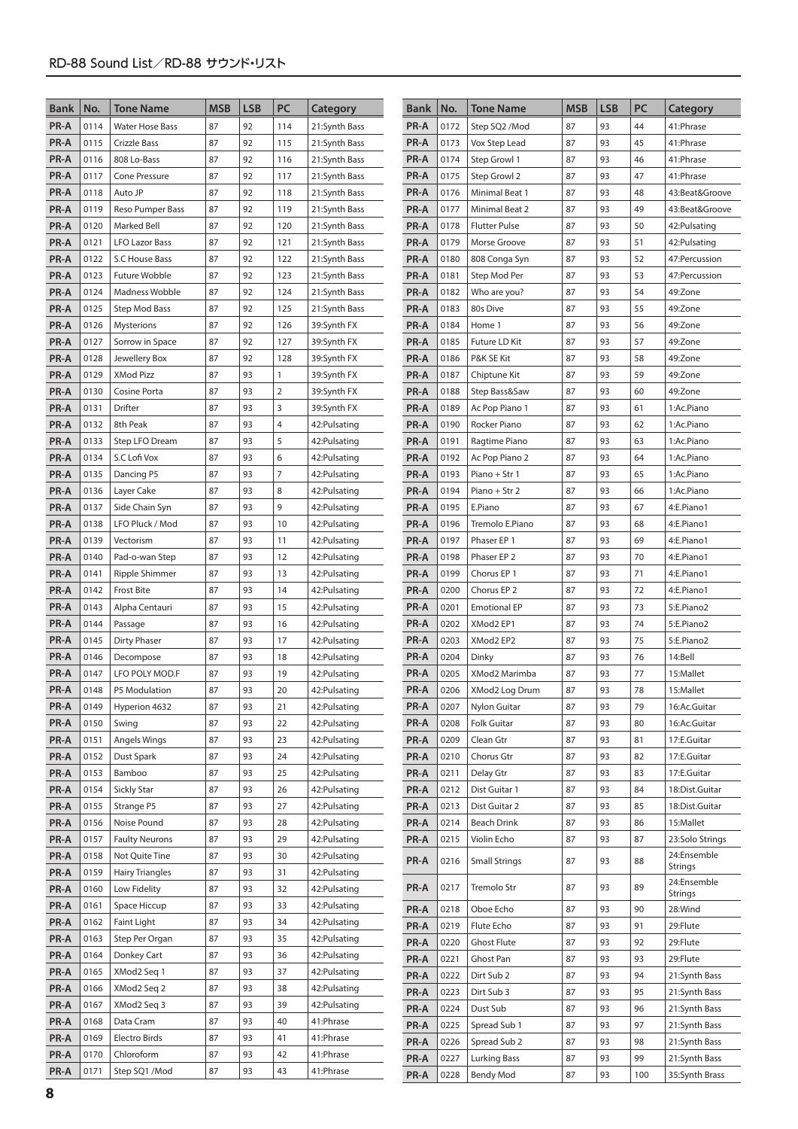| <b>Bank</b>  | No.          | <b>Tone Name</b>             | <b>MSB</b> | <b>LSB</b> | PC             | Category                       | <b>Bank</b>  | No.          | <b>Tone Name</b>               | <b>MSB</b> | <b>LSB</b> | PC       | Category                 |
|--------------|--------------|------------------------------|------------|------------|----------------|--------------------------------|--------------|--------------|--------------------------------|------------|------------|----------|--------------------------|
| PR-A         | 0114         | <b>Water Hose Bass</b>       | 87         | 92         | 114            | 21:Synth Bass                  | PR-A         | 0172         | Step SQ2 /Mod                  | 87         | 93         | 44       | 41:Phrase                |
| PR-A         | 0115         | Crizzle Bass                 | 87         | 92         | 115            | 21:Synth Bass                  | PR-A         | 0173         | Vox Step Lead                  | 87         | 93         | 45       | 41: Phrase               |
| PR-A         | 0116         | 808 Lo-Bass                  | 87         | 92         | 116            | 21:Synth Bass                  | PR-A         | 0174         | Step Growl 1                   | 87         | 93         | 46       | 41:Phrase                |
| PR-A         | 0117         | <b>Cone Pressure</b>         | 87         | 92         | 117            | 21:Synth Bass                  | PR-A         | 0175         | Step Growl 2                   | 87         | 93         | 47       | 41:Phrase                |
| PR-A         | 0118         | Auto JP                      | 87         | 92         | 118            | 21:Synth Bass                  | PR-A         | 0176         | Minimal Beat 1                 | 87         | 93         | 48       | 43:Beat&Groove           |
| PR-A         | 0119         | Reso Pumper Bass             | 87         | 92         | 119            | 21:Synth Bass                  | PR-A         | 0177         | Minimal Beat 2                 | 87         | 93         | 49       | 43:Beat&Groove           |
| PR-A         | 0120         | <b>Marked Bell</b>           | 87         | 92         | 120            | 21:Synth Bass                  | PR-A         | 0178         | <b>Flutter Pulse</b>           | 87         | 93         | 50       | 42: Pulsating            |
| PR-A         | 0121         | <b>LFO Lazor Bass</b>        | 87         | 92         | 121            | 21:Synth Bass                  | PR-A         | 0179         | Morse Groove                   | 87         | 93         | 51       | 42:Pulsating             |
| PR-A         | 0122         | S.C House Bass               | 87         | 92         | 122            | 21:Synth Bass                  | PR-A         | 0180         | 808 Conga Syn                  | 87         | 93         | 52       | 47:Percussion            |
| PR-A         | 0123         | Future Wobble                | 87         | 92         | 123            | 21:Synth Bass                  | PR-A         | 0181         | Step Mod Per                   | 87         | 93         | 53       | 47: Percussion           |
| PR-A         | 0124         | Madness Wobble               | 87         | 92         | 124            | 21:Synth Bass                  | PR-A         | 0182         | Who are you?                   | 87         | 93         | 54       | 49:Zone                  |
| PR-A         | 0125         | Step Mod Bass                | 87         | 92         | 125            | 21:Synth Bass                  | PR-A         | 0183         | 80s Dive                       | 87         | 93         | 55       | 49:Zone                  |
| PR-A         | 0126         | Mysterions                   | 87         | 92         | 126            | 39:Synth FX                    | PR-A         | 0184         | Home 1                         | 87         | 93         | 56       | 49:Zone                  |
| PR-A         | 0127         | Sorrow in Space              | 87         | 92         | 127            | 39:Synth FX                    | PR-A         | 0185         | Future LD Kit                  | 87         | 93         | 57       | 49:Zone                  |
| PR-A         | 0128         | Jewellery Box                | 87         | 92         | 128            | 39:Synth FX                    | PR-A         | 0186         | P&K SE Kit                     | 87         | 93         | 58       | 49:Zone                  |
| PR-A         | 0129         | <b>XMod Pizz</b>             | 87         | 93         | $\mathbf{1}$   | 39:Synth FX                    | PR-A         | 0187         | Chiptune Kit                   | 87         | 93         | 59       | 49:Zone                  |
| PR-A         | 0130         | Cosine Porta                 | 87         | 93         | 2              | 39:Synth FX                    | PR-A         | 0188         | Step Bass&Saw                  | 87         | 93         | 60       | 49:Zone                  |
| PR-A         | 0131         | Drifter                      | 87         | 93         | 3              | 39:Synth FX                    | PR-A         | 0189         | Ac Pop Piano 1                 | 87         | 93         | 61       | 1:Ac.Piano               |
| PR-A         | 0132         | 8th Peak                     | 87         | 93         | $\overline{4}$ | 42: Pulsating                  | PR-A         | 0190         | Rocker Piano                   | 87         | 93         | 62       | 1:Ac.Piano               |
| PR-A         | 0133         | Step LFO Dream               | 87         | 93         | 5              | 42: Pulsating                  | PR-A         | 0191         | Ragtime Piano                  | 87         | 93         | 63       | 1:Ac.Piano               |
| PR-A         | 0134         | S.C Lofi Vox                 | 87         | 93         | 6              | 42: Pulsating                  | PR-A         | 0192         | Ac Pop Piano 2                 | 87         | 93         | 64       | 1:Ac.Piano               |
| PR-A         | 0135         | Dancing P5                   | 87         | 93         | 7              | 42: Pulsating                  | PR-A         | 0193         | Piano + Str 1                  | 87         | 93         | 65       | 1:Ac.Piano               |
| PR-A         | 0136         | Layer Cake                   | 87         | 93         | 8              | 42: Pulsating                  | PR-A         | 0194         | Piano + Str 2                  | 87         | 93         | 66       | 1:Ac.Piano               |
| PR-A         | 0137         | Side Chain Syn               | 87<br>87   | 93<br>93   | 9              | 42: Pulsating                  | PR-A         | 0195         | E.Piano                        | 87<br>87   | 93<br>93   | 67       | 4:E.Piano1               |
| PR-A         | 0138<br>0139 | LFO Pluck / Mod<br>Vectorism | 87         | 93         | 10<br>11       | 42: Pulsating                  | PR-A<br>PR-A | 0196<br>0197 | Tremolo E.Piano<br>Phaser EP 1 | 87         | 93         | 68<br>69 | 4:E.Piano1<br>4:E.Piano1 |
| PR-A<br>PR-A | 0140         | Pad-o-wan Step               | 87         | 93         | 12             | 42: Pulsating<br>42: Pulsating | PR-A         | 0198         | Phaser EP 2                    | 87         | 93         | 70       | 4:E.Piano1               |
| PR-A         | 0141         | Ripple Shimmer               | 87         | 93         | 13             | 42: Pulsating                  | PR-A         | 0199         | Chorus EP 1                    | 87         | 93         | 71       | 4:E.Piano1               |
| PR-A         | 0142         | <b>Frost Bite</b>            | 87         | 93         | 14             | 42: Pulsating                  | PR-A         | 0200         | Chorus EP 2                    | 87         | 93         | 72       | 4:E.Piano1               |
| PR-A         | 0143         | Alpha Centauri               | 87         | 93         | 15             | 42: Pulsating                  | PR-A         | 0201         | <b>Emotional EP</b>            | 87         | 93         | 73       | 5:E.Piano2               |
| PR-A         | 0144         | Passage                      | 87         | 93         | 16             | 42: Pulsating                  | PR-A         | 0202         | XMod2 EP1                      | 87         | 93         | 74       | 5:E.Piano2               |
| PR-A         | 0145         | <b>Dirty Phaser</b>          | 87         | 93         | 17             | 42: Pulsating                  | PR-A         | 0203         | XMod2 EP2                      | 87         | 93         | 75       | 5:E.Piano2               |
| PR-A         | 0146         | Decompose                    | 87         | 93         | 18             | 42: Pulsating                  | PR-A         | 0204         | Dinky                          | 87         | 93         | 76       | 14:Bell                  |
| PR-A         | 0147         | LFO POLY MOD.F               | 87         | 93         | 19             | 42: Pulsating                  | PR-A         | 0205         | XMod2 Marimba                  | 87         | 93         | 77       | 15:Mallet                |
| PR-A         | 0148         | P5 Modulation                | 87         | 93         | 20             | 42: Pulsating                  | PR-A         | 0206         | XMod2 Log Drum                 | 87         | 93         | 78       | 15:Mallet                |
| PR-A         | 0149         | Hyperion 4632                | 87         | 93         | 21             | 42: Pulsating                  | PR-A         | 0207         | Nylon Guitar                   | 87         | 93         | 79       | 16:Ac.Guitar             |
| PR-A         | 0150         | Swing                        | 87         | 93         | 22             | 42: Pulsating                  | PR-A         | 0208         | Folk Guitar                    | 87         | 93         | 80       | 16:Ac.Guitar             |
| PR-A         | 0151         | Angels Wings                 | 87         | 93         | 23             | 42: Pulsating                  | PR-A         | 0209         | Clean Gtr                      | 87         | 93         | 81       | 17:E.Guitar              |
| PR-A         | 0152         | Dust Spark                   | 87         | 93         | 24             | 42: Pulsating                  | PR-A         | 0210         | Chorus Gtr                     | 87         | 93         | 82       | 17:E.Guitar              |
| PR-A         | 0153         | Bamboo                       | 87         | 93         | 25             | 42: Pulsating                  | PR-A         | 0211         | Delay Gtr                      | 87         | 93         | 83       | 17:E.Guitar              |
| PR-A         | 0154         | <b>Sickly Star</b>           | 87         | 93         | 26             | 42: Pulsating                  | PR-A         | 0212         | Dist Guitar 1                  | 87         | 93         | 84       | 18:Dist.Guitar           |
| PR-A         | 0155         | Strange P5                   | 87         | 93         | 27             | 42: Pulsating                  | PR-A         | 0213         | Dist Guitar 2                  | 87         | 93         | 85       | 18:Dist.Guitar           |
| PR-A         | 0156         | Noise Pound                  | 87         | 93         | 28             | 42: Pulsating                  | PR-A         | 0214         | Beach Drink                    | 87         | 93         | 86       | 15:Mallet                |
| PR-A         | 0157         | <b>Faulty Neurons</b>        | 87         | 93         | 29             | 42: Pulsating                  | PR-A         | 0215         | Violin Echo                    | 87         | 93         | 87       | 23:Solo Strings          |
| PR-A         | 0158         | Not Quite Tine               | 87         | 93         | 30             | 42: Pulsating                  | PR-A         | 0216         | <b>Small Strings</b>           | 87         | 93         | 88       | 24:Ensemble<br>Strings   |
| PR-A         | 0159         | <b>Hairy Triangles</b>       | 87         | 93         | 31             | 42: Pulsating                  |              |              |                                |            |            |          | 24:Ensemble              |
| PR-A         | 0160         | Low Fidelity                 | 87         | 93         | 32             | 42: Pulsating                  | PR-A         | 0217         | Tremolo Str                    | 87         | 93         | 89       | Strings                  |
| PR-A         | 0161         | Space Hiccup                 | 87         | 93         | 33             | 42: Pulsating                  | PR-A         | 0218         | Oboe Echo                      | 87         | 93         | 90       | 28:Wind                  |
| PR-A         | 0162         | Faint Light                  | 87         | 93         | 34             | 42: Pulsating                  | PR-A         | 0219         | Flute Echo                     | 87         | 93         | 91       | 29:Flute                 |
| PR-A         | 0163         | Step Per Organ               | 87         | 93         | 35             | 42: Pulsating                  | PR-A         | 0220         | <b>Ghost Flute</b>             | 87         | 93         | 92       | 29:Flute                 |
| PR-A         | 0164         | Donkey Cart                  | 87         | 93         | 36             | 42: Pulsating                  | PR-A         | 0221         | Ghost Pan                      | 87         | 93         | 93       | 29:Flute                 |
| PR-A         | 0165         | XMod2 Seq 1                  | 87         | 93         | 37             | 42: Pulsating                  | PR-A         | 0222         | Dirt Sub 2                     | 87         | 93         | 94       | 21:Synth Bass            |
| PR-A         | 0166         | XMod2 Seq 2                  | 87         | 93         | 38             | 42: Pulsating                  | PR-A         | 0223         | Dirt Sub 3                     | 87         | 93         | 95       | 21:Synth Bass            |
| PR-A         | 0167         | XMod2 Seq 3                  | 87         | 93         | 39             | 42: Pulsating                  | PR-A         | 0224         | Dust Sub                       | 87         | 93         | 96       | 21:Synth Bass            |
| PR-A         | 0168         | Data Cram                    | 87         | 93         | 40             | 41: Phrase                     | PR-A         | 0225         | Spread Sub 1                   | 87         | 93         | 97       | 21:Synth Bass            |
| PR-A         | 0169         | Electro Birds                | 87         | 93<br>93   | 41             | 41: Phrase                     | PR-A         | 0226         | Spread Sub 2                   | 87         | 93         | 98       | 21:Synth Bass            |
| PR-A<br>PR-A | 0170<br>0171 | Chloroform<br>Step SQ1 /Mod  | 87<br>87   | 93         | 42<br>43       | 41: Phrase<br>41: Phrase       | PR-A         | 0227         | Lurking Bass                   | 87         | 93         | 99       | 21:Synth Bass            |
|              |              |                              |            |            |                |                                | PR-A         | 0228         | <b>Bendy Mod</b>               | 87         | 93         | 100      | 35:Synth Brass           |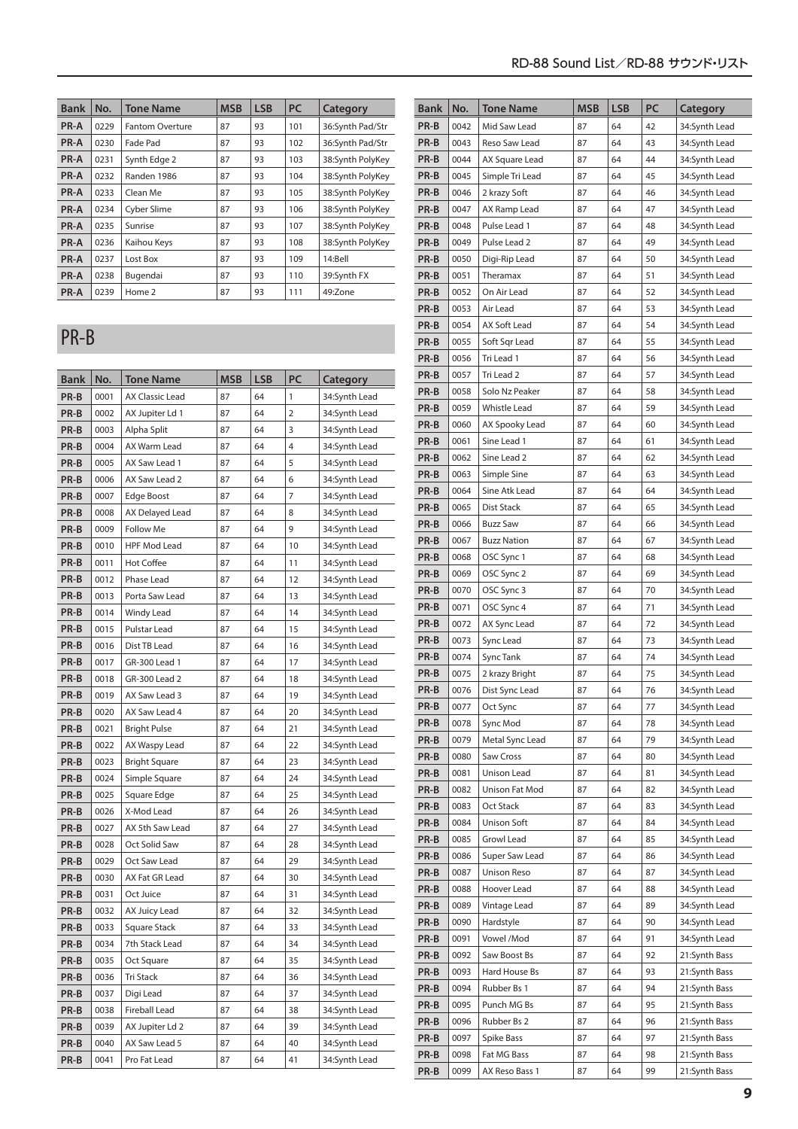| RD-88 Sound List/RD-88 サウンド・リスト |  |
|---------------------------------|--|
|---------------------------------|--|

| <b>Bank</b> | No.  | <b>Tone Name</b>       | <b>MSB</b> | <b>LSB</b> | <b>PC</b> | Category         |
|-------------|------|------------------------|------------|------------|-----------|------------------|
| PR-A        | 0229 | <b>Fantom Overture</b> | 87         | 93         | 101       | 36:Synth Pad/Str |
| <b>PR-A</b> | 0230 | Fade Pad               | 87         | 93         | 102       | 36:Synth Pad/Str |
| PR-A        | 0231 | Synth Edge 2           | 87         | 93         | 103       | 38:Synth PolyKey |
| <b>PR-A</b> | 0232 | Randen 1986            | 87         | 93         | 104       | 38:Synth PolyKey |
| PR-A        | 0233 | Clean Me               | 87         | 93         | 105       | 38:Synth PolyKey |
| PR-A        | 0234 | Cyber Slime            | 87         | 93         | 106       | 38:Synth PolyKey |
| PR-A        | 0235 | Sunrise                | 87         | 93         | 107       | 38:Synth PolyKey |
| PR-A        | 0236 | Kaihou Keys            | 87         | 93         | 108       | 38:Synth PolyKey |
| PR-A        | 0237 | Lost Box               | 87         | 93         | 109       | 14:Bell          |
| PR-A        | 0238 | Bugendai               | 87         | 93         | 110       | 39:Synth FX      |
| <b>PR-A</b> | 0239 | Home 2                 | 87         | 93         | 111       | 49:Zone          |

### PR-B

| Bank | No.  | <b>Tone Name</b>     | <b>MSB</b> | LSB | PC             | Category      |  |  |
|------|------|----------------------|------------|-----|----------------|---------------|--|--|
| PR-B | 0001 | AX Classic Lead      | 87         | 64  | 1              | 34:Synth Lead |  |  |
| PR-B | 0002 | AX Jupiter Ld 1      | 87         | 64  | $\overline{2}$ | 34:Synth Lead |  |  |
| PR-B | 0003 | Alpha Split          | 87         | 64  | 3              | 34:Synth Lead |  |  |
| PR-B | 0004 | AX Warm Lead         | 87         | 64  | 4              | 34:Synth Lead |  |  |
| PR-B | 0005 | AX Saw Lead 1        | 87         | 64  | 5              | 34:Synth Lead |  |  |
| PR-B | 0006 | AX Saw Lead 2        | 87         | 64  | 6              | 34:Synth Lead |  |  |
| PR-B | 0007 | Edge Boost           | 87         | 64  | 7              | 34:Synth Lead |  |  |
| PR-B | 0008 | AX Delayed Lead      | 87         | 64  | 8              | 34:Synth Lead |  |  |
| PR-B | 0009 | <b>Follow Me</b>     | 87         | 64  | 9              | 34:Synth Lead |  |  |
| PR-B | 0010 | <b>HPF Mod Lead</b>  | 87         | 64  | 10             | 34:Synth Lead |  |  |
| PR-B | 0011 | <b>Hot Coffee</b>    | 87         | 64  | 11             | 34:Synth Lead |  |  |
| PR-B | 0012 | Phase Lead           | 87         | 64  | 12             | 34:Synth Lead |  |  |
| PR-B | 0013 | Porta Saw Lead       | 87         | 64  | 13             | 34:Synth Lead |  |  |
| PR-B | 0014 | Windy Lead           | 87         | 64  | 14             | 34:Synth Lead |  |  |
| PR-B | 0015 | Pulstar Lead         | 87         | 64  | 15             | 34:Synth Lead |  |  |
| PR-B | 0016 | Dist TB Lead         | 87         | 64  | 16             | 34:Synth Lead |  |  |
| PR-B | 0017 | GR-300 Lead 1        | 87         | 64  | 17             | 34:Synth Lead |  |  |
| PR-B | 0018 | GR-300 Lead 2        | 87         | 64  | 18             | 34:Synth Lead |  |  |
| PR-B | 0019 | AX Saw Lead 3        | 87         | 64  | 19             | 34:Synth Lead |  |  |
| PR-B | 0020 | AX Saw Lead 4        | 87         | 64  | 20             | 34:Synth Lead |  |  |
| PR-B | 0021 | <b>Bright Pulse</b>  | 87         | 64  | 21             | 34:Synth Lead |  |  |
| PR-B | 0022 | AX Waspy Lead        | 87         | 64  | 22             | 34:Synth Lead |  |  |
| PR-B | 0023 | <b>Bright Square</b> | 87         | 64  | 23             | 34:Synth Lead |  |  |
| PR-B | 0024 | Simple Square        | 87         | 64  | 24             | 34:Synth Lead |  |  |
| PR-B | 0025 | Square Edge          | 87         | 64  | 25             | 34:Synth Lead |  |  |
| PR-B | 0026 | X-Mod Lead           | 87         | 64  | 26             | 34:Synth Lead |  |  |
| PR-B | 0027 | AX 5th Saw Lead      | 87         | 64  | 27             | 34:Synth Lead |  |  |
| PR-B | 0028 | Oct Solid Saw        | 87         | 64  | 28             | 34:Synth Lead |  |  |
| PR-B | 0029 | Oct Saw Lead         | 87         | 64  | 29             | 34:Synth Lead |  |  |
| PR-B | 0030 | AX Fat GR Lead       | 87         | 64  | 30             | 34:Synth Lead |  |  |
| PR-B | 0031 | Oct Juice            | 87         | 64  | 31             | 34:Synth Lead |  |  |
| PR-B | 0032 | AX Juicy Lead        | 87         | 64  | 32             | 34:Synth Lead |  |  |
| PR-B | 0033 | <b>Square Stack</b>  | 87         | 64  | 33             | 34:Synth Lead |  |  |
| PR-B | 0034 | 7th Stack Lead       | 87         | 64  | 34             | 34:Synth Lead |  |  |
| PR-B | 0035 | Oct Square           | 87         | 64  | 35             | 34:Synth Lead |  |  |
| PR-B | 0036 | <b>Tri Stack</b>     | 87         | 64  | 36             | 34:Synth Lead |  |  |
| PR-B | 0037 | Digi Lead            | 87         | 64  | 37             | 34:Synth Lead |  |  |
| PR-B | 0038 | Fireball Lead        | 87         | 64  | 38             | 34:Synth Lead |  |  |
| PR-B | 0039 | AX Jupiter Ld 2      | 87         | 64  | 39             | 34:Synth Lead |  |  |
| PR-B | 0040 | AX Saw Lead 5        | 87         | 64  | 40             | 34:Synth Lead |  |  |
| PR-B | 0041 | Pro Fat Lead         | 87         | 64  | 41             | 34:Synth Lead |  |  |

| Bank | No.  | Tone Name          | MSB | LSB | PC | Category      |
|------|------|--------------------|-----|-----|----|---------------|
| PR-B | 0042 | Mid Saw Lead       | 87  | 64  | 42 | 34:Synth Lead |
| PR-B | 0043 | Reso Saw Lead      | 87  | 64  | 43 | 34:Synth Lead |
| PR-B | 0044 | AX Square Lead     | 87  | 64  | 44 | 34:Synth Lead |
| PR-B | 0045 | Simple Tri Lead    | 87  | 64  | 45 | 34:Synth Lead |
| PR-B | 0046 | 2 krazy Soft       | 87  | 64  | 46 | 34:Synth Lead |
| PR-B | 0047 | AX Ramp Lead       | 87  | 64  | 47 | 34:Synth Lead |
| PR-B | 0048 | Pulse Lead 1       | 87  | 64  | 48 | 34:Synth Lead |
| PR-B | 0049 | Pulse Lead 2       | 87  | 64  | 49 | 34:Synth Lead |
| PR-B | 0050 | Digi-Rip Lead      | 87  | 64  | 50 | 34:Synth Lead |
| PR-B | 0051 | Theramax           | 87  | 64  | 51 | 34:Synth Lead |
| PR-B | 0052 | On Air Lead        | 87  | 64  | 52 | 34:Synth Lead |
| PR-B | 0053 | Air Lead           | 87  | 64  | 53 | 34:Synth Lead |
| PR-B | 0054 | AX Soft Lead       | 87  | 64  | 54 | 34:Synth Lead |
| PR-B | 0055 | Soft Sqr Lead      | 87  | 64  | 55 | 34:Synth Lead |
| PR-B | 0056 | Tri Lead 1         | 87  | 64  | 56 | 34:Synth Lead |
| PR-B | 0057 | Tri Lead 2         | 87  | 64  | 57 | 34:Synth Lead |
| PR-B | 0058 | Solo Nz Peaker     | 87  | 64  | 58 | 34:Synth Lead |
| PR-B | 0059 | Whistle Lead       | 87  | 64  | 59 | 34:Synth Lead |
| PR-B | 0060 | AX Spooky Lead     | 87  | 64  | 60 | 34:Synth Lead |
| PR-B | 0061 | Sine Lead 1        | 87  | 64  | 61 | 34:Synth Lead |
| PR-B | 0062 | Sine Lead 2        | 87  | 64  | 62 | 34:Synth Lead |
| PR-B | 0063 | Simple Sine        | 87  | 64  | 63 | 34:Synth Lead |
| PR-B | 0064 | Sine Atk Lead      | 87  | 64  | 64 | 34:Synth Lead |
| PR-B | 0065 | Dist Stack         | 87  | 64  | 65 | 34:Synth Lead |
| PR-B | 0066 | <b>Buzz Saw</b>    | 87  | 64  | 66 | 34:Synth Lead |
| PR-B | 0067 | <b>Buzz Nation</b> | 87  | 64  | 67 | 34:Synth Lead |
| PR-B | 0068 | OSC Sync 1         | 87  | 64  | 68 | 34:Synth Lead |
| PR-B | 0069 | OSC Sync 2         | 87  | 64  | 69 | 34:Synth Lead |
| PR-B | 0070 | OSC Sync 3         | 87  | 64  | 70 | 34:Synth Lead |
| PR-B | 0071 | OSC Sync 4         | 87  | 64  | 71 | 34:Synth Lead |
| PR-B | 0072 | AX Sync Lead       | 87  | 64  | 72 | 34:Synth Lead |
| PR-B | 0073 | Sync Lead          | 87  | 64  | 73 | 34:Synth Lead |
| PR-B | 0074 | Sync Tank          | 87  | 64  | 74 | 34:Synth Lead |
| PR-B | 0075 | 2 krazy Bright     | 87  | 64  | 75 | 34:Synth Lead |
| PR-B | 0076 | Dist Sync Lead     | 87  | 64  | 76 | 34:Synth Lead |
| PR-B | 0077 | Oct Sync           | 87  | 64  | 77 | 34:Synth Lead |
| PR-B | 0078 | Sync Mod           | 87  | 64  | 78 | 34:Synth Lead |
| PR-B | 0079 | Metal Sync Lead    | 87  | 64  | 79 | 34:Synth Lead |
| PR-B | 0080 | Saw Cross          | 87  | 64  | 80 | 34:Synth Lead |
| PR-B | 0081 | Unison Lead        | 87  | 64  | 81 | 34:Synth Lead |
| PR-B | 0082 | Unison Fat Mod     | 87  | 64  | 82 | 34:Synth Lead |
| PR-B | 0083 | Oct Stack          | 87  | 64  | 83 | 34:Synth Lead |
| PR-B | 0084 | Unison Soft        | 87  | 64  | 84 | 34:Synth Lead |
| PR-B | 0085 | Growl Lead         | 87  | 64  | 85 | 34:Synth Lead |
| PR-B | 0086 | Super Saw Lead     | 87  | 64  | 86 | 34:Synth Lead |
| PR-B | 0087 | Unison Reso        | 87  | 64  | 87 | 34:Synth Lead |
| PR-B | 0088 | Hoover Lead        | 87  | 64  | 88 | 34:Synth Lead |
| PR-B | 0089 | Vintage Lead       | 87  | 64  | 89 | 34:Synth Lead |
| PR-B | 0090 | Hardstyle          | 87  | 64  | 90 | 34:Synth Lead |
| PR-B | 0091 | Vowel /Mod         | 87  | 64  | 91 | 34:Synth Lead |
| PR-B | 0092 | Saw Boost Bs       | 87  | 64  | 92 | 21:Synth Bass |
| PR-B | 0093 | Hard House Bs      | 87  | 64  | 93 | 21:Synth Bass |
| PR-B | 0094 | Rubber Bs 1        | 87  | 64  | 94 | 21:Synth Bass |
| PR-B | 0095 | Punch MG Bs        | 87  | 64  | 95 | 21:Synth Bass |
| PR-B | 0096 | Rubber Bs 2        | 87  | 64  | 96 | 21:Synth Bass |
| PR-B | 0097 | Spike Bass         | 87  | 64  | 97 | 21:Synth Bass |
|      |      |                    |     |     |    |               |
| PR-B | 0098 | Fat MG Bass        | 87  | 64  | 98 | 21:Synth Bass |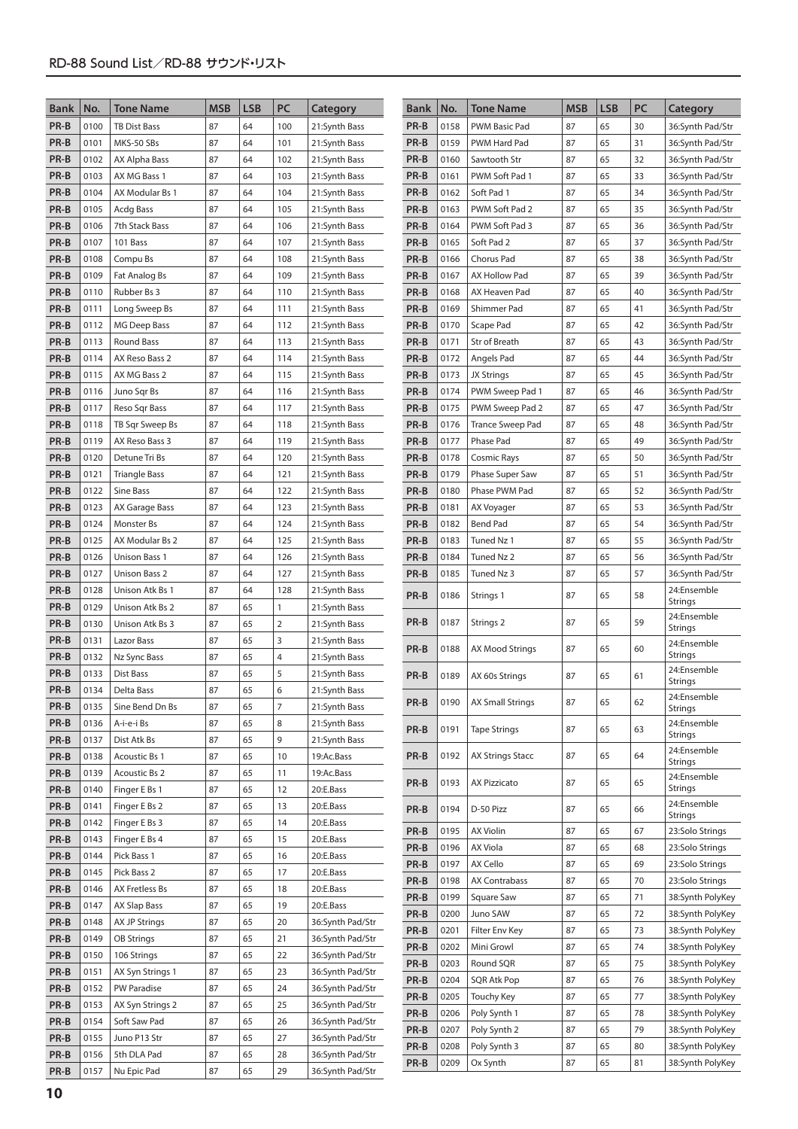| <b>Bank</b> | No.  | Tone Name            | <b>MSB</b> | <b>LSB</b> | PC           | Category         | <b>Bank</b> | No.  | <b>Tone Name</b>        | <b>MSB</b> | <b>LSB</b> | PC | Category               |
|-------------|------|----------------------|------------|------------|--------------|------------------|-------------|------|-------------------------|------------|------------|----|------------------------|
| PR-B        | 0100 | <b>TB Dist Bass</b>  | 87         | 64         | 100          | 21:Synth Bass    | PR-B        | 0158 | PWM Basic Pad           | 87         | 65         | 30 | 36:Synth Pad/Str       |
| PR-B        | 0101 | MKS-50 SBs           | 87         | 64         | 101          | 21:Synth Bass    | PR-B        | 0159 | <b>PWM Hard Pad</b>     | 87         | 65         | 31 | 36:Synth Pad/Str       |
| PR-B        | 0102 | AX Alpha Bass        | 87         | 64         | 102          | 21:Synth Bass    | PR-B        | 0160 | Sawtooth Str            | 87         | 65         | 32 | 36:Synth Pad/Str       |
| PR-B        | 0103 | AX MG Bass 1         | 87         | 64         | 103          | 21:Synth Bass    | PR-B        | 0161 | PWM Soft Pad 1          | 87         | 65         | 33 | 36:Synth Pad/Str       |
| PR-B        | 0104 | AX Modular Bs 1      | 87         | 64         | 104          | 21:Synth Bass    | PR-B        | 0162 | Soft Pad 1              | 87         | 65         | 34 | 36:Synth Pad/Str       |
| PR-B        | 0105 | Acdg Bass            | 87         | 64         | 105          | 21:Synth Bass    | PR-B        | 0163 | PWM Soft Pad 2          | 87         | 65         | 35 | 36:Synth Pad/Str       |
| PR-B        | 0106 | 7th Stack Bass       | 87         | 64         | 106          | 21:Synth Bass    | PR-B        | 0164 | PWM Soft Pad 3          | 87         | 65         | 36 | 36:Synth Pad/Str       |
| PR-B        | 0107 | 101 Bass             | 87         | 64         | 107          | 21:Synth Bass    | PR-B        | 0165 | Soft Pad 2              | 87         | 65         | 37 | 36:Synth Pad/Str       |
| PR-B        | 0108 | Compu Bs             | 87         | 64         | 108          | 21:Synth Bass    | PR-B        | 0166 | Chorus Pad              | 87         | 65         | 38 | 36:Synth Pad/Str       |
| PR-B        | 0109 | Fat Analog Bs        | 87         | 64         | 109          | 21:Synth Bass    | PR-B        | 0167 | AX Hollow Pad           | 87         | 65         | 39 | 36:Synth Pad/Str       |
| PR-B        | 0110 | Rubber Bs 3          | 87         | 64         | 110          | 21:Synth Bass    | PR-B        | 0168 | AX Heaven Pad           | 87         | 65         | 40 | 36:Synth Pad/Str       |
| PR-B        | 0111 | Long Sweep Bs        | 87         | 64         | 111          | 21:Synth Bass    | PR-B        | 0169 | Shimmer Pad             | 87         | 65         | 41 | 36:Synth Pad/Str       |
| PR-B        | 0112 | MG Deep Bass         | 87         | 64         | 112          | 21:Synth Bass    | PR-B        | 0170 | Scape Pad               | 87         | 65         | 42 | 36:Synth Pad/Str       |
| PR-B        | 0113 | <b>Round Bass</b>    | 87         | 64         | 113          | 21:Synth Bass    | PR-B        | 0171 | Str of Breath           | 87         | 65         | 43 | 36:Synth Pad/Str       |
| PR-B        | 0114 | AX Reso Bass 2       | 87         | 64         | 114          | 21:Synth Bass    | PR-B        | 0172 | Angels Pad              | 87         | 65         | 44 | 36:Synth Pad/Str       |
| PR-B        | 0115 | AX MG Bass 2         | 87         | 64         | 115          | 21:Synth Bass    | PR-B        | 0173 | JX Strings              | 87         | 65         | 45 | 36:Synth Pad/Str       |
| PR-B        | 0116 | Juno Sqr Bs          | 87         | 64         | 116          | 21:Synth Bass    | PR-B        | 0174 | PWM Sweep Pad 1         | 87         | 65         | 46 | 36:Synth Pad/Str       |
| PR-B        | 0117 | Reso Sqr Bass        | 87         | 64         | 117          | 21:Synth Bass    | PR-B        | 0175 | PWM Sweep Pad 2         | 87         | 65         | 47 | 36:Synth Pad/Str       |
| PR-B        | 0118 | TB Sqr Sweep Bs      | 87         | 64         | 118          | 21:Synth Bass    | PR-B        | 0176 | <b>Trance Sweep Pad</b> | 87         | 65         | 48 | 36:Synth Pad/Str       |
| PR-B        | 0119 | AX Reso Bass 3       | 87         | 64         | 119          | 21:Synth Bass    | PR-B        | 0177 | Phase Pad               | 87         | 65         | 49 | 36:Synth Pad/Str       |
| PR-B        | 0120 | Detune Tri Bs        | 87         | 64         | 120          | 21:Synth Bass    | PR-B        | 0178 | Cosmic Rays             | 87         | 65         | 50 | 36:Synth Pad/Str       |
| PR-B        | 0121 | <b>Triangle Bass</b> | 87         | 64         | 121          | 21:Synth Bass    | PR-B        | 0179 | Phase Super Saw         | 87         | 65         | 51 | 36:Synth Pad/Str       |
| PR-B        | 0122 | Sine Bass            | 87         | 64         | 122          | 21:Synth Bass    | PR-B        | 0180 | Phase PWM Pad           | 87         | 65         | 52 | 36:Synth Pad/Str       |
| PR-B        | 0123 | AX Garage Bass       | 87         | 64         | 123          | 21:Synth Bass    | PR-B        | 0181 | AX Voyager              | 87         | 65         | 53 | 36:Synth Pad/Str       |
| PR-B        | 0124 | Monster Bs           | 87         | 64         | 124          | 21:Synth Bass    | PR-B        | 0182 | Bend Pad                | 87         | 65         | 54 | 36:Synth Pad/Str       |
| PR-B        | 0125 | AX Modular Bs 2      | 87         | 64         | 125          | 21:Synth Bass    | PR-B        | 0183 | Tuned Nz 1              | 87         | 65         | 55 | 36:Synth Pad/Str       |
| PR-B        | 0126 | Unison Bass 1        | 87         | 64         | 126          | 21:Synth Bass    | PR-B        | 0184 | Tuned Nz 2              | 87         | 65         | 56 | 36:Synth Pad/Str       |
| PR-B        | 0127 | Unison Bass 2        | 87         | 64         | 127          | 21:Synth Bass    | PR-B        | 0185 | Tuned Nz 3              | 87         | 65         | 57 | 36:Synth Pad/Str       |
| PR-B        | 0128 | Unison Atk Bs 1      | 87         | 64         | 128          | 21:Synth Bass    | PR-B        | 0186 | Strings 1               | 87         | 65         | 58 | 24:Ensemble            |
| PR-B        | 0129 | Unison Atk Bs 2      | 87         | 65         | $\mathbf{1}$ | 21:Synth Bass    |             |      |                         |            |            |    | Strings                |
| PR-B        | 0130 | Unison Atk Bs 3      | 87         | 65         | 2            | 21:Synth Bass    | PR-B        | 0187 | Strings 2               | 87         | 65         | 59 | 24:Ensemble<br>Strings |
| PR-B        | 0131 | Lazor Bass           | 87         | 65         | 3            | 21:Synth Bass    |             |      |                         |            |            |    | 24:Ensemble            |
| PR-B        | 0132 | Nz Sync Bass         | 87         | 65         | 4            | 21:Synth Bass    | PR-B        | 0188 | <b>AX Mood Strings</b>  | 87         | 65         | 60 | Strings                |
| PR-B        | 0133 | Dist Bass            | 87         | 65         | 5            | 21:Synth Bass    | PR-B        | 0189 | AX 60s Strings          | 87         | 65         | 61 | 24:Ensemble            |
| PR-B        | 0134 | Delta Bass           | 87         | 65         | 6            | 21:Synth Bass    |             |      |                         |            |            |    | Strings<br>24:Ensemble |
| PR-B        | 0135 | Sine Bend Dn Bs      | 87         | 65         | 7            | 21:Synth Bass    | PR-B        | 0190 | <b>AX Small Strings</b> | 87         | 65         | 62 | <b>Strings</b>         |
| PR-B        | 0136 | A-i-e-i Bs           | 87         | 65         | 8            | 21:Synth Bass    | PR-B        | 0191 | <b>Tape Strings</b>     | 87         | 65         | 63 | 24:Ensemble            |
| PR-B        | 0137 | Dist Atk Bs          | 87         | 65         | 9            | 21:Synth Bass    |             |      |                         |            |            |    | Strings                |
| PR-B        | 0138 | Acoustic Bs 1        | 87         | 65         | 10           | 19:Ac.Bass       | PR-B        | 0192 | <b>AX Strings Stacc</b> | 87         | 65         | 64 | 24:Ensemble<br>Strings |
| PR-B        | 0139 | Acoustic Bs 2        | 87         | 65         | 11           | 19:Ac.Bass       |             |      |                         |            |            |    | 24:Ensemble            |
| PR-B        | 0140 | Finger E Bs 1        | 87         | 65         | 12           | 20:E.Bass        | PR-B        | 0193 | <b>AX Pizzicato</b>     | 87         | 65         | 65 | Strings                |
| PR-B        | 0141 | Finger E Bs 2        | 87         | 65         | 13           | 20:E.Bass        | PR-B        | 0194 | D-50 Pizz               | 87         | 65         | 66 | 24:Ensemble<br>Strings |
| PR-B        | 0142 | Finger E Bs 3        | 87         | 65         | 14           | 20:E.Bass        | PR-B        | 0195 | <b>AX Violin</b>        | 87         | 65         | 67 | 23:Solo Strings        |
| PR-B        | 0143 | Finger E Bs 4        | 87         | 65         | 15           | 20:E.Bass        | PR-B        | 0196 | AX Viola                | 87         | 65         | 68 | 23:Solo Strings        |
| PR-B        | 0144 | Pick Bass 1          | 87         | 65         | 16           | 20:E.Bass        | PR-B        | 0197 | AX Cello                | 87         | 65         | 69 | 23:Solo Strings        |
| PR-B        | 0145 | Pick Bass 2          | 87         | 65         | 17           | 20:E.Bass        | PR-B        | 0198 | <b>AX Contrabass</b>    | 87         | 65         | 70 | 23:Solo Strings        |
| PR-B        | 0146 | AX Fretless Bs       | 87         | 65         | 18           | 20:E.Bass        | PR-B        | 0199 | Square Saw              | 87         | 65         | 71 | 38:Synth PolyKey       |
| PR-B        | 0147 | AX Slap Bass         | 87         | 65         | 19           | 20:E.Bass        | PR-B        | 0200 | Juno SAW                | 87         | 65         | 72 | 38:Synth PolyKey       |
| PR-B        | 0148 | <b>AX JP Strings</b> | 87         | 65         | 20           | 36:Synth Pad/Str | PR-B        | 0201 | Filter Env Key          | 87         | 65         | 73 | 38:Synth PolyKey       |
| PR-B        | 0149 | OB Strings           | 87         | 65         | 21           | 36:Synth Pad/Str | PR-B        | 0202 | Mini Growl              | 87         | 65         | 74 | 38:Synth PolyKey       |
| PR-B        | 0150 | 106 Strings          | 87         | 65         | 22           | 36:Synth Pad/Str | PR-B        | 0203 | Round SQR               | 87         | 65         | 75 | 38:Synth PolyKey       |
| PR-B        | 0151 | AX Syn Strings 1     | 87         | 65         | 23           | 36:Synth Pad/Str | PR-B        | 0204 | SQR Atk Pop             | 87         | 65         | 76 | 38:Synth PolyKey       |
| PR-B        | 0152 | PW Paradise          | 87         | 65         | 24           | 36:Synth Pad/Str |             | 0205 |                         | 87         | 65         | 77 | 38:Synth PolyKey       |
| PR-B        | 0153 | AX Syn Strings 2     | 87         | 65         | 25           | 36:Synth Pad/Str | PR-B        |      | <b>Touchy Key</b>       |            | 65         |    |                        |
| PR-B        | 0154 | Soft Saw Pad         | 87         | 65         | 26           | 36:Synth Pad/Str | $PR-B$      | 0206 | Poly Synth 1            | 87         |            | 78 | 38:Synth PolyKey       |
| PR-B        | 0155 | Juno P13 Str         | 87         | 65         | 27           | 36:Synth Pad/Str | PR-B        | 0207 | Poly Synth 2            | 87         | 65         | 79 | 38:Synth PolyKey       |
| PR-B        | 0156 | 5th DLA Pad          | 87         | 65         | 28           | 36:Synth Pad/Str | PR-B        | 0208 | Poly Synth 3            | 87<br>87   | 65         | 80 | 38:Synth PolyKey       |
| PR-B        | 0157 | Nu Epic Pad          | 87         | 65         | 29           | 36:Synth Pad/Str | PR-B        | 0209 | Ox Synth                |            | 65         | 81 | 38:Synth PolyKey       |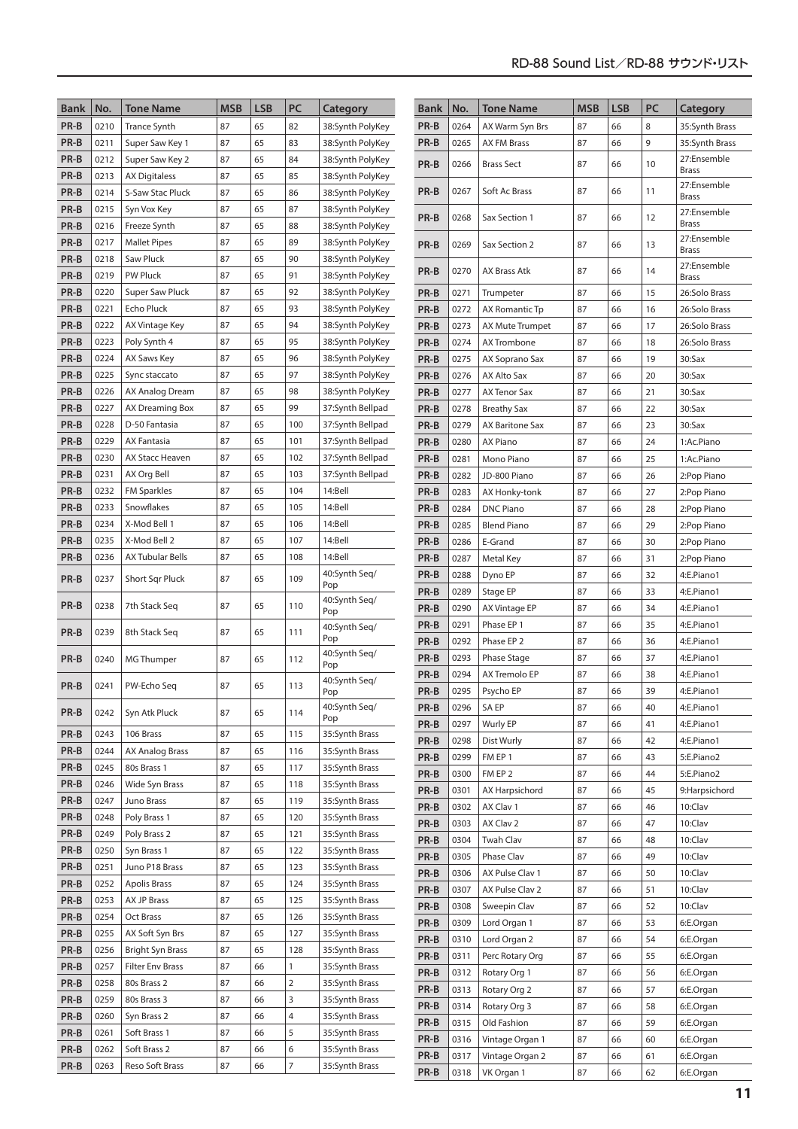| <b>Bank</b>  | No.          | <b>Tone Name</b>            | <b>MSB</b> | <b>LSB</b> | PC             | Category                         | <b>Bank</b>  | No.          | <b>Tone Name</b>                   | <b>MSB</b> | <b>LSB</b> | PC       | Category                    |
|--------------|--------------|-----------------------------|------------|------------|----------------|----------------------------------|--------------|--------------|------------------------------------|------------|------------|----------|-----------------------------|
| PR-B         | 0210         | <b>Trance Synth</b>         | 87         | 65         | 82             | 38:Synth PolyKey                 | PR-B         | 0264         | AX Warm Syn Brs                    | 87         | 66         | 8        | 35:Synth Brass              |
| PR-B         | 0211         | Super Saw Key 1             | 87         | 65         | 83             | 38:Synth PolyKey                 | PR-B         | 0265         | <b>AX FM Brass</b>                 | 87         | 66         | 9        | 35:Synth Brass              |
| PR-B         | 0212         | Super Saw Key 2             | 87         | 65         | 84             | 38:Synth PolyKey                 |              |              |                                    |            |            |          | 27:Ensemble                 |
| PR-B         | 0213         | <b>AX Digitaless</b>        | 87         | 65         | 85             | 38:Synth PolyKey                 | PR-B         | 0266         | <b>Brass Sect</b>                  | 87         | 66         | 10       | <b>Brass</b>                |
| PR-B         | 0214         | S-Saw Stac Pluck            | 87         | 65         | 86             | 38:Synth PolyKey                 | PR-B         | 0267         | Soft Ac Brass                      | 87         | 66         | 11       | 27:Ensemble                 |
| PR-B         | 0215         | Syn Vox Key                 | 87         | 65         | 87             | 38:Synth PolyKey                 |              |              |                                    |            |            |          | <b>Brass</b><br>27:Ensemble |
| PR-B         | 0216         | Freeze Synth                | 87         | 65         | 88             | 38:Synth PolyKey                 | PR-B         | 0268         | Sax Section 1                      | 87         | 66         | 12       | <b>Brass</b>                |
| PR-B         | 0217         | <b>Mallet Pipes</b>         | 87         | 65         | 89             | 38:Synth PolyKey                 | PR-B         | 0269         | Sax Section 2                      | 87         | 66         | 13       | 27:Ensemble                 |
| PR-B         | 0218         | Saw Pluck                   | 87         | 65         | 90             | 38:Synth PolyKey                 |              |              |                                    |            |            |          | <b>Brass</b>                |
| PR-B         | 0219         | <b>PW Pluck</b>             | 87         | 65         | 91             | 38:Synth PolyKey                 | PR-B         | 0270         | AX Brass Atk                       | 87         | 66         | 14       | 27:Ensemble<br><b>Brass</b> |
| PR-B         | 0220         | Super Saw Pluck             | 87         | 65         | 92             | 38:Synth PolyKey                 | PR-B         | 0271         | Trumpeter                          | 87         | 66         | 15       | 26:Solo Brass               |
| PR-B         | 0221         | Echo Pluck                  | 87         | 65         | 93             | 38:Synth PolyKey                 | PR-B         | 0272         | AX Romantic Tp                     | 87         | 66         | 16       | 26:Solo Brass               |
| PR-B         | 0222         | AX Vintage Key              | 87         | 65         | 94             | 38:Synth PolyKey                 | PR-B         | 0273         | <b>AX Mute Trumpet</b>             | 87         | 66         | 17       | 26:Solo Brass               |
| PR-B         | 0223         | Poly Synth 4                | 87         | 65         | 95             | 38:Synth PolyKey                 | PR-B         | 0274         | AX Trombone                        | 87         | 66         | 18       | 26:Solo Brass               |
| PR-B         | 0224         | AX Saws Key                 | 87         | 65         | 96             | 38:Synth PolyKey                 | PR-B         | 0275         | AX Soprano Sax                     | 87         | 66         | 19       | 30:Sax                      |
| PR-B         | 0225         | Sync staccato               | 87         | 65         | 97             | 38:Synth PolyKey                 | PR-B         | 0276         | AX Alto Sax                        | 87         | 66         | 20       | 30:Sax                      |
| PR-B         | 0226         | AX Analog Dream             | 87         | 65         | 98             | 38:Synth PolyKey                 | PR-B         | 0277         | <b>AX Tenor Sax</b>                | 87         | 66         | 21       | 30:Sax                      |
| PR-B         | 0227         | AX Dreaming Box             | 87         | 65         | 99             | 37:Synth Bellpad                 | PR-B         | 0278         | <b>Breathy Sax</b>                 | 87         | 66         | 22       | 30:Sax                      |
| PR-B         | 0228         | D-50 Fantasia               | 87         | 65         | 100            | 37:Synth Bellpad                 | PR-B         | 0279         | <b>AX Baritone Sax</b>             | 87         | 66         | 23       | $30:$ Sax                   |
| PR-B         | 0229         | AX Fantasia                 | 87         | 65         | 101            | 37:Synth Bellpad                 | PR-B         | 0280         | <b>AX Piano</b>                    | 87         | 66         | 24       | 1:Ac.Piano                  |
| PR-B         | 0230         | AX Stacc Heaven             | 87         | 65         | 102            | 37:Synth Bellpad                 | PR-B         | 0281         | Mono Piano                         | 87         | 66         | 25       | 1:Ac.Piano                  |
| PR-B         | 0231         | AX Org Bell                 | 87         | 65         | 103            | 37:Synth Bellpad                 | PR-B         | 0282         | JD-800 Piano                       | 87         | 66         | 26       | 2:Pop Piano                 |
| PR-B         | 0232         | <b>FM Sparkles</b>          | 87         | 65         | 104            | 14:Bell                          | PR-B         | 0283         | AX Honky-tonk                      | 87         | 66         | 27       | 2:Pop Piano                 |
| PR-B         | 0233         | Snowflakes                  | 87         | 65         | 105            | 14:Bell                          | PR-B         | 0284         | <b>DNC Piano</b>                   | 87         | 66         | 28       | 2:Pop Piano                 |
| PR-B         | 0234         | X-Mod Bell 1                | 87         | 65         | 106            | 14:Bell                          | PR-B         | 0285         | <b>Blend Piano</b>                 | 87         | 66         | 29       | 2:Pop Piano                 |
| PR-B         | 0235         | X-Mod Bell 2                | 87         | 65         | 107            | 14:Bell                          | PR-B         | 0286         | E-Grand                            | 87         | 66         | 30       | 2:Pop Piano                 |
| PR-B         | 0236         | <b>AX Tubular Bells</b>     | 87         | 65         | 108            | 14:Bell                          | PR-B         | 0287         | Metal Key                          | 87         | 66         | 31       | 2:Pop Piano                 |
| PR-B         | 0237         | Short Sqr Pluck             | 87         | 65         | 109            | 40:Synth Seq/<br>Pop             | PR-B         | 0288         | Dyno EP                            | 87         | 66         | 32       | 4:E.Piano1                  |
| PR-B         | 0238         | 7th Stack Seg               | 87         | 65         | 110            | 40:Synth Seg/                    | PR-B         | 0289         | Stage EP                           | 87         | 66         | 33       | 4:E.Piano1                  |
|              |              |                             |            |            |                | Pop                              | PR-B         | 0290         | AX Vintage EP                      | 87         | 66         | 34       | 4:E.Piano1                  |
| PR-B         | 0239         | 8th Stack Seg               | 87         | 65         | 111            | 40:Synth Seg/<br>Pop             | PR-B<br>PR-B | 0291<br>0292 | Phase EP 1<br>Phase EP 2           | 87<br>87   | 66<br>66   | 35<br>36 | 4:E.Piano1<br>4:E.Piano1    |
|              |              |                             |            |            |                | 40:Synth Seq/                    | PR-B         | 0293         | Phase Stage                        | 87         | 66         | 37       | 4:E.Piano1                  |
| PR-B         | 0240         | MG Thumper                  | 87         | 65         | 112            | Pop                              | PR-B         | 0294         | AX Tremolo EP                      | 87         | 66         | 38       | 4:E.Piano1                  |
| PR-B         | 0241         | PW-Echo Seq                 | 87         | 65         | 113            | 40:Synth Seq/<br>Pop             | PR-B         | 0295         | Psycho EP                          | 87         | 66         | 39       | 4:E.Piano1                  |
|              |              |                             |            |            |                | 40:Synth Seg/                    | PR-B         | 0296         | <b>SA EP</b>                       | 87         | 66         | 40       | 4:E.Piano1                  |
| PR-B         | 0242         | Syn Atk Pluck               | 87         | 65         | 114            | Pop                              | PR-B         | 0297         | Wurly EP                           | 87         | 66         | 41       | 4:E.Piano1                  |
| PR-B         | 0243         | 106 Brass                   | 87         | 65         | 115            | 35:Synth Brass                   | PR-B         | 0298         | Dist Wurly                         | 87         | 66         | 42       | 4:E.Piano1                  |
| PR-B         | 0244         | AX Analog Brass             | 87         | 65         | 116            | 35:Synth Brass                   | PR-B         | 0299         | FM EP 1                            | 87         | 66         | 43       | 5:E.Piano2                  |
| PR-B         | 0245         | 80s Brass 1                 | 87         | 65         | 117            | 35:Synth Brass                   | PR-B         | 0300         | FM EP 2                            | 87         | 66         | 44       | 5:E.Piano2                  |
| PR-B         | 0246         | Wide Syn Brass              | 87         | 65         | 118            | 35:Synth Brass                   | PR-B         | 0301         | AX Harpsichord                     | 87         | 66         | 45       | 9:Harpsichord               |
| PR-B         | 0247         | Juno Brass                  | 87         | 65         | 119            | 35:Synth Brass                   | PR-B         | 0302         | AX Clav 1                          | 87         | 66         | 46       | 10:Clav                     |
| PR-B         | 0248         | Poly Brass 1                | 87         | 65         | 120            | 35:Synth Brass                   | PR-B         | 0303         | AX Clav 2                          | 87         | 66         | 47       | 10:Clav                     |
| PR-B<br>PR-B | 0249<br>0250 | Poly Brass 2<br>Syn Brass 1 | 87<br>87   | 65<br>65   | 121<br>122     | 35:Synth Brass<br>35:Synth Brass | PR-B         | 0304         | <b>Twah Clav</b>                   | 87         | 66         | 48       | 10:Clav                     |
| PR-B         | 0251         | Juno P18 Brass              | 87         | 65         | 123            | 35:Synth Brass                   | PR-B         | 0305         | Phase Clav                         | 87         | 66         | 49       | 10:Clav                     |
| PR-B         | 0252         | <b>Apolis Brass</b>         | 87         | 65         | 124            | 35:Synth Brass                   | PR-B         | 0306         | AX Pulse Clav 1                    | 87         | 66         | 50       | 10:Clav                     |
| PR-B         | 0253         | AX JP Brass                 | 87         | 65         | 125            | 35:Synth Brass                   | PR-B         | 0307         | AX Pulse Clav 2                    | 87         | 66         | 51       | 10:Clav                     |
| PR-B         | 0254         | Oct Brass                   | 87         | 65         | 126            | 35:Synth Brass                   | PR-B         | 0308         | Sweepin Clav                       | 87         | 66         | 52       | 10:Clav                     |
| PR-B         | 0255         | AX Soft Syn Brs             | 87         | 65         | 127            | 35:Synth Brass                   | PR-B         | 0309         | Lord Organ 1                       | 87         | 66         | 53       | 6:E.Organ                   |
| PR-B         | 0256         | <b>Bright Syn Brass</b>     | 87         | 65         | 128            | 35:Synth Brass                   | PR-B         | 0310         | Lord Organ 2                       | 87         | 66         | 54       | 6:E.Organ                   |
| PR-B         | 0257         | <b>Filter Env Brass</b>     | 87         | 66         | $\mathbf{1}$   | 35:Synth Brass                   | PR-B         | 0311         | Perc Rotary Org                    | 87         | 66         | 55       | 6:E.Organ                   |
| PR-B         | 0258         | 80s Brass 2                 | 87         | 66         | $\overline{2}$ | 35:Synth Brass                   | PR-B         | 0312         | Rotary Org 1                       | 87         | 66         | 56       | 6:E.Organ                   |
| PR-B         | 0259         | 80s Brass 3                 | 87         | 66         | 3              | 35:Synth Brass                   | PR-B         | 0313         | Rotary Org 2                       | 87         | 66         | 57       | 6:E.Organ                   |
| PR-B         | 0260         | Syn Brass 2                 | 87         | 66         | 4              | 35:Synth Brass                   | PR-B         | 0314         | Rotary Org 3                       | 87         | 66         | 58       | 6:E.Organ                   |
| PR-B         | 0261         | Soft Brass 1                | 87         | 66         | 5              | 35:Synth Brass                   | PR-B<br>PR-B | 0315         | Old Fashion                        | 87         | 66         | 59       | 6:E.Organ                   |
| PR-B         | 0262         | Soft Brass 2                | 87         | 66         | 6              | 35:Synth Brass                   | PR-B         | 0316<br>0317 | Vintage Organ 1<br>Vintage Organ 2 | 87<br>87   | 66<br>66   | 60<br>61 | 6:E.Organ<br>6:E.Organ      |
| PR-B         | 0263         | Reso Soft Brass             | 87         | 66         | $\overline{7}$ | 35:Synth Brass                   | PR-B         | 0318         | VK Organ 1                         | 87         | 66         | 62       | 6:E.Organ                   |
|              |              |                             |            |            |                |                                  |              |              |                                    |            |            |          |                             |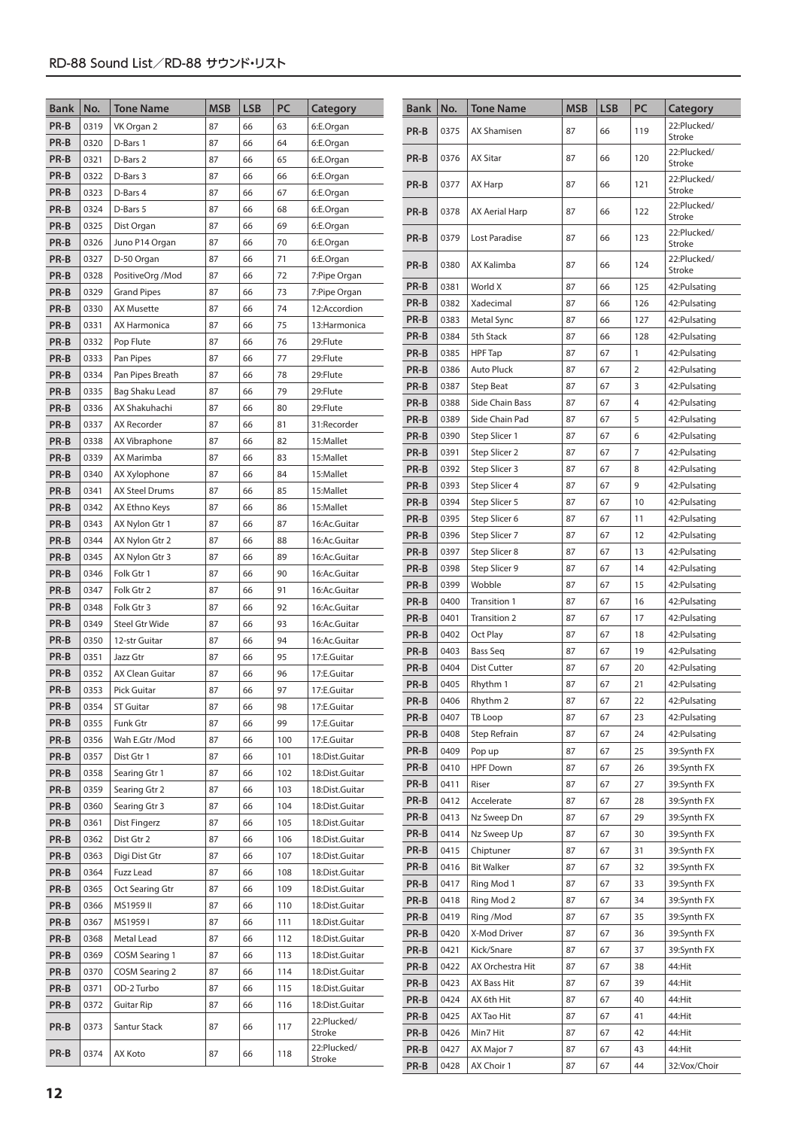| <b>Bank</b>  | No.          | Tone Name                              | <b>MSB</b> | <b>LSB</b> | PC         | Category                         | <b>Bank</b>  | No.          | <b>Tone Name</b>               | <b>MSB</b> | <b>LSB</b> | PC             | Category                      |
|--------------|--------------|----------------------------------------|------------|------------|------------|----------------------------------|--------------|--------------|--------------------------------|------------|------------|----------------|-------------------------------|
| PR-B         | 0319         | VK Organ 2                             | 87         | 66         | 63         | 6:E.Organ                        | PR-B         | 0375         | <b>AX Shamisen</b>             | 87         | 66         | 119            | 22:Plucked/                   |
| PR-B         | 0320         | D-Bars 1                               | 87         | 66         | 64         | 6:E.Organ                        |              |              |                                |            |            |                | Stroke                        |
| PR-B         | 0321         | D-Bars 2                               | 87         | 66         | 65         | 6:E.Organ                        | PR-B         | 0376         | <b>AX Sitar</b>                | 87         | 66         | 120            | 22:Plucked/<br>Stroke         |
| PR-B         | 0322         | D-Bars 3                               | 87         | 66         | 66         | 6:E.Organ                        | PR-B         | 0377         | AX Harp                        | 87         | 66         | 121            | 22:Plucked/                   |
| PR-B         | 0323         | D-Bars 4                               | 87         | 66         | 67         | 6:E.Organ                        |              |              |                                |            |            |                | Stroke                        |
| PR-B         | 0324         | D-Bars 5                               | 87         | 66         | 68         | 6:E.Organ                        | PR-B         | 0378         | AX Aerial Harp                 | 87         | 66         | 122            | 22:Plucked/<br><b>Stroke</b>  |
| PR-B         | 0325         | Dist Organ                             | 87         | 66         | 69         | 6:E.Organ                        | PR-B         | 0379         | Lost Paradise                  | 87         | 66         | 123            | 22:Plucked/                   |
| PR-B         | 0326         | Juno P14 Organ                         | 87         | 66         | 70         | 6:E.Organ                        |              |              |                                |            |            |                | <b>Stroke</b>                 |
| PR-B         | 0327         | D-50 Organ                             | 87         | 66         | 71         | 6:E.Organ                        | PR-B         | 0380         | AX Kalimba                     | 87         | 66         | 124            | 22:Plucked/<br>Stroke         |
| PR-B<br>PR-B | 0328<br>0329 | PositiveOrg /Mod<br><b>Grand Pipes</b> | 87<br>87   | 66<br>66   | 72<br>73   | 7:Pipe Organ<br>7:Pipe Organ     | PR-B         | 0381         | World X                        | 87         | 66         | 125            | 42:Pulsating                  |
| PR-B         | 0330         | <b>AX Musette</b>                      | 87         | 66         | 74         | 12:Accordion                     | PR-B         | 0382         | Xadecimal                      | 87         | 66         | 126            | 42:Pulsating                  |
| PR-B         | 0331         | AX Harmonica                           | 87         | 66         | 75         | 13: Harmonica                    | PR-B         | 0383         | Metal Sync                     | 87         | 66         | 127            | 42:Pulsating                  |
| PR-B         | 0332         | Pop Flute                              | 87         | 66         | 76         | 29:Flute                         | PR-B         | 0384         | 5th Stack                      | 87         | 66         | 128            | 42:Pulsating                  |
| PR-B         | 0333         | Pan Pipes                              | 87         | 66         | 77         | 29:Flute                         | PR-B         | 0385         | <b>HPF</b> Tap                 | 87         | 67         | $\mathbf{1}$   | 42:Pulsating                  |
| PR-B         | 0334         | Pan Pipes Breath                       | 87         | 66         | 78         | 29:Flute                         | PR-B         | 0386         | <b>Auto Pluck</b>              | 87         | 67         | $\overline{2}$ | 42:Pulsating                  |
| PR-B         | 0335         | Bag Shaku Lead                         | 87         | 66         | 79         | 29:Flute                         | PR-B         | 0387         | <b>Step Beat</b>               | 87         | 67         | 3              | 42:Pulsating                  |
| PR-B         | 0336         | AX Shakuhachi                          | 87         | 66         | 80         | 29:Flute                         | PR-B         | 0388         | Side Chain Bass                | 87         | 67         | $\overline{4}$ | 42:Pulsating                  |
| PR-B         | 0337         | AX Recorder                            | 87         | 66         | 81         | 31:Recorder                      | PR-B         | 0389         | Side Chain Pad                 | 87         | 67         | 5              | 42:Pulsating                  |
| PR-B         | 0338         | AX Vibraphone                          | 87         | 66         | 82         | 15:Mallet                        | PR-B         | 0390         | Step Slicer 1                  | 87         | 67         | 6              | 42:Pulsating                  |
| PR-B         | 0339         | AX Marimba                             | 87         | 66         | 83         | 15:Mallet                        | PR-B         | 0391         | Step Slicer 2                  | 87         | 67         | $\overline{7}$ | 42: Pulsating                 |
| PR-B         | 0340         | AX Xylophone                           | 87         | 66         | 84         | 15:Mallet                        | PR-B         | 0392         | Step Slicer 3                  | 87         | 67<br>67   | 8<br>9         | 42: Pulsating                 |
| PR-B         | 0341         | AX Steel Drums                         | 87         | 66         | 85         | 15:Mallet                        | PR-B<br>PR-B | 0393<br>0394 | Step Slicer 4<br>Step Slicer 5 | 87<br>87   | 67         | 10             | 42: Pulsating<br>42:Pulsating |
| PR-B         | 0342         | AX Ethno Keys                          | 87         | 66         | 86         | 15:Mallet                        | PR-B         | 0395         | Step Slicer 6                  | 87         | 67         | 11             | 42:Pulsating                  |
| PR-B         | 0343         | AX Nylon Gtr 1                         | 87         | 66         | 87         | 16:Ac.Guitar                     | PR-B         | 0396         | Step Slicer 7                  | 87         | 67         | 12             | 42: Pulsating                 |
| PR-B         | 0344         | AX Nylon Gtr 2                         | 87         | 66         | 88         | 16:Ac.Guitar                     | PR-B         | 0397         | Step Slicer 8                  | 87         | 67         | 13             | 42:Pulsating                  |
| PR-B         | 0345         | AX Nylon Gtr 3                         | 87         | 66         | 89         | 16:Ac.Guitar                     | PR-B         | 0398         | Step Slicer 9                  | 87         | 67         | 14             | 42:Pulsating                  |
| PR-B<br>PR-B | 0346<br>0347 | Folk Gtr 1<br>Folk Gtr 2               | 87<br>87   | 66<br>66   | 90<br>91   | 16:Ac.Guitar<br>16:Ac.Guitar     | PR-B         | 0399         | Wobble                         | 87         | 67         | 15             | 42:Pulsating                  |
| PR-B         | 0348         | Folk Gtr 3                             | 87         | 66         | 92         | 16:Ac.Guitar                     | PR-B         | 0400         | Transition 1                   | 87         | 67         | 16             | 42:Pulsating                  |
| PR-B         | 0349         | Steel Gtr Wide                         | 87         | 66         | 93         | 16:Ac.Guitar                     | PR-B         | 0401         | Transition 2                   | 87         | 67         | 17             | 42:Pulsating                  |
| PR-B         | 0350         | 12-str Guitar                          | 87         | 66         | 94         | 16:Ac.Guitar                     | PR-B         | 0402         | Oct Play                       | 87         | 67         | 18             | 42:Pulsating                  |
| PR-B         | 0351         | Jazz Gtr                               | 87         | 66         | 95         | 17:E.Guitar                      | PR-B         | 0403         | <b>Bass Seq</b>                | 87         | 67         | 19             | 42:Pulsating                  |
| PR-B         | 0352         | AX Clean Guitar                        | 87         | 66         | 96         | 17:E.Guitar                      | PR-B         | 0404         | <b>Dist Cutter</b>             | 87         | 67         | 20             | 42:Pulsating                  |
| PR-B         | 0353         | Pick Guitar                            | 87         | 66         | 97         | 17:E.Guitar                      | PR-B         | 0405         | Rhythm 1                       | 87         | 67         | 21             | 42:Pulsating                  |
| PR-B         | 0354         | <b>ST Guitar</b>                       | 87         | 66         | 98         | 17:E.Guitar                      | PR-B         | 0406         | Rhythm 2                       | 87         | 67         | 22             | 42:Pulsating                  |
| PR-B         | 0355         | Funk Gtr                               | 87         | 66         | 99         | 17:E.Guitar                      | PR-B         | 0407         | TB Loop                        | 87         | 67         | 23             | 42:Pulsating                  |
| PR-B         | 0356         | Wah E.Gtr / Mod                        | 87         | 66         | 100        | 17:E.Guitar                      | PR-B         | 0408         | Step Refrain                   | 87         | 67         | 24             | 42:Pulsating                  |
| PR-B         | 0357         | Dist Gtr 1                             | 87         | 66         | 101        | 18:Dist.Guitar                   | PR-B         | 0409         | Pop up                         | 87         | 67         | 25             | 39:Synth FX                   |
| PR-B         | 0358         | Searing Gtr 1                          | 87         | 66         | 102        | 18:Dist.Guitar                   | PR-B<br>PR-B | 0410<br>0411 | <b>HPF Down</b><br>Riser       | 87<br>87   | 67<br>67   | 26<br>27       | 39:Synth FX<br>39:Synth FX    |
| PR-B         | 0359         | Searing Gtr 2                          | 87         | 66         | 103        | 18:Dist.Guitar                   | PR-B         | 0412         | Accelerate                     | 87         | 67         | 28             | 39:Synth FX                   |
| PR-B         | 0360         | Searing Gtr 3                          | 87         | 66         | 104        | 18:Dist.Guitar                   | PR-B         | 0413         | Nz Sweep Dn                    | 87         | 67         | 29             | 39:Synth FX                   |
| PR-B         | 0361         | Dist Fingerz                           | 87         | 66         | 105        | 18:Dist.Guitar                   | PR-B         | 0414         | Nz Sweep Up                    | 87         | 67         | 30             | 39:Synth FX                   |
| PR-B         | 0362         | Dist Gtr 2                             | 87         | 66         | 106        | 18:Dist.Guitar                   | PR-B         | 0415         | Chiptuner                      | 87         | 67         | 31             | 39:Synth FX                   |
| PR-B         | 0363         | Digi Dist Gtr<br><b>Fuzz Lead</b>      | 87<br>87   | 66         | 107        | 18:Dist.Guitar                   | PR-B         | 0416         | <b>Bit Walker</b>              | 87         | 67         | 32             | 39:Synth FX                   |
| PR-B<br>PR-B | 0364<br>0365 | Oct Searing Gtr                        | 87         | 66<br>66   | 108<br>109 | 18:Dist.Guitar<br>18:Dist.Guitar | PR-B         | 0417         | Ring Mod 1                     | 87         | 67         | 33             | 39:Synth FX                   |
| PR-B         | 0366         | MS1959 II                              | 87         | 66         | 110        | 18:Dist.Guitar                   | PR-B         | 0418         | Ring Mod 2                     | 87         | 67         | 34             | 39:Synth FX                   |
| PR-B         | 0367         | MS19591                                | 87         | 66         | 111        | 18:Dist.Guitar                   | PR-B         | 0419         | Ring /Mod                      | 87         | 67         | 35             | 39:Synth FX                   |
| PR-B         | 0368         | Metal Lead                             | 87         | 66         | 112        | 18:Dist.Guitar                   | PR-B         | 0420         | X-Mod Driver                   | 87         | 67         | 36             | 39:Synth FX                   |
| PR-B         | 0369         | <b>COSM Searing 1</b>                  | 87         | 66         | 113        | 18:Dist.Guitar                   | PR-B         | 0421         | Kick/Snare                     | 87         | 67         | 37             | 39:Synth FX                   |
| PR-B         | 0370         | COSM Searing 2                         | 87         | 66         | 114        | 18:Dist.Guitar                   | PR-B         | 0422         | AX Orchestra Hit               | 87         | 67         | 38             | 44:Hit                        |
| PR-B         | 0371         | OD-2 Turbo                             | 87         | 66         | 115        | 18:Dist.Guitar                   | PR-B         | 0423         | AX Bass Hit                    | 87         | 67         | 39             | 44:Hit                        |
| PR-B         | 0372         | Guitar Rip                             | 87         | 66         | 116        | 18:Dist.Guitar                   | PR-B         | 0424         | AX 6th Hit                     | 87         | 67         | 40             | 44:Hit                        |
| PR-B         | 0373         | Santur Stack                           | 87         | 66         | 117        | 22:Plucked/                      | PR-B         | 0425         | AX Tao Hit                     | 87         | 67         | 41             | 44:Hit                        |
|              |              |                                        |            |            |            | Stroke                           | PR-B         | 0426         | Min7 Hit                       | 87         | 67         | 42             | 44:Hit                        |
| PR-B         | 0374         | AX Koto                                | 87         | 66         | 118        | 22:Plucked/<br>Stroke            | PR-B         | 0427         | AX Major 7                     | 87         | 67         | 43             | 44:Hit                        |
|              |              |                                        |            |            |            |                                  | PR-B         | 0428         | AX Choir 1                     | 87         | 67         | 44             | 32:Vox/Choir                  |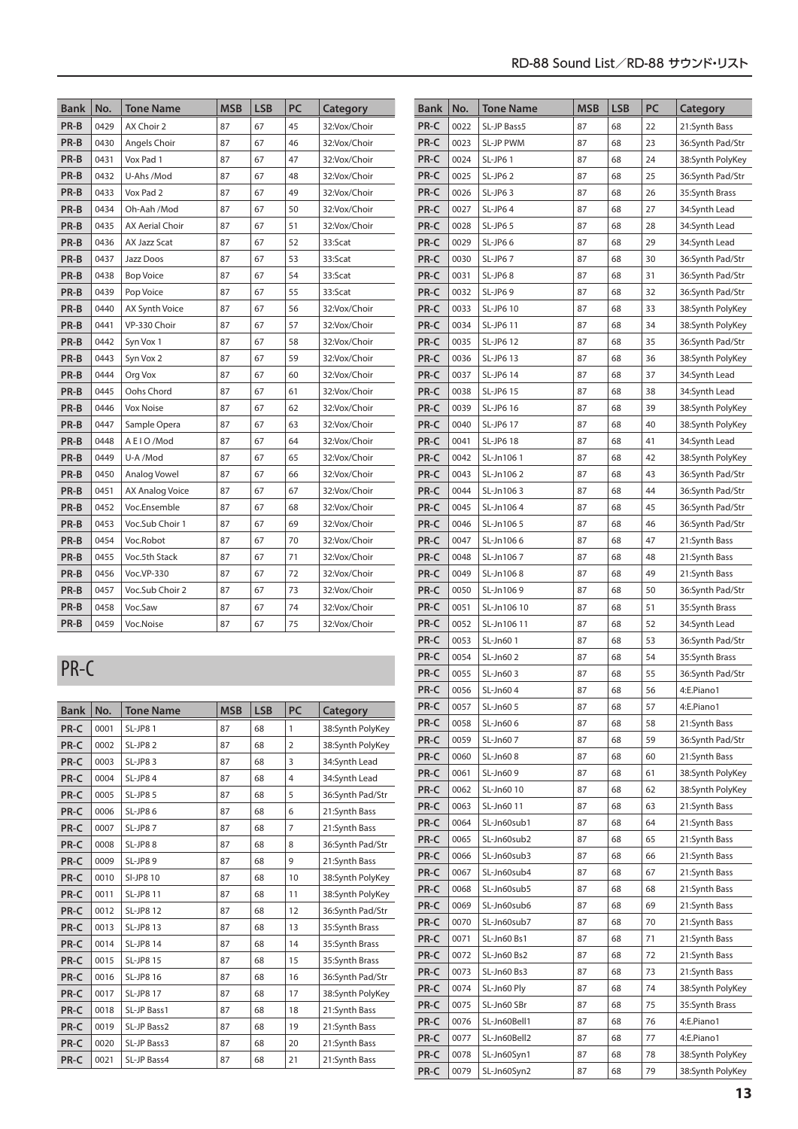| <b>Bank</b> | No.  | <b>Tone Name</b>       | <b>MSB</b> | <b>LSB</b> | PC | Category      |
|-------------|------|------------------------|------------|------------|----|---------------|
| PR-B        | 0429 | AX Choir 2             | 87         | 67         | 45 | 32:Vox/Choir  |
| PR-B        | 0430 | Angels Choir           | 87         | 67         | 46 | 32:Vox/Choir  |
| PR-B        | 0431 | Vox Pad 1              | 87         | 67         | 47 | 32:Vox/Choir  |
| PR-B        | 0432 | U-Ahs /Mod             | 87         | 67         | 48 | 32:Vox/Choir  |
| PR-B        | 0433 | Vox Pad 2              | 87         | 67         | 49 | 32:Vox/Choir  |
| PR-B        | 0434 | Oh-Aah /Mod            | 87         | 67         | 50 | 32:Vox/Choir  |
| PR-B        | 0435 | <b>AX Aerial Choir</b> | 87         | 67         | 51 | 32:Vox/Choir  |
| PR-B        | 0436 | AX Jazz Scat           | 87         | 67         | 52 | 33:Scat       |
| PR-B        | 0437 | Jazz Doos              | 87         | 67         | 53 | 33:Scat       |
| PR-B        | 0438 | <b>Bop Voice</b>       | 87         | 67         | 54 | 33:Scat       |
| PR-B        | 0439 | Pop Voice              | 87         | 67         | 55 | 33:Scat       |
| PR-B        | 0440 | <b>AX Synth Voice</b>  | 87         | 67         | 56 | 32:Vox/Choir  |
| PR-B        | 0441 | VP-330 Choir           | 87         | 67         | 57 | 32: Vox/Choir |
| PR-B        | 0442 | Syn Vox 1              | 87         | 67         | 58 | 32:Vox/Choir  |
| PR-B        | 0443 | Syn Vox 2              | 87         | 67         | 59 | 32:Vox/Choir  |
| PR-B        | 0444 | Org Vox                | 87         | 67         | 60 | 32:Vox/Choir  |
| PR-B        | 0445 | Oohs Chord             | 87         | 67         | 61 | 32:Vox/Choir  |
| PR-B        | 0446 | <b>Vox Noise</b>       | 87         | 67         | 62 | 32:Vox/Choir  |
| PR-B        | 0447 | Sample Opera           | 87         | 67         | 63 | 32:Vox/Choir  |
| PR-B        | 0448 | A E I O /Mod           | 87         | 67         | 64 | 32:Vox/Choir  |
| PR-B        | 0449 | U-A /Mod               | 87         | 67         | 65 | 32:Vox/Choir  |
| PR-B        | 0450 | Analog Vowel           | 87         | 67         | 66 | 32:Vox/Choir  |
| PR-B        | 0451 | AX Analog Voice        | 87         | 67         | 67 | 32:Vox/Choir  |
| PR-B        | 0452 | Voc.Ensemble           | 87         | 67         | 68 | 32:Vox/Choir  |
| PR-B        | 0453 | Voc.Sub Choir 1        | 87         | 67         | 69 | 32:Vox/Choir  |
| PR-B        | 0454 | Voc.Robot              | 87         | 67         | 70 | 32:Vox/Choir  |
| PR-B        | 0455 | Voc.5th Stack          | 87         | 67         | 71 | 32:Vox/Choir  |
| PR-B        | 0456 | Voc.VP-330             | 87         | 67         | 72 | 32:Vox/Choir  |
| PR-B        | 0457 | Voc.Sub Choir 2        | 87         | 67<br>73   |    | 32:Vox/Choir  |
| PR-B        | 0458 | Voc.Saw                | 87         | 67         | 74 | 32:Vox/Choir  |
| PR-B        | 0459 | Voc.Noise              | 87         | 67         | 75 | 32:Vox/Choir  |

## PR-C

| <b>Bank</b> | No.  | <b>Tone Name</b> | <b>MSB</b> | <b>LSB</b> | PC             | Category         |
|-------------|------|------------------|------------|------------|----------------|------------------|
| PR-C        | 0001 | <b>SL-JP81</b>   | 87         | 68         | 1              | 38:Synth PolyKey |
| PR-C        | 0002 | SL-JP82          | 87         | 68         | $\overline{2}$ | 38:Synth PolyKey |
| PR-C        | 0003 | SL-JP83          | 87         | 68         | 3              | 34:Synth Lead    |
| PR-C        | 0004 | SL-JP84          | 87         | 68         | $\overline{4}$ | 34:Synth Lead    |
| PR-C        | 0005 | <b>SL-JP8 5</b>  | 87         | 68         | 5              | 36:Synth Pad/Str |
| PR-C        | 0006 | <b>SL-JP8 6</b>  | 87<br>68   |            | 6              | 21:Synth Bass    |
| PR-C        | 0007 | <b>SL-JP87</b>   | 87         | 68         | $\overline{7}$ | 21:Synth Bass    |
| PR-C        | 0008 | SL-JP88          | 87         | 68         | 8              | 36:Synth Pad/Str |
| PR-C        | 0009 | SL-JP89          | 87         | 68         | 9              | 21:Synth Bass    |
| PR-C        | 0010 | SI-JP8 10        | 87         | 68         | 10             | 38:Synth PolyKey |
| PR-C        | 0011 | <b>SL-JP8 11</b> | 87         | 68         | 11             | 38:Synth PolyKey |
| PR-C        | 0012 | <b>SL-JP8 12</b> | 87         | 68         | 12             | 36:Synth Pad/Str |
| PR-C        | 0013 | <b>SL-JP8 13</b> | 87         | 68         | 13             | 35:Synth Brass   |
| PR-C        | 0014 | <b>SL-JP8 14</b> | 87         | 68         | 14             | 35:Synth Brass   |
| PR-C        | 0015 | <b>SL-JP8 15</b> | 87         | 68         | 15             | 35:Synth Brass   |
| PR-C        | 0016 | SL-JP8 16        | 87         | 68         | 16             | 36:Synth Pad/Str |
| PR-C        | 0017 | SL-JP8 17        | 87         | 68         | 17             | 38:Synth PolyKey |
| PR-C        | 0018 | SL-JP Bass1      | 87         | 68         | 18             | 21:Synth Bass    |
| PR-C        | 0019 | SL-JP Bass2      | 87         | 68         | 19             | 21:Synth Bass    |
| PR-C        | 0020 | SL-JP Bass3      | 87         | 68         | 20             | 21:Synth Bass    |
| PR-C        | 0021 | SL-JP Bass4      | 87         | 68         | 21             | 21:Synth Bass    |

| <b>Bank</b>  | No.          | <b>Tone Name</b>         | <b>MSB</b> | <b>LSB</b> | PC       | Category                       |
|--------------|--------------|--------------------------|------------|------------|----------|--------------------------------|
| PR-C         | 0022         | SL-JP Bass5              | 87         | 68         | 22       | 21:Synth Bass                  |
| PR-C         | 0023         | SL-JP PWM                | 87         | 68         | 23       | 36:Synth Pad/Str               |
| PR-C         | 0024         | SL-JP61                  | 87         | 68         | 24       | 38:Synth PolyKey               |
| PR-C         | 0025         | SL-JP62                  | 87         | 68         | 25       | 36:Synth Pad/Str               |
| PR-C         | 0026         | SL-JP63                  | 87         | 68         | 26       | 35:Synth Brass                 |
| PR-C         | 0027         | SL-JP64                  | 87         | 68         | 27       | 34:Synth Lead                  |
| PR-C         | 0028         | SL-JP6 5                 | 87         | 68         | 28       | 34:Synth Lead                  |
| PR-C         | 0029         | SL-JP66                  | 87         | 68         | 29       | 34:Synth Lead                  |
| PR-C         | 0030         | SL-JP67                  | 87         | 68         | 30       | 36:Synth Pad/Str               |
| PR-C         | 0031         | SL-JP68                  | 87         | 68         | 31       | 36:Synth Pad/Str               |
| PR-C         | 0032         | SL-JP69                  | 87         | 68         | 32       | 36:Synth Pad/Str               |
| PR-C         | 0033         | SL-JP6 10                | 87         | 68         | 33       | 38:Synth PolyKey               |
| PR-C         | 0034         | SL-JP6 11                | 87         | 68         | 34       | 38:Synth PolyKey               |
| PR-C         | 0035         | SL-JP6 12                | 87         | 68         | 35       | 36:Synth Pad/Str               |
| PR-C         | 0036         | SL-JP6 13                | 87         | 68         | 36       | 38:Synth PolyKey               |
| PR-C         | 0037         | SL-JP6 14                | 87         | 68         | 37       | 34:Synth Lead                  |
| PR-C         | 0038         | SL-JP6 15                | 87         | 68         | 38       | 34:Synth Lead                  |
| PR-C         | 0039         | SL-JP6 16                | 87         | 68         | 39       | 38:Synth PolyKey               |
| PR-C         | 0040         | <b>SL-JP6 17</b>         | 87         | 68         | 40       | 38:Synth PolyKey               |
| PR-C         | 0041         | SL-JP6 18                | 87         | 68         | 41       | 34:Synth Lead                  |
| PR-C         | 0042         | SL-Jn1061                | 87         | 68         | 42       | 38:Synth PolyKey               |
| PR-C         | 0043         | SL-Jn1062                | 87         | 68         | 43       | 36:Synth Pad/Str               |
| PR-C         | 0044         | SL-Jn1063                | 87         | 68         | 44       | 36:Synth Pad/Str               |
| PR-C         | 0045         | SL-Jn1064                | 87         | 68         | 45       | 36:Synth Pad/Str               |
| PR-C         | 0046         | SL-Jn106 5               | 87         | 68         | 46       | 36:Synth Pad/Str               |
| PR-C         | 0047         | SL-Jn1066                | 87         | 68         | 47       | 21:Synth Bass                  |
| PR-C         | 0048         | SL-Jn1067                | 87         | 68         | 48       | 21:Synth Bass                  |
| PR-C         | 0049         | SL-Jn1068                | 87         | 68         | 49       | 21:Synth Bass                  |
| PR-C         | 0050         | SL-Jn1069                | 87         | 68         | 50       | 36:Synth Pad/Str               |
| PR-C         | 0051         | SL-Jn106 10              | 87         | 68         | 51       | 35:Synth Brass                 |
| PR-C         | 0052         | SL-Jn106 11              | 87         | 68         | 52       | 34:Synth Lead                  |
| PR-C         | 0053         | SL-Jn60 1                | 87         | 68         | 53       | 36:Synth Pad/Str               |
| PR-C         | 0054         | SL-Jn60 2                | 87         | 68         | 54       | 35:Synth Brass                 |
| PR-C         | 0055         | SL-Jn60 3                | 87         | 68         | 55       | 36:Synth Pad/Str               |
| PR-C         | 0056         | SL-Jn604                 | 87         | 68         | 56       | 4:E.Piano1                     |
| PR-C         | 0057         | SL-Jn60 5                | 87         | 68         | 57       | 4:E.Piano1                     |
| PR-C         | 0058         | SL-Jn606                 | 87         | 68         | 58       | 21:Synth Bass                  |
| PR-C         | 0059         | SL-Jn607                 | 87         | 68         | 59       | 36:Synth Pad/Str               |
| PR-C         | 0060         | SL-Jn608                 | 87         | 68         | 60       | 21:Synth Bass                  |
| PR-C         | 0061         | SL-Jn609                 | 87         | 68         | 61       | 38:Synth PolyKey               |
| PR-C         | 0062<br>0063 | SL-Jn60 10<br>SL-Jn60 11 | 87         | 68         | 62       | 38:Synth PolyKey               |
| PR-C         | 0064         | SL-Jn60sub1              | 87         | 68         | 63       | 21:Synth Bass                  |
| PR-C<br>PR-C | 0065         | SL-Jn60sub2              | 87<br>87   | 68<br>68   | 64<br>65 | 21:Synth Bass<br>21:Synth Bass |
| PR-C         | 0066         | SL-Jn60sub3              | 87         | 68         | 66       | 21:Synth Bass                  |
| PR-C         | 0067         | SL-Jn60sub4              | 87         | 68         | 67       | 21:Synth Bass                  |
| PR-C         | 0068         | SL-Jn60sub5              | 87         | 68         | 68       | 21:Synth Bass                  |
| PR-C         | 0069         | SL-Jn60sub6              | 87         | 68         | 69       | 21:Synth Bass                  |
| PR-C         | 0070         | SL-Jn60sub7              | 87         | 68         | 70       | 21:Synth Bass                  |
| PR-C         | 0071         | SL-Jn60 Bs1              | 87         | 68         | 71       | 21:Synth Bass                  |
| PR-C         | 0072         | SL-Jn60 Bs2              | 87         | 68         | 72       | 21:Synth Bass                  |
| PR-C         | 0073         | SL-Jn60 Bs3              | 87         | 68         | 73       | 21:Synth Bass                  |
| PR-C         | 0074         | SL-Jn60 Ply              | 87         | 68         | 74       | 38:Synth PolyKey               |
| PR-C         | 0075         | SL-Jn60 SBr              | 87         | 68         | 75       | 35:Synth Brass                 |
| PR-C         | 0076         | SL-Jn60Bell1             | 87         | 68         | 76       | 4:E.Piano1                     |
| PR-C         | 0077         | SL-Jn60Bell2             | 87         | 68         | 77       | 4:E.Piano1                     |
| PR-C         | 0078         | SL-Jn60Syn1              | 87         | 68         | 78       | 38:Synth PolyKey               |
| PR-C         | 0079         | SL-Jn60Syn2              | 87         | 68         | 79       | 38:Synth PolyKey               |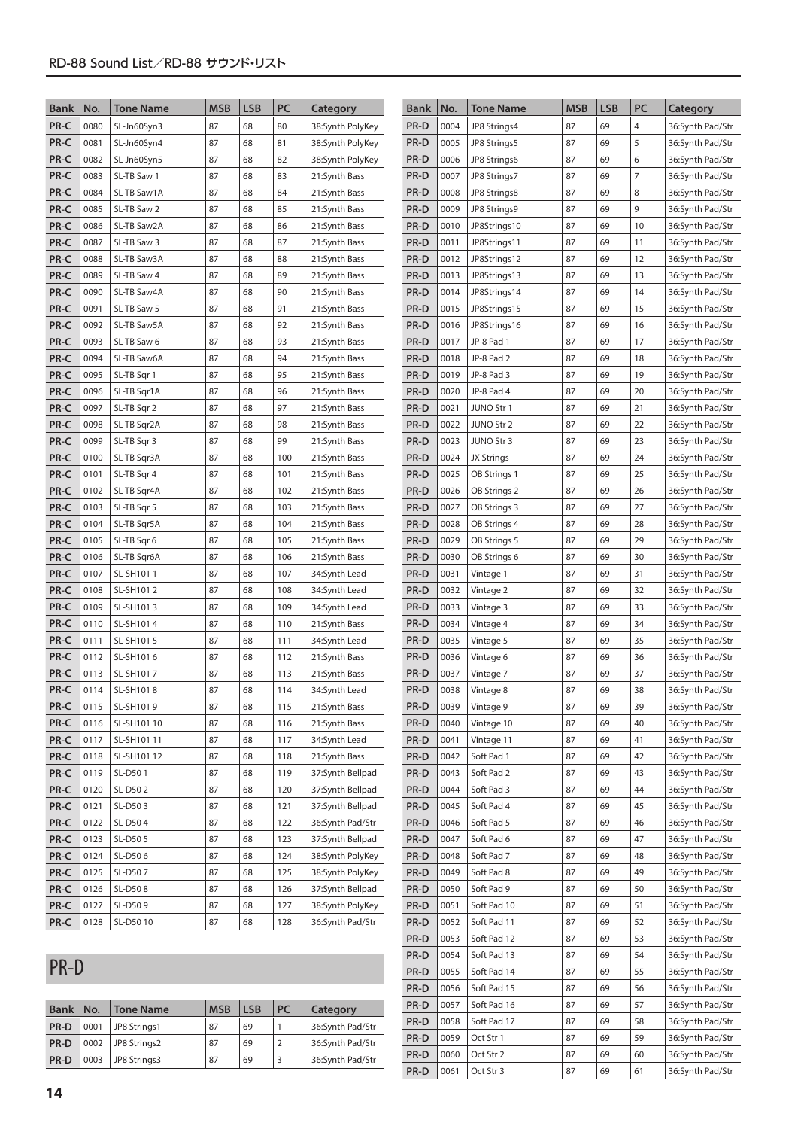| Bank                                         | No.  | Tone Name   | <b>MSB</b> | <b>LSB</b> | PC  | Category         | <b>Bank</b> | No.  | <b>Tone Name</b>  | <b>MSB</b> | <b>LSB</b> | PC             | Category         |
|----------------------------------------------|------|-------------|------------|------------|-----|------------------|-------------|------|-------------------|------------|------------|----------------|------------------|
| PR-C                                         | 0080 | SL-Jn60Syn3 | 87         | 68         | 80  | 38:Synth PolyKey | PR-D        | 0004 | JP8 Strings4      | 87         | 69         | 4              | 36:Synth Pad/Str |
| PR-C                                         | 0081 | SL-Jn60Syn4 | 87         | 68         | 81  | 38:Synth PolyKey | PR-D        | 0005 | JP8 Strings5      | 87         | 69         | 5              | 36:Synth Pad/Str |
| PR-C                                         | 0082 | SL-Jn60Syn5 | 87         | 68         | 82  | 38:Synth PolyKey | PR-D        | 0006 | JP8 Strings6      | 87         | 69         | 6              | 36:Synth Pad/Str |
| PR-C                                         | 0083 | SL-TB Saw 1 | 87         | 68         | 83  | 21:Synth Bass    | PR-D        | 0007 | JP8 Strings7      | 87         | 69         | $\overline{7}$ | 36:Synth Pad/Str |
| PR-C                                         | 0084 | SL-TB Saw1A | 87         | 68         | 84  | 21:Synth Bass    | PR-D        | 0008 | JP8 Strings8      | 87         | 69         | 8              | 36:Synth Pad/Str |
| PR-C                                         | 0085 | SL-TB Saw 2 | 87         | 68         | 85  | 21:Synth Bass    | PR-D        | 0009 | JP8 Strings9      | 87         | 69         | 9              | 36:Synth Pad/Str |
| PR-C                                         | 0086 | SL-TB Saw2A | 87         | 68         | 86  | 21:Synth Bass    | PR-D        | 0010 | JP8Strings10      | 87         | 69         | 10             | 36:Synth Pad/Str |
| PR-C                                         | 0087 | SL-TB Saw 3 | 87         | 68         | 87  | 21:Synth Bass    | PR-D        | 0011 | JP8Strings11      | 87         | 69         | 11             | 36:Synth Pad/Str |
| PR-C                                         | 0088 | SL-TB Saw3A | 87         | 68         | 88  | 21:Synth Bass    | PR-D        | 0012 | JP8Strings12      | 87         | 69         | 12             | 36:Synth Pad/Str |
| PR-C                                         | 0089 | SL-TB Saw 4 | 87         | 68         | 89  | 21:Synth Bass    | PR-D        | 0013 | JP8Strings13      | 87         | 69         | 13             | 36:Synth Pad/Str |
| PR-C                                         | 0090 | SL-TB Saw4A | 87         | 68         | 90  | 21:Synth Bass    | PR-D        | 0014 | JP8Strings14      | 87         | 69         | 14             | 36:Synth Pad/Str |
| PR-C                                         | 0091 | SL-TB Saw 5 | 87         | 68         | 91  | 21:Synth Bass    | PR-D        | 0015 | JP8Strings15      | 87         | 69         | 15             | 36:Synth Pad/Str |
| PR-C                                         | 0092 | SL-TB Saw5A | 87         | 68         | 92  | 21:Synth Bass    | PR-D        | 0016 | JP8Strings16      | 87         | 69         | 16             | 36:Synth Pad/Str |
| PR-C                                         | 0093 | SL-TB Saw 6 | 87         | 68         | 93  | 21:Synth Bass    | PR-D        | 0017 | JP-8 Pad 1        | 87         | 69         | 17             | 36:Synth Pad/Str |
| PR-C                                         | 0094 | SL-TB Saw6A | 87         | 68         | 94  | 21:Synth Bass    | PR-D        | 0018 | JP-8 Pad 2        | 87         | 69         | 18             | 36:Synth Pad/Str |
| PR-C                                         | 0095 | SL-TB Sqr 1 | 87         | 68         | 95  | 21:Synth Bass    | PR-D        | 0019 | JP-8 Pad 3        | 87         | 69         | 19             | 36:Synth Pad/Str |
| PR-C                                         | 0096 | SL-TB Sqr1A | 87         | 68         | 96  | 21:Synth Bass    | PR-D        | 0020 | JP-8 Pad 4        | 87         | 69         | 20             | 36:Synth Pad/Str |
| PR-C                                         | 0097 | SL-TB Sqr 2 | 87         | 68         | 97  | 21:Synth Bass    | PR-D        | 0021 | <b>JUNO Str 1</b> | 87         | 69         | 21             | 36:Synth Pad/Str |
| PR-C                                         | 0098 | SL-TB Sqr2A | 87         | 68         | 98  | 21:Synth Bass    | PR-D        | 0022 | JUNO Str 2        | 87         | 69         | 22             | 36:Synth Pad/Str |
| PR-C                                         | 0099 | SL-TB Sqr 3 | 87         | 68         | 99  | 21:Synth Bass    | PR-D        | 0023 | JUNO Str 3        | 87         | 69         | 23             | 36:Synth Pad/Str |
| PR-C                                         | 0100 | SL-TB Sqr3A | 87         | 68         | 100 | 21:Synth Bass    | PR-D        | 0024 | JX Strings        | 87         | 69         | 24             | 36:Synth Pad/Str |
| PR-C                                         | 0101 | SL-TB Sqr 4 | 87         | 68         | 101 | 21:Synth Bass    | PR-D        | 0025 | OB Strings 1      | 87         | 69         | 25             | 36:Synth Pad/Str |
| PR-C                                         | 0102 | SL-TB Sqr4A | 87         | 68         | 102 | 21:Synth Bass    | PR-D        | 0026 | OB Strings 2      | 87         | 69         | 26             | 36:Synth Pad/Str |
| PR-C                                         | 0103 | SL-TB Sqr 5 | 87         | 68         | 103 | 21:Synth Bass    | PR-D        | 0027 | OB Strings 3      | 87         | 69         | 27             | 36:Synth Pad/Str |
| PR-C                                         | 0104 | SL-TB Sqr5A | 87         | 68         | 104 | 21:Synth Bass    | PR-D        | 0028 | OB Strings 4      | 87         | 69         | 28             | 36:Synth Pad/Str |
| PR-C                                         | 0105 | SL-TB Sqr 6 | 87         | 68         | 105 | 21:Synth Bass    | PR-D        | 0029 | OB Strings 5      | 87         | 69         | 29             | 36:Synth Pad/Str |
| PR-C                                         | 0106 | SL-TB Sqr6A | 87         | 68         | 106 | 21:Synth Bass    | PR-D        | 0030 | OB Strings 6      | 87         | 69         | 30             | 36:Synth Pad/Str |
| PR-C                                         | 0107 | SL-SH1011   | 87         | 68         | 107 | 34:Synth Lead    | PR-D        | 0031 | Vintage 1         | 87         | 69         | 31             | 36:Synth Pad/Str |
| PR-C                                         | 0108 | SL-SH1012   | 87         | 68         | 108 | 34:Synth Lead    | PR-D        | 0032 | Vintage 2         | 87         | 69         | 32             | 36:Synth Pad/Str |
| PR-C                                         | 0109 | SL-SH1013   | 87         | 68         | 109 | 34:Synth Lead    | PR-D        | 0033 | Vintage 3         | 87         | 69         | 33             | 36:Synth Pad/Str |
| PR-C                                         | 0110 | SL-SH1014   | 87         | 68         | 110 | 21:Synth Bass    | PR-D        | 0034 | Vintage 4         | 87         | 69         | 34             | 36:Synth Pad/Str |
| PR-C                                         | 0111 | SL-SH1015   | 87         | 68         | 111 | 34:Synth Lead    | PR-D        | 0035 | Vintage 5         | 87         | 69         | 35             | 36:Synth Pad/Str |
| PR-C                                         | 0112 | SL-SH1016   | 87         | 68         | 112 | 21:Synth Bass    | PR-D        | 0036 | Vintage 6         | 87         | 69         | 36             | 36:Synth Pad/Str |
| PR-C                                         | 0113 | SL-SH1017   | 87         | 68         | 113 | 21:Synth Bass    | PR-D        | 0037 | Vintage 7         | 87         | 69         | 37             | 36:Synth Pad/Str |
| $\ensuremath{\mathsf{PR}\text{-}\mathsf{C}}$ | 0114 | SL-SH1018   | 87         | 68         | 114 | 34:Synth Lead    | PR-D        | 0038 | Vintage 8         | 87         | 69         | 38             | 36:Synth Pad/Str |
| PR-C                                         | 0115 | SL-SH1019   | 87         | 68         | 115 | 21:Synth Bass    | PR-D        | 0039 | Vintage 9         | 87         | 69         | 39             | 36:Synth Pad/Str |
| PR-C                                         | 0116 | SL-SH101 10 | 87         | 68         | 116 | 21:Synth Bass    | PR-D        | 0040 | Vintage 10        | 87         | 69         | 40             | 36:Synth Pad/Str |
| PR-C                                         | 0117 | SL-SH101 11 | 87         | 68         | 117 | 34:Synth Lead    | PR-D        | 0041 | Vintage 11        | 87         | 69         | 41             | 36:Synth Pad/Str |
| PR-C                                         | 0118 | SL-SH101 12 | 87         | 68         | 118 | 21:Synth Bass    | PR-D        | 0042 | Soft Pad 1        | 87         | 69         | 42             | 36:Synth Pad/Str |
| PR-C                                         | 0119 | SL-D501     | 87         | 68         | 119 | 37:Synth Bellpad | PR-D        | 0043 | Soft Pad 2        | 87         | 69         | 43             | 36:Synth Pad/Str |
| PR-C                                         | 0120 | SL-D50 2    | 87         | 68         | 120 | 37:Synth Bellpad | PR-D        | 0044 | Soft Pad 3        | 87         | 69         | 44             | 36:Synth Pad/Str |
| PR-C                                         | 0121 | SL-D503     | 87         | 68         | 121 | 37:Synth Bellpad | PR-D        | 0045 | Soft Pad 4        | 87         | 69         | 45             | 36:Synth Pad/Str |
| PR-C                                         | 0122 | SL-D504     | 87         | 68         | 122 | 36:Synth Pad/Str | PR-D        | 0046 | Soft Pad 5        | 87         | 69         | 46             | 36:Synth Pad/Str |
| PR-C                                         | 0123 | SL-D50 5    | 87         | 68         | 123 | 37:Synth Bellpad | PR-D        | 0047 | Soft Pad 6        | 87         | 69         | 47             | 36:Synth Pad/Str |
| PR-C                                         | 0124 | SL-D506     | 87         | 68         | 124 | 38:Synth PolyKey | PR-D        | 0048 | Soft Pad 7        | 87         | 69         | 48             | 36:Synth Pad/Str |
| PR-C                                         | 0125 | SL-D507     | 87         | 68         | 125 | 38:Synth PolyKey | PR-D        | 0049 | Soft Pad 8        | 87         | 69         | 49             | 36:Synth Pad/Str |
| PR-C                                         | 0126 | SL-D508     | 87         | 68         | 126 | 37:Synth Bellpad | PR-D        | 0050 | Soft Pad 9        | 87         | 69         | 50             | 36:Synth Pad/Str |
| PR-C                                         | 0127 | SL-D509     | 87         | 68         | 127 | 38:Synth PolyKey | PR-D        | 0051 | Soft Pad 10       | 87         | 69         | 51             | 36:Synth Pad/Str |
| PR-C                                         | 0128 | SL-D50 10   | 87         | 68         | 128 | 36:Synth Pad/Str | PR-D        | 0052 | Soft Pad 11       | 87         | 69         | 52             | 36:Synth Pad/Str |
|                                              |      |             |            |            |     |                  | PR-D        | 0053 | Soft Pad 12       | 87         | 69         | 53             | 36:Synth Pad/Str |
|                                              |      |             |            |            |     |                  | PR-D        | 0054 | Soft Pad 13       | 87         | 69         | 54             | 36:Synth Pad/Str |

**PR-D** 0055 Soft Pad 14 87 69 55 36:Synth Pad/Str **PR-D** 0056 Soft Pad 15 87 69 56 36:Synth Pad/Str **PR-D** 0057 Soft Pad 16 87 69 57 36:Synth Pad/Str **PR-D** 0058 Soft Pad 17 87 69 58 36:Synth Pad/Str **PR-D** 0059 Oct Str 1 87 69 59 36:Synth Pad/Str **PR-D** 0060 Oct Str 2 87 69 60 36:Synth Pad/Str **PR-D** 0061 Oct Str 3 87 69 61 36:Synth Pad/Str

### PR-D

| <b>Bank</b> | No.  | <b>Tone Name</b> | <b>MSB</b> | <b>LSB</b> | <b>PC</b> | Category         |  |  |
|-------------|------|------------------|------------|------------|-----------|------------------|--|--|
| PR-D        | 0001 | JP8 Strings1     | 87         | 69         |           | 36:Synth Pad/Str |  |  |
| PR-D        | 0002 | JP8 Strings2     | 87         | 69         |           | 36:Synth Pad/Str |  |  |
| PR-D        | 0003 | JP8 Strings3     | 87         | 69         |           | 36:Synth Pad/Str |  |  |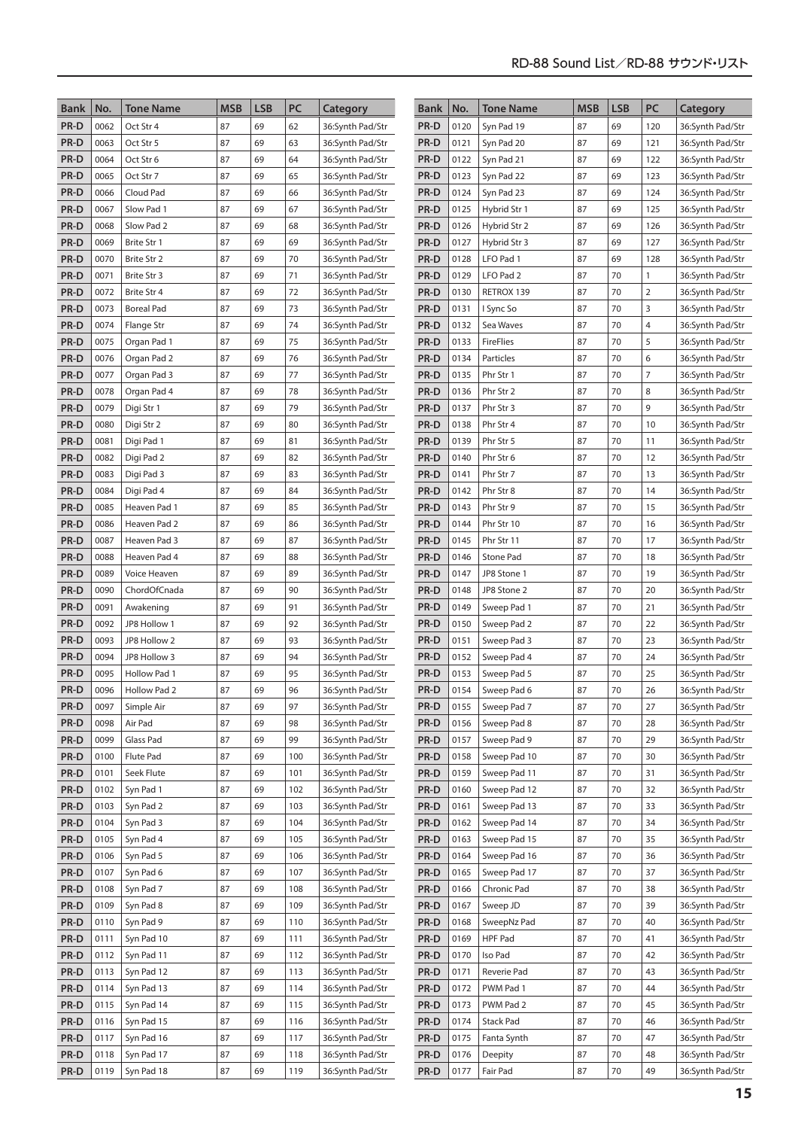| <b>Bank</b>  | No.          | <b>Tone Name</b>             | <b>MSB</b> | <b>LSB</b> | PC       | Category                             | <b>Bank</b>  | No.          | <b>Tone Name</b>           | <b>MSB</b> | <b>LSB</b> | PC             | Category                             |
|--------------|--------------|------------------------------|------------|------------|----------|--------------------------------------|--------------|--------------|----------------------------|------------|------------|----------------|--------------------------------------|
| PR-D         | 0062         | Oct Str 4                    | 87         | 69         | 62       | 36:Synth Pad/Str                     | PR-D         | 0120         | Syn Pad 19                 | 87         | 69         | 120            | 36:Synth Pad/Str                     |
| PR-D         | 0063         | Oct Str 5                    | 87         | 69         | 63       | 36:Synth Pad/Str                     | PR-D         | 0121         | Syn Pad 20                 | 87         | 69         | 121            | 36:Synth Pad/Str                     |
| PR-D         | 0064         | Oct Str 6                    | 87         | 69         | 64       | 36:Synth Pad/Str                     | PR-D         | 0122         | Syn Pad 21                 | 87         | 69         | 122            | 36:Synth Pad/Str                     |
| PR-D         | 0065         | Oct Str 7                    | 87         | 69         | 65       | 36:Synth Pad/Str                     | PR-D         | 0123         | Syn Pad 22                 | 87         | 69         | 123            | 36:Synth Pad/Str                     |
| PR-D         | 0066         | Cloud Pad                    | 87         | 69         | 66       | 36:Synth Pad/Str                     | PR-D         | 0124         | Syn Pad 23                 | 87         | 69         | 124            | 36:Synth Pad/Str                     |
| PR-D         | 0067         | Slow Pad 1                   | 87         | 69         | 67       | 36:Synth Pad/Str                     | PR-D         | 0125         | Hybrid Str 1               | 87         | 69         | 125            | 36:Synth Pad/Str                     |
| PR-D         | 0068         | Slow Pad 2                   | 87         | 69         | 68       | 36:Synth Pad/Str                     | PR-D         | 0126         | Hybrid Str 2               | 87         | 69         | 126            | 36:Synth Pad/Str                     |
| PR-D         | 0069         | Brite Str 1                  | 87         | 69         | 69       | 36:Synth Pad/Str                     | PR-D         | 0127         | Hybrid Str 3               | 87         | 69         | 127            | 36:Synth Pad/Str                     |
| PR-D         | 0070         | Brite Str 2                  | 87         | 69         | 70       | 36:Synth Pad/Str                     | PR-D         | 0128         | LFO Pad 1                  | 87         | 69         | 128            | 36:Synth Pad/Str                     |
| PR-D         | 0071         | Brite Str 3                  | 87         | 69         | 71       | 36:Synth Pad/Str                     | PR-D         | 0129         | LFO Pad 2                  | 87         | 70         | 1              | 36:Synth Pad/Str                     |
| PR-D         | 0072         | Brite Str 4                  | 87         | 69         | 72       | 36:Synth Pad/Str                     | PR-D         | 0130         | RETROX 139                 | 87         | 70         | $\overline{2}$ | 36:Synth Pad/Str                     |
| PR-D         | 0073         | <b>Boreal Pad</b>            | 87         | 69         | 73       | 36:Synth Pad/Str                     | PR-D         | 0131         | I Sync So                  | 87         | 70         | 3              | 36:Synth Pad/Str                     |
| PR-D         | 0074         | Flange Str                   | 87         | 69         | 74       | 36:Synth Pad/Str                     | PR-D         | 0132         | Sea Waves                  | 87         | 70         | 4              | 36:Synth Pad/Str                     |
| PR-D         | 0075         | Organ Pad 1                  | 87         | 69         | 75       | 36:Synth Pad/Str                     | PR-D         | 0133         | <b>FireFlies</b>           | 87         | 70         | 5              | 36:Synth Pad/Str                     |
| PR-D         | 0076         | Organ Pad 2                  | 87         | 69         | 76       | 36:Synth Pad/Str                     | PR-D         | 0134         | Particles                  | 87         | 70         | 6              | 36:Synth Pad/Str                     |
| PR-D         | 0077         | Organ Pad 3                  | 87         | 69         | 77       | 36:Synth Pad/Str                     | PR-D         | 0135         | Phr Str 1                  | 87         | 70         | 7              | 36:Synth Pad/Str                     |
| PR-D         | 0078         | Organ Pad 4                  | 87         | 69         | 78       | 36:Synth Pad/Str                     | PR-D         | 0136         | Phr Str 2                  | 87         | 70         | 8              | 36:Synth Pad/Str                     |
| PR-D         | 0079         | Digi Str 1                   | 87         | 69         | 79       | 36:Synth Pad/Str                     | PR-D         | 0137         | Phr Str 3                  | 87         | 70         | 9              | 36:Synth Pad/Str                     |
| PR-D         | 0080         | Digi Str 2                   | 87         | 69         | 80       | 36:Synth Pad/Str                     | PR-D         | 0138         | Phr Str 4                  | 87         | 70         | 10             | 36:Synth Pad/Str                     |
| PR-D         | 0081         | Digi Pad 1                   | 87         | 69         | 81       | 36:Synth Pad/Str                     | PR-D         | 0139         | Phr Str 5                  | 87         | 70         | 11             | 36:Synth Pad/Str                     |
| PR-D         | 0082         | Digi Pad 2                   | 87         | 69         | 82       | 36:Synth Pad/Str                     | PR-D         | 0140         | Phr Str 6                  | 87         | 70         | 12             | 36:Synth Pad/Str                     |
| PR-D         | 0083         | Digi Pad 3                   | 87         | 69         | 83       | 36:Synth Pad/Str                     | PR-D         | 0141         | Phr Str 7                  | 87         | 70         | 13             | 36:Synth Pad/Str                     |
| PR-D         | 0084         | Digi Pad 4                   | 87         | 69         | 84       | 36:Synth Pad/Str                     | PR-D         | 0142         | Phr Str 8                  | 87         | 70         | 14             | 36:Synth Pad/Str                     |
| PR-D         | 0085         | Heaven Pad 1                 | 87         | 69         | 85       | 36:Synth Pad/Str                     | PR-D         | 0143         | Phr Str 9                  | 87         | 70         | 15             | 36:Synth Pad/Str                     |
| PR-D         | 0086         | Heaven Pad 2                 | 87         | 69         | 86       | 36:Synth Pad/Str                     | PR-D         | 0144         | Phr Str 10                 | 87         | 70         | 16             | 36:Synth Pad/Str                     |
| PR-D         | 0087         | Heaven Pad 3                 | 87         | 69         | 87       | 36:Synth Pad/Str                     | PR-D         | 0145         | Phr Str 11                 | 87         | 70         | 17             | 36:Synth Pad/Str                     |
| PR-D         | 0088<br>0089 | Heaven Pad 4                 | 87<br>87   | 69<br>69   | 88<br>89 | 36:Synth Pad/Str                     | PR-D         | 0146<br>0147 | Stone Pad                  | 87<br>87   | 70<br>70   | 18<br>19       | 36:Synth Pad/Str<br>36:Synth Pad/Str |
| PR-D<br>PR-D | 0090         | Voice Heaven<br>ChordOfCnada | 87         | 69         | 90       | 36:Synth Pad/Str<br>36:Synth Pad/Str | PR-D<br>PR-D | 0148         | JP8 Stone 1<br>JP8 Stone 2 | 87         | 70         | 20             | 36:Synth Pad/Str                     |
| PR-D         | 0091         | Awakening                    | 87         | 69         | 91       | 36:Synth Pad/Str                     | PR-D         | 0149         | Sweep Pad 1                | 87         | 70         | 21             | 36:Synth Pad/Str                     |
| PR-D         | 0092         | JP8 Hollow 1                 | 87         | 69         | 92       | 36:Synth Pad/Str                     | PR-D         | 0150         | Sweep Pad 2                | 87         | 70         | 22             | 36:Synth Pad/Str                     |
| PR-D         | 0093         | JP8 Hollow 2                 | 87         | 69         | 93       | 36:Synth Pad/Str                     | PR-D         | 0151         | Sweep Pad 3                | 87         | 70         | 23             | 36:Synth Pad/Str                     |
| PR-D         | 0094         | JP8 Hollow 3                 | 87         | 69         | 94       | 36:Synth Pad/Str                     | PR-D         | 0152         | Sweep Pad 4                | 87         | 70         | 24             | 36:Synth Pad/Str                     |
| PR-D         | 0095         | <b>Hollow Pad 1</b>          | 87         | 69         | 95       | 36:Synth Pad/Str                     | PR-D         | 0153         | Sweep Pad 5                | 87         | 70         | 25             | 36:Synth Pad/Str                     |
| PR-D         | 0096         | Hollow Pad 2                 | 87         | 69         | 96       | 36:Synth Pad/Str                     | PR-D         | 0154         | Sweep Pad 6                | 87         | 70         | 26             | 36:Synth Pad/Str                     |
| PR-D         | 0097         | Simple Air                   | 87         | 69         | 97       | 36:Synth Pad/Str                     | PR-D         | 0155         | Sweep Pad 7                | 87         | 70         | 27             | 36:Synth Pad/Str                     |
| PR-D         | 0098         | Air Pad                      | 87         | 69         | 98       | 36:Synth Pad/Str                     | PR-D         | 0156         | Sweep Pad 8                | 87         | 70         | 28             | 36:Synth Pad/Str                     |
| PR-D         | 0099         | Glass Pad                    | 87         | 69         | 99       | 36:Synth Pad/Str                     | PR-D         | 0157         | Sweep Pad 9                | 87         | 70         | 29             | 36:Synth Pad/Str                     |
| PR-D         | 0100         | Flute Pad                    | 87         | 69         | 100      | 36:Synth Pad/Str                     | PR-D         | 0158         | Sweep Pad 10               | 87         | 70         | 30             | 36:Synth Pad/Str                     |
| PR-D         | 0101         | Seek Flute                   | 87         | 69         | 101      | 36:Synth Pad/Str                     | PR-D         | 0159         | Sweep Pad 11               | 87         | 70         | 31             | 36:Synth Pad/Str                     |
| PR-D         | 0102         | Syn Pad 1                    | 87         | 69         | 102      | 36:Synth Pad/Str                     | PR-D         | 0160         | Sweep Pad 12               | 87         | 70         | 32             | 36:Synth Pad/Str                     |
| PR-D         | 0103         | Syn Pad 2                    | 87         | 69         | 103      | 36:Synth Pad/Str                     | PR-D         | 0161         | Sweep Pad 13               | 87         | 70         | 33             | 36:Synth Pad/Str                     |
| PR-D         | 0104         | Syn Pad 3                    | 87         | 69         | 104      | 36:Synth Pad/Str                     | PR-D         | 0162         | Sweep Pad 14               | 87         | 70         | 34             | 36:Synth Pad/Str                     |
| PR-D         | 0105         | Syn Pad 4                    | 87         | 69         | 105      | 36:Synth Pad/Str                     | PR-D         | 0163         | Sweep Pad 15               | 87         | 70         | 35             | 36:Synth Pad/Str                     |
| PR-D         | 0106         | Syn Pad 5                    | 87         | 69         | 106      | 36:Synth Pad/Str                     | PR-D         | 0164         | Sweep Pad 16               | 87         | 70         | 36             | 36:Synth Pad/Str                     |
| PR-D         | 0107         | Syn Pad 6                    | 87         | 69         | 107      | 36:Synth Pad/Str                     | PR-D         | 0165         | Sweep Pad 17               | 87         | 70         | 37             | 36:Synth Pad/Str                     |
| PR-D         | 0108         | Syn Pad 7                    | 87         | 69         | 108      | 36:Synth Pad/Str                     | PR-D         | 0166         | Chronic Pad                | 87         | 70         | 38             | 36:Synth Pad/Str                     |
| PR-D         | 0109         | Syn Pad 8                    | 87         | 69         | 109      | 36:Synth Pad/Str                     | PR-D         | 0167         | Sweep JD                   | 87         | 70         | 39             | 36:Synth Pad/Str                     |
| PR-D         | 0110         | Syn Pad 9                    | 87         | 69         | 110      | 36:Synth Pad/Str                     | PR-D         | 0168         | SweepNz Pad                | 87         | 70         | 40             | 36:Synth Pad/Str                     |
| PR-D         | 0111         | Syn Pad 10                   | 87         | 69         | 111      | 36:Synth Pad/Str                     | PR-D         | 0169         | HPF Pad                    | 87         | 70         | 41             | 36:Synth Pad/Str                     |
| PR-D         | 0112         | Syn Pad 11                   | 87         | 69         | 112      | 36:Synth Pad/Str                     | PR-D         | 0170         | Iso Pad                    | 87         | 70         | 42             | 36:Synth Pad/Str                     |
| PR-D         | 0113         | Syn Pad 12                   | 87         | 69         | 113      | 36:Synth Pad/Str                     | PR-D         | 0171         | Reverie Pad                | 87         | 70         | 43             | 36:Synth Pad/Str                     |
| PR-D         | 0114         | Syn Pad 13                   | 87         | 69         | 114      | 36:Synth Pad/Str                     | PR-D         | 0172         | PWM Pad 1                  | 87         | 70         | 44             | 36:Synth Pad/Str                     |
| PR-D         | 0115         | Syn Pad 14                   | 87         | 69         | 115      | 36:Synth Pad/Str                     | PR-D         | 0173         | PWM Pad 2                  | 87         | 70         | 45             | 36:Synth Pad/Str                     |
| PR-D         | 0116         | Syn Pad 15                   | 87         | 69         | 116      | 36:Synth Pad/Str                     | PR-D         | 0174         | <b>Stack Pad</b>           | 87         | 70         | 46             | 36:Synth Pad/Str                     |
| PR-D         | 0117         | Syn Pad 16                   | 87         | 69         | 117      | 36:Synth Pad/Str                     | PR-D         | 0175         | Fanta Synth                | 87         | 70         | 47             | 36:Synth Pad/Str                     |
| PR-D         | 0118         | Syn Pad 17                   | 87         | 69         | 118      | 36:Synth Pad/Str                     | PR-D         | 0176         | Deepity                    | 87         | 70         | 48             | 36:Synth Pad/Str                     |
| PR-D         | 0119         | Syn Pad 18                   | 87         | 69         | 119      | 36:Synth Pad/Str                     | PR-D         | 0177         | Fair Pad                   | 87         | 70         | 49             | 36:Synth Pad/Str                     |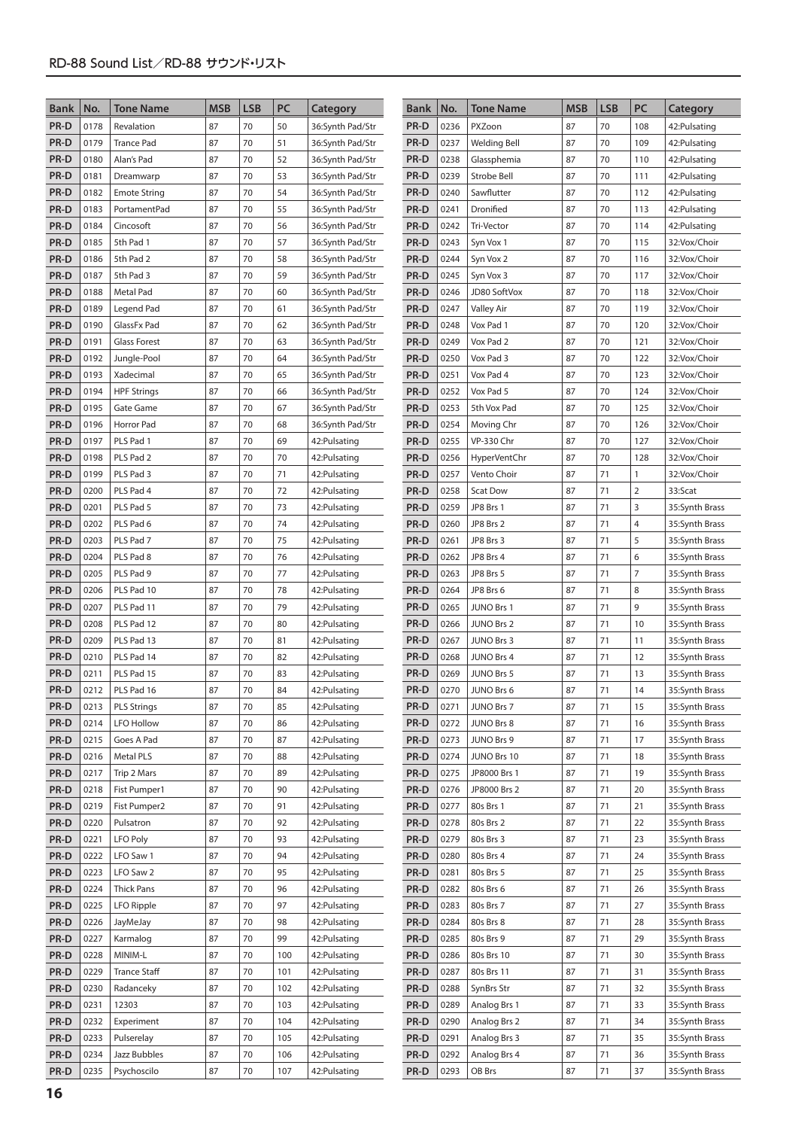| PR-D<br>PR-D<br>0178<br>87<br>70<br>50<br>0236<br>PXZoon<br>87<br>70<br>108<br>42: Pulsating<br>Revalation<br>36:Synth Pad/Str<br>PR-D<br>PR-D<br>87<br>70<br>0179<br><b>Trance Pad</b><br>87<br>70<br>51<br>0237<br><b>Welding Bell</b><br>109<br>42: Pulsating<br>36:Synth Pad/Str<br>PR-D<br>87<br>70<br>52<br>0238<br>87<br>70<br>0180<br>Alan's Pad<br>PR-D<br>Glassphemia<br>110<br>42:Pulsating<br>36:Synth Pad/Str<br>PR-D<br>87<br>70<br>53<br>PR-D<br>0239<br>87<br>70<br>0181<br>Strobe Bell<br>111<br>42:Pulsating<br>Dreamwarp<br>36:Synth Pad/Str<br>70<br>PR-D<br>0182<br>87<br>70<br>54<br>PR-D<br>0240<br>Sawflutter<br>87<br>112<br>42: Pulsating<br><b>Emote String</b><br>36:Synth Pad/Str<br>87<br>70<br>PR-D<br>0183<br>87<br>70<br>55<br>PR-D<br>0241<br>Dronified<br>PortamentPad<br>36:Synth Pad/Str<br>113<br>42:Pulsating<br>70<br>PR-D<br>87<br>70<br>PR-D<br>0242<br>87<br>0184<br>Cincosoft<br>56<br>36:Synth Pad/Str<br><b>Tri-Vector</b><br>114<br>42: Pulsating<br>PR-D<br>0185<br>5th Pad 1<br>87<br>70<br>PR-D<br>0243<br>87<br>70<br>57<br>36:Synth Pad/Str<br>Syn Vox 1<br>115<br>32:Vox/Choir<br>PR-D<br>0186<br>5th Pad 2<br>87<br>70<br>PR-D<br>0244<br>87<br>70<br>58<br>36:Synth Pad/Str<br>Syn Vox 2<br>116<br>32:Vox/Choir<br>PR-D<br>PR-D<br>87<br>0187<br>5th Pad 3<br>87<br>70<br>59<br>0245<br>70<br>36:Synth Pad/Str<br>Syn Vox 3<br>117<br>32:Vox/Choir<br>PR-D<br>87<br>70<br>PR-D<br>0246<br>87<br>70<br>0188<br>Metal Pad<br>60<br>36:Synth Pad/Str<br>JD80 SoftVox<br>118<br>32:Vox/Choir<br>PR-D<br>87<br>70<br>PR-D<br>0247<br>87<br>70<br>0189<br>Legend Pad<br>61<br>36:Synth Pad/Str<br>Valley Air<br>119<br>32:Vox/Choir<br>87<br>87<br>70<br>PR-D<br>0190<br>70<br>62<br>PR-D<br>0248<br>120<br>GlassFx Pad<br>Vox Pad 1<br>36:Synth Pad/Str<br>32:Vox/Choir<br>87<br>87<br>70<br>PR-D<br>0191<br>70<br>63<br>PR-D<br>0249<br><b>Glass Forest</b><br>Vox Pad 2<br>121<br>32:Vox/Choir<br>36:Synth Pad/Str<br>70<br>87<br>70<br>PR-D<br>87<br>64<br>PR-D<br>0250<br>0192<br>Jungle-Pool<br>36:Synth Pad/Str<br>Vox Pad 3<br>122<br>32:Vox/Choir<br>PR-D<br>0193<br>87<br>70<br>PR-D<br>0251<br>Vox Pad 4<br>87<br>70<br>Xadecimal<br>65<br>36:Synth Pad/Str<br>123<br>32:Vox/Choir<br>PR-D<br>87<br>70<br>PR-D<br>0252<br>Vox Pad 5<br>87<br>70<br>0194<br><b>HPF Strings</b><br>66<br>124<br>36:Synth Pad/Str<br>32:Vox/Choir<br>PR-D<br>87<br>87<br>70<br>PR-D<br>0253<br>70<br>0195<br>Gate Game<br>67<br>5th Vox Pad<br>125<br>32:Vox/Choir<br>36:Synth Pad/Str<br>87<br>87<br>70<br>0254<br>70<br>PR-D<br>0196<br>Horror Pad<br>68<br>PR-D<br>126<br>36:Synth Pad/Str<br>Moving Chr<br>32:Vox/Choir<br>87<br>70<br>87<br>70<br>PR-D<br>0197<br>PLS Pad 1<br>69<br>PR-D<br>0255<br>VP-330 Chr<br>127<br>32:Vox/Choir<br>42: Pulsating<br>87<br>70<br>70<br>0256<br>87<br>70<br>PR-D<br>0198<br>PLS Pad 2<br>42: Pulsating<br>PR-D<br><b>HyperVentChr</b><br>128<br>32:Vox/Choir<br>87<br>70<br>71<br>0257<br>87<br>71<br>PR-D<br>0199<br>PLS Pad 3<br>PR-D<br>Vento Choir<br>1<br>32:Vox/Choir<br>42: Pulsating<br>87<br>71<br>0200<br>87<br>70<br>72<br>0258<br>$\overline{2}$<br>PR-D<br>PLS Pad 4<br>PR-D<br><b>Scat Dow</b><br>33:Scat<br>42: Pulsating<br>PR-D<br>0259<br>87<br>71<br>3<br>0201<br>PLS Pad 5<br>87<br>70<br>73<br>42: Pulsating<br>PR-D<br>JP8 Brs 1<br>35:Synth Brass<br>PR-D<br>87<br>70<br>74<br>PR-D<br>87<br>71<br>4<br>0202<br>PLS Pad 6<br>42: Pulsating<br>0260<br>JP8 Brs 2<br>35:Synth Brass<br>PR-D<br>0203<br>PLS Pad 7<br>87<br>70<br>75<br>PR-D<br>0261<br>87<br>71<br>5<br>42: Pulsating<br>JP8 Brs 3<br>35:Synth Brass<br>PR-D<br>87<br>70<br>0262<br>87<br>71<br>6<br>0204<br>PLS Pad 8<br>76<br>42: Pulsating<br>PR-D<br>JP8 Brs 4<br>35:Synth Brass<br>70<br>71<br>7<br>PR-D<br>0205<br>PLS Pad 9<br>87<br>77<br>42: Pulsating<br>PR-D<br>0263<br>JP8 Brs 5<br>87<br>35:Synth Brass<br>PR-D<br>87<br>70<br>78<br>PR-D<br>0264<br>87<br>71<br>8<br>0206<br>PLS Pad 10<br>JP8 Brs 6<br>42: Pulsating<br>35:Synth Brass<br>PR-D<br>0207<br>87<br>70<br>79<br>PR-D<br>0265<br>87<br>71<br>9<br>PLS Pad 11<br>JUNO Brs 1<br>42: Pulsating<br>35:Synth Brass<br>87<br>PR-D<br>0208<br>87<br>70<br>80<br>PR-D<br>0266<br>71<br>10<br>PLS Pad 12<br><b>JUNO Brs 2</b><br>42: Pulsating<br>35:Synth Brass<br>PR-D<br>70<br>PR-D<br>87<br>71<br>0209<br>PLS Pad 13<br>87<br>81<br>0267<br>JUNO Brs 3<br>11<br>42: Pulsating<br>35:Synth Brass<br>PR-D<br>70<br>82<br>PR-D<br>87<br>71<br>0210<br>PLS Pad 14<br>87<br>42: Pulsating<br>0268<br>JUNO Brs 4<br>12<br>35:Synth Brass<br>PR-D<br>0211<br>87<br>70<br>83<br>PR-D<br>0269<br>87<br>71<br>PLS Pad 15<br>42: Pulsating<br>JUNO Brs 5<br>13<br>35:Synth Brass<br>70<br>84<br>PR-D<br>87<br>PR-D<br>0212<br>87<br>0270<br>71<br>14<br>PLS Pad 16<br>42: Pulsating<br>JUNO Brs 6<br>35:Synth Brass<br>PR-D<br>0213<br><b>PLS Strings</b><br>87<br>70<br>PR-D<br>0271<br>JUNO Brs 7<br>87<br>71<br>35:Synth Brass<br>85<br>42: Pulsating<br>15<br>PR-D<br>0214<br><b>LFO Hollow</b><br>87<br>70<br>PR-D<br>0272<br>JUNO Brs 8<br>87<br>71<br>16<br>86<br>42: Pulsating<br>35:Synth Brass<br>PR-D<br>0215<br>Goes A Pad<br>87<br>70<br>87<br>PR-D<br>0273<br>JUNO Brs 9<br>87<br>71<br>17<br>42: Pulsating<br>35:Synth Brass<br>PR-D<br>0216<br>Metal PLS<br>87<br>70<br>PR-D<br>0274<br>JUNO Brs 10<br>87<br>71<br>88<br>42: Pulsating<br>18<br>35:Synth Brass<br>PR-D<br>PR-D<br>0275<br>JP8000 Brs 1<br>87<br>71<br>0217<br>Trip 2 Mars<br>87<br>70<br>89<br>42: Pulsating<br>19<br>35:Synth Brass<br>PR-D<br>Fist Pumper1<br>90<br>42: Pulsating<br>PR-D<br>0276<br>JP8000 Brs 2<br>87<br>71<br>35:Synth Brass<br>0218<br>87<br>70<br>20<br>PR-D<br>0219<br>Fist Pumper2<br>70<br>91<br>42: Pulsating<br>PR-D<br>0277<br>80s Brs 1<br>71<br>87<br>87<br>21<br>35:Synth Brass<br>PR-D<br>87<br>70<br>92<br>42: Pulsating<br>PR-D<br>0278<br>80s Brs 2<br>87<br>71<br>22<br>0220<br>Pulsatron<br>35:Synth Brass<br>PR-D<br><b>LFO Poly</b><br>PR-D<br>0279<br>71<br>0221<br>87<br>70<br>93<br>42: Pulsating<br>80s Brs 3<br>87<br>23<br>35:Synth Brass<br>PR-D<br>0222<br>LFO Saw 1<br>87<br>70<br>94<br>PR-D<br>0280<br>80s Brs 4<br>87<br>71<br>24<br>42: Pulsating<br>35:Synth Brass<br>PR-D<br>0223<br>LFO Saw 2<br>87<br>70<br>95<br>PR-D<br>0281<br>87<br>71<br>25<br>42: Pulsating<br>80s Brs 5<br>35:Synth Brass<br>87<br>PR-D<br>0224<br>87<br>70<br>96<br>PR-D<br>0282<br>71<br>26<br><b>Thick Pans</b><br>42: Pulsating<br>80s Brs 6<br>35:Synth Brass<br>PR-D<br>0225<br>70<br>97<br>PR-D<br>0283<br>80s Brs 7<br>87<br>71<br>27<br>LFO Ripple<br>87<br>42: Pulsating<br>35:Synth Brass<br>PR-D<br>70<br>98<br>42: Pulsating<br>PR-D<br>0284<br>80s Brs 8<br>87<br>71<br>35:Synth Brass<br>0226<br>JayMeJay<br>87<br>28<br>PR-D<br>0227<br>70<br>99<br>PR-D<br>80s Brs 9<br>87<br>71<br>29<br>Karmalog<br>87<br>42: Pulsating<br>0285<br>35:Synth Brass<br>PR-D<br>MINIM-L<br>87<br>70<br>PR-D<br>80s Brs 10<br>87<br>71<br>30<br>0228<br>100<br>42: Pulsating<br>0286<br>35:Synth Brass<br><b>Trance Staff</b><br>70<br>PR-D<br>PR-D<br>0229<br>87<br>101<br>42: Pulsating<br>0287<br>80s Brs 11<br>87<br>71<br>31<br>35:Synth Brass<br>PR-D<br>87<br>70<br>PR-D<br>SynBrs Str<br>87<br>71<br>32<br>0230<br>Radanceky<br>102<br>42: Pulsating<br>0288<br>35:Synth Brass<br>PR-D<br>0231<br>87<br>70<br>PR-D<br>0289<br>87<br>71<br>33<br>12303<br>103<br>42: Pulsating<br>Analog Brs 1<br>35:Synth Brass<br>PR-D<br>0232<br>87<br>70<br>104<br>PR-D<br>0290<br>87<br>71<br>34<br>Experiment<br>42: Pulsating<br>Analog Brs 2<br>35:Synth Brass<br>PR-D<br>PR-D<br>0233<br>87<br>70<br>0291<br>Analog Brs 3<br>87<br>71<br>35<br>Pulserelay<br>105<br>42: Pulsating<br>35:Synth Brass<br>PR-D<br>PR-D<br>0234<br>Jazz Bubbles<br>87<br>70<br>42: Pulsating<br>0292<br>Analog Brs 4<br>87<br>71<br>36<br>35:Synth Brass<br>106<br>PR-D<br>PR-D<br>0235<br>Psychoscilo<br>87<br>70<br>42: Pulsating<br>0293<br>OB Brs<br>87<br>71<br>37<br>35:Synth Brass<br>107 | <b>Bank</b> | No. | <b>Tone Name</b> | <b>MSB</b> | <b>LSB</b> | PC | Category | <b>Bank</b> | No. | <b>Tone Name</b> | <b>MSB</b> | <b>LSB</b> | PC | Category |
|------------------------------------------------------------------------------------------------------------------------------------------------------------------------------------------------------------------------------------------------------------------------------------------------------------------------------------------------------------------------------------------------------------------------------------------------------------------------------------------------------------------------------------------------------------------------------------------------------------------------------------------------------------------------------------------------------------------------------------------------------------------------------------------------------------------------------------------------------------------------------------------------------------------------------------------------------------------------------------------------------------------------------------------------------------------------------------------------------------------------------------------------------------------------------------------------------------------------------------------------------------------------------------------------------------------------------------------------------------------------------------------------------------------------------------------------------------------------------------------------------------------------------------------------------------------------------------------------------------------------------------------------------------------------------------------------------------------------------------------------------------------------------------------------------------------------------------------------------------------------------------------------------------------------------------------------------------------------------------------------------------------------------------------------------------------------------------------------------------------------------------------------------------------------------------------------------------------------------------------------------------------------------------------------------------------------------------------------------------------------------------------------------------------------------------------------------------------------------------------------------------------------------------------------------------------------------------------------------------------------------------------------------------------------------------------------------------------------------------------------------------------------------------------------------------------------------------------------------------------------------------------------------------------------------------------------------------------------------------------------------------------------------------------------------------------------------------------------------------------------------------------------------------------------------------------------------------------------------------------------------------------------------------------------------------------------------------------------------------------------------------------------------------------------------------------------------------------------------------------------------------------------------------------------------------------------------------------------------------------------------------------------------------------------------------------------------------------------------------------------------------------------------------------------------------------------------------------------------------------------------------------------------------------------------------------------------------------------------------------------------------------------------------------------------------------------------------------------------------------------------------------------------------------------------------------------------------------------------------------------------------------------------------------------------------------------------------------------------------------------------------------------------------------------------------------------------------------------------------------------------------------------------------------------------------------------------------------------------------------------------------------------------------------------------------------------------------------------------------------------------------------------------------------------------------------------------------------------------------------------------------------------------------------------------------------------------------------------------------------------------------------------------------------------------------------------------------------------------------------------------------------------------------------------------------------------------------------------------------------------------------------------------------------------------------------------------------------------------------------------------------------------------------------------------------------------------------------------------------------------------------------------------------------------------------------------------------------------------------------------------------------------------------------------------------------------------------------------------------------------------------------------------------------------------------------------------------------------------------------------------------------------------------------------------------------------------------------------------------------------------------------------------------------------------------------------------------------------------------------------------------------------------------------------------------------------------------------------------------------------------------------------------------------------------------------------------------------------------------------------------------------------------------------------------------------------------------------------------------------------------------------------------------------------------------------------------------------------------------------------------------------------------------------------------------------------------------------------------------------------------------------------------------------------------------------------------------------------------------------------------------------------------------------------------------------------------------------------------------------------------------------------------------------------------------------------------------------------------------------------------------------------------------------------------------------------------------------------------------------------------------------------------------------------------------------------------------------------------------------------------------------------------------------------------------------------------------------------------------------------------------------------------------------------------------------------------------------------------------------------------------------------------------------------------------------------------------------------------------------------------------------------------------------------------------------------------------------------------------------------------------------------------------------------------------------------------------------------------------------------------------------------------|-------------|-----|------------------|------------|------------|----|----------|-------------|-----|------------------|------------|------------|----|----------|
|                                                                                                                                                                                                                                                                                                                                                                                                                                                                                                                                                                                                                                                                                                                                                                                                                                                                                                                                                                                                                                                                                                                                                                                                                                                                                                                                                                                                                                                                                                                                                                                                                                                                                                                                                                                                                                                                                                                                                                                                                                                                                                                                                                                                                                                                                                                                                                                                                                                                                                                                                                                                                                                                                                                                                                                                                                                                                                                                                                                                                                                                                                                                                                                                                                                                                                                                                                                                                                                                                                                                                                                                                                                                                                                                                                                                                                                                                                                                                                                                                                                                                                                                                                                                                                                                                                                                                                                                                                                                                                                                                                                                                                                                                                                                                                                                                                                                                                                                                                                                                                                                                                                                                                                                                                                                                                                                                                                                                                                                                                                                                                                                                                                                                                                                                                                                                                                                                                                                                                                                                                                                                                                                                                                                                                                                                                                                                                                                                                                                                                                                                                                                                                                                                                                                                                                                                                                                                                                                                                                                                                                                                                                                                                                                                                                                                                                                                                                                                                                                                                                                                                                                                                                                                                                                                                                                                                                                                                                                                                                                                              |             |     |                  |            |            |    |          |             |     |                  |            |            |    |          |
|                                                                                                                                                                                                                                                                                                                                                                                                                                                                                                                                                                                                                                                                                                                                                                                                                                                                                                                                                                                                                                                                                                                                                                                                                                                                                                                                                                                                                                                                                                                                                                                                                                                                                                                                                                                                                                                                                                                                                                                                                                                                                                                                                                                                                                                                                                                                                                                                                                                                                                                                                                                                                                                                                                                                                                                                                                                                                                                                                                                                                                                                                                                                                                                                                                                                                                                                                                                                                                                                                                                                                                                                                                                                                                                                                                                                                                                                                                                                                                                                                                                                                                                                                                                                                                                                                                                                                                                                                                                                                                                                                                                                                                                                                                                                                                                                                                                                                                                                                                                                                                                                                                                                                                                                                                                                                                                                                                                                                                                                                                                                                                                                                                                                                                                                                                                                                                                                                                                                                                                                                                                                                                                                                                                                                                                                                                                                                                                                                                                                                                                                                                                                                                                                                                                                                                                                                                                                                                                                                                                                                                                                                                                                                                                                                                                                                                                                                                                                                                                                                                                                                                                                                                                                                                                                                                                                                                                                                                                                                                                                                              |             |     |                  |            |            |    |          |             |     |                  |            |            |    |          |
|                                                                                                                                                                                                                                                                                                                                                                                                                                                                                                                                                                                                                                                                                                                                                                                                                                                                                                                                                                                                                                                                                                                                                                                                                                                                                                                                                                                                                                                                                                                                                                                                                                                                                                                                                                                                                                                                                                                                                                                                                                                                                                                                                                                                                                                                                                                                                                                                                                                                                                                                                                                                                                                                                                                                                                                                                                                                                                                                                                                                                                                                                                                                                                                                                                                                                                                                                                                                                                                                                                                                                                                                                                                                                                                                                                                                                                                                                                                                                                                                                                                                                                                                                                                                                                                                                                                                                                                                                                                                                                                                                                                                                                                                                                                                                                                                                                                                                                                                                                                                                                                                                                                                                                                                                                                                                                                                                                                                                                                                                                                                                                                                                                                                                                                                                                                                                                                                                                                                                                                                                                                                                                                                                                                                                                                                                                                                                                                                                                                                                                                                                                                                                                                                                                                                                                                                                                                                                                                                                                                                                                                                                                                                                                                                                                                                                                                                                                                                                                                                                                                                                                                                                                                                                                                                                                                                                                                                                                                                                                                                                              |             |     |                  |            |            |    |          |             |     |                  |            |            |    |          |
|                                                                                                                                                                                                                                                                                                                                                                                                                                                                                                                                                                                                                                                                                                                                                                                                                                                                                                                                                                                                                                                                                                                                                                                                                                                                                                                                                                                                                                                                                                                                                                                                                                                                                                                                                                                                                                                                                                                                                                                                                                                                                                                                                                                                                                                                                                                                                                                                                                                                                                                                                                                                                                                                                                                                                                                                                                                                                                                                                                                                                                                                                                                                                                                                                                                                                                                                                                                                                                                                                                                                                                                                                                                                                                                                                                                                                                                                                                                                                                                                                                                                                                                                                                                                                                                                                                                                                                                                                                                                                                                                                                                                                                                                                                                                                                                                                                                                                                                                                                                                                                                                                                                                                                                                                                                                                                                                                                                                                                                                                                                                                                                                                                                                                                                                                                                                                                                                                                                                                                                                                                                                                                                                                                                                                                                                                                                                                                                                                                                                                                                                                                                                                                                                                                                                                                                                                                                                                                                                                                                                                                                                                                                                                                                                                                                                                                                                                                                                                                                                                                                                                                                                                                                                                                                                                                                                                                                                                                                                                                                                                              |             |     |                  |            |            |    |          |             |     |                  |            |            |    |          |
|                                                                                                                                                                                                                                                                                                                                                                                                                                                                                                                                                                                                                                                                                                                                                                                                                                                                                                                                                                                                                                                                                                                                                                                                                                                                                                                                                                                                                                                                                                                                                                                                                                                                                                                                                                                                                                                                                                                                                                                                                                                                                                                                                                                                                                                                                                                                                                                                                                                                                                                                                                                                                                                                                                                                                                                                                                                                                                                                                                                                                                                                                                                                                                                                                                                                                                                                                                                                                                                                                                                                                                                                                                                                                                                                                                                                                                                                                                                                                                                                                                                                                                                                                                                                                                                                                                                                                                                                                                                                                                                                                                                                                                                                                                                                                                                                                                                                                                                                                                                                                                                                                                                                                                                                                                                                                                                                                                                                                                                                                                                                                                                                                                                                                                                                                                                                                                                                                                                                                                                                                                                                                                                                                                                                                                                                                                                                                                                                                                                                                                                                                                                                                                                                                                                                                                                                                                                                                                                                                                                                                                                                                                                                                                                                                                                                                                                                                                                                                                                                                                                                                                                                                                                                                                                                                                                                                                                                                                                                                                                                                              |             |     |                  |            |            |    |          |             |     |                  |            |            |    |          |
|                                                                                                                                                                                                                                                                                                                                                                                                                                                                                                                                                                                                                                                                                                                                                                                                                                                                                                                                                                                                                                                                                                                                                                                                                                                                                                                                                                                                                                                                                                                                                                                                                                                                                                                                                                                                                                                                                                                                                                                                                                                                                                                                                                                                                                                                                                                                                                                                                                                                                                                                                                                                                                                                                                                                                                                                                                                                                                                                                                                                                                                                                                                                                                                                                                                                                                                                                                                                                                                                                                                                                                                                                                                                                                                                                                                                                                                                                                                                                                                                                                                                                                                                                                                                                                                                                                                                                                                                                                                                                                                                                                                                                                                                                                                                                                                                                                                                                                                                                                                                                                                                                                                                                                                                                                                                                                                                                                                                                                                                                                                                                                                                                                                                                                                                                                                                                                                                                                                                                                                                                                                                                                                                                                                                                                                                                                                                                                                                                                                                                                                                                                                                                                                                                                                                                                                                                                                                                                                                                                                                                                                                                                                                                                                                                                                                                                                                                                                                                                                                                                                                                                                                                                                                                                                                                                                                                                                                                                                                                                                                                              |             |     |                  |            |            |    |          |             |     |                  |            |            |    |          |
|                                                                                                                                                                                                                                                                                                                                                                                                                                                                                                                                                                                                                                                                                                                                                                                                                                                                                                                                                                                                                                                                                                                                                                                                                                                                                                                                                                                                                                                                                                                                                                                                                                                                                                                                                                                                                                                                                                                                                                                                                                                                                                                                                                                                                                                                                                                                                                                                                                                                                                                                                                                                                                                                                                                                                                                                                                                                                                                                                                                                                                                                                                                                                                                                                                                                                                                                                                                                                                                                                                                                                                                                                                                                                                                                                                                                                                                                                                                                                                                                                                                                                                                                                                                                                                                                                                                                                                                                                                                                                                                                                                                                                                                                                                                                                                                                                                                                                                                                                                                                                                                                                                                                                                                                                                                                                                                                                                                                                                                                                                                                                                                                                                                                                                                                                                                                                                                                                                                                                                                                                                                                                                                                                                                                                                                                                                                                                                                                                                                                                                                                                                                                                                                                                                                                                                                                                                                                                                                                                                                                                                                                                                                                                                                                                                                                                                                                                                                                                                                                                                                                                                                                                                                                                                                                                                                                                                                                                                                                                                                                                              |             |     |                  |            |            |    |          |             |     |                  |            |            |    |          |
|                                                                                                                                                                                                                                                                                                                                                                                                                                                                                                                                                                                                                                                                                                                                                                                                                                                                                                                                                                                                                                                                                                                                                                                                                                                                                                                                                                                                                                                                                                                                                                                                                                                                                                                                                                                                                                                                                                                                                                                                                                                                                                                                                                                                                                                                                                                                                                                                                                                                                                                                                                                                                                                                                                                                                                                                                                                                                                                                                                                                                                                                                                                                                                                                                                                                                                                                                                                                                                                                                                                                                                                                                                                                                                                                                                                                                                                                                                                                                                                                                                                                                                                                                                                                                                                                                                                                                                                                                                                                                                                                                                                                                                                                                                                                                                                                                                                                                                                                                                                                                                                                                                                                                                                                                                                                                                                                                                                                                                                                                                                                                                                                                                                                                                                                                                                                                                                                                                                                                                                                                                                                                                                                                                                                                                                                                                                                                                                                                                                                                                                                                                                                                                                                                                                                                                                                                                                                                                                                                                                                                                                                                                                                                                                                                                                                                                                                                                                                                                                                                                                                                                                                                                                                                                                                                                                                                                                                                                                                                                                                                              |             |     |                  |            |            |    |          |             |     |                  |            |            |    |          |
|                                                                                                                                                                                                                                                                                                                                                                                                                                                                                                                                                                                                                                                                                                                                                                                                                                                                                                                                                                                                                                                                                                                                                                                                                                                                                                                                                                                                                                                                                                                                                                                                                                                                                                                                                                                                                                                                                                                                                                                                                                                                                                                                                                                                                                                                                                                                                                                                                                                                                                                                                                                                                                                                                                                                                                                                                                                                                                                                                                                                                                                                                                                                                                                                                                                                                                                                                                                                                                                                                                                                                                                                                                                                                                                                                                                                                                                                                                                                                                                                                                                                                                                                                                                                                                                                                                                                                                                                                                                                                                                                                                                                                                                                                                                                                                                                                                                                                                                                                                                                                                                                                                                                                                                                                                                                                                                                                                                                                                                                                                                                                                                                                                                                                                                                                                                                                                                                                                                                                                                                                                                                                                                                                                                                                                                                                                                                                                                                                                                                                                                                                                                                                                                                                                                                                                                                                                                                                                                                                                                                                                                                                                                                                                                                                                                                                                                                                                                                                                                                                                                                                                                                                                                                                                                                                                                                                                                                                                                                                                                                                              |             |     |                  |            |            |    |          |             |     |                  |            |            |    |          |
|                                                                                                                                                                                                                                                                                                                                                                                                                                                                                                                                                                                                                                                                                                                                                                                                                                                                                                                                                                                                                                                                                                                                                                                                                                                                                                                                                                                                                                                                                                                                                                                                                                                                                                                                                                                                                                                                                                                                                                                                                                                                                                                                                                                                                                                                                                                                                                                                                                                                                                                                                                                                                                                                                                                                                                                                                                                                                                                                                                                                                                                                                                                                                                                                                                                                                                                                                                                                                                                                                                                                                                                                                                                                                                                                                                                                                                                                                                                                                                                                                                                                                                                                                                                                                                                                                                                                                                                                                                                                                                                                                                                                                                                                                                                                                                                                                                                                                                                                                                                                                                                                                                                                                                                                                                                                                                                                                                                                                                                                                                                                                                                                                                                                                                                                                                                                                                                                                                                                                                                                                                                                                                                                                                                                                                                                                                                                                                                                                                                                                                                                                                                                                                                                                                                                                                                                                                                                                                                                                                                                                                                                                                                                                                                                                                                                                                                                                                                                                                                                                                                                                                                                                                                                                                                                                                                                                                                                                                                                                                                                                              |             |     |                  |            |            |    |          |             |     |                  |            |            |    |          |
|                                                                                                                                                                                                                                                                                                                                                                                                                                                                                                                                                                                                                                                                                                                                                                                                                                                                                                                                                                                                                                                                                                                                                                                                                                                                                                                                                                                                                                                                                                                                                                                                                                                                                                                                                                                                                                                                                                                                                                                                                                                                                                                                                                                                                                                                                                                                                                                                                                                                                                                                                                                                                                                                                                                                                                                                                                                                                                                                                                                                                                                                                                                                                                                                                                                                                                                                                                                                                                                                                                                                                                                                                                                                                                                                                                                                                                                                                                                                                                                                                                                                                                                                                                                                                                                                                                                                                                                                                                                                                                                                                                                                                                                                                                                                                                                                                                                                                                                                                                                                                                                                                                                                                                                                                                                                                                                                                                                                                                                                                                                                                                                                                                                                                                                                                                                                                                                                                                                                                                                                                                                                                                                                                                                                                                                                                                                                                                                                                                                                                                                                                                                                                                                                                                                                                                                                                                                                                                                                                                                                                                                                                                                                                                                                                                                                                                                                                                                                                                                                                                                                                                                                                                                                                                                                                                                                                                                                                                                                                                                                                              |             |     |                  |            |            |    |          |             |     |                  |            |            |    |          |
|                                                                                                                                                                                                                                                                                                                                                                                                                                                                                                                                                                                                                                                                                                                                                                                                                                                                                                                                                                                                                                                                                                                                                                                                                                                                                                                                                                                                                                                                                                                                                                                                                                                                                                                                                                                                                                                                                                                                                                                                                                                                                                                                                                                                                                                                                                                                                                                                                                                                                                                                                                                                                                                                                                                                                                                                                                                                                                                                                                                                                                                                                                                                                                                                                                                                                                                                                                                                                                                                                                                                                                                                                                                                                                                                                                                                                                                                                                                                                                                                                                                                                                                                                                                                                                                                                                                                                                                                                                                                                                                                                                                                                                                                                                                                                                                                                                                                                                                                                                                                                                                                                                                                                                                                                                                                                                                                                                                                                                                                                                                                                                                                                                                                                                                                                                                                                                                                                                                                                                                                                                                                                                                                                                                                                                                                                                                                                                                                                                                                                                                                                                                                                                                                                                                                                                                                                                                                                                                                                                                                                                                                                                                                                                                                                                                                                                                                                                                                                                                                                                                                                                                                                                                                                                                                                                                                                                                                                                                                                                                                                              |             |     |                  |            |            |    |          |             |     |                  |            |            |    |          |
|                                                                                                                                                                                                                                                                                                                                                                                                                                                                                                                                                                                                                                                                                                                                                                                                                                                                                                                                                                                                                                                                                                                                                                                                                                                                                                                                                                                                                                                                                                                                                                                                                                                                                                                                                                                                                                                                                                                                                                                                                                                                                                                                                                                                                                                                                                                                                                                                                                                                                                                                                                                                                                                                                                                                                                                                                                                                                                                                                                                                                                                                                                                                                                                                                                                                                                                                                                                                                                                                                                                                                                                                                                                                                                                                                                                                                                                                                                                                                                                                                                                                                                                                                                                                                                                                                                                                                                                                                                                                                                                                                                                                                                                                                                                                                                                                                                                                                                                                                                                                                                                                                                                                                                                                                                                                                                                                                                                                                                                                                                                                                                                                                                                                                                                                                                                                                                                                                                                                                                                                                                                                                                                                                                                                                                                                                                                                                                                                                                                                                                                                                                                                                                                                                                                                                                                                                                                                                                                                                                                                                                                                                                                                                                                                                                                                                                                                                                                                                                                                                                                                                                                                                                                                                                                                                                                                                                                                                                                                                                                                                              |             |     |                  |            |            |    |          |             |     |                  |            |            |    |          |
|                                                                                                                                                                                                                                                                                                                                                                                                                                                                                                                                                                                                                                                                                                                                                                                                                                                                                                                                                                                                                                                                                                                                                                                                                                                                                                                                                                                                                                                                                                                                                                                                                                                                                                                                                                                                                                                                                                                                                                                                                                                                                                                                                                                                                                                                                                                                                                                                                                                                                                                                                                                                                                                                                                                                                                                                                                                                                                                                                                                                                                                                                                                                                                                                                                                                                                                                                                                                                                                                                                                                                                                                                                                                                                                                                                                                                                                                                                                                                                                                                                                                                                                                                                                                                                                                                                                                                                                                                                                                                                                                                                                                                                                                                                                                                                                                                                                                                                                                                                                                                                                                                                                                                                                                                                                                                                                                                                                                                                                                                                                                                                                                                                                                                                                                                                                                                                                                                                                                                                                                                                                                                                                                                                                                                                                                                                                                                                                                                                                                                                                                                                                                                                                                                                                                                                                                                                                                                                                                                                                                                                                                                                                                                                                                                                                                                                                                                                                                                                                                                                                                                                                                                                                                                                                                                                                                                                                                                                                                                                                                                              |             |     |                  |            |            |    |          |             |     |                  |            |            |    |          |
|                                                                                                                                                                                                                                                                                                                                                                                                                                                                                                                                                                                                                                                                                                                                                                                                                                                                                                                                                                                                                                                                                                                                                                                                                                                                                                                                                                                                                                                                                                                                                                                                                                                                                                                                                                                                                                                                                                                                                                                                                                                                                                                                                                                                                                                                                                                                                                                                                                                                                                                                                                                                                                                                                                                                                                                                                                                                                                                                                                                                                                                                                                                                                                                                                                                                                                                                                                                                                                                                                                                                                                                                                                                                                                                                                                                                                                                                                                                                                                                                                                                                                                                                                                                                                                                                                                                                                                                                                                                                                                                                                                                                                                                                                                                                                                                                                                                                                                                                                                                                                                                                                                                                                                                                                                                                                                                                                                                                                                                                                                                                                                                                                                                                                                                                                                                                                                                                                                                                                                                                                                                                                                                                                                                                                                                                                                                                                                                                                                                                                                                                                                                                                                                                                                                                                                                                                                                                                                                                                                                                                                                                                                                                                                                                                                                                                                                                                                                                                                                                                                                                                                                                                                                                                                                                                                                                                                                                                                                                                                                                                              |             |     |                  |            |            |    |          |             |     |                  |            |            |    |          |
|                                                                                                                                                                                                                                                                                                                                                                                                                                                                                                                                                                                                                                                                                                                                                                                                                                                                                                                                                                                                                                                                                                                                                                                                                                                                                                                                                                                                                                                                                                                                                                                                                                                                                                                                                                                                                                                                                                                                                                                                                                                                                                                                                                                                                                                                                                                                                                                                                                                                                                                                                                                                                                                                                                                                                                                                                                                                                                                                                                                                                                                                                                                                                                                                                                                                                                                                                                                                                                                                                                                                                                                                                                                                                                                                                                                                                                                                                                                                                                                                                                                                                                                                                                                                                                                                                                                                                                                                                                                                                                                                                                                                                                                                                                                                                                                                                                                                                                                                                                                                                                                                                                                                                                                                                                                                                                                                                                                                                                                                                                                                                                                                                                                                                                                                                                                                                                                                                                                                                                                                                                                                                                                                                                                                                                                                                                                                                                                                                                                                                                                                                                                                                                                                                                                                                                                                                                                                                                                                                                                                                                                                                                                                                                                                                                                                                                                                                                                                                                                                                                                                                                                                                                                                                                                                                                                                                                                                                                                                                                                                                              |             |     |                  |            |            |    |          |             |     |                  |            |            |    |          |
|                                                                                                                                                                                                                                                                                                                                                                                                                                                                                                                                                                                                                                                                                                                                                                                                                                                                                                                                                                                                                                                                                                                                                                                                                                                                                                                                                                                                                                                                                                                                                                                                                                                                                                                                                                                                                                                                                                                                                                                                                                                                                                                                                                                                                                                                                                                                                                                                                                                                                                                                                                                                                                                                                                                                                                                                                                                                                                                                                                                                                                                                                                                                                                                                                                                                                                                                                                                                                                                                                                                                                                                                                                                                                                                                                                                                                                                                                                                                                                                                                                                                                                                                                                                                                                                                                                                                                                                                                                                                                                                                                                                                                                                                                                                                                                                                                                                                                                                                                                                                                                                                                                                                                                                                                                                                                                                                                                                                                                                                                                                                                                                                                                                                                                                                                                                                                                                                                                                                                                                                                                                                                                                                                                                                                                                                                                                                                                                                                                                                                                                                                                                                                                                                                                                                                                                                                                                                                                                                                                                                                                                                                                                                                                                                                                                                                                                                                                                                                                                                                                                                                                                                                                                                                                                                                                                                                                                                                                                                                                                                                              |             |     |                  |            |            |    |          |             |     |                  |            |            |    |          |
|                                                                                                                                                                                                                                                                                                                                                                                                                                                                                                                                                                                                                                                                                                                                                                                                                                                                                                                                                                                                                                                                                                                                                                                                                                                                                                                                                                                                                                                                                                                                                                                                                                                                                                                                                                                                                                                                                                                                                                                                                                                                                                                                                                                                                                                                                                                                                                                                                                                                                                                                                                                                                                                                                                                                                                                                                                                                                                                                                                                                                                                                                                                                                                                                                                                                                                                                                                                                                                                                                                                                                                                                                                                                                                                                                                                                                                                                                                                                                                                                                                                                                                                                                                                                                                                                                                                                                                                                                                                                                                                                                                                                                                                                                                                                                                                                                                                                                                                                                                                                                                                                                                                                                                                                                                                                                                                                                                                                                                                                                                                                                                                                                                                                                                                                                                                                                                                                                                                                                                                                                                                                                                                                                                                                                                                                                                                                                                                                                                                                                                                                                                                                                                                                                                                                                                                                                                                                                                                                                                                                                                                                                                                                                                                                                                                                                                                                                                                                                                                                                                                                                                                                                                                                                                                                                                                                                                                                                                                                                                                                                              |             |     |                  |            |            |    |          |             |     |                  |            |            |    |          |
|                                                                                                                                                                                                                                                                                                                                                                                                                                                                                                                                                                                                                                                                                                                                                                                                                                                                                                                                                                                                                                                                                                                                                                                                                                                                                                                                                                                                                                                                                                                                                                                                                                                                                                                                                                                                                                                                                                                                                                                                                                                                                                                                                                                                                                                                                                                                                                                                                                                                                                                                                                                                                                                                                                                                                                                                                                                                                                                                                                                                                                                                                                                                                                                                                                                                                                                                                                                                                                                                                                                                                                                                                                                                                                                                                                                                                                                                                                                                                                                                                                                                                                                                                                                                                                                                                                                                                                                                                                                                                                                                                                                                                                                                                                                                                                                                                                                                                                                                                                                                                                                                                                                                                                                                                                                                                                                                                                                                                                                                                                                                                                                                                                                                                                                                                                                                                                                                                                                                                                                                                                                                                                                                                                                                                                                                                                                                                                                                                                                                                                                                                                                                                                                                                                                                                                                                                                                                                                                                                                                                                                                                                                                                                                                                                                                                                                                                                                                                                                                                                                                                                                                                                                                                                                                                                                                                                                                                                                                                                                                                                              |             |     |                  |            |            |    |          |             |     |                  |            |            |    |          |
|                                                                                                                                                                                                                                                                                                                                                                                                                                                                                                                                                                                                                                                                                                                                                                                                                                                                                                                                                                                                                                                                                                                                                                                                                                                                                                                                                                                                                                                                                                                                                                                                                                                                                                                                                                                                                                                                                                                                                                                                                                                                                                                                                                                                                                                                                                                                                                                                                                                                                                                                                                                                                                                                                                                                                                                                                                                                                                                                                                                                                                                                                                                                                                                                                                                                                                                                                                                                                                                                                                                                                                                                                                                                                                                                                                                                                                                                                                                                                                                                                                                                                                                                                                                                                                                                                                                                                                                                                                                                                                                                                                                                                                                                                                                                                                                                                                                                                                                                                                                                                                                                                                                                                                                                                                                                                                                                                                                                                                                                                                                                                                                                                                                                                                                                                                                                                                                                                                                                                                                                                                                                                                                                                                                                                                                                                                                                                                                                                                                                                                                                                                                                                                                                                                                                                                                                                                                                                                                                                                                                                                                                                                                                                                                                                                                                                                                                                                                                                                                                                                                                                                                                                                                                                                                                                                                                                                                                                                                                                                                                                              |             |     |                  |            |            |    |          |             |     |                  |            |            |    |          |
|                                                                                                                                                                                                                                                                                                                                                                                                                                                                                                                                                                                                                                                                                                                                                                                                                                                                                                                                                                                                                                                                                                                                                                                                                                                                                                                                                                                                                                                                                                                                                                                                                                                                                                                                                                                                                                                                                                                                                                                                                                                                                                                                                                                                                                                                                                                                                                                                                                                                                                                                                                                                                                                                                                                                                                                                                                                                                                                                                                                                                                                                                                                                                                                                                                                                                                                                                                                                                                                                                                                                                                                                                                                                                                                                                                                                                                                                                                                                                                                                                                                                                                                                                                                                                                                                                                                                                                                                                                                                                                                                                                                                                                                                                                                                                                                                                                                                                                                                                                                                                                                                                                                                                                                                                                                                                                                                                                                                                                                                                                                                                                                                                                                                                                                                                                                                                                                                                                                                                                                                                                                                                                                                                                                                                                                                                                                                                                                                                                                                                                                                                                                                                                                                                                                                                                                                                                                                                                                                                                                                                                                                                                                                                                                                                                                                                                                                                                                                                                                                                                                                                                                                                                                                                                                                                                                                                                                                                                                                                                                                                              |             |     |                  |            |            |    |          |             |     |                  |            |            |    |          |
|                                                                                                                                                                                                                                                                                                                                                                                                                                                                                                                                                                                                                                                                                                                                                                                                                                                                                                                                                                                                                                                                                                                                                                                                                                                                                                                                                                                                                                                                                                                                                                                                                                                                                                                                                                                                                                                                                                                                                                                                                                                                                                                                                                                                                                                                                                                                                                                                                                                                                                                                                                                                                                                                                                                                                                                                                                                                                                                                                                                                                                                                                                                                                                                                                                                                                                                                                                                                                                                                                                                                                                                                                                                                                                                                                                                                                                                                                                                                                                                                                                                                                                                                                                                                                                                                                                                                                                                                                                                                                                                                                                                                                                                                                                                                                                                                                                                                                                                                                                                                                                                                                                                                                                                                                                                                                                                                                                                                                                                                                                                                                                                                                                                                                                                                                                                                                                                                                                                                                                                                                                                                                                                                                                                                                                                                                                                                                                                                                                                                                                                                                                                                                                                                                                                                                                                                                                                                                                                                                                                                                                                                                                                                                                                                                                                                                                                                                                                                                                                                                                                                                                                                                                                                                                                                                                                                                                                                                                                                                                                                                              |             |     |                  |            |            |    |          |             |     |                  |            |            |    |          |
|                                                                                                                                                                                                                                                                                                                                                                                                                                                                                                                                                                                                                                                                                                                                                                                                                                                                                                                                                                                                                                                                                                                                                                                                                                                                                                                                                                                                                                                                                                                                                                                                                                                                                                                                                                                                                                                                                                                                                                                                                                                                                                                                                                                                                                                                                                                                                                                                                                                                                                                                                                                                                                                                                                                                                                                                                                                                                                                                                                                                                                                                                                                                                                                                                                                                                                                                                                                                                                                                                                                                                                                                                                                                                                                                                                                                                                                                                                                                                                                                                                                                                                                                                                                                                                                                                                                                                                                                                                                                                                                                                                                                                                                                                                                                                                                                                                                                                                                                                                                                                                                                                                                                                                                                                                                                                                                                                                                                                                                                                                                                                                                                                                                                                                                                                                                                                                                                                                                                                                                                                                                                                                                                                                                                                                                                                                                                                                                                                                                                                                                                                                                                                                                                                                                                                                                                                                                                                                                                                                                                                                                                                                                                                                                                                                                                                                                                                                                                                                                                                                                                                                                                                                                                                                                                                                                                                                                                                                                                                                                                                              |             |     |                  |            |            |    |          |             |     |                  |            |            |    |          |
|                                                                                                                                                                                                                                                                                                                                                                                                                                                                                                                                                                                                                                                                                                                                                                                                                                                                                                                                                                                                                                                                                                                                                                                                                                                                                                                                                                                                                                                                                                                                                                                                                                                                                                                                                                                                                                                                                                                                                                                                                                                                                                                                                                                                                                                                                                                                                                                                                                                                                                                                                                                                                                                                                                                                                                                                                                                                                                                                                                                                                                                                                                                                                                                                                                                                                                                                                                                                                                                                                                                                                                                                                                                                                                                                                                                                                                                                                                                                                                                                                                                                                                                                                                                                                                                                                                                                                                                                                                                                                                                                                                                                                                                                                                                                                                                                                                                                                                                                                                                                                                                                                                                                                                                                                                                                                                                                                                                                                                                                                                                                                                                                                                                                                                                                                                                                                                                                                                                                                                                                                                                                                                                                                                                                                                                                                                                                                                                                                                                                                                                                                                                                                                                                                                                                                                                                                                                                                                                                                                                                                                                                                                                                                                                                                                                                                                                                                                                                                                                                                                                                                                                                                                                                                                                                                                                                                                                                                                                                                                                                                              |             |     |                  |            |            |    |          |             |     |                  |            |            |    |          |
|                                                                                                                                                                                                                                                                                                                                                                                                                                                                                                                                                                                                                                                                                                                                                                                                                                                                                                                                                                                                                                                                                                                                                                                                                                                                                                                                                                                                                                                                                                                                                                                                                                                                                                                                                                                                                                                                                                                                                                                                                                                                                                                                                                                                                                                                                                                                                                                                                                                                                                                                                                                                                                                                                                                                                                                                                                                                                                                                                                                                                                                                                                                                                                                                                                                                                                                                                                                                                                                                                                                                                                                                                                                                                                                                                                                                                                                                                                                                                                                                                                                                                                                                                                                                                                                                                                                                                                                                                                                                                                                                                                                                                                                                                                                                                                                                                                                                                                                                                                                                                                                                                                                                                                                                                                                                                                                                                                                                                                                                                                                                                                                                                                                                                                                                                                                                                                                                                                                                                                                                                                                                                                                                                                                                                                                                                                                                                                                                                                                                                                                                                                                                                                                                                                                                                                                                                                                                                                                                                                                                                                                                                                                                                                                                                                                                                                                                                                                                                                                                                                                                                                                                                                                                                                                                                                                                                                                                                                                                                                                                                              |             |     |                  |            |            |    |          |             |     |                  |            |            |    |          |
|                                                                                                                                                                                                                                                                                                                                                                                                                                                                                                                                                                                                                                                                                                                                                                                                                                                                                                                                                                                                                                                                                                                                                                                                                                                                                                                                                                                                                                                                                                                                                                                                                                                                                                                                                                                                                                                                                                                                                                                                                                                                                                                                                                                                                                                                                                                                                                                                                                                                                                                                                                                                                                                                                                                                                                                                                                                                                                                                                                                                                                                                                                                                                                                                                                                                                                                                                                                                                                                                                                                                                                                                                                                                                                                                                                                                                                                                                                                                                                                                                                                                                                                                                                                                                                                                                                                                                                                                                                                                                                                                                                                                                                                                                                                                                                                                                                                                                                                                                                                                                                                                                                                                                                                                                                                                                                                                                                                                                                                                                                                                                                                                                                                                                                                                                                                                                                                                                                                                                                                                                                                                                                                                                                                                                                                                                                                                                                                                                                                                                                                                                                                                                                                                                                                                                                                                                                                                                                                                                                                                                                                                                                                                                                                                                                                                                                                                                                                                                                                                                                                                                                                                                                                                                                                                                                                                                                                                                                                                                                                                                              |             |     |                  |            |            |    |          |             |     |                  |            |            |    |          |
|                                                                                                                                                                                                                                                                                                                                                                                                                                                                                                                                                                                                                                                                                                                                                                                                                                                                                                                                                                                                                                                                                                                                                                                                                                                                                                                                                                                                                                                                                                                                                                                                                                                                                                                                                                                                                                                                                                                                                                                                                                                                                                                                                                                                                                                                                                                                                                                                                                                                                                                                                                                                                                                                                                                                                                                                                                                                                                                                                                                                                                                                                                                                                                                                                                                                                                                                                                                                                                                                                                                                                                                                                                                                                                                                                                                                                                                                                                                                                                                                                                                                                                                                                                                                                                                                                                                                                                                                                                                                                                                                                                                                                                                                                                                                                                                                                                                                                                                                                                                                                                                                                                                                                                                                                                                                                                                                                                                                                                                                                                                                                                                                                                                                                                                                                                                                                                                                                                                                                                                                                                                                                                                                                                                                                                                                                                                                                                                                                                                                                                                                                                                                                                                                                                                                                                                                                                                                                                                                                                                                                                                                                                                                                                                                                                                                                                                                                                                                                                                                                                                                                                                                                                                                                                                                                                                                                                                                                                                                                                                                                              |             |     |                  |            |            |    |          |             |     |                  |            |            |    |          |
|                                                                                                                                                                                                                                                                                                                                                                                                                                                                                                                                                                                                                                                                                                                                                                                                                                                                                                                                                                                                                                                                                                                                                                                                                                                                                                                                                                                                                                                                                                                                                                                                                                                                                                                                                                                                                                                                                                                                                                                                                                                                                                                                                                                                                                                                                                                                                                                                                                                                                                                                                                                                                                                                                                                                                                                                                                                                                                                                                                                                                                                                                                                                                                                                                                                                                                                                                                                                                                                                                                                                                                                                                                                                                                                                                                                                                                                                                                                                                                                                                                                                                                                                                                                                                                                                                                                                                                                                                                                                                                                                                                                                                                                                                                                                                                                                                                                                                                                                                                                                                                                                                                                                                                                                                                                                                                                                                                                                                                                                                                                                                                                                                                                                                                                                                                                                                                                                                                                                                                                                                                                                                                                                                                                                                                                                                                                                                                                                                                                                                                                                                                                                                                                                                                                                                                                                                                                                                                                                                                                                                                                                                                                                                                                                                                                                                                                                                                                                                                                                                                                                                                                                                                                                                                                                                                                                                                                                                                                                                                                                                              |             |     |                  |            |            |    |          |             |     |                  |            |            |    |          |
|                                                                                                                                                                                                                                                                                                                                                                                                                                                                                                                                                                                                                                                                                                                                                                                                                                                                                                                                                                                                                                                                                                                                                                                                                                                                                                                                                                                                                                                                                                                                                                                                                                                                                                                                                                                                                                                                                                                                                                                                                                                                                                                                                                                                                                                                                                                                                                                                                                                                                                                                                                                                                                                                                                                                                                                                                                                                                                                                                                                                                                                                                                                                                                                                                                                                                                                                                                                                                                                                                                                                                                                                                                                                                                                                                                                                                                                                                                                                                                                                                                                                                                                                                                                                                                                                                                                                                                                                                                                                                                                                                                                                                                                                                                                                                                                                                                                                                                                                                                                                                                                                                                                                                                                                                                                                                                                                                                                                                                                                                                                                                                                                                                                                                                                                                                                                                                                                                                                                                                                                                                                                                                                                                                                                                                                                                                                                                                                                                                                                                                                                                                                                                                                                                                                                                                                                                                                                                                                                                                                                                                                                                                                                                                                                                                                                                                                                                                                                                                                                                                                                                                                                                                                                                                                                                                                                                                                                                                                                                                                                                              |             |     |                  |            |            |    |          |             |     |                  |            |            |    |          |
|                                                                                                                                                                                                                                                                                                                                                                                                                                                                                                                                                                                                                                                                                                                                                                                                                                                                                                                                                                                                                                                                                                                                                                                                                                                                                                                                                                                                                                                                                                                                                                                                                                                                                                                                                                                                                                                                                                                                                                                                                                                                                                                                                                                                                                                                                                                                                                                                                                                                                                                                                                                                                                                                                                                                                                                                                                                                                                                                                                                                                                                                                                                                                                                                                                                                                                                                                                                                                                                                                                                                                                                                                                                                                                                                                                                                                                                                                                                                                                                                                                                                                                                                                                                                                                                                                                                                                                                                                                                                                                                                                                                                                                                                                                                                                                                                                                                                                                                                                                                                                                                                                                                                                                                                                                                                                                                                                                                                                                                                                                                                                                                                                                                                                                                                                                                                                                                                                                                                                                                                                                                                                                                                                                                                                                                                                                                                                                                                                                                                                                                                                                                                                                                                                                                                                                                                                                                                                                                                                                                                                                                                                                                                                                                                                                                                                                                                                                                                                                                                                                                                                                                                                                                                                                                                                                                                                                                                                                                                                                                                                              |             |     |                  |            |            |    |          |             |     |                  |            |            |    |          |
|                                                                                                                                                                                                                                                                                                                                                                                                                                                                                                                                                                                                                                                                                                                                                                                                                                                                                                                                                                                                                                                                                                                                                                                                                                                                                                                                                                                                                                                                                                                                                                                                                                                                                                                                                                                                                                                                                                                                                                                                                                                                                                                                                                                                                                                                                                                                                                                                                                                                                                                                                                                                                                                                                                                                                                                                                                                                                                                                                                                                                                                                                                                                                                                                                                                                                                                                                                                                                                                                                                                                                                                                                                                                                                                                                                                                                                                                                                                                                                                                                                                                                                                                                                                                                                                                                                                                                                                                                                                                                                                                                                                                                                                                                                                                                                                                                                                                                                                                                                                                                                                                                                                                                                                                                                                                                                                                                                                                                                                                                                                                                                                                                                                                                                                                                                                                                                                                                                                                                                                                                                                                                                                                                                                                                                                                                                                                                                                                                                                                                                                                                                                                                                                                                                                                                                                                                                                                                                                                                                                                                                                                                                                                                                                                                                                                                                                                                                                                                                                                                                                                                                                                                                                                                                                                                                                                                                                                                                                                                                                                                              |             |     |                  |            |            |    |          |             |     |                  |            |            |    |          |
|                                                                                                                                                                                                                                                                                                                                                                                                                                                                                                                                                                                                                                                                                                                                                                                                                                                                                                                                                                                                                                                                                                                                                                                                                                                                                                                                                                                                                                                                                                                                                                                                                                                                                                                                                                                                                                                                                                                                                                                                                                                                                                                                                                                                                                                                                                                                                                                                                                                                                                                                                                                                                                                                                                                                                                                                                                                                                                                                                                                                                                                                                                                                                                                                                                                                                                                                                                                                                                                                                                                                                                                                                                                                                                                                                                                                                                                                                                                                                                                                                                                                                                                                                                                                                                                                                                                                                                                                                                                                                                                                                                                                                                                                                                                                                                                                                                                                                                                                                                                                                                                                                                                                                                                                                                                                                                                                                                                                                                                                                                                                                                                                                                                                                                                                                                                                                                                                                                                                                                                                                                                                                                                                                                                                                                                                                                                                                                                                                                                                                                                                                                                                                                                                                                                                                                                                                                                                                                                                                                                                                                                                                                                                                                                                                                                                                                                                                                                                                                                                                                                                                                                                                                                                                                                                                                                                                                                                                                                                                                                                                              |             |     |                  |            |            |    |          |             |     |                  |            |            |    |          |
|                                                                                                                                                                                                                                                                                                                                                                                                                                                                                                                                                                                                                                                                                                                                                                                                                                                                                                                                                                                                                                                                                                                                                                                                                                                                                                                                                                                                                                                                                                                                                                                                                                                                                                                                                                                                                                                                                                                                                                                                                                                                                                                                                                                                                                                                                                                                                                                                                                                                                                                                                                                                                                                                                                                                                                                                                                                                                                                                                                                                                                                                                                                                                                                                                                                                                                                                                                                                                                                                                                                                                                                                                                                                                                                                                                                                                                                                                                                                                                                                                                                                                                                                                                                                                                                                                                                                                                                                                                                                                                                                                                                                                                                                                                                                                                                                                                                                                                                                                                                                                                                                                                                                                                                                                                                                                                                                                                                                                                                                                                                                                                                                                                                                                                                                                                                                                                                                                                                                                                                                                                                                                                                                                                                                                                                                                                                                                                                                                                                                                                                                                                                                                                                                                                                                                                                                                                                                                                                                                                                                                                                                                                                                                                                                                                                                                                                                                                                                                                                                                                                                                                                                                                                                                                                                                                                                                                                                                                                                                                                                                              |             |     |                  |            |            |    |          |             |     |                  |            |            |    |          |
|                                                                                                                                                                                                                                                                                                                                                                                                                                                                                                                                                                                                                                                                                                                                                                                                                                                                                                                                                                                                                                                                                                                                                                                                                                                                                                                                                                                                                                                                                                                                                                                                                                                                                                                                                                                                                                                                                                                                                                                                                                                                                                                                                                                                                                                                                                                                                                                                                                                                                                                                                                                                                                                                                                                                                                                                                                                                                                                                                                                                                                                                                                                                                                                                                                                                                                                                                                                                                                                                                                                                                                                                                                                                                                                                                                                                                                                                                                                                                                                                                                                                                                                                                                                                                                                                                                                                                                                                                                                                                                                                                                                                                                                                                                                                                                                                                                                                                                                                                                                                                                                                                                                                                                                                                                                                                                                                                                                                                                                                                                                                                                                                                                                                                                                                                                                                                                                                                                                                                                                                                                                                                                                                                                                                                                                                                                                                                                                                                                                                                                                                                                                                                                                                                                                                                                                                                                                                                                                                                                                                                                                                                                                                                                                                                                                                                                                                                                                                                                                                                                                                                                                                                                                                                                                                                                                                                                                                                                                                                                                                                              |             |     |                  |            |            |    |          |             |     |                  |            |            |    |          |
|                                                                                                                                                                                                                                                                                                                                                                                                                                                                                                                                                                                                                                                                                                                                                                                                                                                                                                                                                                                                                                                                                                                                                                                                                                                                                                                                                                                                                                                                                                                                                                                                                                                                                                                                                                                                                                                                                                                                                                                                                                                                                                                                                                                                                                                                                                                                                                                                                                                                                                                                                                                                                                                                                                                                                                                                                                                                                                                                                                                                                                                                                                                                                                                                                                                                                                                                                                                                                                                                                                                                                                                                                                                                                                                                                                                                                                                                                                                                                                                                                                                                                                                                                                                                                                                                                                                                                                                                                                                                                                                                                                                                                                                                                                                                                                                                                                                                                                                                                                                                                                                                                                                                                                                                                                                                                                                                                                                                                                                                                                                                                                                                                                                                                                                                                                                                                                                                                                                                                                                                                                                                                                                                                                                                                                                                                                                                                                                                                                                                                                                                                                                                                                                                                                                                                                                                                                                                                                                                                                                                                                                                                                                                                                                                                                                                                                                                                                                                                                                                                                                                                                                                                                                                                                                                                                                                                                                                                                                                                                                                                              |             |     |                  |            |            |    |          |             |     |                  |            |            |    |          |
|                                                                                                                                                                                                                                                                                                                                                                                                                                                                                                                                                                                                                                                                                                                                                                                                                                                                                                                                                                                                                                                                                                                                                                                                                                                                                                                                                                                                                                                                                                                                                                                                                                                                                                                                                                                                                                                                                                                                                                                                                                                                                                                                                                                                                                                                                                                                                                                                                                                                                                                                                                                                                                                                                                                                                                                                                                                                                                                                                                                                                                                                                                                                                                                                                                                                                                                                                                                                                                                                                                                                                                                                                                                                                                                                                                                                                                                                                                                                                                                                                                                                                                                                                                                                                                                                                                                                                                                                                                                                                                                                                                                                                                                                                                                                                                                                                                                                                                                                                                                                                                                                                                                                                                                                                                                                                                                                                                                                                                                                                                                                                                                                                                                                                                                                                                                                                                                                                                                                                                                                                                                                                                                                                                                                                                                                                                                                                                                                                                                                                                                                                                                                                                                                                                                                                                                                                                                                                                                                                                                                                                                                                                                                                                                                                                                                                                                                                                                                                                                                                                                                                                                                                                                                                                                                                                                                                                                                                                                                                                                                                              |             |     |                  |            |            |    |          |             |     |                  |            |            |    |          |
|                                                                                                                                                                                                                                                                                                                                                                                                                                                                                                                                                                                                                                                                                                                                                                                                                                                                                                                                                                                                                                                                                                                                                                                                                                                                                                                                                                                                                                                                                                                                                                                                                                                                                                                                                                                                                                                                                                                                                                                                                                                                                                                                                                                                                                                                                                                                                                                                                                                                                                                                                                                                                                                                                                                                                                                                                                                                                                                                                                                                                                                                                                                                                                                                                                                                                                                                                                                                                                                                                                                                                                                                                                                                                                                                                                                                                                                                                                                                                                                                                                                                                                                                                                                                                                                                                                                                                                                                                                                                                                                                                                                                                                                                                                                                                                                                                                                                                                                                                                                                                                                                                                                                                                                                                                                                                                                                                                                                                                                                                                                                                                                                                                                                                                                                                                                                                                                                                                                                                                                                                                                                                                                                                                                                                                                                                                                                                                                                                                                                                                                                                                                                                                                                                                                                                                                                                                                                                                                                                                                                                                                                                                                                                                                                                                                                                                                                                                                                                                                                                                                                                                                                                                                                                                                                                                                                                                                                                                                                                                                                                              |             |     |                  |            |            |    |          |             |     |                  |            |            |    |          |
|                                                                                                                                                                                                                                                                                                                                                                                                                                                                                                                                                                                                                                                                                                                                                                                                                                                                                                                                                                                                                                                                                                                                                                                                                                                                                                                                                                                                                                                                                                                                                                                                                                                                                                                                                                                                                                                                                                                                                                                                                                                                                                                                                                                                                                                                                                                                                                                                                                                                                                                                                                                                                                                                                                                                                                                                                                                                                                                                                                                                                                                                                                                                                                                                                                                                                                                                                                                                                                                                                                                                                                                                                                                                                                                                                                                                                                                                                                                                                                                                                                                                                                                                                                                                                                                                                                                                                                                                                                                                                                                                                                                                                                                                                                                                                                                                                                                                                                                                                                                                                                                                                                                                                                                                                                                                                                                                                                                                                                                                                                                                                                                                                                                                                                                                                                                                                                                                                                                                                                                                                                                                                                                                                                                                                                                                                                                                                                                                                                                                                                                                                                                                                                                                                                                                                                                                                                                                                                                                                                                                                                                                                                                                                                                                                                                                                                                                                                                                                                                                                                                                                                                                                                                                                                                                                                                                                                                                                                                                                                                                                              |             |     |                  |            |            |    |          |             |     |                  |            |            |    |          |
|                                                                                                                                                                                                                                                                                                                                                                                                                                                                                                                                                                                                                                                                                                                                                                                                                                                                                                                                                                                                                                                                                                                                                                                                                                                                                                                                                                                                                                                                                                                                                                                                                                                                                                                                                                                                                                                                                                                                                                                                                                                                                                                                                                                                                                                                                                                                                                                                                                                                                                                                                                                                                                                                                                                                                                                                                                                                                                                                                                                                                                                                                                                                                                                                                                                                                                                                                                                                                                                                                                                                                                                                                                                                                                                                                                                                                                                                                                                                                                                                                                                                                                                                                                                                                                                                                                                                                                                                                                                                                                                                                                                                                                                                                                                                                                                                                                                                                                                                                                                                                                                                                                                                                                                                                                                                                                                                                                                                                                                                                                                                                                                                                                                                                                                                                                                                                                                                                                                                                                                                                                                                                                                                                                                                                                                                                                                                                                                                                                                                                                                                                                                                                                                                                                                                                                                                                                                                                                                                                                                                                                                                                                                                                                                                                                                                                                                                                                                                                                                                                                                                                                                                                                                                                                                                                                                                                                                                                                                                                                                                                              |             |     |                  |            |            |    |          |             |     |                  |            |            |    |          |
|                                                                                                                                                                                                                                                                                                                                                                                                                                                                                                                                                                                                                                                                                                                                                                                                                                                                                                                                                                                                                                                                                                                                                                                                                                                                                                                                                                                                                                                                                                                                                                                                                                                                                                                                                                                                                                                                                                                                                                                                                                                                                                                                                                                                                                                                                                                                                                                                                                                                                                                                                                                                                                                                                                                                                                                                                                                                                                                                                                                                                                                                                                                                                                                                                                                                                                                                                                                                                                                                                                                                                                                                                                                                                                                                                                                                                                                                                                                                                                                                                                                                                                                                                                                                                                                                                                                                                                                                                                                                                                                                                                                                                                                                                                                                                                                                                                                                                                                                                                                                                                                                                                                                                                                                                                                                                                                                                                                                                                                                                                                                                                                                                                                                                                                                                                                                                                                                                                                                                                                                                                                                                                                                                                                                                                                                                                                                                                                                                                                                                                                                                                                                                                                                                                                                                                                                                                                                                                                                                                                                                                                                                                                                                                                                                                                                                                                                                                                                                                                                                                                                                                                                                                                                                                                                                                                                                                                                                                                                                                                                                              |             |     |                  |            |            |    |          |             |     |                  |            |            |    |          |
|                                                                                                                                                                                                                                                                                                                                                                                                                                                                                                                                                                                                                                                                                                                                                                                                                                                                                                                                                                                                                                                                                                                                                                                                                                                                                                                                                                                                                                                                                                                                                                                                                                                                                                                                                                                                                                                                                                                                                                                                                                                                                                                                                                                                                                                                                                                                                                                                                                                                                                                                                                                                                                                                                                                                                                                                                                                                                                                                                                                                                                                                                                                                                                                                                                                                                                                                                                                                                                                                                                                                                                                                                                                                                                                                                                                                                                                                                                                                                                                                                                                                                                                                                                                                                                                                                                                                                                                                                                                                                                                                                                                                                                                                                                                                                                                                                                                                                                                                                                                                                                                                                                                                                                                                                                                                                                                                                                                                                                                                                                                                                                                                                                                                                                                                                                                                                                                                                                                                                                                                                                                                                                                                                                                                                                                                                                                                                                                                                                                                                                                                                                                                                                                                                                                                                                                                                                                                                                                                                                                                                                                                                                                                                                                                                                                                                                                                                                                                                                                                                                                                                                                                                                                                                                                                                                                                                                                                                                                                                                                                                              |             |     |                  |            |            |    |          |             |     |                  |            |            |    |          |
|                                                                                                                                                                                                                                                                                                                                                                                                                                                                                                                                                                                                                                                                                                                                                                                                                                                                                                                                                                                                                                                                                                                                                                                                                                                                                                                                                                                                                                                                                                                                                                                                                                                                                                                                                                                                                                                                                                                                                                                                                                                                                                                                                                                                                                                                                                                                                                                                                                                                                                                                                                                                                                                                                                                                                                                                                                                                                                                                                                                                                                                                                                                                                                                                                                                                                                                                                                                                                                                                                                                                                                                                                                                                                                                                                                                                                                                                                                                                                                                                                                                                                                                                                                                                                                                                                                                                                                                                                                                                                                                                                                                                                                                                                                                                                                                                                                                                                                                                                                                                                                                                                                                                                                                                                                                                                                                                                                                                                                                                                                                                                                                                                                                                                                                                                                                                                                                                                                                                                                                                                                                                                                                                                                                                                                                                                                                                                                                                                                                                                                                                                                                                                                                                                                                                                                                                                                                                                                                                                                                                                                                                                                                                                                                                                                                                                                                                                                                                                                                                                                                                                                                                                                                                                                                                                                                                                                                                                                                                                                                                                              |             |     |                  |            |            |    |          |             |     |                  |            |            |    |          |
|                                                                                                                                                                                                                                                                                                                                                                                                                                                                                                                                                                                                                                                                                                                                                                                                                                                                                                                                                                                                                                                                                                                                                                                                                                                                                                                                                                                                                                                                                                                                                                                                                                                                                                                                                                                                                                                                                                                                                                                                                                                                                                                                                                                                                                                                                                                                                                                                                                                                                                                                                                                                                                                                                                                                                                                                                                                                                                                                                                                                                                                                                                                                                                                                                                                                                                                                                                                                                                                                                                                                                                                                                                                                                                                                                                                                                                                                                                                                                                                                                                                                                                                                                                                                                                                                                                                                                                                                                                                                                                                                                                                                                                                                                                                                                                                                                                                                                                                                                                                                                                                                                                                                                                                                                                                                                                                                                                                                                                                                                                                                                                                                                                                                                                                                                                                                                                                                                                                                                                                                                                                                                                                                                                                                                                                                                                                                                                                                                                                                                                                                                                                                                                                                                                                                                                                                                                                                                                                                                                                                                                                                                                                                                                                                                                                                                                                                                                                                                                                                                                                                                                                                                                                                                                                                                                                                                                                                                                                                                                                                                              |             |     |                  |            |            |    |          |             |     |                  |            |            |    |          |
|                                                                                                                                                                                                                                                                                                                                                                                                                                                                                                                                                                                                                                                                                                                                                                                                                                                                                                                                                                                                                                                                                                                                                                                                                                                                                                                                                                                                                                                                                                                                                                                                                                                                                                                                                                                                                                                                                                                                                                                                                                                                                                                                                                                                                                                                                                                                                                                                                                                                                                                                                                                                                                                                                                                                                                                                                                                                                                                                                                                                                                                                                                                                                                                                                                                                                                                                                                                                                                                                                                                                                                                                                                                                                                                                                                                                                                                                                                                                                                                                                                                                                                                                                                                                                                                                                                                                                                                                                                                                                                                                                                                                                                                                                                                                                                                                                                                                                                                                                                                                                                                                                                                                                                                                                                                                                                                                                                                                                                                                                                                                                                                                                                                                                                                                                                                                                                                                                                                                                                                                                                                                                                                                                                                                                                                                                                                                                                                                                                                                                                                                                                                                                                                                                                                                                                                                                                                                                                                                                                                                                                                                                                                                                                                                                                                                                                                                                                                                                                                                                                                                                                                                                                                                                                                                                                                                                                                                                                                                                                                                                              |             |     |                  |            |            |    |          |             |     |                  |            |            |    |          |
|                                                                                                                                                                                                                                                                                                                                                                                                                                                                                                                                                                                                                                                                                                                                                                                                                                                                                                                                                                                                                                                                                                                                                                                                                                                                                                                                                                                                                                                                                                                                                                                                                                                                                                                                                                                                                                                                                                                                                                                                                                                                                                                                                                                                                                                                                                                                                                                                                                                                                                                                                                                                                                                                                                                                                                                                                                                                                                                                                                                                                                                                                                                                                                                                                                                                                                                                                                                                                                                                                                                                                                                                                                                                                                                                                                                                                                                                                                                                                                                                                                                                                                                                                                                                                                                                                                                                                                                                                                                                                                                                                                                                                                                                                                                                                                                                                                                                                                                                                                                                                                                                                                                                                                                                                                                                                                                                                                                                                                                                                                                                                                                                                                                                                                                                                                                                                                                                                                                                                                                                                                                                                                                                                                                                                                                                                                                                                                                                                                                                                                                                                                                                                                                                                                                                                                                                                                                                                                                                                                                                                                                                                                                                                                                                                                                                                                                                                                                                                                                                                                                                                                                                                                                                                                                                                                                                                                                                                                                                                                                                                              |             |     |                  |            |            |    |          |             |     |                  |            |            |    |          |
|                                                                                                                                                                                                                                                                                                                                                                                                                                                                                                                                                                                                                                                                                                                                                                                                                                                                                                                                                                                                                                                                                                                                                                                                                                                                                                                                                                                                                                                                                                                                                                                                                                                                                                                                                                                                                                                                                                                                                                                                                                                                                                                                                                                                                                                                                                                                                                                                                                                                                                                                                                                                                                                                                                                                                                                                                                                                                                                                                                                                                                                                                                                                                                                                                                                                                                                                                                                                                                                                                                                                                                                                                                                                                                                                                                                                                                                                                                                                                                                                                                                                                                                                                                                                                                                                                                                                                                                                                                                                                                                                                                                                                                                                                                                                                                                                                                                                                                                                                                                                                                                                                                                                                                                                                                                                                                                                                                                                                                                                                                                                                                                                                                                                                                                                                                                                                                                                                                                                                                                                                                                                                                                                                                                                                                                                                                                                                                                                                                                                                                                                                                                                                                                                                                                                                                                                                                                                                                                                                                                                                                                                                                                                                                                                                                                                                                                                                                                                                                                                                                                                                                                                                                                                                                                                                                                                                                                                                                                                                                                                                              |             |     |                  |            |            |    |          |             |     |                  |            |            |    |          |
|                                                                                                                                                                                                                                                                                                                                                                                                                                                                                                                                                                                                                                                                                                                                                                                                                                                                                                                                                                                                                                                                                                                                                                                                                                                                                                                                                                                                                                                                                                                                                                                                                                                                                                                                                                                                                                                                                                                                                                                                                                                                                                                                                                                                                                                                                                                                                                                                                                                                                                                                                                                                                                                                                                                                                                                                                                                                                                                                                                                                                                                                                                                                                                                                                                                                                                                                                                                                                                                                                                                                                                                                                                                                                                                                                                                                                                                                                                                                                                                                                                                                                                                                                                                                                                                                                                                                                                                                                                                                                                                                                                                                                                                                                                                                                                                                                                                                                                                                                                                                                                                                                                                                                                                                                                                                                                                                                                                                                                                                                                                                                                                                                                                                                                                                                                                                                                                                                                                                                                                                                                                                                                                                                                                                                                                                                                                                                                                                                                                                                                                                                                                                                                                                                                                                                                                                                                                                                                                                                                                                                                                                                                                                                                                                                                                                                                                                                                                                                                                                                                                                                                                                                                                                                                                                                                                                                                                                                                                                                                                                                              |             |     |                  |            |            |    |          |             |     |                  |            |            |    |          |
|                                                                                                                                                                                                                                                                                                                                                                                                                                                                                                                                                                                                                                                                                                                                                                                                                                                                                                                                                                                                                                                                                                                                                                                                                                                                                                                                                                                                                                                                                                                                                                                                                                                                                                                                                                                                                                                                                                                                                                                                                                                                                                                                                                                                                                                                                                                                                                                                                                                                                                                                                                                                                                                                                                                                                                                                                                                                                                                                                                                                                                                                                                                                                                                                                                                                                                                                                                                                                                                                                                                                                                                                                                                                                                                                                                                                                                                                                                                                                                                                                                                                                                                                                                                                                                                                                                                                                                                                                                                                                                                                                                                                                                                                                                                                                                                                                                                                                                                                                                                                                                                                                                                                                                                                                                                                                                                                                                                                                                                                                                                                                                                                                                                                                                                                                                                                                                                                                                                                                                                                                                                                                                                                                                                                                                                                                                                                                                                                                                                                                                                                                                                                                                                                                                                                                                                                                                                                                                                                                                                                                                                                                                                                                                                                                                                                                                                                                                                                                                                                                                                                                                                                                                                                                                                                                                                                                                                                                                                                                                                                                              |             |     |                  |            |            |    |          |             |     |                  |            |            |    |          |
|                                                                                                                                                                                                                                                                                                                                                                                                                                                                                                                                                                                                                                                                                                                                                                                                                                                                                                                                                                                                                                                                                                                                                                                                                                                                                                                                                                                                                                                                                                                                                                                                                                                                                                                                                                                                                                                                                                                                                                                                                                                                                                                                                                                                                                                                                                                                                                                                                                                                                                                                                                                                                                                                                                                                                                                                                                                                                                                                                                                                                                                                                                                                                                                                                                                                                                                                                                                                                                                                                                                                                                                                                                                                                                                                                                                                                                                                                                                                                                                                                                                                                                                                                                                                                                                                                                                                                                                                                                                                                                                                                                                                                                                                                                                                                                                                                                                                                                                                                                                                                                                                                                                                                                                                                                                                                                                                                                                                                                                                                                                                                                                                                                                                                                                                                                                                                                                                                                                                                                                                                                                                                                                                                                                                                                                                                                                                                                                                                                                                                                                                                                                                                                                                                                                                                                                                                                                                                                                                                                                                                                                                                                                                                                                                                                                                                                                                                                                                                                                                                                                                                                                                                                                                                                                                                                                                                                                                                                                                                                                                                              |             |     |                  |            |            |    |          |             |     |                  |            |            |    |          |
|                                                                                                                                                                                                                                                                                                                                                                                                                                                                                                                                                                                                                                                                                                                                                                                                                                                                                                                                                                                                                                                                                                                                                                                                                                                                                                                                                                                                                                                                                                                                                                                                                                                                                                                                                                                                                                                                                                                                                                                                                                                                                                                                                                                                                                                                                                                                                                                                                                                                                                                                                                                                                                                                                                                                                                                                                                                                                                                                                                                                                                                                                                                                                                                                                                                                                                                                                                                                                                                                                                                                                                                                                                                                                                                                                                                                                                                                                                                                                                                                                                                                                                                                                                                                                                                                                                                                                                                                                                                                                                                                                                                                                                                                                                                                                                                                                                                                                                                                                                                                                                                                                                                                                                                                                                                                                                                                                                                                                                                                                                                                                                                                                                                                                                                                                                                                                                                                                                                                                                                                                                                                                                                                                                                                                                                                                                                                                                                                                                                                                                                                                                                                                                                                                                                                                                                                                                                                                                                                                                                                                                                                                                                                                                                                                                                                                                                                                                                                                                                                                                                                                                                                                                                                                                                                                                                                                                                                                                                                                                                                                              |             |     |                  |            |            |    |          |             |     |                  |            |            |    |          |
|                                                                                                                                                                                                                                                                                                                                                                                                                                                                                                                                                                                                                                                                                                                                                                                                                                                                                                                                                                                                                                                                                                                                                                                                                                                                                                                                                                                                                                                                                                                                                                                                                                                                                                                                                                                                                                                                                                                                                                                                                                                                                                                                                                                                                                                                                                                                                                                                                                                                                                                                                                                                                                                                                                                                                                                                                                                                                                                                                                                                                                                                                                                                                                                                                                                                                                                                                                                                                                                                                                                                                                                                                                                                                                                                                                                                                                                                                                                                                                                                                                                                                                                                                                                                                                                                                                                                                                                                                                                                                                                                                                                                                                                                                                                                                                                                                                                                                                                                                                                                                                                                                                                                                                                                                                                                                                                                                                                                                                                                                                                                                                                                                                                                                                                                                                                                                                                                                                                                                                                                                                                                                                                                                                                                                                                                                                                                                                                                                                                                                                                                                                                                                                                                                                                                                                                                                                                                                                                                                                                                                                                                                                                                                                                                                                                                                                                                                                                                                                                                                                                                                                                                                                                                                                                                                                                                                                                                                                                                                                                                                              |             |     |                  |            |            |    |          |             |     |                  |            |            |    |          |
|                                                                                                                                                                                                                                                                                                                                                                                                                                                                                                                                                                                                                                                                                                                                                                                                                                                                                                                                                                                                                                                                                                                                                                                                                                                                                                                                                                                                                                                                                                                                                                                                                                                                                                                                                                                                                                                                                                                                                                                                                                                                                                                                                                                                                                                                                                                                                                                                                                                                                                                                                                                                                                                                                                                                                                                                                                                                                                                                                                                                                                                                                                                                                                                                                                                                                                                                                                                                                                                                                                                                                                                                                                                                                                                                                                                                                                                                                                                                                                                                                                                                                                                                                                                                                                                                                                                                                                                                                                                                                                                                                                                                                                                                                                                                                                                                                                                                                                                                                                                                                                                                                                                                                                                                                                                                                                                                                                                                                                                                                                                                                                                                                                                                                                                                                                                                                                                                                                                                                                                                                                                                                                                                                                                                                                                                                                                                                                                                                                                                                                                                                                                                                                                                                                                                                                                                                                                                                                                                                                                                                                                                                                                                                                                                                                                                                                                                                                                                                                                                                                                                                                                                                                                                                                                                                                                                                                                                                                                                                                                                                              |             |     |                  |            |            |    |          |             |     |                  |            |            |    |          |
|                                                                                                                                                                                                                                                                                                                                                                                                                                                                                                                                                                                                                                                                                                                                                                                                                                                                                                                                                                                                                                                                                                                                                                                                                                                                                                                                                                                                                                                                                                                                                                                                                                                                                                                                                                                                                                                                                                                                                                                                                                                                                                                                                                                                                                                                                                                                                                                                                                                                                                                                                                                                                                                                                                                                                                                                                                                                                                                                                                                                                                                                                                                                                                                                                                                                                                                                                                                                                                                                                                                                                                                                                                                                                                                                                                                                                                                                                                                                                                                                                                                                                                                                                                                                                                                                                                                                                                                                                                                                                                                                                                                                                                                                                                                                                                                                                                                                                                                                                                                                                                                                                                                                                                                                                                                                                                                                                                                                                                                                                                                                                                                                                                                                                                                                                                                                                                                                                                                                                                                                                                                                                                                                                                                                                                                                                                                                                                                                                                                                                                                                                                                                                                                                                                                                                                                                                                                                                                                                                                                                                                                                                                                                                                                                                                                                                                                                                                                                                                                                                                                                                                                                                                                                                                                                                                                                                                                                                                                                                                                                                              |             |     |                  |            |            |    |          |             |     |                  |            |            |    |          |
|                                                                                                                                                                                                                                                                                                                                                                                                                                                                                                                                                                                                                                                                                                                                                                                                                                                                                                                                                                                                                                                                                                                                                                                                                                                                                                                                                                                                                                                                                                                                                                                                                                                                                                                                                                                                                                                                                                                                                                                                                                                                                                                                                                                                                                                                                                                                                                                                                                                                                                                                                                                                                                                                                                                                                                                                                                                                                                                                                                                                                                                                                                                                                                                                                                                                                                                                                                                                                                                                                                                                                                                                                                                                                                                                                                                                                                                                                                                                                                                                                                                                                                                                                                                                                                                                                                                                                                                                                                                                                                                                                                                                                                                                                                                                                                                                                                                                                                                                                                                                                                                                                                                                                                                                                                                                                                                                                                                                                                                                                                                                                                                                                                                                                                                                                                                                                                                                                                                                                                                                                                                                                                                                                                                                                                                                                                                                                                                                                                                                                                                                                                                                                                                                                                                                                                                                                                                                                                                                                                                                                                                                                                                                                                                                                                                                                                                                                                                                                                                                                                                                                                                                                                                                                                                                                                                                                                                                                                                                                                                                                              |             |     |                  |            |            |    |          |             |     |                  |            |            |    |          |
|                                                                                                                                                                                                                                                                                                                                                                                                                                                                                                                                                                                                                                                                                                                                                                                                                                                                                                                                                                                                                                                                                                                                                                                                                                                                                                                                                                                                                                                                                                                                                                                                                                                                                                                                                                                                                                                                                                                                                                                                                                                                                                                                                                                                                                                                                                                                                                                                                                                                                                                                                                                                                                                                                                                                                                                                                                                                                                                                                                                                                                                                                                                                                                                                                                                                                                                                                                                                                                                                                                                                                                                                                                                                                                                                                                                                                                                                                                                                                                                                                                                                                                                                                                                                                                                                                                                                                                                                                                                                                                                                                                                                                                                                                                                                                                                                                                                                                                                                                                                                                                                                                                                                                                                                                                                                                                                                                                                                                                                                                                                                                                                                                                                                                                                                                                                                                                                                                                                                                                                                                                                                                                                                                                                                                                                                                                                                                                                                                                                                                                                                                                                                                                                                                                                                                                                                                                                                                                                                                                                                                                                                                                                                                                                                                                                                                                                                                                                                                                                                                                                                                                                                                                                                                                                                                                                                                                                                                                                                                                                                                              |             |     |                  |            |            |    |          |             |     |                  |            |            |    |          |
|                                                                                                                                                                                                                                                                                                                                                                                                                                                                                                                                                                                                                                                                                                                                                                                                                                                                                                                                                                                                                                                                                                                                                                                                                                                                                                                                                                                                                                                                                                                                                                                                                                                                                                                                                                                                                                                                                                                                                                                                                                                                                                                                                                                                                                                                                                                                                                                                                                                                                                                                                                                                                                                                                                                                                                                                                                                                                                                                                                                                                                                                                                                                                                                                                                                                                                                                                                                                                                                                                                                                                                                                                                                                                                                                                                                                                                                                                                                                                                                                                                                                                                                                                                                                                                                                                                                                                                                                                                                                                                                                                                                                                                                                                                                                                                                                                                                                                                                                                                                                                                                                                                                                                                                                                                                                                                                                                                                                                                                                                                                                                                                                                                                                                                                                                                                                                                                                                                                                                                                                                                                                                                                                                                                                                                                                                                                                                                                                                                                                                                                                                                                                                                                                                                                                                                                                                                                                                                                                                                                                                                                                                                                                                                                                                                                                                                                                                                                                                                                                                                                                                                                                                                                                                                                                                                                                                                                                                                                                                                                                                              |             |     |                  |            |            |    |          |             |     |                  |            |            |    |          |
|                                                                                                                                                                                                                                                                                                                                                                                                                                                                                                                                                                                                                                                                                                                                                                                                                                                                                                                                                                                                                                                                                                                                                                                                                                                                                                                                                                                                                                                                                                                                                                                                                                                                                                                                                                                                                                                                                                                                                                                                                                                                                                                                                                                                                                                                                                                                                                                                                                                                                                                                                                                                                                                                                                                                                                                                                                                                                                                                                                                                                                                                                                                                                                                                                                                                                                                                                                                                                                                                                                                                                                                                                                                                                                                                                                                                                                                                                                                                                                                                                                                                                                                                                                                                                                                                                                                                                                                                                                                                                                                                                                                                                                                                                                                                                                                                                                                                                                                                                                                                                                                                                                                                                                                                                                                                                                                                                                                                                                                                                                                                                                                                                                                                                                                                                                                                                                                                                                                                                                                                                                                                                                                                                                                                                                                                                                                                                                                                                                                                                                                                                                                                                                                                                                                                                                                                                                                                                                                                                                                                                                                                                                                                                                                                                                                                                                                                                                                                                                                                                                                                                                                                                                                                                                                                                                                                                                                                                                                                                                                                                              |             |     |                  |            |            |    |          |             |     |                  |            |            |    |          |
|                                                                                                                                                                                                                                                                                                                                                                                                                                                                                                                                                                                                                                                                                                                                                                                                                                                                                                                                                                                                                                                                                                                                                                                                                                                                                                                                                                                                                                                                                                                                                                                                                                                                                                                                                                                                                                                                                                                                                                                                                                                                                                                                                                                                                                                                                                                                                                                                                                                                                                                                                                                                                                                                                                                                                                                                                                                                                                                                                                                                                                                                                                                                                                                                                                                                                                                                                                                                                                                                                                                                                                                                                                                                                                                                                                                                                                                                                                                                                                                                                                                                                                                                                                                                                                                                                                                                                                                                                                                                                                                                                                                                                                                                                                                                                                                                                                                                                                                                                                                                                                                                                                                                                                                                                                                                                                                                                                                                                                                                                                                                                                                                                                                                                                                                                                                                                                                                                                                                                                                                                                                                                                                                                                                                                                                                                                                                                                                                                                                                                                                                                                                                                                                                                                                                                                                                                                                                                                                                                                                                                                                                                                                                                                                                                                                                                                                                                                                                                                                                                                                                                                                                                                                                                                                                                                                                                                                                                                                                                                                                                              |             |     |                  |            |            |    |          |             |     |                  |            |            |    |          |
|                                                                                                                                                                                                                                                                                                                                                                                                                                                                                                                                                                                                                                                                                                                                                                                                                                                                                                                                                                                                                                                                                                                                                                                                                                                                                                                                                                                                                                                                                                                                                                                                                                                                                                                                                                                                                                                                                                                                                                                                                                                                                                                                                                                                                                                                                                                                                                                                                                                                                                                                                                                                                                                                                                                                                                                                                                                                                                                                                                                                                                                                                                                                                                                                                                                                                                                                                                                                                                                                                                                                                                                                                                                                                                                                                                                                                                                                                                                                                                                                                                                                                                                                                                                                                                                                                                                                                                                                                                                                                                                                                                                                                                                                                                                                                                                                                                                                                                                                                                                                                                                                                                                                                                                                                                                                                                                                                                                                                                                                                                                                                                                                                                                                                                                                                                                                                                                                                                                                                                                                                                                                                                                                                                                                                                                                                                                                                                                                                                                                                                                                                                                                                                                                                                                                                                                                                                                                                                                                                                                                                                                                                                                                                                                                                                                                                                                                                                                                                                                                                                                                                                                                                                                                                                                                                                                                                                                                                                                                                                                                                              |             |     |                  |            |            |    |          |             |     |                  |            |            |    |          |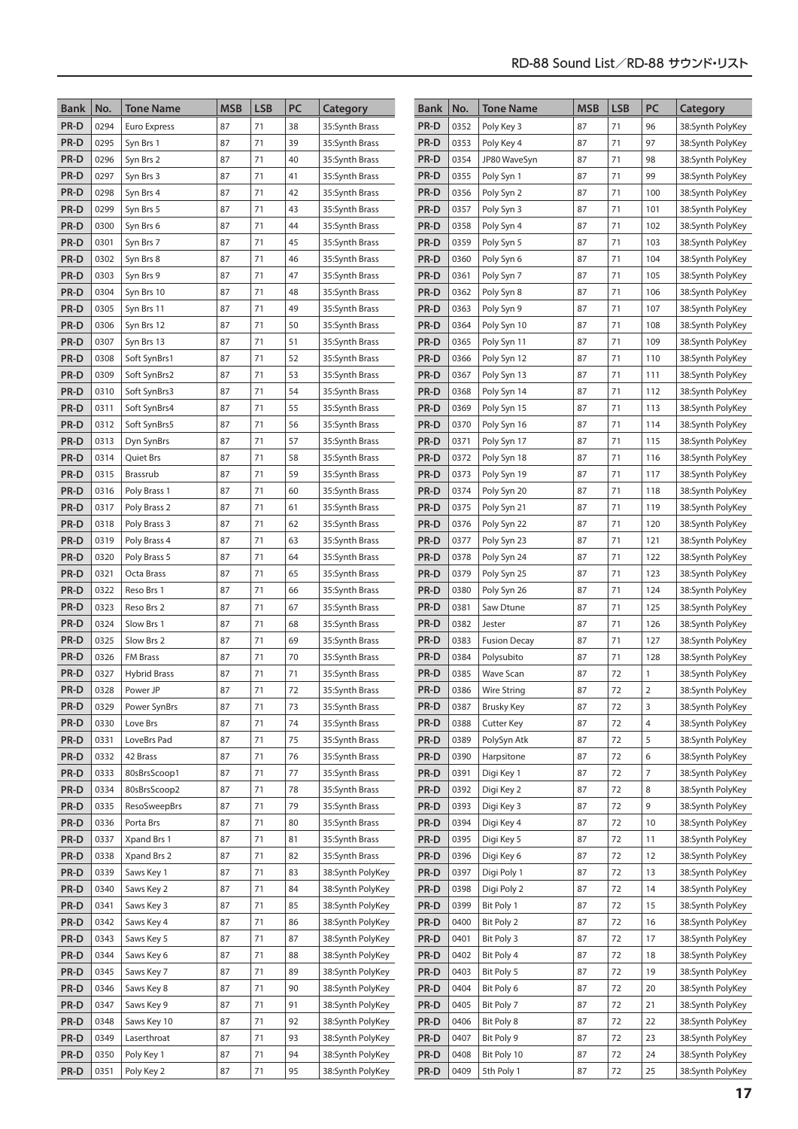| <b>Bank</b>  | No.          | <b>Tone Name</b>         | <b>MSB</b> | <b>LSB</b> | PC       | Category                             | <b>Bank</b>  | No.          | <b>Tone Name</b>           | <b>MSB</b> | <b>LSB</b> | PC             | Category                             |
|--------------|--------------|--------------------------|------------|------------|----------|--------------------------------------|--------------|--------------|----------------------------|------------|------------|----------------|--------------------------------------|
| PR-D         | 0294         | Euro Express             | 87         | 71         | 38       | 35:Synth Brass                       | PR-D         | 0352         | Poly Key 3                 | 87         | 71         | 96             | 38:Synth PolyKey                     |
| PR-D         | 0295         | Syn Brs 1                | 87         | 71         | 39       | 35:Synth Brass                       | PR-D         | 0353         | Poly Key 4                 | 87         | 71         | 97             | 38:Synth PolyKey                     |
| PR-D         | 0296         | Syn Brs 2                | 87         | 71         | 40       | 35: Synth Brass                      | PR-D         | 0354         | JP80 WaveSyn               | 87         | 71         | 98             | 38:Synth PolyKey                     |
| PR-D         | 0297         | Syn Brs 3                | 87         | 71         | 41       | 35:Synth Brass                       | PR-D         | 0355         | Poly Syn 1                 | 87         | 71         | 99             | 38:Synth PolyKey                     |
| PR-D         | 0298         | Syn Brs 4                | 87         | 71         | 42       | 35:Synth Brass                       | PR-D         | 0356         | Poly Syn 2                 | 87         | 71         | 100            | 38:Synth PolyKey                     |
| PR-D         | 0299         | Syn Brs 5                | 87         | 71         | 43       | 35:Synth Brass                       | PR-D         | 0357         | Poly Syn 3                 | 87         | 71         | 101            | 38:Synth PolyKey                     |
| PR-D         | 0300         | Syn Brs 6                | 87         | 71         | 44       | 35:Synth Brass                       | PR-D         | 0358         | Poly Syn 4                 | 87         | 71         | 102            | 38:Synth PolyKey                     |
| PR-D         | 0301         | Syn Brs 7                | 87         | 71         | 45       | 35:Synth Brass                       | PR-D         | 0359         | Poly Syn 5                 | 87         | 71         | 103            | 38:Synth PolyKey                     |
| PR-D         | 0302         | Syn Brs 8                | 87         | 71         | 46       | 35:Synth Brass                       | PR-D         | 0360         | Poly Syn 6                 | 87         | 71         | 104            | 38:Synth PolyKey                     |
| PR-D         | 0303         | Syn Brs 9                | 87         | 71         | 47       | 35:Synth Brass                       | PR-D         | 0361         | Poly Syn 7                 | 87         | 71         | 105            | 38:Synth PolyKey                     |
| PR-D         | 0304         | Syn Brs 10               | 87         | 71         | 48       | 35:Synth Brass                       | PR-D         | 0362         | Poly Syn 8                 | 87         | 71         | 106            | 38:Synth PolyKey                     |
| PR-D         | 0305         | Syn Brs 11               | 87         | 71         | 49       | 35:Synth Brass                       | PR-D         | 0363         | Poly Syn 9                 | 87         | 71         | 107            | 38:Synth PolyKey                     |
| PR-D         | 0306         | Syn Brs 12               | 87         | 71         | 50       | 35:Synth Brass                       | PR-D         | 0364         | Poly Syn 10                | 87         | 71         | 108            | 38:Synth PolyKey                     |
| PR-D         | 0307         | Syn Brs 13               | 87         | 71         | 51       | 35:Synth Brass                       | PR-D         | 0365         | Poly Syn 11                | 87         | 71         | 109            | 38:Synth PolyKey                     |
| PR-D         | 0308         | Soft SynBrs1             | 87         | 71         | 52       | 35:Synth Brass                       | PR-D         | 0366         | Poly Syn 12                | 87         | 71         | 110            | 38:Synth PolyKey                     |
| PR-D         | 0309         | Soft SynBrs2             | 87         | 71         | 53       | 35:Synth Brass                       | PR-D         | 0367         | Poly Syn 13                | 87         | 71         | 111            | 38:Synth PolyKey                     |
| PR-D         | 0310         | Soft SynBrs3             | 87         | 71         | 54       | 35:Synth Brass                       | PR-D         | 0368         | Poly Syn 14                | 87         | 71         | 112            | 38:Synth PolyKey                     |
| PR-D         | 0311         | Soft SynBrs4             | 87         | 71         | 55       | 35:Synth Brass                       | PR-D         | 0369         | Poly Syn 15                | 87         | 71         | 113            | 38:Synth PolyKey                     |
| PR-D         | 0312         | Soft SynBrs5             | 87         | 71         | 56       | 35:Synth Brass                       | PR-D         | 0370         | Poly Syn 16                | 87         | 71         | 114            | 38:Synth PolyKey                     |
| PR-D         | 0313         | Dyn SynBrs               | 87         | 71         | 57       | 35: Synth Brass                      | PR-D         | 0371         | Poly Syn 17                | 87         | 71         | 115            | 38:Synth PolyKey                     |
| PR-D         | 0314         | <b>Quiet Brs</b>         | 87         | 71         | 58       | 35:Synth Brass                       | PR-D         | 0372         | Poly Syn 18                | 87         | 71         | 116            | 38:Synth PolyKey                     |
| PR-D         | 0315         | Brassrub                 | 87         | 71         | 59       | 35:Synth Brass                       | PR-D         | 0373         | Poly Syn 19                | 87         | 71         | 117            | 38:Synth PolyKey                     |
| PR-D         | 0316         | Poly Brass 1             | 87         | 71         | 60       | 35:Synth Brass                       | PR-D         | 0374         | Poly Syn 20                | 87         | 71         | 118            | 38:Synth PolyKey                     |
| PR-D         | 0317         | Poly Brass 2             | 87         | 71         | 61       | 35:Synth Brass                       | PR-D         | 0375         | Poly Syn 21                | 87         | 71         | 119            | 38:Synth PolyKey                     |
| PR-D         | 0318         | Poly Brass 3             | 87         | 71         | 62       | 35:Synth Brass                       | PR-D         | 0376         | Poly Syn 22                | 87         | 71         | 120            | 38:Synth PolyKey                     |
| PR-D         | 0319         | Poly Brass 4             | 87         | 71         | 63       | 35:Synth Brass                       | PR-D         | 0377         | Poly Syn 23                | 87         | 71         | 121            | 38:Synth PolyKey                     |
| PR-D         | 0320         | Poly Brass 5             | 87         | 71         | 64       | 35:Synth Brass                       | PR-D         | 0378         | Poly Syn 24                | 87         | 71         | 122            | 38:Synth PolyKey                     |
| PR-D         | 0321         | Octa Brass               | 87         | 71         | 65       | 35:Synth Brass                       | PR-D         | 0379         | Poly Syn 25                | 87         | 71         | 123            | 38:Synth PolyKey                     |
| PR-D         | 0322         | Reso Brs 1               | 87         | 71         | 66       | 35:Synth Brass                       | PR-D         | 0380         | Poly Syn 26                | 87         | 71         | 124            | 38:Synth PolyKey                     |
| PR-D         | 0323         | Reso Brs 2               | 87         | 71         | 67       | 35:Synth Brass                       | PR-D         | 0381         | Saw Dtune                  | 87         | 71         | 125            | 38:Synth PolyKey                     |
| PR-D         | 0324         | Slow Brs 1               | 87         | 71         | 68       | 35:Synth Brass                       | PR-D         | 0382         | Jester                     | 87         | 71         | 126            | 38:Synth PolyKey                     |
| PR-D         | 0325         | Slow Brs 2               | 87         | 71         | 69       | 35:Synth Brass                       | PR-D         | 0383         | <b>Fusion Decay</b>        | 87         | 71         | 127            | 38:Synth PolyKey                     |
| PR-D         | 0326         | <b>FM Brass</b>          | 87         | 71         | 70       | 35:Synth Brass                       | PR-D         | 0384         | Polysubito                 | 87         | 71         | 128            | 38:Synth PolyKey                     |
| PR-D         | 0327         | <b>Hybrid Brass</b>      | 87         | 71         | 71       | 35:Synth Brass                       | PR-D         | 0385         | <b>Wave Scan</b>           | 87         | 72         | 1              | 38:Synth PolyKey                     |
| PR-D         | 0328         | Power JP                 | 87         | 71         | 72       | 35:Synth Brass                       | PR-D         | 0386         | <b>Wire String</b>         | 87         | 72         | $\overline{2}$ | 38:Synth PolyKey                     |
| PR-D         | 0329         | Power SynBrs             | 87         | 71         | 73       | 35:Synth Brass                       | PR-D         | 0387         | <b>Brusky Key</b>          | 87         | 72         | 3              | 38:Synth PolyKey                     |
| PR-D         | 0330         | Love Brs                 | 87         | 71         | 74       | 35:Synth Brass                       | PR-D         | 0388         | <b>Cutter Key</b>          | 87         | 72         | 4              | 38:Synth PolyKey                     |
| PR-D         | 0331         | LoveBrs Pad              | 87         | 71         | 75       | 35:Synth Brass                       | PR-D         | 0389         | PolySyn Atk                | 87         | 72         | 5              | 38:Synth PolyKey                     |
| PR-D         | 0332         | 42 Brass                 | 87         | 71         | 76       | 35:Synth Brass                       | PR-D         | 0390         | Harpsitone                 | 87         | 72         | 6              | 38:Synth PolyKey                     |
| PR-D         | 0333         | 80sBrsScoop1             | 87         | 71         | 77       | 35:Synth Brass                       | PR-D         | 0391         | Digi Key 1                 | 87         | 72         | $\overline{7}$ | 38:Synth PolyKey                     |
| PR-D         | 0334         | 80sBrsScoop2             | 87         | 71         | 78       | 35:Synth Brass                       | PR-D         | 0392         | Digi Key 2                 | 87         | 72         | 8              | 38:Synth PolyKey                     |
| PR-D         | 0335         | <b>ResoSweepBrs</b>      | 87         | 71         | 79       | 35:Synth Brass                       | PR-D         | 0393         | Digi Key 3                 | 87         | 72         | 9              | 38:Synth PolyKey                     |
| PR-D         | 0336         | Porta Brs                | 87         | 71         | 80       | 35:Synth Brass                       | PR-D<br>PR-D | 0394         | Digi Key 4                 | 87<br>87   | 72         | 10             | 38:Synth PolyKey                     |
| PR-D         | 0337         | Xpand Brs 1              | 87         | 71         | 81       | 35:Synth Brass                       | PR-D         | 0395         | Digi Key 5<br>Digi Key 6   |            | 72         | 11             | 38:Synth PolyKey                     |
| PR-D<br>PR-D | 0338<br>0339 | Xpand Brs 2              | 87         | 71         | 82<br>83 | 35:Synth Brass                       |              | 0396<br>0397 |                            | 87<br>87   | 72<br>72   | 12             | 38:Synth PolyKey                     |
| PR-D         | 0340         | Saws Key 1<br>Saws Key 2 | 87<br>87   | 71<br>71   | 84       | 38:Synth PolyKey<br>38:Synth PolyKey | PR-D<br>PR-D | 0398         | Digi Poly 1<br>Digi Poly 2 | 87         | 72         | 13             | 38:Synth PolyKey<br>38:Synth PolyKey |
| PR-D         | 0341         | Saws Key 3               | 87         | 71         | 85       | 38:Synth PolyKey                     | PR-D         | 0399         | Bit Poly 1                 | 87         | 72         | 14<br>15       | 38:Synth PolyKey                     |
| PR-D         | 0342         | Saws Key 4               | 87         | 71         | 86       | 38:Synth PolyKey                     | PR-D         | 0400         | Bit Poly 2                 | 87         | 72         | 16             | 38:Synth PolyKey                     |
| PR-D         | 0343         | Saws Key 5               | 87         | 71         | 87       | 38:Synth PolyKey                     | PR-D         | 0401         | Bit Poly 3                 | 87         | 72         | 17             | 38:Synth PolyKey                     |
| PR-D         | 0344         | Saws Key 6               | 87         | 71         | 88       |                                      | PR-D         | 0402         | Bit Poly 4                 | 87         | 72         | 18             |                                      |
| PR-D         | 0345         | Saws Key 7               | 87         | 71         | 89       | 38:Synth PolyKey<br>38:Synth PolyKey | PR-D         | 0403         | Bit Poly 5                 | 87         | 72         | 19             | 38:Synth PolyKey<br>38:Synth PolyKey |
| PR-D         | 0346         | Saws Key 8               | 87         | 71         | 90       | 38:Synth PolyKey                     | PR-D         | 0404         | Bit Poly 6                 | 87         | 72         | 20             | 38:Synth PolyKey                     |
| PR-D         | 0347         | Saws Key 9               | 87         | 71         | 91       | 38:Synth PolyKey                     | PR-D         | 0405         | Bit Poly 7                 | 87         | 72         | 21             | 38:Synth PolyKey                     |
| PR-D         | 0348         | Saws Key 10              | 87         | 71         | 92       | 38:Synth PolyKey                     | PR-D         | 0406         | Bit Poly 8                 | 87         | 72         | 22             | 38:Synth PolyKey                     |
| PR-D         | 0349         | Laserthroat              | 87         | 71         | 93       | 38:Synth PolyKey                     | PR-D         | 0407         | Bit Poly 9                 | 87         | 72         | 23             | 38:Synth PolyKey                     |
| PR-D         | 0350         | Poly Key 1               | 87         | 71         | 94       | 38:Synth PolyKey                     | PR-D         | 0408         | Bit Poly 10                | 87         | 72         | 24             | 38:Synth PolyKey                     |
| PR-D         | 0351         | Poly Key 2               | 87         | 71         | 95       | 38:Synth PolyKey                     | PR-D         | 0409         | 5th Poly 1                 | 87         | 72         | 25             | 38:Synth PolyKey                     |
|              |              |                          |            |            |          |                                      |              |              |                            |            |            |                |                                      |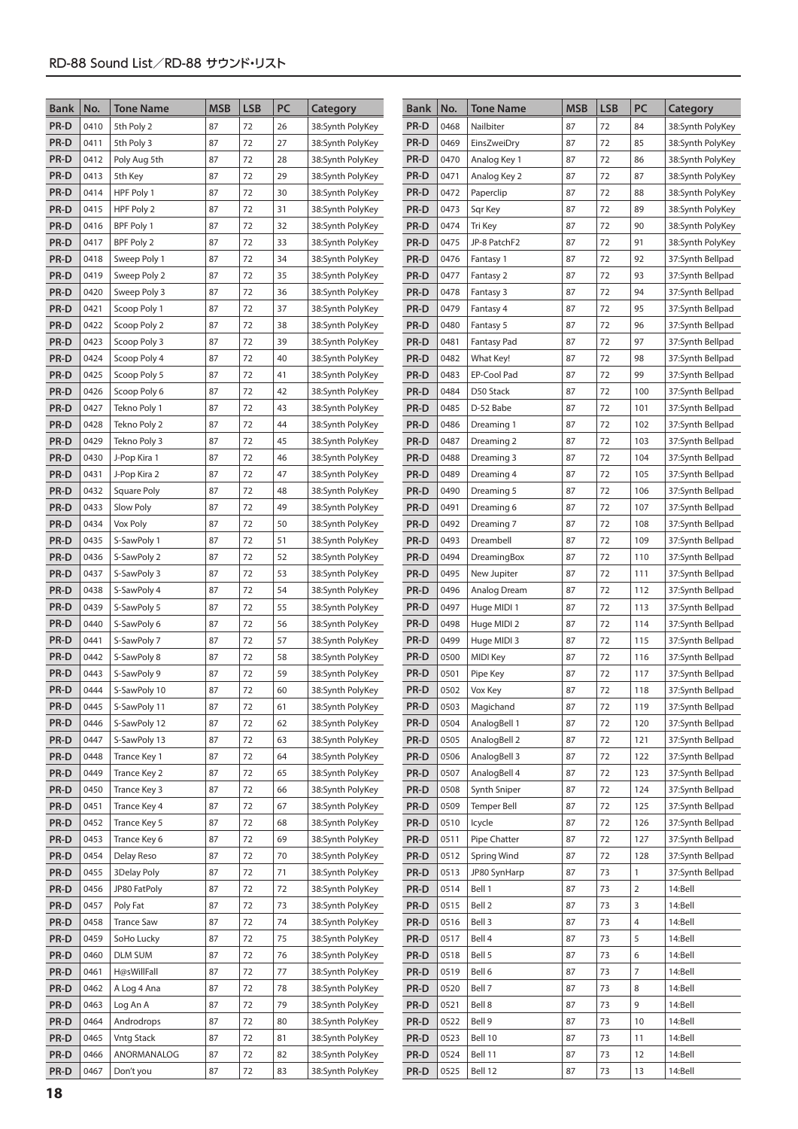| <b>Bank</b>  | No.          | <b>Tone Name</b>             | <b>MSB</b> | <b>LSB</b> | PC       | Category                             | Bank         | No.          | <b>Tone Name</b>     | <b>MSB</b> | <b>LSB</b> | PC             | Category                             |
|--------------|--------------|------------------------------|------------|------------|----------|--------------------------------------|--------------|--------------|----------------------|------------|------------|----------------|--------------------------------------|
| PR-D         | 0410         | 5th Poly 2                   | 87         | 72         | 26       | 38:Synth PolyKey                     | PR-D         | 0468         | Nailbiter            | 87         | 72         | 84             | 38:Synth PolyKey                     |
| PR-D         | 0411         | 5th Poly 3                   | 87         | 72         | 27       | 38:Synth PolyKey                     | PR-D         | 0469         | EinsZweiDry          | 87         | 72         | 85             | 38:Synth PolyKey                     |
| PR-D         | 0412         | Poly Aug 5th                 | 87         | 72         | 28       | 38:Synth PolyKey                     | PR-D         | 0470         | Analog Key 1         | 87         | 72         | 86             | 38:Synth PolyKey                     |
| PR-D         | 0413         | 5th Key                      | 87         | 72         | 29       | 38:Synth PolyKey                     | PR-D         | 0471         | Analog Key 2         | 87         | 72         | 87             | 38:Synth PolyKey                     |
| PR-D         | 0414         | HPF Poly 1                   | 87         | 72         | 30       | 38:Synth PolyKey                     | PR-D         | 0472         | Paperclip            | 87         | 72         | 88             | 38:Synth PolyKey                     |
| PR-D         | 0415         | HPF Poly 2                   | 87         | 72         | 31       | 38:Synth PolyKey                     | PR-D         | 0473         | Sqr Key              | 87         | 72         | 89             | 38:Synth PolyKey                     |
| PR-D         | 0416         | BPF Poly 1                   | 87         | 72         | 32       | 38:Synth PolyKey                     | PR-D         | 0474         | Tri Key              | 87         | 72         | 90             | 38:Synth PolyKey                     |
| PR-D         | 0417         | BPF Poly 2                   | 87         | 72         | 33       | 38:Synth PolyKey                     | PR-D         | 0475         | JP-8 PatchF2         | 87         | 72         | 91             | 38:Synth PolyKey                     |
| PR-D         | 0418         | Sweep Poly 1                 | 87         | 72         | 34       | 38:Synth PolyKey                     | PR-D         | 0476         | Fantasy 1            | 87         | 72         | 92             | 37:Synth Bellpad                     |
| PR-D         | 0419         | Sweep Poly 2                 | 87         | 72         | 35       | 38:Synth PolyKey                     | PR-D         | 0477         | Fantasy 2            | 87         | 72         | 93             | 37:Synth Bellpad                     |
| PR-D         | 0420         | Sweep Poly 3                 | 87         | 72         | 36       | 38:Synth PolyKey                     | PR-D         | 0478         | Fantasy 3            | 87         | 72         | 94             | 37:Synth Bellpad                     |
| PR-D         | 0421         | Scoop Poly 1                 | 87         | 72         | 37       | 38:Synth PolyKey                     | PR-D         | 0479         | Fantasy 4            | 87         | 72         | 95             | 37:Synth Bellpad                     |
| PR-D         | 0422         | Scoop Poly 2                 | 87         | 72         | 38       | 38:Synth PolyKey                     | PR-D         | 0480         | Fantasy 5            | 87         | 72         | 96             | 37:Synth Bellpad                     |
| PR-D         | 0423         | Scoop Poly 3                 | 87         | 72         | 39       | 38:Synth PolyKey                     | PR-D         | 0481         | <b>Fantasy Pad</b>   | 87         | 72         | 97             | 37:Synth Bellpad                     |
| PR-D         | 0424         | Scoop Poly 4                 | 87         | 72         | 40       | 38:Synth PolyKey                     | PR-D         | 0482         | What Key!            | 87         | 72         | 98             | 37:Synth Bellpad                     |
| PR-D         | 0425         | Scoop Poly 5                 | 87         | 72         | 41       | 38:Synth PolyKey                     | PR-D         | 0483         | EP-Cool Pad          | 87         | 72         | 99             | 37:Synth Bellpad                     |
| PR-D         | 0426         | Scoop Poly 6                 | 87         | 72         | 42       | 38:Synth PolyKey                     | PR-D         | 0484         | D50 Stack            | 87         | 72         | 100            | 37:Synth Bellpad                     |
| PR-D         | 0427         | Tekno Poly 1                 | 87         | 72         | 43       | 38:Synth PolyKey                     | PR-D         | 0485         | D-52 Babe            | 87         | 72         | 101            | 37:Synth Bellpad                     |
| PR-D         | 0428         | Tekno Poly 2                 | 87         | 72         | 44       | 38:Synth PolyKey                     | PR-D         | 0486         | Dreaming 1           | 87         | 72         | 102            | 37:Synth Bellpad                     |
| PR-D         | 0429         | Tekno Poly 3                 | 87         | 72         | 45       | 38:Synth PolyKey                     | PR-D         | 0487         | Dreaming 2           | 87         | 72         | 103            | 37:Synth Bellpad                     |
| PR-D         | 0430         | J-Pop Kira 1                 | 87         | 72         | 46       | 38:Synth PolyKey                     | PR-D         | 0488         | Dreaming 3           | 87         | 72         | 104            | 37:Synth Bellpad                     |
| PR-D         | 0431         | J-Pop Kira 2                 | 87         | 72         | 47       | 38:Synth PolyKey                     | PR-D         | 0489         | Dreaming 4           | 87         | 72         | 105            | 37:Synth Bellpad                     |
| PR-D         | 0432         | Square Poly                  | 87         | 72         | 48       | 38:Synth PolyKey                     | PR-D         | 0490         | Dreaming 5           | 87         | 72         | 106            | 37:Synth Bellpad                     |
| PR-D         | 0433         | Slow Poly                    | 87         | 72         | 49       | 38:Synth PolyKey                     | PR-D         | 0491         | Dreaming 6           | 87         | 72         | 107            | 37:Synth Bellpad                     |
| PR-D         | 0434         | Vox Poly                     | 87         | 72         | 50       | 38:Synth PolyKey                     | PR-D         | 0492         | Dreaming 7           | 87         | 72         | 108            | 37:Synth Bellpad                     |
| PR-D         | 0435         | S-SawPoly 1                  | 87         | 72         | 51       | 38:Synth PolyKey                     | PR-D         | 0493         | Dreambell            | 87         | 72         | 109            | 37:Synth Bellpad                     |
| PR-D         | 0436         | S-SawPoly 2                  | 87         | 72         | 52       | 38:Synth PolyKey                     | PR-D         | 0494         | DreamingBox          | 87         | 72         | 110            | 37:Synth Bellpad                     |
| PR-D         | 0437         | S-SawPoly 3                  | 87         | 72         | 53       | 38:Synth PolyKey                     | PR-D         | 0495         | New Jupiter          | 87         | 72         | 111            | 37:Synth Bellpad                     |
| PR-D         | 0438         | S-SawPoly 4                  | 87         | 72         | 54       | 38:Synth PolyKey                     | PR-D         | 0496         | Analog Dream         | 87         | 72         | 112            | 37:Synth Bellpad                     |
| PR-D         | 0439         | S-SawPoly 5                  | 87         | 72         | 55       | 38:Synth PolyKey                     | PR-D         | 0497         | Huge MIDI 1          | 87         | 72         | 113            | 37:Synth Bellpad                     |
| PR-D         | 0440         | S-SawPoly 6                  | 87         | 72         | 56       | 38:Synth PolyKey                     | PR-D         | 0498         | Huge MIDI 2          | 87         | 72         | 114            | 37:Synth Bellpad                     |
| PR-D         | 0441         | S-SawPoly 7                  | 87         | 72         | 57       | 38:Synth PolyKey                     | PR-D         | 0499         | Huge MIDI 3          | 87         | 72         | 115            | 37:Synth Bellpad                     |
| PR-D         | 0442         | S-SawPoly 8                  | 87         | 72         | 58       | 38:Synth PolyKey                     | PR-D         | 0500         | <b>MIDI Key</b>      | 87         | 72         | 116            | 37:Synth Bellpad                     |
| PR-D         | 0443         | S-SawPoly 9                  | 87         | 72<br>72   | 59       | 38:Synth PolyKey                     | PR-D         | 0501         | Pipe Key             | 87<br>87   | 72<br>72   | 117            | 37:Synth Bellpad                     |
| PR-D         | 0444<br>0445 | S-SawPoly 10<br>S-SawPoly 11 | 87<br>87   | 72         | 60       | 38:Synth PolyKey                     | PR-D<br>PR-D | 0502<br>0503 | Vox Key<br>Magichand | 87         | 72         | 118<br>119     | 37:Synth Bellpad<br>37:Synth Bellpad |
| PR-D<br>PR-D | 0446         | S-SawPoly 12                 | 87         | 72         | 61<br>62 | 38:Synth PolyKey<br>38:Synth PolyKey | PR-D         | 0504         | AnalogBell 1         | 87         | 72         | 120            | 37:Synth Bellpad                     |
| PR-D         | 0447         | S-SawPoly 13                 | 87         | 72         | 63       | 38:Synth PolyKey                     | PR-D         | 0505         | AnalogBell 2         | 87         | 72         | 121            | 37:Synth Bellpad                     |
| PR-D         | 0448         | Trance Key 1                 | 87         | 72         | 64       | 38:Synth PolyKey                     | PR-D         | 0506         | AnalogBell 3         | 87         | 72         | 122            | 37:Synth Bellpad                     |
| PR-D         | 0449         | Trance Key 2                 | 87         | 72         | 65       | 38:Synth PolyKey                     | PR-D         | 0507         | AnalogBell 4         | 87         | 72         | 123            | 37:Synth Bellpad                     |
| PR-D         | 0450         | Trance Key 3                 | 87         | 72         | 66       | 38:Synth PolyKey                     | PR-D         | 0508         | Synth Sniper         | 87         | 72         | 124            | 37:Synth Bellpad                     |
| PR-D         | 0451         | Trance Key 4                 | 87         | 72         | 67       | 38:Synth PolyKey                     | PR-D         | 0509         | Temper Bell          | 87         | 72         | 125            | 37:Synth Bellpad                     |
| PR-D         | 0452         | Trance Key 5                 | 87         | 72         | 68       | 38:Synth PolyKey                     | PR-D         | 0510         | Icycle               | 87         | 72         | 126            | 37:Synth Bellpad                     |
| PR-D         | 0453         | Trance Key 6                 | 87         | 72         | 69       | 38:Synth PolyKey                     | PR-D         | 0511         | Pipe Chatter         | 87         | 72         | 127            | 37:Synth Bellpad                     |
| PR-D         | 0454         | Delay Reso                   | 87         | 72         | 70       | 38:Synth PolyKey                     | PR-D         | 0512         | <b>Spring Wind</b>   | 87         | 72         | 128            | 37:Synth Bellpad                     |
| PR-D         | 0455         | 3Delay Poly                  | 87         | 72         | 71       | 38:Synth PolyKey                     | PR-D         | 0513         | JP80 SynHarp         | 87         | 73         | $\mathbf{1}$   | 37:Synth Bellpad                     |
| PR-D         | 0456         | JP80 FatPoly                 | 87         | 72         | 72       | 38:Synth PolyKey                     | PR-D         | 0514         | Bell 1               | 87         | 73         | $\overline{2}$ | 14:Bell                              |
| PR-D         | 0457         | Poly Fat                     | 87         | 72         | 73       | 38:Synth PolyKey                     | PR-D         | 0515         | Bell 2               | 87         | 73         | 3              | 14:Bell                              |
| PR-D         | 0458         | <b>Trance Saw</b>            | 87         | 72         | 74       | 38:Synth PolyKey                     | PR-D         | 0516         | Bell 3               | 87         | 73         | 4              | 14:Bell                              |
| PR-D         | 0459         | SoHo Lucky                   | 87         | 72         | 75       | 38:Synth PolyKey                     | PR-D         | 0517         | Bell 4               | 87         | 73         | 5              | 14:Bell                              |
| PR-D         | 0460         | DLM SUM                      | 87         | 72         | 76       | 38:Synth PolyKey                     | PR-D         | 0518         | Bell 5               | 87         | 73         | 6              | 14:Bell                              |
| PR-D         | 0461         | H@sWillFall                  | 87         | 72         | 77       | 38:Synth PolyKey                     | PR-D         | 0519         | Bell 6               | 87         | 73         | $\overline{7}$ | 14:Bell                              |
| PR-D         | 0462         | A Log 4 Ana                  | 87         | 72         | 78       | 38:Synth PolyKey                     | PR-D         | 0520         | Bell 7               | 87         | 73         | 8              | 14:Bell                              |
| PR-D         | 0463         | Log An A                     | 87         | 72         | 79       | 38:Synth PolyKey                     | PR-D         | 0521         | Bell 8               | 87         | 73         | 9              | 14:Bell                              |
| PR-D         | 0464         | Androdrops                   | 87         | 72         | 80       | 38:Synth PolyKey                     | PR-D         | 0522         | Bell 9               | 87         | 73         | 10             | 14:Bell                              |
| PR-D         | 0465         | <b>Vntg Stack</b>            | 87         | 72         | 81       | 38:Synth PolyKey                     | PR-D         | 0523         | Bell 10              | 87         | 73         | 11             | 14:Bell                              |
| PR-D         | 0466         | ANORMANALOG                  | 87         | 72         | 82       | 38:Synth PolyKey                     | PR-D         | 0524         | Bell 11              | 87         | 73         | 12             | 14:Bell                              |
| PR-D         | 0467         | Don't you                    | 87         | 72         | 83       | 38:Synth PolyKey                     | PR-D         | 0525         | Bell 12              | 87         | 73         | 13             | 14:Bell                              |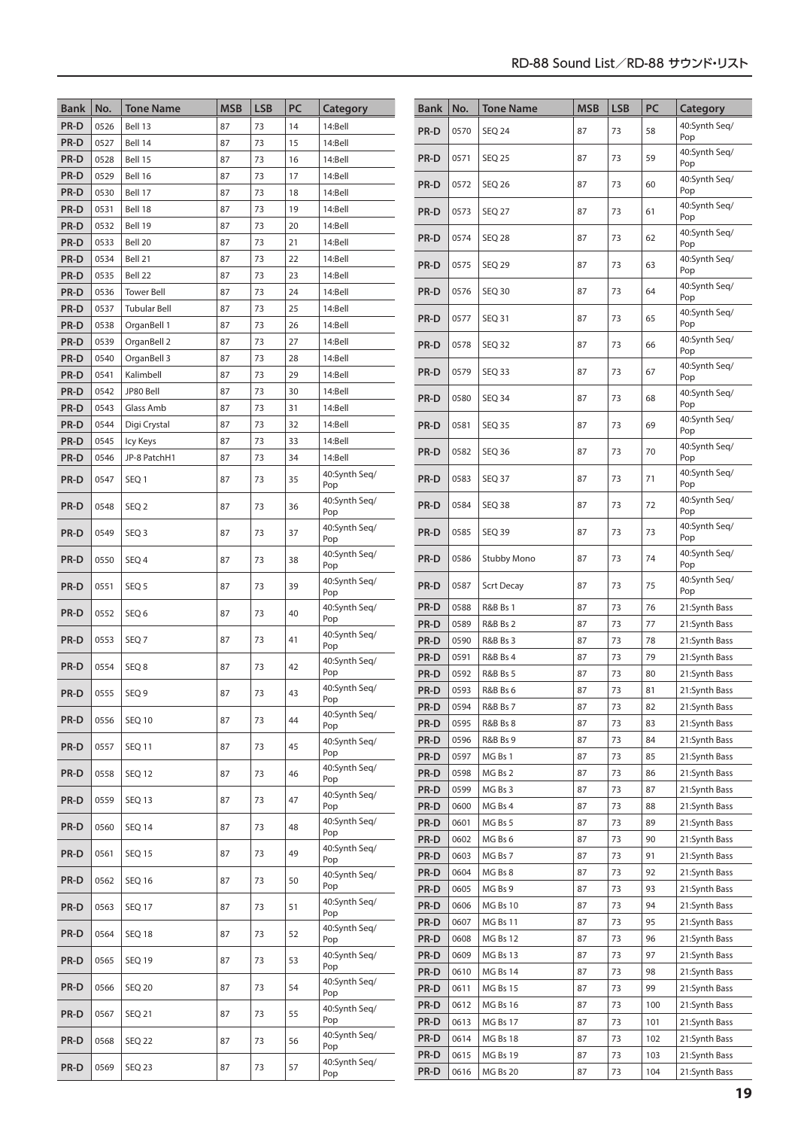| <b>Bank</b>  | No.          | <b>Tone Name</b>         | <b>MSB</b> | <b>LSB</b> | PC       | Category             | <b>Bank</b>  | No.          | <b>Tone Name</b>                           | <b>MSB</b> | <b>LSB</b> | PC       | Category                       |
|--------------|--------------|--------------------------|------------|------------|----------|----------------------|--------------|--------------|--------------------------------------------|------------|------------|----------|--------------------------------|
| PR-D         | 0526         | Bell 13                  | 87         | 73         | 14       | 14:Bell              | PR-D         | 0570         | <b>SEQ 24</b>                              | 87         | 73         | 58       | 40:Synth Seg/                  |
| PR-D         | 0527         | Bell 14                  | 87         | 73         | 15       | 14:Bell              |              |              |                                            |            |            |          | Pop                            |
| PR-D         | 0528         | Bell 15                  | 87         | 73         | 16       | 14:Bell              | PR-D         | 0571         | <b>SEQ 25</b>                              | 87         | 73         | 59       | 40:Synth Seq/<br>Pop           |
| PR-D         | 0529         | Bell 16                  | 87         | 73         | 17       | 14:Bell              | PR-D         | 0572         | <b>SEQ 26</b>                              | 87         | 73         | 60       | 40:Synth Seq/                  |
| PR-D         | 0530         | Bell 17                  | 87         | 73         | 18       | 14:Bell              |              |              |                                            |            |            |          | Pop                            |
| PR-D         | 0531         | Bell 18                  | 87         | 73         | 19       | 14:Bell              | PR-D         | 0573         | <b>SEQ 27</b>                              | 87         | 73         | 61       | 40:Synth Seq/<br>Pop           |
| PR-D         | 0532         | Bell 19                  | 87         | 73         | 20       | 14:Bell              | PR-D         | 0574         | <b>SEQ 28</b>                              | 87         | 73         | 62       | 40:Synth Seq/                  |
| PR-D         | 0533         | Bell 20                  | 87         | 73         | 21       | 14:Bell              |              |              |                                            |            |            |          | Pop                            |
| PR-D         | 0534         | Bell 21                  | 87         | 73         | 22       | 14:Bell              | PR-D         | 0575         | <b>SEQ 29</b>                              | 87         | 73         | 63       | 40:Synth Seq/<br>Pop           |
| PR-D         | 0535         | Bell 22                  | 87         | 73         | 23       | 14:Bell              |              |              |                                            |            |            |          | 40:Synth Seq/                  |
| PR-D         | 0536         | <b>Tower Bell</b>        | 87         | 73         | 24       | 14:Bell              | PR-D         | 0576         | <b>SEQ 30</b>                              | 87         | 73         | 64       | Pop                            |
| PR-D         | 0537         | <b>Tubular Bell</b>      | 87         | 73         | 25       | 14:Bell              | PR-D         | 0577         | <b>SEQ 31</b>                              | 87         | 73         | 65       | 40:Synth Seq/<br>Pop           |
| PR-D         | 0538         | OrganBell 1              | 87         | 73         | 26       | 14:Bell              |              |              |                                            |            |            |          | 40:Synth Seq/                  |
| PR-D         | 0539         | OrganBell 2              | 87<br>87   | 73<br>73   | 27       | 14:Bell              | PR-D         | 0578         | <b>SEQ 32</b>                              | 87         | 73         | 66       | Pop                            |
| PR-D<br>PR-D | 0540<br>0541 | OrganBell 3<br>Kalimbell | 87         | 73         | 28<br>29 | 14:Bell<br>14:Bell   | PR-D         | 0579         | SEQ <sub>33</sub>                          | 87         | 73         | 67       | 40:Synth Seq/                  |
| PR-D         | 0542         | JP80 Bell                | 87         | 73         | 30       | 14:Bell              |              |              |                                            |            |            |          | Pop<br>40:Synth Seg/           |
| PR-D         | 0543         | Glass Amb                | 87         | 73         | 31       | 14:Bell              | PR-D         | 0580         | <b>SEQ 34</b>                              | 87         | 73         | 68       | Pop                            |
| PR-D         | 0544         | Digi Crystal             | 87         | 73         | 32       | 14:Bell              | PR-D         | 0581         | <b>SEQ 35</b>                              | 87         | 73         | 69       | 40:Synth Seq/                  |
| PR-D         | 0545         | Icy Keys                 | 87         | 73         | 33       | 14:Bell              |              |              |                                            |            |            |          | Pop                            |
| PR-D         | 0546         | JP-8 PatchH1             | 87         | 73         | 34       | 14:Bell              | PR-D         | 0582         | <b>SEQ 36</b>                              | 87         | 73         | 70       | 40:Synth Seq/<br>Pop           |
| PR-D         | 0547         | SEQ <sub>1</sub>         | 87         | 73         | 35       | 40:Synth Seq/        | PR-D         | 0583         | <b>SEQ 37</b>                              | 87         | 73         | 71       | 40:Synth Seq/<br>Pop           |
| PR-D         | 0548         | SEQ <sub>2</sub>         | 87         | 73         | 36       | Pop<br>40:Synth Seq/ | PR-D         | 0584         | SEQ 38                                     | 87         | 73         | 72       | 40:Synth Seq/                  |
|              |              |                          |            |            |          | Pop<br>40:Synth Seq/ |              |              |                                            |            |            |          | Pop<br>40:Synth Seq/           |
| PR-D         | 0549         | SEQ <sub>3</sub>         | 87         | 73         | 37       | Pop<br>40:Synth Seq/ | PR-D         | 0585         | <b>SEQ 39</b>                              | 87         | 73         | 73       | Pop<br>40:Synth Seq/           |
| PR-D         | 0550         | SEQ 4                    | 87         | 73         | 38       | Pop                  | PR-D         | 0586         | <b>Stubby Mono</b>                         | 87         | 73         | 74       | Pop                            |
| PR-D         | 0551         | SEQ <sub>5</sub>         | 87         | 73         | 39       | 40:Synth Seg/<br>Pop | PR-D         | 0587         | <b>Scrt Decay</b>                          | 87         | 73         | 75       | 40:Synth Seq/<br>Pop           |
| PR-D         | 0552         | SEQ 6                    | 87         | 73         | 40       | 40:Synth Seq/<br>Pop | PR-D<br>PR-D | 0588<br>0589 | <b>R&amp;B Bs 1</b><br><b>R&amp;B Bs 2</b> | 87<br>87   | 73<br>73   | 76<br>77 | 21:Synth Bass<br>21:Synth Bass |
| PR-D         | 0553         | SEQ <sub>7</sub>         | 87         | 73         | 41       | 40:Synth Seq/        | PR-D         | 0590         | <b>R&amp;B Bs 3</b>                        | 87         | 73         | 78       | 21:Synth Bass                  |
|              |              |                          |            |            |          | Pop<br>40:Synth Seq/ | PR-D         | 0591         | <b>R&amp;B Bs 4</b>                        | 87         | 73         | 79       | 21:Synth Bass                  |
| PR-D         | 0554         | SEQ <sub>8</sub>         | 87         | 73         | 42       | Pop                  | PR-D         | 0592         | <b>R&amp;B Bs 5</b>                        | 87         | 73         | 80       | 21:Synth Bass                  |
| PR-D         | 0555         | SEQ 9                    | 87         | 73         | 43       | 40:Synth Seq/        | PR-D         | 0593         | R&B Bs 6                                   | 87         | 73         | 81       | 21:Synth Bass                  |
|              |              |                          |            |            |          | Pop                  | PR-D         | 0594         | R&B Bs 7                                   | 87         | 73         | 82       | 21:Synth Bass                  |
| PR-D         | 0556         | <b>SEQ 10</b>            | 87         | 73         | 44       | 40:Synth Seq/<br>Pop | PR-D         | 0595         | R&B Bs 8                                   | 87         | 73         | 83       | 21:Synth Bass                  |
| PR-D         | 0557         | <b>SEQ 11</b>            | 87         | 73         | 45       | 40:Synth Seq/        | PR-D         | 0596         | <b>R&amp;B Bs 9</b>                        | 87         | 73         | 84       | 21:Synth Bass                  |
|              |              |                          |            |            |          | Pop                  | PR-D         | 0597         | MG Bs 1                                    | 87         | 73         | 85       | 21:Synth Bass                  |
| PR-D         | 0558         | <b>SEQ 12</b>            | 87         | 73         | 46       | 40:Synth Seq/<br>Pop | PR-D         | 0598         | MG Bs 2                                    | 87         | 73         | 86       | 21:Synth Bass                  |
|              |              |                          | 87         | 73         | 47       | 40:Synth Seq/        | PR-D         | 0599         | MG Bs 3                                    | 87         | 73         | 87       | 21:Synth Bass                  |
| PR-D         | 0559         | <b>SEQ 13</b>            |            |            |          | Pop                  | PR-D         | 0600         | MG Bs 4                                    | 87         | 73         | 88       | 21:Synth Bass                  |
| PR-D         | 0560         | <b>SEQ 14</b>            | 87         | 73         | 48       | 40:Synth Seq/<br>Pop | PR-D         | 0601         | MG Bs 5                                    | 87         | 73         | 89       | 21:Synth Bass                  |
| PR-D         |              |                          | 87         | 73         | 49       | 40:Synth Seq/        | PR-D         | 0602         | MG Bs 6                                    | 87         | 73         | 90       | 21:Synth Bass                  |
|              | 0561         | <b>SEQ 15</b>            |            |            |          | Pop                  | PR-D         | 0603         | MG Bs 7                                    | 87         | 73         | 91       | 21:Synth Bass                  |
| PR-D         | 0562         | <b>SEQ 16</b>            | 87         | 73         | 50       | 40:Synth Seq/<br>Pop | PR-D         | 0604         | MG Bs 8                                    | 87         | 73         | 92       | 21:Synth Bass                  |
|              |              |                          |            |            |          | 40:Synth Seq/        | PR-D         | 0605         | MG Bs 9                                    | 87<br>87   | 73<br>73   | 93<br>94 | 21:Synth Bass                  |
| PR-D         | 0563         | <b>SEQ 17</b>            | 87         | 73         | 51       | Pop                  | PR-D         | 0606<br>0607 | <b>MG Bs 10</b><br>MG Bs 11                | 87         | 73         | 95       | 21:Synth Bass<br>21:Synth Bass |
| PR-D         | 0564         | SEQ 18                   | 87         | 73         | 52       | 40:Synth Seq/<br>Pop | PR-D<br>PR-D | 0608         | MG Bs 12                                   | 87         | 73         | 96       | 21:Synth Bass                  |
|              |              |                          |            |            |          | 40:Synth Seq/        | PR-D         | 0609         | MG Bs 13                                   | 87         | 73         | 97       | 21:Synth Bass                  |
| PR-D         | 0565         | <b>SEQ 19</b>            | 87         | 73         | 53       | Pop                  | PR-D         | 0610         | MG Bs 14                                   | 87         | 73         | 98       | 21:Synth Bass                  |
| PR-D         | 0566         | <b>SEQ 20</b>            | 87         | 73         | 54       | 40:Synth Seq/<br>Pop | PR-D         | 0611         | MG Bs 15                                   | 87         | 73         | 99       | 21:Synth Bass                  |
|              |              |                          |            |            |          | 40:Synth Seq/        | PR-D         | 0612         | MG Bs 16                                   | 87         | 73         | 100      | 21:Synth Bass                  |
| PR-D         | 0567         | <b>SEQ 21</b>            | 87         | 73         | 55       | Pop                  | PR-D         | 0613         | MG Bs 17                                   | 87         | 73         | 101      | 21:Synth Bass                  |
| PR-D         | 0568         | <b>SEQ 22</b>            | 87         | 73         | 56       | 40:Synth Seq/<br>Pop | PR-D         | 0614         | MG Bs 18                                   | 87         | 73         | 102      | 21:Synth Bass                  |
|              |              |                          |            |            |          | 40:Synth Seq/        | PR-D         | 0615         | MG Bs 19                                   | 87         | 73         | 103      | 21:Synth Bass                  |
| PR-D         | 0569         | <b>SEQ 23</b>            | 87         | 73         | 57       | Pop                  | PR-D         | 0616         | MG Bs 20                                   | 87         | 73         | 104      | 21:Synth Bass                  |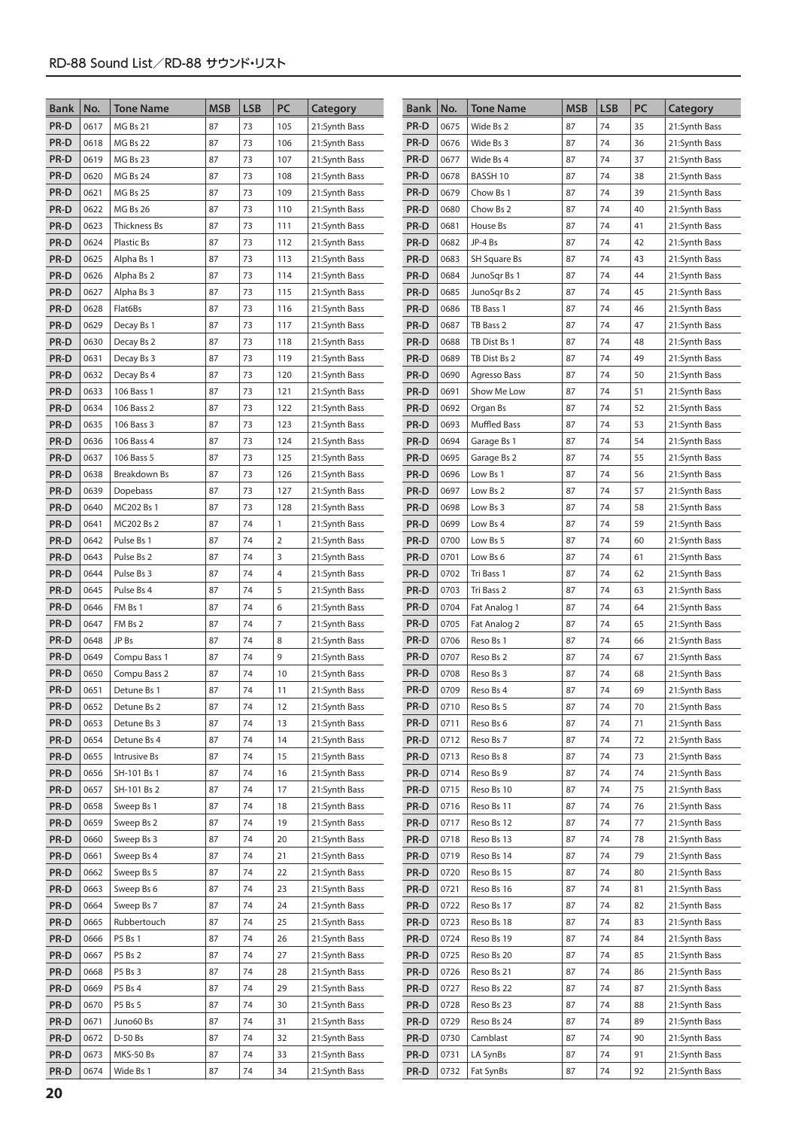| <b>Bank</b> | No.  | <b>Tone Name</b> | <b>MSB</b> | <b>LSB</b> | PC             | Category      | <b>Bank</b> | No.  | <b>Tone Name</b>    | <b>MSB</b> | <b>LSB</b> | PC | Category      |
|-------------|------|------------------|------------|------------|----------------|---------------|-------------|------|---------------------|------------|------------|----|---------------|
| PR-D        | 0617 | <b>MG Bs 21</b>  | 87         | 73         | 105            | 21:Synth Bass | PR-D        | 0675 | Wide Bs 2           | 87         | 74         | 35 | 21:Synth Bass |
| PR-D        | 0618 | <b>MG Bs 22</b>  | 87         | 73         | 106            | 21:Synth Bass | PR-D        | 0676 | Wide Bs 3           | 87         | 74         | 36 | 21:Synth Bass |
| PR-D        | 0619 | MG Bs 23         | 87         | 73         | 107            | 21:Synth Bass | PR-D        | 0677 | Wide Bs 4           | 87         | 74         | 37 | 21:Synth Bass |
| PR-D        | 0620 | MG Bs 24         | 87         | 73         | 108            | 21:Synth Bass | PR-D        | 0678 | BASSH 10            | 87         | 74         | 38 | 21:Synth Bass |
| PR-D        | 0621 | <b>MG Bs 25</b>  | 87         | 73         | 109            | 21:Synth Bass | PR-D        | 0679 | Chow Bs 1           | 87         | 74         | 39 | 21:Synth Bass |
| PR-D        | 0622 | MG Bs 26         | 87         | 73         | 110            | 21:Synth Bass | PR-D        | 0680 | Chow Bs 2           | 87         | 74         | 40 | 21:Synth Bass |
| PR-D        | 0623 | Thickness Bs     | 87         | 73         | 111            | 21:Synth Bass | PR-D        | 0681 | House Bs            | 87         | 74         | 41 | 21:Synth Bass |
| PR-D        | 0624 | Plastic Bs       | 87         | 73         | 112            | 21:Synth Bass | PR-D        | 0682 | JP-4 Bs             | 87         | 74         | 42 | 21:Synth Bass |
| PR-D        | 0625 | Alpha Bs 1       | 87         | 73         | 113            | 21:Synth Bass | PR-D        | 0683 | <b>SH Square Bs</b> | 87         | 74         | 43 | 21:Synth Bass |
| PR-D        | 0626 | Alpha Bs 2       | 87         | 73         | 114            | 21:Synth Bass | PR-D        | 0684 | JunoSqr Bs 1        | 87         | 74         | 44 | 21:Synth Bass |
| PR-D        | 0627 | Alpha Bs 3       | 87         | 73         | 115            | 21:Synth Bass | PR-D        | 0685 | JunoSqr Bs 2        | 87         | 74         | 45 | 21:Synth Bass |
| PR-D        | 0628 | Flat6Bs          | 87         | 73         | 116            | 21:Synth Bass | PR-D        | 0686 | TB Bass 1           | 87         | 74         | 46 | 21:Synth Bass |
| PR-D        | 0629 | Decay Bs 1       | 87         | 73         | 117            | 21:Synth Bass | PR-D        | 0687 | TB Bass 2           | 87         | 74         | 47 | 21:Synth Bass |
| PR-D        | 0630 | Decay Bs 2       | 87         | 73         | 118            | 21:Synth Bass | PR-D        | 0688 | TB Dist Bs 1        | 87         | 74         | 48 | 21:Synth Bass |
| PR-D        | 0631 | Decay Bs 3       | 87         | 73         | 119            | 21:Synth Bass | PR-D        | 0689 | TB Dist Bs 2        | 87         | 74         | 49 | 21:Synth Bass |
| PR-D        | 0632 | Decay Bs 4       | 87         | 73         | 120            | 21:Synth Bass | PR-D        | 0690 | Agresso Bass        | 87         | 74         | 50 | 21:Synth Bass |
| PR-D        | 0633 | 106 Bass 1       | 87         | 73         | 121            | 21:Synth Bass | PR-D        | 0691 | Show Me Low         | 87         | 74         | 51 | 21:Synth Bass |
| PR-D        | 0634 | 106 Bass 2       | 87         | 73         | 122            | 21:Synth Bass | PR-D        | 0692 | Organ Bs            | 87         | 74         | 52 | 21:Synth Bass |
| PR-D        | 0635 | 106 Bass 3       | 87         | 73         | 123            | 21:Synth Bass | PR-D        | 0693 | <b>Muffled Bass</b> | 87         | 74         | 53 | 21:Synth Bass |
| PR-D        | 0636 | 106 Bass 4       | 87         | 73         | 124            | 21:Synth Bass | PR-D        | 0694 | Garage Bs 1         | 87         | 74         | 54 | 21:Synth Bass |
| PR-D        | 0637 | 106 Bass 5       | 87         | 73         | 125            | 21:Synth Bass | PR-D        | 0695 | Garage Bs 2         | 87         | 74         | 55 | 21:Synth Bass |
| PR-D        | 0638 | Breakdown Bs     | 87         | 73         | 126            | 21:Synth Bass | PR-D        | 0696 | Low Bs 1            | 87         | 74         | 56 | 21:Synth Bass |
| PR-D        | 0639 | Dopebass         | 87         | 73         | 127            | 21:Synth Bass | PR-D        | 0697 | Low Bs 2            | 87         | 74         | 57 | 21:Synth Bass |
| PR-D        | 0640 | MC202 Bs 1       | 87         | 73         | 128            | 21:Synth Bass | PR-D        | 0698 | Low Bs 3            | 87         | 74         | 58 | 21:Synth Bass |
| PR-D        | 0641 | MC202 Bs 2       | 87         | 74         | $\mathbf{1}$   | 21:Synth Bass | PR-D        | 0699 | Low Bs 4            | 87         | 74         | 59 | 21:Synth Bass |
| PR-D        | 0642 | Pulse Bs 1       | 87         | 74         | $\overline{2}$ | 21:Synth Bass | PR-D        | 0700 | Low Bs 5            | 87         | 74         | 60 | 21:Synth Bass |
| PR-D        | 0643 | Pulse Bs 2       | 87         | 74         | 3              | 21:Synth Bass | PR-D        | 0701 | Low Bs 6            | 87         | 74         | 61 | 21:Synth Bass |
| PR-D        | 0644 | Pulse Bs 3       | 87         | 74         | $\overline{4}$ | 21:Synth Bass | PR-D        | 0702 | Tri Bass 1          | 87         | 74         | 62 | 21:Synth Bass |
| PR-D        | 0645 | Pulse Bs 4       | 87         | 74         | 5              | 21:Synth Bass | PR-D        | 0703 | Tri Bass 2          | 87         | 74         | 63 | 21:Synth Bass |
| PR-D        | 0646 | FM Bs 1          | 87         | 74         | 6              | 21:Synth Bass | PR-D        | 0704 | Fat Analog 1        | 87         | 74         | 64 | 21:Synth Bass |
| PR-D        | 0647 | FM Bs 2          | 87         | 74         | 7              | 21:Synth Bass | PR-D        | 0705 | Fat Analog 2        | 87         | 74         | 65 | 21:Synth Bass |
| PR-D        | 0648 | JP Bs            | 87         | 74         | 8              | 21:Synth Bass | PR-D        | 0706 | Reso Bs 1           | 87         | 74         | 66 | 21:Synth Bass |
| PR-D        | 0649 | Compu Bass 1     | 87         | 74         | 9              | 21:Synth Bass | PR-D        | 0707 | Reso Bs 2           | 87         | 74         | 67 | 21:Synth Bass |
| PR-D        | 0650 | Compu Bass 2     | 87         | 74         | 10             | 21:Synth Bass | PR-D        | 0708 | Reso Bs 3           | 87         | 74         | 68 | 21:Synth Bass |
| PR-D        | 0651 | Detune Bs 1      | 87         | 74         | 11             | 21:Synth Bass | PR-D        | 0709 | Reso Bs 4           | 87         | 74         | 69 | 21:Synth Bass |
| PR-D        | 0652 | Detune Bs 2      | 87         | 74         | 12             | 21:Synth Bass | PR-D        | 0710 | Reso Bs 5           | 87         | 74         | 70 | 21:Synth Bass |
| PR-D        | 0653 | Detune Bs 3      | 87         | 74         | 13             | 21:Synth Bass | PR-D        | 0711 | Reso Bs 6           | 87         | 74         | 71 | 21:Synth Bass |
| PR-D        | 0654 | Detune Bs 4      | 87         | 74         | 14             | 21:Synth Bass | PR-D        | 0712 | Reso Bs 7           | 87         | 74         | 72 | 21:Synth Bass |
| PR-D        | 0655 | Intrusive Bs     | 87         | 74         | 15             | 21:Synth Bass | PR-D        | 0713 | Reso Bs 8           | 87         | 74         | 73 | 21:Synth Bass |
| PR-D        | 0656 | SH-101 Bs 1      | 87         | 74         | 16             | 21:Synth Bass | PR-D        | 0714 | Reso Bs 9           | 87         | 74         | 74 | 21:Synth Bass |
| PR-D        | 0657 | SH-101 Bs 2      | 87         | 74         | 17             | 21:Synth Bass | PR-D        | 0715 | Reso Bs 10          | 87         | 74         | 75 | 21:Synth Bass |
| PR-D        | 0658 | Sweep Bs 1       | 87         | 74         | 18             | 21:Synth Bass | PR-D        | 0716 | Reso Bs 11          | 87         | 74         | 76 | 21:Synth Bass |
| PR-D        | 0659 | Sweep Bs 2       | 87         | 74         | 19             | 21:Synth Bass | PR-D        | 0717 | Reso Bs 12          | 87         | 74         | 77 | 21:Synth Bass |
| PR-D        | 0660 | Sweep Bs 3       | 87         | 74         | 20             | 21:Synth Bass | PR-D        | 0718 | Reso Bs 13          | 87         | 74         | 78 | 21:Synth Bass |
| PR-D        | 0661 | Sweep Bs 4       | 87         | 74         | 21             | 21:Synth Bass | PR-D        | 0719 | Reso Bs 14          | 87         | 74         | 79 | 21:Synth Bass |
| PR-D        | 0662 | Sweep Bs 5       | 87         | 74         | 22             | 21:Synth Bass | PR-D        | 0720 | Reso Bs 15          | 87         | 74         | 80 | 21:Synth Bass |
| PR-D        | 0663 | Sweep Bs 6       | 87         | 74         | 23             | 21:Synth Bass | PR-D        | 0721 | Reso Bs 16          | 87         | 74         | 81 | 21:Synth Bass |
| PR-D        | 0664 | Sweep Bs 7       | 87         | 74         | 24             | 21:Synth Bass | PR-D        | 0722 | Reso Bs 17          | 87         | 74         | 82 | 21:Synth Bass |
| PR-D        | 0665 | Rubbertouch      | 87         | 74         | 25             | 21:Synth Bass | PR-D        | 0723 | Reso Bs 18          | 87         | 74         | 83 | 21:Synth Bass |
| PR-D        | 0666 | P5 Bs 1          | 87         | 74         | 26             | 21:Synth Bass | PR-D        | 0724 | Reso Bs 19          | 87         | 74         | 84 | 21:Synth Bass |
| PR-D        | 0667 | P5 Bs 2          | 87         | 74         | 27             | 21:Synth Bass | PR-D        | 0725 | Reso Bs 20          | 87         | 74         | 85 | 21:Synth Bass |
| PR-D        | 0668 | P5 Bs 3          | 87         | 74         | 28             | 21:Synth Bass | PR-D        | 0726 | Reso Bs 21          | 87         | 74         | 86 | 21:Synth Bass |
| PR-D        | 0669 | P5 Bs 4          | 87         | 74         | 29             | 21:Synth Bass | PR-D        | 0727 | Reso Bs 22          | 87         | 74         | 87 | 21:Synth Bass |
| PR-D        | 0670 | P5 Bs 5          | 87         | 74         | 30             | 21:Synth Bass | PR-D        | 0728 | Reso Bs 23          | 87         | 74         | 88 | 21:Synth Bass |
| PR-D        | 0671 | Juno60 Bs        | 87         | 74         | 31             | 21:Synth Bass | PR-D        | 0729 | Reso Bs 24          | 87         | 74         | 89 | 21:Synth Bass |
| PR-D        | 0672 | D-50 Bs          | 87         | 74         | 32             | 21:Synth Bass | PR-D        | 0730 | Camblast            | 87         | 74         | 90 | 21:Synth Bass |
| PR-D        | 0673 | MKS-50 Bs        | 87         | 74         | 33             | 21:Synth Bass | PR-D        | 0731 | LA SynBs            | 87         | 74         | 91 | 21:Synth Bass |
| PR-D        | 0674 | Wide Bs 1        | 87         | 74         | 34             | 21:Synth Bass | PR-D        | 0732 | Fat SynBs           | 87         | 74         | 92 | 21:Synth Bass |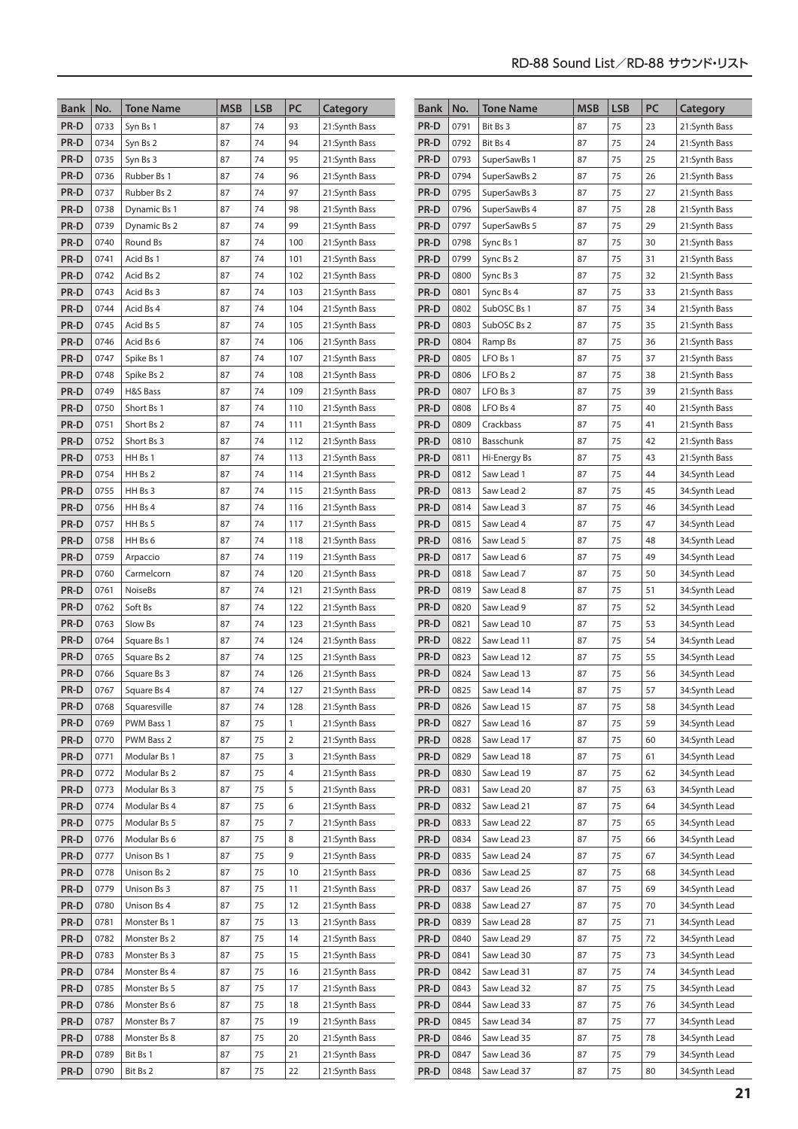| Bank         | No.          | <b>Tone Name</b>             | <b>MSB</b> | <b>LSB</b> | PC           | Category                       | <b>Bank</b>  | No.          | <b>Tone Name</b>           | <b>MSB</b> | <b>LSB</b> | PC       | Category                       |
|--------------|--------------|------------------------------|------------|------------|--------------|--------------------------------|--------------|--------------|----------------------------|------------|------------|----------|--------------------------------|
| PR-D         | 0733         | Syn Bs 1                     | 87         | 74         | 93           | 21:Synth Bass                  | PR-D         | 0791         | Bit Bs 3                   | 87         | 75         | 23       | 21:Synth Bass                  |
| PR-D         | 0734         | Syn Bs 2                     | 87         | 74         | 94           | 21:Synth Bass                  | PR-D         | 0792         | Bit Bs 4                   | 87         | 75         | 24       | 21:Synth Bass                  |
| PR-D         | 0735         | Syn Bs 3                     | 87         | 74         | 95           | 21:Synth Bass                  | PR-D         | 0793         | SuperSawBs 1               | 87         | 75         | 25       | 21:Synth Bass                  |
| PR-D         | 0736         | Rubber Bs 1                  | 87         | 74         | 96           | 21:Synth Bass                  | PR-D         | 0794         | SuperSawBs 2               | 87         | 75         | 26       | 21:Synth Bass                  |
| PR-D         | 0737         | Rubber Bs 2                  | 87         | 74         | 97           | 21:Synth Bass                  | PR-D         | 0795         | SuperSawBs 3               | 87         | 75         | 27       | 21:Synth Bass                  |
| PR-D         | 0738         | Dynamic Bs 1                 | 87         | 74         | 98           | 21:Synth Bass                  | PR-D         | 0796         | SuperSawBs 4               | 87         | 75         | 28       | 21:Synth Bass                  |
| PR-D         | 0739         | Dynamic Bs 2                 | 87         | 74         | 99           | 21:Synth Bass                  | PR-D         | 0797         | SuperSawBs 5               | 87         | 75         | 29       | 21:Synth Bass                  |
| PR-D         | 0740         | Round Bs                     | 87         | 74         | 100          | 21:Synth Bass                  | PR-D         | 0798         | Sync Bs 1                  | 87         | 75         | 30       | 21:Synth Bass                  |
| PR-D         | 0741         | Acid Bs 1                    | 87         | 74         | 101          | 21:Synth Bass                  | PR-D         | 0799         | Sync Bs 2                  | 87         | 75         | 31       | 21:Synth Bass                  |
| PR-D         | 0742         | Acid Bs 2                    | 87         | 74         | 102          | 21:Synth Bass                  | PR-D         | 0800         | Sync Bs 3                  | 87         | 75         | 32       | 21:Synth Bass                  |
| PR-D         | 0743         | Acid Bs 3                    | 87         | 74         | 103          | 21:Synth Bass                  | PR-D         | 0801         | Sync Bs 4                  | 87         | 75         | 33       | 21:Synth Bass                  |
| PR-D         | 0744         | Acid Bs 4                    | 87         | 74         | 104          | 21:Synth Bass                  | PR-D         | 0802         | SubOSC Bs 1                | 87         | 75         | 34       | 21:Synth Bass                  |
| PR-D         | 0745         | Acid Bs 5                    | 87         | 74         | 105          | 21:Synth Bass                  | PR-D         | 0803         | SubOSC Bs 2                | 87         | 75         | 35       | 21:Synth Bass                  |
| PR-D         | 0746         | Acid Bs 6                    | 87         | 74         | 106          | 21:Synth Bass                  | PR-D         | 0804         | Ramp Bs                    | 87         | 75         | 36       | 21:Synth Bass                  |
| PR-D         | 0747         | Spike Bs 1                   | 87         | 74         | 107          | 21:Synth Bass                  | PR-D         | 0805         | LFO Bs 1                   | 87         | 75         | 37       | 21:Synth Bass                  |
| PR-D         | 0748         | Spike Bs 2                   | 87         | 74         | 108          | 21:Synth Bass                  | PR-D         | 0806         | LFO Bs 2                   | 87         | 75         | 38       | 21:Synth Bass                  |
| PR-D         | 0749         | H&S Bass                     | 87         | 74         | 109          | 21:Synth Bass                  | PR-D         | 0807         | LFO Bs 3                   | 87         | 75         | 39       | 21:Synth Bass                  |
| PR-D         | 0750         | Short Bs 1                   | 87         | 74         | 110          | 21:Synth Bass                  | PR-D         | 0808         | LFO Bs 4                   | 87         | 75         | 40       | 21:Synth Bass                  |
| PR-D         | 0751         | Short Bs 2                   | 87         | 74         | 111          | 21:Synth Bass                  | PR-D         | 0809         | Crackbass                  | 87         | 75         | 41       | 21:Synth Bass                  |
| PR-D         | 0752         | Short Bs 3                   | 87         | 74         | 112          | 21:Synth Bass                  | PR-D         | 0810         | Basschunk                  | 87         | 75         | 42       | 21:Synth Bass                  |
| PR-D         | 0753         | HH Bs 1                      | 87         | 74         | 113          | 21:Synth Bass                  | PR-D         | 0811         | Hi-Energy Bs               | 87         | 75         | 43       | 21:Synth Bass                  |
| PR-D         | 0754         | HH Bs 2                      | 87         | 74         | 114          | 21:Synth Bass                  | PR-D         | 0812         | Saw Lead 1                 | 87         | 75         | 44       | 34:Synth Lead                  |
| PR-D         | 0755         | HH Bs 3                      | 87         | 74         | 115          | 21:Synth Bass                  | PR-D         | 0813         | Saw Lead 2                 | 87         | 75         | 45       | 34:Synth Lead                  |
| PR-D         | 0756         | HH Bs 4                      | 87         | 74         | 116          | 21:Synth Bass                  | PR-D         | 0814         | Saw Lead 3                 | 87         | 75         | 46       | 34:Synth Lead                  |
| PR-D         | 0757         | HH Bs 5                      | 87         | 74         | 117          | 21:Synth Bass                  | PR-D         | 0815         | Saw Lead 4                 | 87         | 75         | 47       | 34:Synth Lead                  |
| PR-D         | 0758         | HH Bs 6                      | 87         | 74         | 118          | 21:Synth Bass                  | PR-D         | 0816         | Saw Lead 5                 | 87         | 75         | 48       | 34:Synth Lead                  |
| PR-D         | 0759         | Arpaccio                     | 87         | 74         | 119          | 21:Synth Bass                  | PR-D         | 0817         | Saw Lead 6                 | 87         | 75         | 49       | 34:Synth Lead                  |
| PR-D         | 0760         | Carmelcorn                   | 87         | 74         | 120          | 21:Synth Bass                  | PR-D         | 0818         | Saw Lead 7                 | 87         | 75         | 50       | 34:Synth Lead                  |
| PR-D         | 0761         | <b>NoiseBs</b>               | 87         | 74         | 121          | 21:Synth Bass                  | PR-D         | 0819         | Saw Lead 8                 | 87         | 75         | 51       | 34:Synth Lead                  |
| PR-D         | 0762         | Soft Bs                      | 87         | 74         | 122          | 21:Synth Bass                  | PR-D         | 0820         | Saw Lead 9                 | 87         | 75         | 52       | 34:Synth Lead                  |
| PR-D         | 0763         | Slow Bs                      | 87         | 74         | 123          | 21:Synth Bass                  | PR-D         | 0821         | Saw Lead 10                | 87         | 75         | 53       | 34:Synth Lead                  |
| PR-D         | 0764         | Square Bs 1                  | 87         | 74         | 124          | 21:Synth Bass                  | PR-D         | 0822         | Saw Lead 11                | 87         | 75         | 54       | 34:Synth Lead                  |
| PR-D         | 0765         | Square Bs 2                  | 87         | 74         | 125          | 21:Synth Bass                  | PR-D         | 0823         | Saw Lead 12                | 87         | 75         | 55       | 34:Synth Lead                  |
| PR-D         | 0766         | Square Bs 3                  | 87         | 74         | 126          | 21:Synth Bass                  | PR-D         | 0824         | Saw Lead 13                | 87         | 75         | 56       | 34:Synth Lead                  |
| PR-D         | 0767         | Square Bs 4                  | 87         | 74         | 127          | 21:Synth Bass                  | PR-D         | 0825         | Saw Lead 14                | 87         | 75         | 57       | 34:Synth Lead                  |
| PR-D         | 0768         | Squaresville                 | 87         | 74         | 128          | 21:Synth Bass                  | PR-D         | 0826         | Saw Lead 15                | 87         | 75         | 58       | 34:Synth Lead                  |
| PR-D         | 0769         | PWM Bass 1                   | 87         | 75         | $\mathbf{1}$ | 21:Synth Bass                  | PR-D         | 0827         | Saw Lead 16                | 87         | 75         | 59       | 34:Synth Lead                  |
| PR-D         | 0770         | PWM Bass 2                   | 87         | 75         | 2            | 21:Synth Bass                  | PR-D         | 0828         | Saw Lead 17                | 87         | 75         | 60       | 34:Synth Lead                  |
| PR-D         | 0771         | Modular Bs 1                 | 87         | 75         | 3            | 21:Synth Bass                  | PR-D         | 0829         | Saw Lead 18                | 87         | 75         | 61       | 34:Synth Lead                  |
| PR-D         | 0772<br>0773 | Modular Bs 2                 | 87         | 75         | 4<br>5       | 21:Synth Bass                  | PR-D<br>PR-D | 0830<br>0831 | Saw Lead 19                | 87         | 75<br>75   | 62       | 34:Synth Lead                  |
| PR-D<br>PR-D | 0774         | Modular Bs 3<br>Modular Bs 4 | 87<br>87   | 75<br>75   | 6            | 21:Synth Bass<br>21:Synth Bass | PR-D         | 0832         | Saw Lead 20<br>Saw Lead 21 | 87<br>87   | 75         | 63<br>64 | 34:Synth Lead<br>34:Synth Lead |
| PR-D         | 0775         | Modular Bs 5                 | 87         | 75         | 7            | 21:Synth Bass                  | PR-D         | 0833         | Saw Lead 22                | 87         | 75         | 65       | 34:Synth Lead                  |
| PR-D         | 0776         | Modular Bs 6                 | 87         | 75         | 8            | 21:Synth Bass                  | PR-D         | 0834         | Saw Lead 23                | 87         | 75         | 66       | 34:Synth Lead                  |
| PR-D         | 0777         | Unison Bs 1                  | 87         | 75         | 9            | 21:Synth Bass                  | PR-D         | 0835         | Saw Lead 24                | 87         | 75         | 67       | 34:Synth Lead                  |
| PR-D         | 0778         | Unison Bs 2                  | 87         | 75         | 10           | 21:Synth Bass                  | PR-D         | 0836         | Saw Lead 25                | 87         | 75         | 68       | 34:Synth Lead                  |
| PR-D         | 0779         | Unison Bs 3                  | 87         | 75         | 11           | 21:Synth Bass                  | PR-D         | 0837         | Saw Lead 26                | 87         | 75         | 69       | 34:Synth Lead                  |
| PR-D         | 0780         | Unison Bs 4                  | 87         | 75         | 12           | 21:Synth Bass                  | PR-D         | 0838         | Saw Lead 27                | 87         | 75         | 70       | 34:Synth Lead                  |
| PR-D         | 0781         | Monster Bs 1                 | 87         | 75         | 13           | 21:Synth Bass                  | PR-D         | 0839         | Saw Lead 28                | 87         | 75         | 71       | 34:Synth Lead                  |
| PR-D         | 0782         | Monster Bs 2                 | 87         | 75         | 14           | 21:Synth Bass                  | PR-D         | 0840         | Saw Lead 29                | 87         | 75         | 72       | 34:Synth Lead                  |
| PR-D         | 0783         | Monster Bs 3                 | 87         | 75         | 15           | 21:Synth Bass                  | PR-D         | 0841         | Saw Lead 30                | 87         | 75         | 73       | 34:Synth Lead                  |
| PR-D         | 0784         | Monster Bs 4                 | 87         | 75         | 16           | 21:Synth Bass                  | PR-D         | 0842         | Saw Lead 31                | 87         | 75         | 74       | 34:Synth Lead                  |
| PR-D         | 0785         | Monster Bs 5                 | 87         | 75         | 17           | 21:Synth Bass                  | PR-D         | 0843         | Saw Lead 32                | 87         | 75         | 75       | 34:Synth Lead                  |
| PR-D         | 0786         | Monster Bs 6                 | 87         | 75         | 18           | 21:Synth Bass                  | PR-D         | 0844         | Saw Lead 33                | 87         | 75         | 76       | 34:Synth Lead                  |
| PR-D         | 0787         | Monster Bs 7                 | 87         | 75         | 19           | 21:Synth Bass                  | PR-D         | 0845         | Saw Lead 34                | 87         | 75         | 77       | 34:Synth Lead                  |
| PR-D         | 0788         | Monster Bs 8                 | 87         | 75         | 20           | 21:Synth Bass                  | PR-D         | 0846         | Saw Lead 35                | 87         | 75         | 78       | 34:Synth Lead                  |
| PR-D         | 0789         | Bit Bs 1                     | 87         | 75         | 21           | 21:Synth Bass                  | PR-D         | 0847         | Saw Lead 36                | 87         | 75         | 79       | 34:Synth Lead                  |
| PR-D         | 0790         | Bit Bs 2                     | 87         | 75         | 22           | 21:Synth Bass                  | PR-D         | 0848         | Saw Lead 37                | 87         | 75         | 80       | 34:Synth Lead                  |
|              |              |                              |            |            |              |                                |              |              |                            |            |            |          |                                |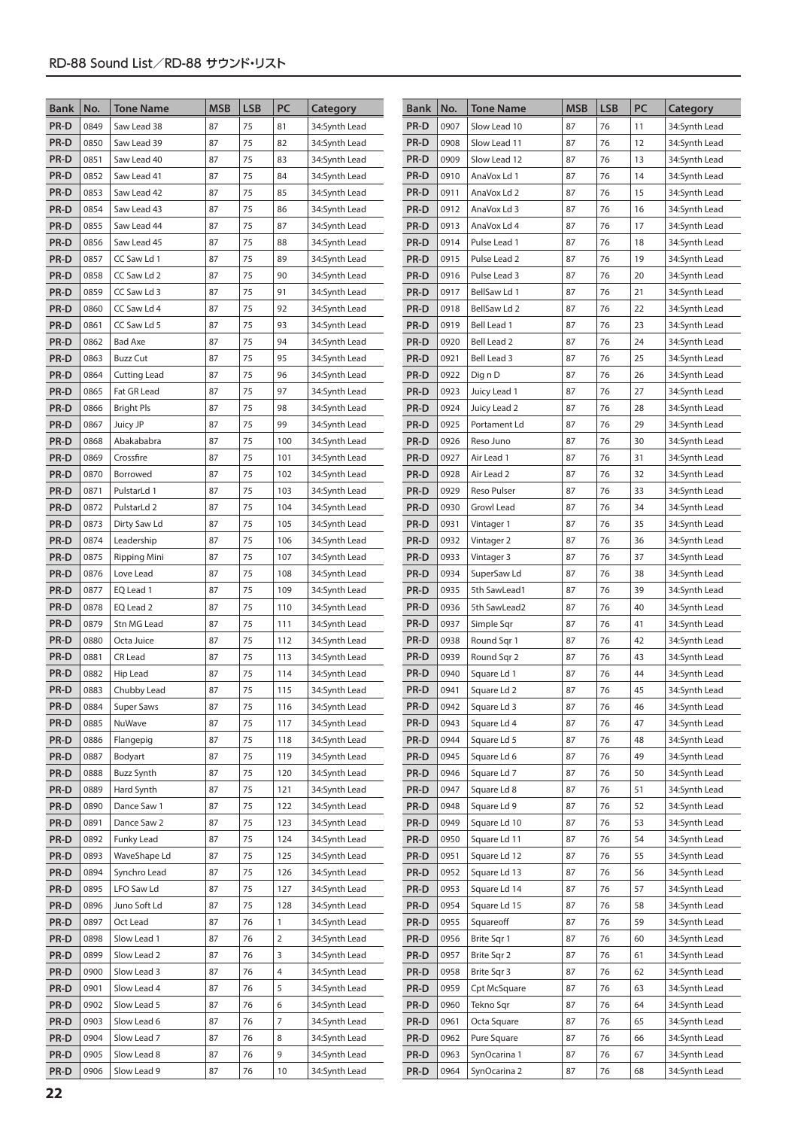| <b>Bank</b>  | No.          | <b>Tone Name</b>          | <b>MSB</b> | <b>LSB</b> | PC             | Category                       | <b>Bank</b>  | No.          | Tone Name                  | <b>MSB</b> | <b>LSB</b> | PC       | Category                       |
|--------------|--------------|---------------------------|------------|------------|----------------|--------------------------------|--------------|--------------|----------------------------|------------|------------|----------|--------------------------------|
| PR-D         | 0849         | Saw Lead 38               | 87         | 75         | 81             | 34:Synth Lead                  | PR-D         | 0907         | Slow Lead 10               | 87         | 76         | 11       | 34:Synth Lead                  |
| PR-D         | 0850         | Saw Lead 39               | 87         | 75         | 82             | 34:Synth Lead                  | PR-D         | 0908         | Slow Lead 11               | 87         | 76         | 12       | 34:Synth Lead                  |
| PR-D         | 0851         | Saw Lead 40               | 87         | 75         | 83             | 34:Synth Lead                  | PR-D         | 0909         | Slow Lead 12               | 87         | 76         | 13       | 34:Synth Lead                  |
| PR-D         | 0852         | Saw Lead 41               | 87         | 75         | 84             | 34:Synth Lead                  | PR-D         | 0910         | AnaVox Ld 1                | 87         | 76         | 14       | 34:Synth Lead                  |
| PR-D         | 0853         | Saw Lead 42               | 87         | 75         | 85             | 34:Synth Lead                  | PR-D         | 0911         | AnaVox Ld 2                | 87         | 76         | 15       | 34:Synth Lead                  |
| PR-D         | 0854         | Saw Lead 43               | 87         | 75         | 86             | 34:Synth Lead                  | PR-D         | 0912         | AnaVox Ld 3                | 87         | 76         | 16       | 34:Synth Lead                  |
| PR-D         | 0855         | Saw Lead 44               | 87         | 75         | 87             | 34:Synth Lead                  | PR-D         | 0913         | AnaVox Ld 4                | 87         | 76         | 17       | 34:Synth Lead                  |
| PR-D         | 0856         | Saw Lead 45               | 87         | 75         | 88             | 34:Synth Lead                  | PR-D         | 0914         | Pulse Lead 1               | 87         | 76         | 18       | 34:Synth Lead                  |
| PR-D         | 0857         | CC Saw Ld 1               | 87         | 75         | 89             | 34:Synth Lead                  | PR-D         | 0915         | Pulse Lead 2               | 87         | 76         | 19       | 34:Synth Lead                  |
| PR-D         | 0858         | CC Saw Ld 2               | 87         | 75         | 90             | 34:Synth Lead                  | PR-D         | 0916         | Pulse Lead 3               | 87         | 76         | 20       | 34:Synth Lead                  |
| PR-D         | 0859         | CC Saw Ld 3               | 87         | 75         | 91             | 34:Synth Lead                  | PR-D         | 0917         | BellSaw Ld 1               | 87         | 76         | 21       | 34:Synth Lead                  |
| PR-D         | 0860         | CC Saw Ld 4               | 87         | 75         | 92             | 34:Synth Lead                  | PR-D         | 0918         | BellSaw Ld 2               | 87         | 76         | 22       | 34:Synth Lead                  |
| PR-D         | 0861         | CC Saw Ld 5               | 87         | 75         | 93             | 34:Synth Lead                  | PR-D         | 0919         | Bell Lead 1                | 87         | 76         | 23       | 34:Synth Lead                  |
| PR-D         | 0862         | <b>Bad Axe</b>            | 87         | 75         | 94             | 34:Synth Lead                  | PR-D         | 0920         | Bell Lead 2                | 87         | 76         | 24       | 34:Synth Lead                  |
| PR-D         | 0863         | <b>Buzz Cut</b>           | 87         | 75         | 95             | 34:Synth Lead                  | PR-D         | 0921         | Bell Lead 3                | 87         | 76         | 25       | 34:Synth Lead                  |
| PR-D         | 0864         | Cutting Lead              | 87         | 75         | 96             | 34:Synth Lead                  | PR-D         | 0922         | Dig n D                    | 87         | 76         | 26       | 34:Synth Lead                  |
| PR-D         | 0865         | Fat GR Lead               | 87         | 75         | 97             | 34:Synth Lead                  | PR-D         | 0923         | Juicy Lead 1               | 87         | 76         | 27       | 34:Synth Lead                  |
| PR-D         | 0866         | <b>Bright Pls</b>         | 87         | 75         | 98             | 34:Synth Lead                  | PR-D         | 0924         | Juicy Lead 2               | 87         | 76         | 28       | 34:Synth Lead                  |
| PR-D         | 0867         | Juicy JP                  | 87         | 75         | 99             | 34:Synth Lead                  | PR-D         | 0925         | Portament Ld               | 87         | 76         | 29       | 34:Synth Lead                  |
| PR-D         | 0868         | Abakababra                | 87         | 75         | 100            | 34:Synth Lead                  | PR-D         | 0926         | Reso Juno                  | 87         | 76         | 30       | 34:Synth Lead                  |
| PR-D         | 0869         | Crossfire                 | 87         | 75         | 101            | 34:Synth Lead                  | PR-D         | 0927         | Air Lead 1                 | 87         | 76         | 31       | 34:Synth Lead                  |
| PR-D         | 0870         | Borrowed                  | 87         | 75         | 102            | 34:Synth Lead                  | PR-D         | 0928         | Air Lead 2                 | 87         | 76         | 32       | 34:Synth Lead                  |
| PR-D         | 0871         | PulstarLd 1               | 87         | 75         | 103            | 34:Synth Lead                  | PR-D         | 0929         | Reso Pulser                | 87         | 76         | 33       | 34:Synth Lead                  |
| PR-D         | 0872         | PulstarLd 2               | 87         | 75         | 104            | 34:Synth Lead                  | PR-D         | 0930         | Growl Lead                 | 87         | 76         | 34       | 34:Synth Lead                  |
| PR-D         | 0873         | Dirty Saw Ld              | 87         | 75         | 105            | 34:Synth Lead                  | PR-D         | 0931         | Vintager 1                 | 87         | 76         | 35       | 34:Synth Lead                  |
| PR-D         | 0874         | Leadership                | 87         | 75         | 106            | 34:Synth Lead                  | PR-D         | 0932         | Vintager 2                 | 87         | 76         | 36       | 34:Synth Lead                  |
| PR-D         | 0875         | Ripping Mini              | 87         | 75         | 107            | 34:Synth Lead                  | PR-D         | 0933         | Vintager 3                 | 87         | 76         | 37       | 34:Synth Lead                  |
| PR-D         | 0876         | Love Lead                 | 87         | 75         | 108            | 34:Synth Lead                  | PR-D         | 0934         | SuperSaw Ld                | 87         | 76         | 38       | 34:Synth Lead                  |
| PR-D         | 0877         | EQ Lead 1                 | 87         | 75         | 109            | 34:Synth Lead                  | PR-D         | 0935         | 5th SawLead1               | 87         | 76         | 39       | 34:Synth Lead                  |
| PR-D         | 0878         | EQ Lead 2                 | 87         | 75         | 110            | 34:Synth Lead                  | PR-D         | 0936         | 5th SawLead2               | 87         | 76         | 40       | 34:Synth Lead                  |
| PR-D         | 0879         | Stn MG Lead               | 87         | 75         | 111            | 34:Synth Lead                  | PR-D         | 0937         | Simple Sqr                 | 87         | 76         | 41       | 34:Synth Lead                  |
| PR-D         | 0880         | Octa Juice                | 87         | 75         | 112            | 34:Synth Lead                  | PR-D         | 0938         | Round Sqr 1                | 87         | 76         | 42       | 34:Synth Lead                  |
| PR-D         | 0881         | <b>CR Lead</b>            | 87         | 75         | 113            | 34:Synth Lead                  | PR-D         | 0939         | Round Sqr 2                | 87         | 76         | 43       | 34:Synth Lead                  |
| PR-D<br>PR-D | 0882         | Hip Lead                  | 87<br>87   | 75<br>75   | 114            | 34:Synth Lead                  | PR-D<br>PR-D | 0940<br>0941 | Square Ld 1                | 87<br>87   | 76<br>76   | 44<br>45 | 34:Synth Lead                  |
| PR-D         | 0883<br>0884 | Chubby Lead<br>Super Saws | 87         | 75         | 115<br>116     | 34:Synth Lead<br>34:Synth Lead | PR-D         | 0942         | Square Ld 2<br>Square Ld 3 | 87         | 76         | 46       | 34:Synth Lead<br>34:Synth Lead |
| PR-D         | 0885         | NuWave                    | 87         | 75         | 117            | 34:Synth Lead                  | PR-D         | 0943         | Square Ld 4                | 87         | 76         | 47       | 34:Synth Lead                  |
| PR-D         | 0886         | Flangepig                 | 87         | 75         | 118            | 34:Synth Lead                  | PR-D         | 0944         | Square Ld 5                | 87         | 76         | 48       | 34:Synth Lead                  |
| PR-D         | 0887         | Bodyart                   | 87         | 75         | 119            | 34:Synth Lead                  | PR-D         | 0945         | Square Ld 6                | 87         | 76         | 49       | 34:Synth Lead                  |
| PR-D         | 0888         | <b>Buzz Synth</b>         | 87         | 75         | 120            | 34:Synth Lead                  | PR-D         | 0946         | Square Ld 7                | 87         | 76         | 50       | 34:Synth Lead                  |
| PR-D         | 0889         | Hard Synth                | 87         | 75         | 121            | 34:Synth Lead                  | PR-D         | 0947         | Square Ld 8                | 87         | 76         | 51       | 34:Synth Lead                  |
| PR-D         | 0890         | Dance Saw 1               | 87         | 75         | 122            | 34:Synth Lead                  | PR-D         | 0948         | Square Ld 9                | 87         | 76         | 52       | 34:Synth Lead                  |
| PR-D         | 0891         | Dance Saw 2               | 87         | 75         | 123            | 34:Synth Lead                  | PR-D         | 0949         | Square Ld 10               | 87         | 76         | 53       | 34:Synth Lead                  |
| PR-D         | 0892         | Funky Lead                | 87         | 75         | 124            | 34:Synth Lead                  | PR-D         | 0950         | Square Ld 11               | 87         | 76         | 54       | 34:Synth Lead                  |
| PR-D         | 0893         | WaveShape Ld              | 87         | 75         | 125            | 34:Synth Lead                  | PR-D         | 0951         | Square Ld 12               | 87         | 76         | 55       | 34:Synth Lead                  |
| PR-D         | 0894         | Synchro Lead              | 87         | 75         | 126            | 34:Synth Lead                  | PR-D         | 0952         | Square Ld 13               | 87         | 76         | 56       | 34:Synth Lead                  |
| PR-D         | 0895         | LFO Saw Ld                | 87         | 75         | 127            | 34:Synth Lead                  | PR-D         | 0953         | Square Ld 14               | 87         | 76         | 57       | 34:Synth Lead                  |
| PR-D         | 0896         | Juno Soft Ld              | 87         | 75         | 128            | 34:Synth Lead                  | PR-D         | 0954         | Square Ld 15               | 87         | 76         | 58       | 34:Synth Lead                  |
| PR-D         | 0897         | Oct Lead                  | 87         | 76         | $\mathbf{1}$   | 34:Synth Lead                  | PR-D         | 0955         | Squareoff                  | 87         | 76         | 59       | 34:Synth Lead                  |
| PR-D         | 0898         | Slow Lead 1               | 87         | 76         | $\overline{2}$ | 34:Synth Lead                  | PR-D         | 0956         | Brite Sqr 1                | 87         | 76         | 60       | 34:Synth Lead                  |
| PR-D         | 0899         | Slow Lead 2               | 87         | 76         | 3              | 34:Synth Lead                  | PR-D         | 0957         | Brite Sqr 2                | 87         | 76         | 61       | 34:Synth Lead                  |
| PR-D         | 0900         | Slow Lead 3               | 87         | 76         | 4              | 34:Synth Lead                  | PR-D         | 0958         | Brite Sqr 3                | 87         | 76         | 62       | 34:Synth Lead                  |
| PR-D         | 0901         | Slow Lead 4               | 87         | 76         | 5              | 34:Synth Lead                  | PR-D         | 0959         | Cpt McSquare               | 87         | 76         | 63       | 34:Synth Lead                  |
| PR-D         | 0902         | Slow Lead 5               | 87         | 76         | 6              | 34:Synth Lead                  | PR-D         | 0960         | Tekno Sqr                  | 87         | 76         | 64       | 34:Synth Lead                  |
| PR-D         | 0903         | Slow Lead 6               | 87         | 76         | 7              | 34:Synth Lead                  | PR-D         | 0961         | Octa Square                | 87         | 76         | 65       | 34:Synth Lead                  |
| PR-D         | 0904         | Slow Lead 7               | 87         | 76         | 8              | 34:Synth Lead                  | PR-D         | 0962         | Pure Square                | 87         | 76         | 66       | 34:Synth Lead                  |
| PR-D         | 0905         | Slow Lead 8               | 87         | 76         | 9              | 34:Synth Lead                  | PR-D         | 0963         | SynOcarina 1               | 87         | 76         | 67       | 34:Synth Lead                  |
| PR-D         | 0906         | Slow Lead 9               | 87         | 76         | 10             | 34:Synth Lead                  | PR-D         | 0964         | SynOcarina 2               | 87         | 76         | 68       | 34:Synth Lead                  |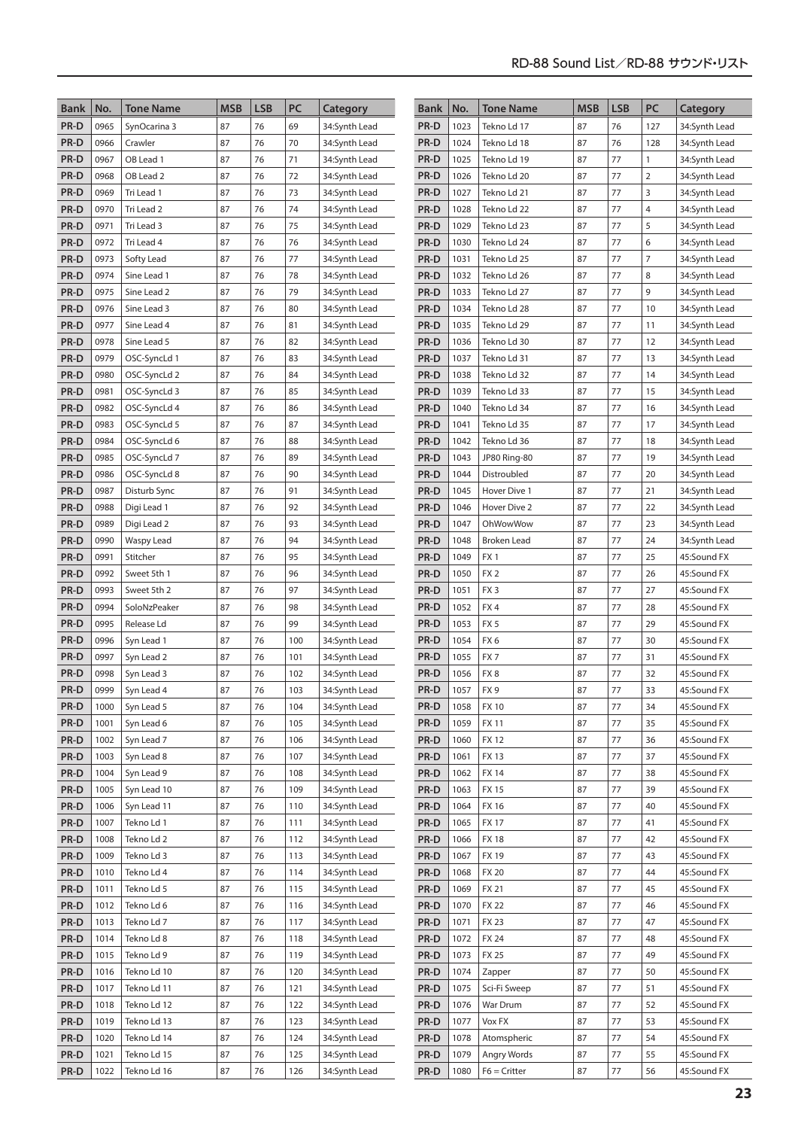| Bank         | No.          | <b>Tone Name</b>         | <b>MSB</b> | <b>LSB</b> | PC         | Category                       | Bank         | No.          | <b>Tone Name</b>            | <b>MSB</b> | <b>LSB</b> | PC             | Category                   |
|--------------|--------------|--------------------------|------------|------------|------------|--------------------------------|--------------|--------------|-----------------------------|------------|------------|----------------|----------------------------|
| PR-D         | 0965         | SynOcarina 3             | 87         | 76         | 69         | 34:Synth Lead                  | PR-D         | 1023         | Tekno Ld 17                 | 87         | 76         | 127            | 34:Synth Lead              |
| PR-D         | 0966         | Crawler                  | 87         | 76         | 70         | 34:Synth Lead                  | PR-D         | 1024         | Tekno Ld 18                 | 87         | 76         | 128            | 34:Synth Lead              |
| PR-D         | 0967         | OB Lead 1                | 87         | 76         | 71         | 34:Synth Lead                  | PR-D         | 1025         | Tekno Ld 19                 | 87         | 77         | 1              | 34:Synth Lead              |
| PR-D         | 0968         | OB Lead 2                | 87         | 76         | 72         | 34:Synth Lead                  | PR-D         | 1026         | Tekno Ld 20                 | 87         | 77         | $\overline{2}$ | 34:Synth Lead              |
| PR-D         | 0969         | Tri Lead 1               | 87         | 76         | 73         | 34:Synth Lead                  | PR-D         | 1027         | Tekno Ld 21                 | 87         | 77         | 3              | 34:Synth Lead              |
| PR-D         | 0970         | Tri Lead 2               | 87         | 76         | 74         | 34:Synth Lead                  | PR-D         | 1028         | Tekno Ld 22                 | 87         | 77         | $\overline{4}$ | 34:Synth Lead              |
| PR-D         | 0971         | Tri Lead 3               | 87         | 76         | 75         | 34:Synth Lead                  | PR-D         | 1029         | Tekno Ld 23                 | 87         | 77         | 5              | 34:Synth Lead              |
| PR-D         | 0972         | Tri Lead 4               | 87         | 76         | 76         | 34:Synth Lead                  | PR-D         | 1030         | Tekno Ld 24                 | 87         | 77         | 6              | 34:Synth Lead              |
| PR-D         | 0973         | Softy Lead               | 87         | 76         | 77         | 34:Synth Lead                  | PR-D         | 1031         | Tekno Ld 25                 | 87         | 77         | $\overline{7}$ | 34:Synth Lead              |
| PR-D         | 0974         | Sine Lead 1              | 87         | 76         | 78         | 34:Synth Lead                  | PR-D         | 1032         | Tekno Ld 26                 | 87         | 77         | 8              | 34:Synth Lead              |
| PR-D         | 0975         | Sine Lead 2              | 87         | 76         | 79         | 34:Synth Lead                  | PR-D         | 1033         | Tekno Ld 27                 | 87         | 77         | 9              | 34:Synth Lead              |
| PR-D         | 0976         | Sine Lead 3              | 87         | 76         | 80         | 34:Synth Lead                  | PR-D         | 1034         | Tekno Ld 28                 | 87         | 77         | 10             | 34:Synth Lead              |
| PR-D         | 0977         | Sine Lead 4              | 87         | 76         | 81         | 34:Synth Lead                  | PR-D         | 1035         | Tekno Ld 29                 | 87         | 77         | 11             | 34:Synth Lead              |
| PR-D         | 0978         | Sine Lead 5              | 87         | 76         | 82         | 34:Synth Lead                  | PR-D         | 1036         | Tekno Ld 30                 | 87         | 77         | 12             | 34:Synth Lead              |
| PR-D         | 0979         | OSC-SyncLd 1             | 87         | 76         | 83         | 34:Synth Lead                  | PR-D         | 1037         | Tekno Ld 31                 | 87         | 77         | 13             | 34:Synth Lead              |
| PR-D         | 0980         | OSC-SyncLd 2             | 87         | 76         | 84         | 34:Synth Lead                  | PR-D         | 1038         | Tekno Ld 32                 | 87         | 77         | 14             | 34:Synth Lead              |
| PR-D         | 0981         | OSC-SyncLd 3             | 87         | 76         | 85         | 34:Synth Lead                  | PR-D         | 1039         | Tekno Ld 33                 | 87         | 77         | 15             | 34:Synth Lead              |
| PR-D         | 0982         | OSC-SyncLd 4             | 87         | 76         | 86         | 34:Synth Lead                  | PR-D         | 1040         | Tekno Ld 34                 | 87         | 77         | 16             | 34:Synth Lead              |
| PR-D         | 0983         | OSC-SyncLd 5             | 87         | 76         | 87         | 34:Synth Lead                  | PR-D         | 1041         | Tekno Ld 35                 | 87         | 77         | 17             | 34:Synth Lead              |
| PR-D         | 0984         | OSC-SyncLd 6             | 87         | 76         | 88         | 34:Synth Lead                  | PR-D         | 1042         | Tekno Ld 36                 | 87         | 77         | 18             | 34:Synth Lead              |
| PR-D         | 0985         | OSC-SyncLd 7             | 87         | 76         | 89         | 34:Synth Lead                  | PR-D         | 1043         | JP80 Ring-80                | 87         | 77         | 19             | 34:Synth Lead              |
| PR-D         | 0986         | OSC-SyncLd 8             | 87         | 76         | 90         | 34:Synth Lead                  | PR-D         | 1044         | Distroubled                 | 87         | 77         | 20             | 34:Synth Lead              |
| PR-D         | 0987         | Disturb Sync             | 87         | 76         | 91         | 34:Synth Lead                  | PR-D         | 1045         | Hover Dive 1                | 87         | 77         | 21             | 34:Synth Lead              |
| PR-D         | 0988         | Digi Lead 1              | 87         | 76         | 92         | 34:Synth Lead                  | PR-D         | 1046         | Hover Dive 2                | 87         | 77         | 22             | 34:Synth Lead              |
| PR-D         | 0989         | Digi Lead 2              | 87         | 76         | 93         | 34:Synth Lead                  | PR-D         | 1047         | OhWowWow                    | 87         | 77         | 23             | 34:Synth Lead              |
| PR-D         | 0990         | Waspy Lead               | 87         | 76         | 94         | 34:Synth Lead                  | PR-D         | 1048         | Broken Lead                 | 87         | 77         | 24             | 34:Synth Lead              |
| PR-D         | 0991         | Stitcher                 | 87         | 76         | 95         | 34:Synth Lead                  | PR-D         | 1049         | FX1                         | 87         | 77         | 25             | 45:Sound FX                |
| PR-D         | 0992         | Sweet 5th 1              | 87         | 76         | 96         | 34:Synth Lead                  | PR-D         | 1050         | FX <sub>2</sub>             | 87         | 77         | 26             | 45:Sound FX                |
| PR-D         | 0993         | Sweet 5th 2              | 87         | 76         | 97         | 34:Synth Lead                  | PR-D         | 1051         | FX <sub>3</sub>             | 87         | 77         | 27             | 45:Sound FX                |
| PR-D         | 0994         | SoloNzPeaker             | 87         | 76         | 98         | 34:Synth Lead                  | PR-D         | 1052         | FX4                         | 87         | 77         | 28             | 45:Sound FX                |
| PR-D         | 0995         | Release Ld               | 87         | 76         | 99         | 34:Synth Lead                  | PR-D         | 1053         | FX <sub>5</sub>             | 87         | 77         | 29             | 45:Sound FX                |
| PR-D         | 0996         | Syn Lead 1               | 87         | 76         | 100        | 34:Synth Lead                  | PR-D         | 1054         | FX6                         | 87         | 77         | 30             | 45:Sound FX                |
| PR-D         | 0997         | Syn Lead 2               | 87         | 76         | 101        | 34:Synth Lead                  | PR-D         | 1055         | FX7                         | 87         | 77         | 31             | 45:Sound FX                |
| PR-D         | 0998         | Syn Lead 3               | 87         | 76         | 102        | 34:Synth Lead                  | PR-D         | 1056         | FX8                         | 87         | 77         | 32             | 45:Sound FX                |
| PR-D         | 0999         | Syn Lead 4               | 87         | 76         | 103        | 34:Synth Lead                  | PR-D         | 1057         | FX <sub>9</sub>             | 87         | 77         | 33             | 45:Sound FX                |
| PR-D         | 1000         | Syn Lead 5               | 87         | 76         | 104        | 34:Synth Lead                  | PR-D         | 1058         | <b>FX10</b>                 | 87         | 77         | 34             | 45:Sound FX                |
| PR-D         | 1001         | Syn Lead 6               | 87         | 76         | 105        | 34:Synth Lead                  | PR-D         | 1059         | <b>FX11</b>                 | 87         | 77         | 35             | 45:Sound FX                |
| PR-D         | 1002         | Syn Lead 7               | 87         | 76         | 106<br>107 | 34:Synth Lead                  | PR-D         | 1060         | <b>FX12</b>                 | 87         | 77         | 36             | 45:Sound FX<br>45:Sound FX |
| PR-D         | 1003<br>1004 | Syn Lead 8<br>Syn Lead 9 | 87         | 76<br>76   |            | 34:Synth Lead<br>34:Synth Lead | PR-D         | 1061         | <b>FX13</b>                 | 87<br>87   | 77<br>77   | 37             |                            |
| PR-D<br>PR-D | 1005         | Syn Lead 10              | 87<br>87   | 76         | 108<br>109 | 34:Synth Lead                  | PR-D<br>PR-D | 1062<br>1063 | <b>FX 14</b><br><b>FX15</b> | 87         | 77         | 38<br>39       | 45:Sound FX<br>45:Sound FX |
| PR-D         | 1006         | Syn Lead 11              | 87         | 76         | 110        | 34:Synth Lead                  | PR-D         | 1064         | FX 16                       | 87         | 77         | 40             | 45:Sound FX                |
| PR-D         | 1007         | Tekno Ld 1               | 87         | 76         | 111        | 34:Synth Lead                  | PR-D         | 1065         | <b>FX17</b>                 | 87         | 77         | 41             | 45:Sound FX                |
| PR-D         | 1008         | Tekno Ld 2               | 87         | 76         | 112        | 34:Synth Lead                  | PR-D         | 1066         | <b>FX18</b>                 | 87         | 77         | 42             | 45:Sound FX                |
| PR-D         | 1009         | Tekno Ld 3               | 87         | 76         | 113        | 34:Synth Lead                  | PR-D         | 1067         | FX 19                       | 87         | 77         | 43             | 45:Sound FX                |
| PR-D         | 1010         | Tekno Ld 4               | 87         | 76         | 114        | 34:Synth Lead                  | PR-D         | 1068         | <b>FX 20</b>                | 87         | 77         | 44             | 45:Sound FX                |
| PR-D         | 1011         | Tekno Ld 5               | 87         | 76         | 115        | 34:Synth Lead                  | PR-D         | 1069         | <b>FX 21</b>                | 87         | 77         | 45             | 45:Sound FX                |
| PR-D         | 1012         | Tekno Ld 6               | 87         | 76         | 116        | 34:Synth Lead                  | PR-D         | 1070         | <b>FX 22</b>                | 87         | 77         | 46             | 45:Sound FX                |
| PR-D         | 1013         | Tekno Ld 7               | 87         | 76         | 117        | 34:Synth Lead                  | PR-D         | 1071         | <b>FX 23</b>                | 87         | 77         | 47             | 45:Sound FX                |
| PR-D         | 1014         | Tekno Ld 8               | 87         | 76         | 118        | 34:Synth Lead                  | PR-D         | 1072         | <b>FX 24</b>                | 87         | 77         | 48             | 45:Sound FX                |
| PR-D         | 1015         | Tekno Ld 9               | 87         | 76         | 119        | 34:Synth Lead                  | PR-D         | 1073         | <b>FX 25</b>                | 87         | 77         | 49             | 45:Sound FX                |
| PR-D         | 1016         | Tekno Ld 10              | 87         | 76         | 120        | 34:Synth Lead                  | PR-D         | 1074         | Zapper                      | 87         | 77         | 50             | 45:Sound FX                |
| PR-D         | 1017         | Tekno Ld 11              | 87         | 76         | 121        | 34:Synth Lead                  | PR-D         | 1075         | Sci-Fi Sweep                | 87         | 77         | 51             | 45:Sound FX                |
| PR-D         | 1018         | Tekno Ld 12              | 87         | 76         | 122        | 34:Synth Lead                  | PR-D         | 1076         | War Drum                    | 87         | 77         | 52             | 45:Sound FX                |
| PR-D         | 1019         | Tekno Ld 13              | 87         | 76         | 123        | 34:Synth Lead                  | PR-D         | 1077         | Vox FX                      | 87         | 77         | 53             | 45:Sound FX                |
| PR-D         | 1020         | Tekno Ld 14              | 87         | 76         | 124        | 34:Synth Lead                  | PR-D         | 1078         | Atomspheric                 | 87         | 77         | 54             | 45:Sound FX                |
| PR-D         | 1021         | Tekno Ld 15              | 87         | 76         | 125        | 34:Synth Lead                  | PR-D         | 1079         | Angry Words                 | 87         | 77         | 55             | 45:Sound FX                |
| PR-D         | 1022         | Tekno Ld 16              | 87         | 76         | 126        | 34:Synth Lead                  | PR-D         | 1080         | $F6 =$ Critter              | 87         | $77 \,$    | 56             | 45:Sound FX                |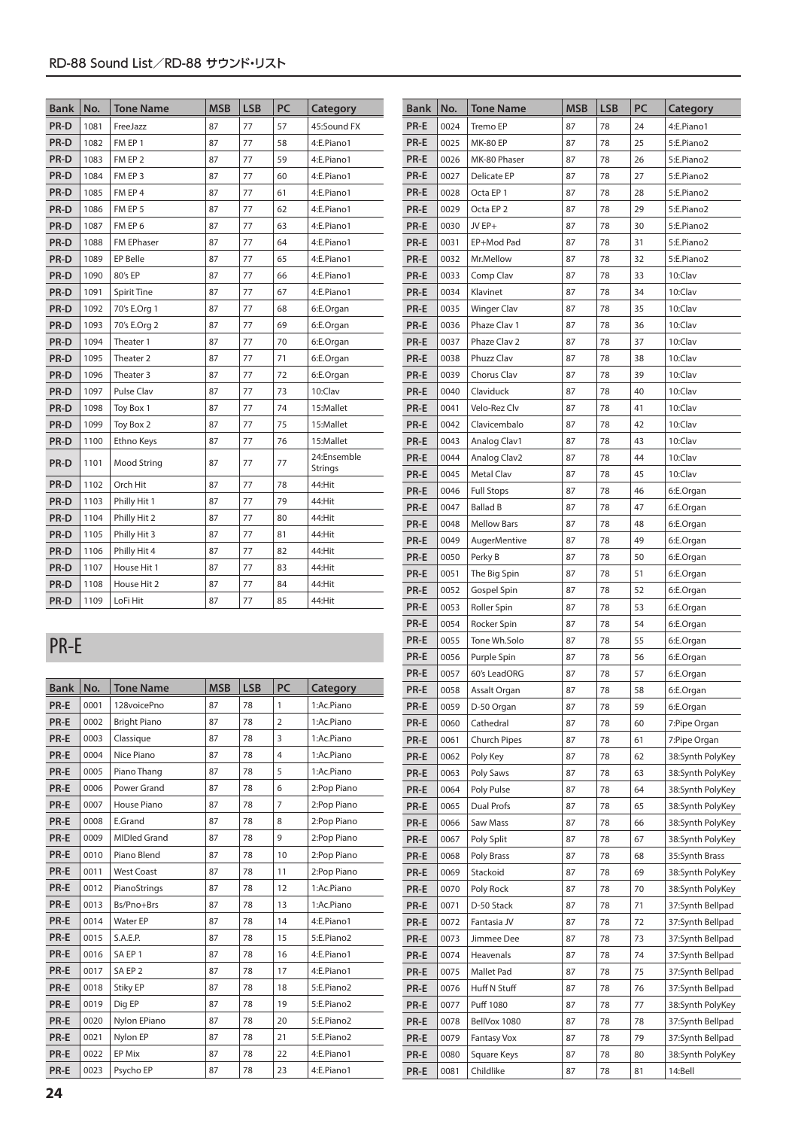| <b>Bank</b> | No.  | <b>Tone Name</b>     | <b>MSB</b> | <b>LSB</b> | PC | Category               |
|-------------|------|----------------------|------------|------------|----|------------------------|
| PR-D        | 1081 | FreeJazz             | 87         | 77         | 57 | 45:Sound FX            |
| PR-D        | 1082 | FM EP 1              | 87         | 77         | 58 | 4:E.Piano1             |
| PR-D        | 1083 | FM EP 2              | 87         | 77         | 59 | 4:E.Piano1             |
| PR-D        | 1084 | FM EP 3              | 87         | 77         | 60 | 4:E.Piano1             |
| PR-D        | 1085 | FM EP 4              | 87         | 77         | 61 | 4:E.Piano1             |
| PR-D        | 1086 | FM EP 5              | 87         | 77         | 62 | 4:E.Piano1             |
| PR-D        | 1087 | FM EP 6              | 87         | 77         | 63 | 4:E.Piano1             |
| PR-D        | 1088 | <b>FM EPhaser</b>    | 87         | 77         | 64 | 4:E.Piano1             |
| PR-D        | 1089 | <b>EP Belle</b>      | 87         | 77         | 65 | 4:E.Piano1             |
| PR-D        | 1090 | 80's EP              | 87         | 77         | 66 | 4:E.Piano1             |
| PR-D        | 1091 | <b>Spirit Tine</b>   | 87         | 77         | 67 | 4:E.Piano1             |
| PR-D        | 1092 | 70's E.Org 1         | 87         | 77         | 68 | 6:E.Organ              |
| PR-D        | 1093 | 70's E.Org 2         | 87         | 77         | 69 | 6:E.Organ              |
| PR-D        | 1094 | Theater 1            | 87         | 77         | 70 | 6:E.Organ              |
| PR-D        | 1095 | Theater <sub>2</sub> | 87         | 77         | 71 | 6:E.Organ              |
| PR-D        | 1096 | Theater 3            | 87         | 77         | 72 | 6:E.Organ              |
| PR-D        | 1097 | <b>Pulse Clav</b>    | 87         | 77         | 73 | 10:Clav                |
| PR-D        | 1098 | Toy Box 1            | 87         | 77         | 74 | 15:Mallet              |
| PR-D        | 1099 | Toy Box 2            | 87         | 77         | 75 | 15:Mallet              |
| PR-D        | 1100 | Ethno Keys           | 87         | 77         | 76 | 15:Mallet              |
| PR-D        | 1101 | Mood String          | 87         | 77         | 77 | 24:Ensemble<br>Strings |
| PR-D        | 1102 | Orch Hit             | 87         | 77         | 78 | 44:Hit                 |
| PR-D        | 1103 | Philly Hit 1         | 87         | 77         | 79 | 44:Hit                 |
| PR-D        | 1104 | Philly Hit 2         | 87         | 77         | 80 | 44:Hit                 |
| PR-D        | 1105 | Philly Hit 3         | 87         | 77         | 81 | 44:Hit                 |
| PR-D        | 1106 | Philly Hit 4         | 87         | 77         | 82 | 44:Hit                 |
| PR-D        | 1107 | House Hit 1          | 87         | 77         | 83 | 44:Hit                 |
| PR-D        | 1108 | House Hit 2          | 87         | 77         | 84 | 44:Hit                 |
| PR-D        | 1109 | LoFi Hit             | 87         | 77         | 85 | 44:Hit                 |

## PR-E

| <b>Bank</b> | No.  | <b>Tone Name</b>    | <b>MSB</b> | <b>LSB</b> | <b>PC</b>      | Category    |
|-------------|------|---------------------|------------|------------|----------------|-------------|
| PR-E        | 0001 | 128voicePno         | 87         | 78         | 1              | 1:Ac.Piano  |
| PR-E        | 0002 | <b>Bright Piano</b> | 87         | 78         | $\overline{2}$ | 1:Ac.Piano  |
| PR-E        | 0003 | Classique           | 87         | 78         | 3              | 1:Ac.Piano  |
| PR-E        | 0004 | Nice Piano          | 87         | 78         | $\overline{4}$ | 1:Ac.Piano  |
| PR-E        | 0005 | Piano Thang         | 87         | 78         | 5              | 1:Ac.Piano  |
| PR-E        | 0006 | Power Grand         | 87         | 78         | 6              | 2:Pop Piano |
| PR-E        | 0007 | House Piano         | 87         | 78         | $\overline{7}$ | 2:Pop Piano |
| PR-E        | 0008 | E.Grand             | 87         | 78         | 8              | 2:Pop Piano |
| PR-E        | 0009 | <b>MIDled Grand</b> | 87         | 78         | 9              | 2:Pop Piano |
| PR-E        | 0010 | Piano Blend         | 87         | 78         | 10             | 2:Pop Piano |
| PR-E        | 0011 | <b>West Coast</b>   | 87         | 78         | 11             | 2:Pop Piano |
| PR-E        | 0012 | PianoStrings        | 87         | 78         | 12             | 1:Ac.Piano  |
| PR-E        | 0013 | Bs/Pno+Brs          | 87         | 78         | 13             | 1:Ac.Piano  |
| PR-E        | 0014 | <b>Water EP</b>     | 87         | 78         | 14             | 4:E.Piano1  |
| PR-E        | 0015 | S.A.E.P.            | 87         | 78         | 15             | 5:E.Piano2  |
| PR-E        | 0016 | SA EP 1             | 87         | 78         | 16             | 4:E.Piano1  |
| PR-E        | 0017 | SA EP <sub>2</sub>  | 87         | 78         | 17             | 4:E.Piano1  |
| PR-E        | 0018 | Stiky EP            | 87         | 78         | 18             | 5:E.Piano2  |
| PR-E        | 0019 | Dig EP              | 87         | 78         | 19             | 5:E.Piano2  |
| PR-E        | 0020 | Nylon EPiano        | 87         | 78         | 20             | 5:E.Piano2  |
| PR-E        | 0021 | Nylon EP            | 87         | 78         | 21             | 5:E.Piano2  |
| PR-E        | 0022 | EP Mix              | 87         | 78         | 22             | 4:E.Piano1  |
| PR-E        | 0023 | Psycho EP           | 87         | 78         | 23             | 4:E.Piano1  |

| <b>Bank</b> | No.  | <b>Tone Name</b>         | MSB | LSB | PC | Category         |
|-------------|------|--------------------------|-----|-----|----|------------------|
| PR-E        | 0024 | Tremo EP                 | 87  | 78  | 24 | 4:E.Piano1       |
| PR-E        | 0025 | <b>MK-80 EP</b>          | 87  | 78  | 25 | 5:E.Piano2       |
| PR-E        | 0026 | MK-80 Phaser             | 87  | 78  | 26 | 5:E.Piano2       |
| PR-E        | 0027 | Delicate EP              | 87  | 78  | 27 | 5:E.Piano2       |
| PR-E        | 0028 | Octa EP 1                | 87  | 78  | 28 | 5:E.Piano2       |
| PR-E        | 0029 | Octa EP <sub>2</sub>     | 87  | 78  | 29 | 5:E.Piano2       |
| PR-E        | 0030 | JV EP+                   | 87  | 78  | 30 | 5:E.Piano2       |
| PR-E        | 0031 | EP+Mod Pad               | 87  | 78  | 31 | 5:E.Piano2       |
| PR-E        | 0032 | Mr.Mellow                | 87  | 78  | 32 | 5:E.Piano2       |
| PR-E        | 0033 | Comp Clav                | 87  | 78  | 33 | 10:Clav          |
| PR-E        | 0034 | Klavinet                 | 87  | 78  | 34 | 10:Clav          |
| PR-E        | 0035 | <b>Winger Clav</b>       | 87  | 78  | 35 | 10:Clav          |
| PR-E        | 0036 | Phaze Clav 1             | 87  | 78  | 36 | 10:Clav          |
| PR-E        | 0037 | Phaze Clav 2             | 87  | 78  | 37 | 10:Clav          |
| PR-E        | 0038 | Phuzz Clav               | 87  | 78  | 38 | 10:Clav          |
| PR-E        | 0039 | Chorus Clav              | 87  | 78  | 39 | 10:Clav          |
| PR-E        | 0040 | Claviduck                | 87  | 78  | 40 | 10:Clav          |
| PR-E        | 0041 | Velo-Rez Clv             | 87  | 78  | 41 | 10:Clav          |
| PR-E        | 0042 | Clavicembalo             | 87  | 78  | 42 | 10:Clav          |
| PR-E        | 0043 | Analog Clav1             | 87  | 78  | 43 | 10:Clav          |
| PR-E        | 0044 | Analog Clav <sub>2</sub> | 87  | 78  | 44 | 10:Clav          |
| PR-E        | 0045 | Metal Clav               | 87  | 78  | 45 | 10:Clav          |
| PR-E        | 0046 | <b>Full Stops</b>        | 87  | 78  | 46 | 6:E.Organ        |
| PR-E        | 0047 | <b>Ballad B</b>          | 87  | 78  | 47 | 6:E.Organ        |
| PR-E        | 0048 | <b>Mellow Bars</b>       | 87  | 78  | 48 | 6:E.Organ        |
| PR-E        | 0049 | <b>AugerMentive</b>      | 87  | 78  | 49 | 6:E.Organ        |
| PR-E        | 0050 | Perky B                  | 87  | 78  | 50 | 6:E.Organ        |
| PR-E        | 0051 | The Big Spin             | 87  | 78  | 51 | 6:E.Organ        |
| PR-E        | 0052 | Gospel Spin              | 87  | 78  | 52 | 6:E.Organ        |
| PR-E        | 0053 | Roller Spin              | 87  | 78  | 53 | 6:E.Organ        |
| PR-E        | 0054 | Rocker Spin              | 87  | 78  | 54 | 6:E.Organ        |
| PR-E        | 0055 | Tone Wh.Solo             | 87  | 78  | 55 | 6:E.Organ        |
| PR-E        | 0056 | Purple Spin              | 87  | 78  | 56 | 6:E.Organ        |
| PR-E        | 0057 | 60's LeadORG             | 87  | 78  | 57 | 6:E.Organ        |
| PR-E        | 0058 | Assalt Organ             | 87  | 78  | 58 | 6:E.Organ        |
| PR-E        | 0059 | D-50 Organ               | 87  | 78  | 59 | 6:E.Organ        |
| PR-E        | 0060 | Cathedral                | 87  | 78  | 60 | 7:Pipe Organ     |
| PR-E        | 0061 | <b>Church Pipes</b>      | 87  | 78  | 61 | 7:Pipe Organ     |
| PR-E        | 0062 | Poly Key                 | 87  | 78  | 62 | 38:Synth PolyKey |
| PR-E        | 0063 | Poly Saws                | 87  | 78  | 63 | 38:Synth PolyKey |
| PR-E        | 0064 | Poly Pulse               | 87  | 78  | 64 | 38:Synth PolyKey |
| PR-E        | 0065 | Dual Profs               | 87  | 78  | 65 | 38:Synth PolyKey |
| PR-E        | 0066 | Saw Mass                 | 87  | 78  | 66 | 38:Synth PolyKey |
| PR-E        | 0067 | Poly Split               | 87  | 78  | 67 | 38:Synth PolyKey |
| PR-E        | 0068 | Poly Brass               | 87  | 78  | 68 | 35:Synth Brass   |
| PR-E        | 0069 | Stackoid                 | 87  | 78  | 69 | 38:Synth PolyKey |
| PR-E        | 0070 | Poly Rock                | 87  | 78  | 70 | 38:Synth PolyKey |
| PR-E        | 0071 | D-50 Stack               | 87  | 78  | 71 | 37:Synth Bellpad |
| PR-E        | 0072 | Fantasia JV              | 87  | 78  | 72 | 37:Synth Bellpad |
| PR-E        | 0073 | Jimmee Dee               | 87  | 78  | 73 | 37:Synth Bellpad |
| PR-E        | 0074 | Heavenals                | 87  | 78  | 74 | 37:Synth Bellpad |
| PR-E        | 0075 | Mallet Pad               | 87  | 78  | 75 | 37:Synth Bellpad |
| PR-E        | 0076 | Huff N Stuff             | 87  | 78  | 76 | 37:Synth Bellpad |
| PR-E        | 0077 | Puff 1080                | 87  | 78  | 77 | 38:Synth PolyKey |
| PR-E        | 0078 | BellVox 1080             | 87  | 78  | 78 | 37:Synth Bellpad |
| PR-E        | 0079 | Fantasy Vox              | 87  | 78  | 79 | 37:Synth Bellpad |
| PR-E        | 0080 | Square Keys              | 87  | 78  | 80 | 38:Synth PolyKey |
| PR-E        | 0081 | Childlike                | 87  | 78  | 81 | 14:Bell          |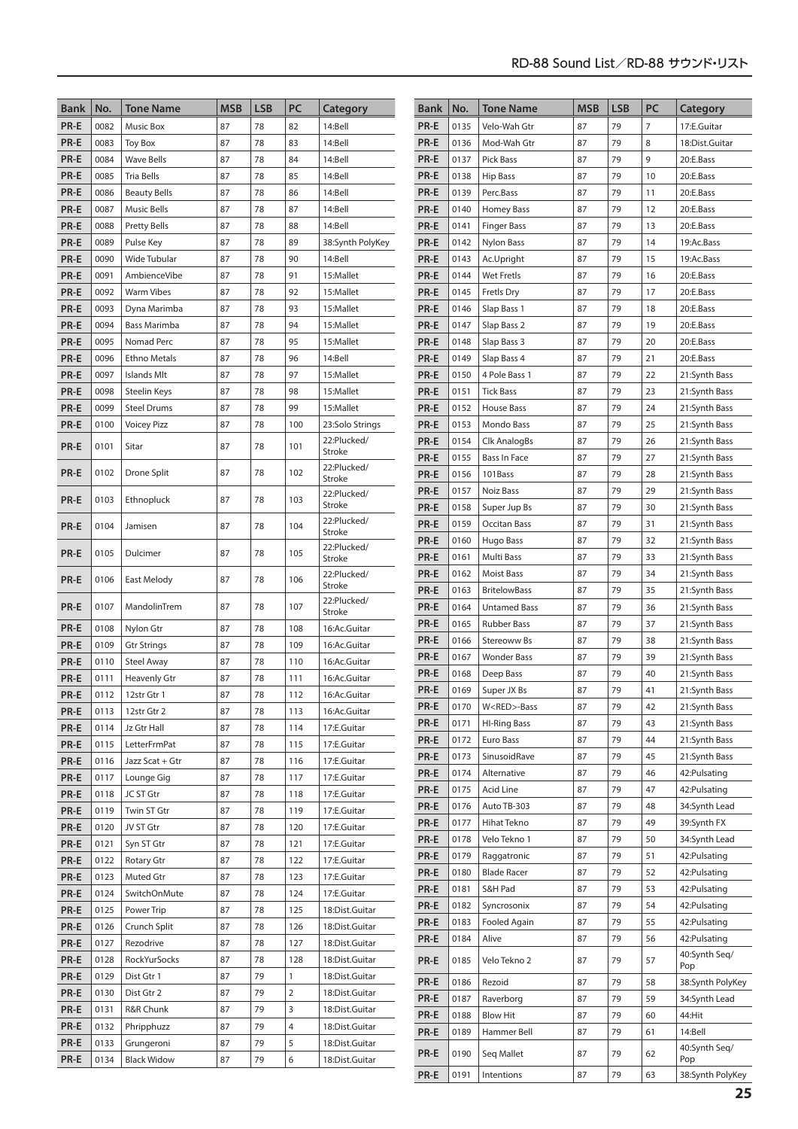| <b>Bank</b>  | No.          | <b>Tone Name</b>           | <b>MSB</b> | <b>LSB</b> | PC             | Category                     | <b>Bank</b>  | No.          | <b>Tone Name</b>                  | <b>MSB</b> | <b>LSB</b> | PC             | Category                       |
|--------------|--------------|----------------------------|------------|------------|----------------|------------------------------|--------------|--------------|-----------------------------------|------------|------------|----------------|--------------------------------|
| PR-E         | 0082         | Music Box                  | 87         | 78         | 82             | 14:Bell                      | PR-E         | 0135         | Velo-Wah Gtr                      | 87         | 79         | $\overline{7}$ | 17:E.Guitar                    |
| PR-E         | 0083         | <b>Toy Box</b>             | 87         | 78         | 83             | 14:Bell                      | PR-E         | 0136         | Mod-Wah Gtr                       | 87         | 79         | 8              | 18:Dist.Guitar                 |
| PR-E         | 0084         | <b>Wave Bells</b>          | 87         | 78         | 84             | 14:Bell                      | PR-E         | 0137         | <b>Pick Bass</b>                  | 87         | 79         | 9              | 20:E.Bass                      |
| PR-E         | 0085         | <b>Tria Bells</b>          | 87         | 78         | 85             | 14:Bell                      | PR-E         | 0138         | <b>Hip Bass</b>                   | 87         | 79         | 10             | 20:E.Bass                      |
| PR-E         | 0086         | <b>Beauty Bells</b>        | 87         | 78         | 86             | 14:Bell                      | PR-E         | 0139         | Perc.Bass                         | 87         | 79         | 11             | 20:E.Bass                      |
| PR-E         | 0087         | <b>Music Bells</b>         | 87         | 78         | 87             | 14:Bell                      | PR-E         | 0140         | Homey Bass                        | 87         | 79         | 12             | 20:E.Bass                      |
| PR-E         | 0088         | <b>Pretty Bells</b>        | 87         | 78         | 88             | 14:Bell                      | PR-E         | 0141         | <b>Finger Bass</b>                | 87         | 79         | 13             | 20:E.Bass                      |
| PR-E         | 0089         | Pulse Key                  | 87         | 78         | 89             | 38:Synth PolyKey             | PR-E         | 0142         | <b>Nylon Bass</b>                 | 87         | 79         | 14             | 19:Ac.Bass                     |
| PR-E         | 0090         | Wide Tubular               | 87         | 78         | 90             | 14:Bell                      | PR-E         | 0143         | Ac.Upright                        | 87         | 79         | 15             | 19:Ac.Bass                     |
| PR-E         | 0091         | AmbienceVibe               | 87         | 78         | 91             | 15:Mallet                    | PR-E         | 0144         | <b>Wet FretIs</b>                 | 87         | 79         | 16             | 20:E.Bass                      |
| PR-E         | 0092         | <b>Warm Vibes</b>          | 87         | 78         | 92             | 15:Mallet                    | PR-E         | 0145         | FretIs Dry                        | 87         | 79         | 17             | 20:E.Bass                      |
| PR-E         | 0093         | Dyna Marimba               | 87         | 78         | 93             | 15:Mallet                    | PR-E         | 0146         | Slap Bass 1                       | 87         | 79         | 18             | 20:E.Bass                      |
| PR-E         | 0094         | Bass Marimba               | 87         | 78         | 94             | 15:Mallet                    | PR-E         | 0147         | Slap Bass 2                       | 87         | 79         | 19             | 20:E.Bass                      |
| PR-E         | 0095         | Nomad Perc                 | 87         | 78         | 95             | 15:Mallet                    | PR-E         | 0148         | Slap Bass 3                       | 87         | 79         | 20             | 20:E.Bass                      |
| PR-E         | 0096         | <b>Ethno Metals</b>        | 87         | 78         | 96             | 14:Bell                      | PR-E         | 0149         | Slap Bass 4                       | 87         | 79         | 21             | 20:E.Bass                      |
| PR-E         | 0097         | Islands Mlt                | 87         | 78         | 97             | 15:Mallet                    | PR-E         | 0150         | 4 Pole Bass 1                     | 87         | 79         | 22             | 21:Synth Bass                  |
| PR-E         | 0098         | Steelin Keys               | 87         | 78         | 98             | 15:Mallet                    | PR-E         | 0151         | <b>Tick Bass</b>                  | 87         | 79         | 23             | 21:Synth Bass                  |
| PR-E         | 0099         | <b>Steel Drums</b>         | 87         | 78         | 99             | 15:Mallet                    | PR-E         | 0152         | House Bass                        | 87         | 79         | 24             | 21:Synth Bass                  |
| PR-E         | 0100         | <b>Voicey Pizz</b>         | 87         | 78         | 100            | 23:Solo Strings              | PR-E         | 0153         | Mondo Bass                        | 87         | 79         | 25             | 21:Synth Bass                  |
| PR-E         | 0101         | Sitar                      | 87         | 78         | 101            | 22:Plucked/                  | PR-E         | 0154         | Clk AnalogBs                      | 87         | 79         | 26             | 21:Synth Bass                  |
|              |              |                            |            |            |                | <b>Stroke</b><br>22:Plucked/ | PR-E         | 0155         | Bass In Face                      | 87         | 79         | 27             | 21:Synth Bass                  |
| PR-E         | 0102         | Drone Split                | 87         | 78         | 102            | Stroke                       | PR-E         | 0156         | 101Bass                           | 87         | 79         | 28             | 21:Synth Bass                  |
| PR-E         | 0103         | Ethnopluck                 | 87         | 78         | 103            | 22:Plucked/                  | PR-E         | 0157         | Noiz Bass                         | 87         | 79         | 29             | 21:Synth Bass                  |
|              |              |                            |            |            |                | <b>Stroke</b>                | PR-E         | 0158         | Super Jup Bs                      | 87         | 79         | 30             | 21:Synth Bass                  |
| PR-E         | 0104         | Jamisen                    | 87         | 78         | 104            | 22:Plucked/<br><b>Stroke</b> | PR-E         | 0159         | <b>Occitan Bass</b>               | 87         | 79         | 31             | 21:Synth Bass                  |
| PR-E         | 0105         | Dulcimer                   | 87         | 78         | 105            | 22:Plucked/                  | PR-E         | 0160         | Hugo Bass                         | 87         | 79         | 32             | 21:Synth Bass                  |
|              |              |                            |            |            |                | Stroke                       | PR-E         | 0161         | Multi Bass                        | 87         | 79         | 33             | 21:Synth Bass                  |
| PR-E         | 0106         | East Melody                | 87         | 78         | 106            | 22:Plucked/<br><b>Stroke</b> | PR-E<br>PR-E | 0162<br>0163 | Moist Bass<br><b>BritelowBass</b> | 87<br>87   | 79<br>79   | 34<br>35       | 21:Synth Bass                  |
| PR-E         | 0107         | MandolinTrem               | 87         | 78         | 107            | 22:Plucked/                  | PR-E         | 0164         | <b>Untamed Bass</b>               | 87         | 79         | 36             | 21:Synth Bass<br>21:Synth Bass |
|              |              |                            |            |            |                | <b>Stroke</b>                | PR-E         | 0165         | <b>Rubber Bass</b>                | 87         | 79         | 37             | 21:Synth Bass                  |
| PR-E         | 0108         | Nylon Gtr                  | 87         | 78         | 108            | 16:Ac.Guitar                 | PR-E         | 0166         | Stereoww Bs                       | 87         | 79         | 38             | 21:Synth Bass                  |
| PR-E         | 0109         | <b>Gtr Strings</b>         | 87         | 78         | 109            | 16:Ac.Guitar                 | PR-E         | 0167         | <b>Wonder Bass</b>                | 87         | 79         | 39             | 21:Synth Bass                  |
| PR-E         | 0110         | <b>Steel Away</b>          | 87         | 78         | 110            | 16:Ac.Guitar                 | PR-E         | 0168         | Deep Bass                         | 87         | 79         | 40             | 21:Synth Bass                  |
| PR-E         | 0111         | <b>Heavenly Gtr</b>        | 87         | 78         | 111            | 16:Ac.Guitar                 | PR-E         | 0169         | Super JX Bs                       | 87         | 79         | 41             | 21:Synth Bass                  |
| PR-E         | 0112         | 12str Gtr 1<br>12str Gtr 2 | 87<br>87   | 78         | 112            | 16:Ac.Guitar<br>16:Ac.Guitar | PR-E         | 0170         | W <red>-Bass</red>                | 87         | 79         | 42             | 21:Synth Bass                  |
| PR-E<br>PR-E | 0113<br>0114 | Jz Gtr Hall                | 87         | 78<br>78   | 113<br>114     | 17:E.Guitar                  | PR-E         | 0171         | <b>HI-Ring Bass</b>               | 87         | 79         | 43             | 21:Synth Bass                  |
| PR-E         | 0115         | LetterFrmPat               | 87         | 78         | 115            | 17:E.Guitar                  | PR-E         | 0172         | Euro Bass                         | 87         | 79         | 44             | 21:Synth Bass                  |
| PR-E         | 0116         | Jazz Scat + Gtr            | 87         | 78         | 116            | 17:E.Guitar                  | PR-E         | 0173         | SinusoidRave                      | 87         | 79         | 45             | 21:Synth Bass                  |
| PR-E         | 0117         | Lounge Gig                 | 87         | 78         | 117            | 17:E.Guitar                  | PR-E         | 0174         | Alternative                       | 87         | 79         | 46             | 42: Pulsating                  |
| PR-E         | 0118         | JC ST Gtr                  | 87         | 78         | 118            | 17:E.Guitar                  | PR-E         | 0175         | Acid Line                         | 87         | 79         | 47             | 42: Pulsating                  |
| PR-E         | 0119         | Twin ST Gtr                | 87         | 78         | 119            | 17:E.Guitar                  | PR-E         | 0176         | Auto TB-303                       | 87         | 79         | 48             | 34:Synth Lead                  |
| PR-E         | 0120         | JV ST Gtr                  | 87         | 78         | 120            | 17:E.Guitar                  | PR-E         | 0177         | Hihat Tekno                       | 87         | 79         | 49             | 39:Synth FX                    |
| PR-E         | 0121         | Syn ST Gtr                 | 87         | 78         | 121            | 17:E.Guitar                  | PR-E         | 0178         | Velo Tekno 1                      | 87         | 79         | 50             | 34:Synth Lead                  |
| PR-E         | 0122         | Rotary Gtr                 | 87         | 78         | 122            | 17:E.Guitar                  | PR-E         | 0179         | Raggatronic                       | 87         | 79         | 51             | 42: Pulsating                  |
| PR-E         | 0123         | Muted Gtr                  | 87         | 78         | 123            | 17:E.Guitar                  | PR-E         | 0180         | <b>Blade Racer</b>                | 87         | 79         | 52             | 42: Pulsating                  |
| PR-E         | 0124         | SwitchOnMute               | 87         | 78         | 124            | 17:E.Guitar                  | PR-E         | 0181         | S&H Pad                           | 87         | 79         | 53             | 42: Pulsating                  |
| PR-E         | 0125         | Power Trip                 | 87         | 78         | 125            | 18:Dist.Guitar               | PR-E         | 0182         | Syncrosonix                       | 87         | 79         | 54             | 42: Pulsating                  |
| PR-E         | 0126         | Crunch Split               | 87         | 78         | 126            | 18:Dist.Guitar               | PR-E         | 0183         | Fooled Again                      | 87         | 79         | 55             | 42: Pulsating                  |
| PR-E         | 0127         | Rezodrive                  | 87         | 78         | 127            | 18:Dist.Guitar               | PR-E         | 0184         | Alive                             | 87         | 79         | 56             | 42: Pulsating                  |
| PR-E         | 0128         | RockYurSocks               | 87         | 78         | 128            | 18:Dist.Guitar               | PR-E         | 0185         | Velo Tekno 2                      | 87         | 79         | 57             | 40:Synth Seq/<br>Pop           |
| PR-E         | 0129         | Dist Gtr 1                 | 87         | 79         | $\mathbf{1}$   | 18:Dist.Guitar               | PR-E         | 0186         | Rezoid                            | 87         | 79         | 58             | 38:Synth PolyKey               |
| PR-E         | 0130         | Dist Gtr 2                 | 87         | 79         | $\overline{2}$ | 18:Dist.Guitar               | PR-E         | 0187         | Raverborg                         | 87         | 79         | 59             | 34:Synth Lead                  |
| PR-E         | 0131         | R&R Chunk                  | 87         | 79         | 3              | 18:Dist.Guitar               | PR-E         | 0188         | <b>Blow Hit</b>                   | 87         | 79         | 60             | 44:Hit                         |
| PR-E         | 0132         | Phripphuzz                 | 87         | 79         | $\overline{4}$ | 18:Dist.Guitar               | PR-E         | 0189         | Hammer Bell                       | 87         | 79         | 61             | 14:Bell                        |
| PR-E         | 0133         | Grungeroni                 | 87         | 79         | 5              | 18:Dist.Guitar               | PR-E         | 0190         | Seq Mallet                        | 87         | 79         | 62             | 40:Synth Seq/                  |
| PR-E         | 0134         | <b>Black Widow</b>         | 87         | 79         | 6              | 18:Dist.Guitar               |              |              |                                   |            |            |                | Pop                            |

**PR-E** 0191 | Intentions | 87 | 79 | 63 | 38:Synth PolyKey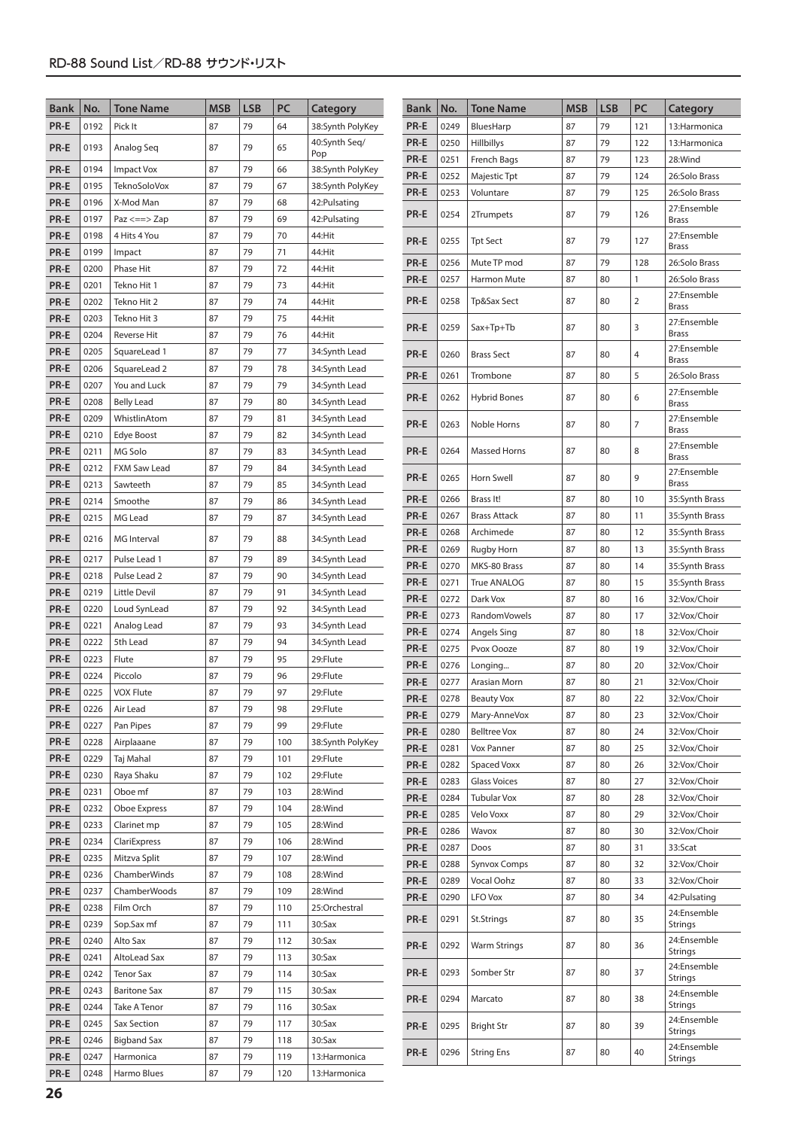| <b>Bank</b>  | No.          | <b>Tone Name</b>             | <b>MSB</b> | <b>LSB</b> | PC         | Category                       | <b>Bank</b>  | No.          | <b>Tone Name</b>                    | <b>MSB</b> | <b>LSB</b> | PC             | Category                     |
|--------------|--------------|------------------------------|------------|------------|------------|--------------------------------|--------------|--------------|-------------------------------------|------------|------------|----------------|------------------------------|
| PR-E         | 0192         | Pick It                      | 87         | 79         | 64         | 38:Synth PolyKey               | PR-E         | 0249         | BluesHarp                           | 87         | 79         | 121            | 13:Harmonica                 |
| PR-E         | 0193         | Analog Seg                   | 87         | 79         | 65         | 40:Synth Seq/                  | PR-E         | 0250         | Hillbillys                          | 87         | 79         | 122            | 13:Harmonica                 |
|              |              |                              |            |            |            | Pop                            | PR-E         | 0251         | French Bags                         | 87         | 79         | 123            | 28:Wind                      |
| PR-E         | 0194         | <b>Impact Vox</b>            | 87         | 79         | 66         | 38:Synth PolyKey               | PR-E         | 0252         | Majestic Tpt                        | 87         | 79         | 124            | 26:Solo Brass                |
| PR-E         | 0195         | <b>TeknoSoloVox</b>          | 87         | 79         | 67         | 38:Synth PolyKey               | PR-E         | 0253         | Voluntare                           | 87         | 79         | 125            | 26:Solo Brass                |
| PR-E         | 0196         | X-Mod Man                    | 87         | 79         | 68         | 42:Pulsating                   | PR-E         | 0254         | 2Trumpets                           | 87         | 79         | 126            | 27:Ensemble                  |
| PR-E         | 0197         | $Paz \leq z \leq z$          | 87         | 79         | 69         | 42: Pulsating                  |              |              |                                     |            |            |                | <b>Brass</b>                 |
| PR-E         | 0198         | 4 Hits 4 You                 | 87         | 79         | 70         | 44:Hit                         | PR-E         | 0255         | <b>Tpt Sect</b>                     | 87         | 79         | 127            | 27:Ensemble<br><b>Brass</b>  |
| PR-E         | 0199         | Impact                       | 87         | 79         | 71         | 44:Hit                         | PR-E         | 0256         | Mute TP mod                         | 87         | 79         | 128            | 26:Solo Brass                |
| PR-E         | 0200         | Phase Hit                    | 87         | 79         | 72         | 44:Hit                         | PR-E         | 0257         | Harmon Mute                         | 87         | 80         | 1              | 26:Solo Brass                |
| PR-E         | 0201         | Tekno Hit 1                  | 87         | 79         | 73         | 44:Hit                         | PR-E         | 0258         | Tp&Sax Sect                         | 87         | 80         | $\overline{2}$ | 27:Ensemble                  |
| PR-E         | 0202<br>0203 | Tekno Hit 2                  | 87<br>87   | 79<br>79   | 74<br>75   | 44:Hit                         |              |              |                                     |            |            |                | Brass                        |
| PR-E<br>PR-E | 0204         | Tekno Hit 3<br>Reverse Hit   | 87         | 79         | 76         | 44:Hit<br>44:Hit               | PR-E         | 0259         | $Sax+Tp+Tb$                         | 87         | 80         | 3              | 27:Ensemble<br><b>Brass</b>  |
| PR-E         | 0205         | SquareLead 1                 | 87         | 79         | 77         | 34:Synth Lead                  |              |              |                                     |            |            |                | 27:Ensemble                  |
| PR-E         | 0206         | SquareLead 2                 | 87         | 79         | 78         | 34:Synth Lead                  | PR-E         | 0260         | <b>Brass Sect</b>                   | 87         | 80         | 4              | Brass                        |
| PR-E         | 0207         | You and Luck                 | 87         | 79         | 79         | 34:Synth Lead                  | PR-E         | 0261         | Trombone                            | 87         | 80         | 5              | 26:Solo Brass                |
| PR-E         | 0208         | <b>Belly Lead</b>            | 87         | 79         | 80         | 34:Synth Lead                  | PR-E         | 0262         | <b>Hybrid Bones</b>                 | 87         | 80         | 6              | 27:Ensemble<br><b>Brass</b>  |
| PR-E         | 0209         | WhistlinAtom                 | 87         | 79         | 81         | 34:Synth Lead                  |              |              |                                     |            |            |                | 27:Ensemble                  |
| PR-E         | 0210         | Edye Boost                   | 87         | 79         | 82         | 34:Synth Lead                  | PR-E         | 0263         | Noble Horns                         | 87         | 80         | 7              | <b>Brass</b>                 |
| PR-E         | 0211         | MG Solo                      | 87         | 79         | 83         | 34:Synth Lead                  | PR-E         | 0264         | <b>Massed Horns</b>                 | 87         | 80         | 8              | 27:Ensemble                  |
| PR-E         | 0212         | <b>FXM Saw Lead</b>          | 87         | 79         | 84         | 34:Synth Lead                  |              |              |                                     |            |            |                | Brass<br>27:Ensemble         |
| PR-E         | 0213         | Sawteeth                     | 87         | 79         | 85         | 34:Synth Lead                  | PR-E         | 0265         | Horn Swell                          | 87         | 80         | 9              | <b>Brass</b>                 |
| PR-E         | 0214         | Smoothe                      | 87         | 79         | 86         | 34:Synth Lead                  | PR-E         | 0266         | Brass It!                           | 87         | 80         | 10             | 35:Synth Brass               |
| PR-E         | 0215         | MG Lead                      | 87         | 79         | 87         | 34:Synth Lead                  | PR-E         | 0267         | <b>Brass Attack</b>                 | 87         | 80         | 11             | 35:Synth Brass               |
| PR-E         | 0216         | MG Interval                  | 87         | 79         | 88         | 34:Synth Lead                  | PR-E         | 0268         | Archimede                           | 87         | 80         | 12             | 35:Synth Brass               |
| PR-E         | 0217         |                              | 87         | 79         | 89         |                                | PR-E         | 0269         | Rugby Horn                          | 87         | 80         | 13             | 35:Synth Brass               |
| PR-E         | 0218         | Pulse Lead 1<br>Pulse Lead 2 | 87         | 79         | 90         | 34:Synth Lead<br>34:Synth Lead | PR-E         | 0270         | MKS-80 Brass                        | 87         | 80         | 14             | 35:Synth Brass               |
| PR-E         | 0219         | Little Devil                 | 87         | 79         | 91         | 34:Synth Lead                  | PR-E         | 0271         | True ANALOG                         | 87         | 80         | 15             | 35:Synth Brass               |
| PR-E         | 0220         | Loud SynLead                 | 87         | 79         | 92         | 34:Synth Lead                  | PR-E         | 0272         | Dark Vox                            | 87         | 80         | 16             | 32:Vox/Choir                 |
| PR-E         | 0221         | Analog Lead                  | 87         | 79         | 93         | 34:Synth Lead                  | PR-E         | 0273         | RandomVowels                        | 87         | 80         | 17             | 32:Vox/Choir                 |
| PR-E         | 0222         | 5th Lead                     | 87         | 79         | 94         | 34:Synth Lead                  | PR-E         | 0274         | Angels Sing                         | 87         | 80         | 18             | 32:Vox/Choir                 |
| PR-E         | 0223         | Flute                        | 87         | 79         | 95         | 29:Flute                       | PR-E         | 0275         | Pvox Oooze                          | 87         | 80         | 19             | 32:Vox/Choir                 |
| PR-E         | 0224         | Piccolo                      | 87         | 79         | 96         | 29:Flute                       | PR-E         | 0276         | Longing                             | 87         | 80         | 20             | 32:Vox/Choir                 |
| PR-E         | 0225         | <b>VOX Flute</b>             | 87         | 79         | 97         | 29:Flute                       | PR-E<br>PR-E | 0277<br>0278 | Arasian Morn                        | 87         | 80         | 21             | 32:Vox/Choir                 |
| PR-E         | 0226         | Air Lead                     | 87         | 79         | 98         | 29:Flute                       |              |              | <b>Beauty Vox</b>                   | 87<br>87   | 80<br>80   | 22<br>23       | 32:Vox/Choir<br>32:Vox/Choir |
| PR-E         | 0227         | Pan Pipes                    | 87         | 79         | 99         | 29:Flute                       | PR-E<br>PR-E | 0279<br>0280 | Mary-AnneVox<br><b>Belltree Vox</b> | 87         | 80         | 24             | 32:Vox/Choir                 |
| PR-E         | 0228         | Airplaaane                   | 87         | 79         | 100        | 38:Synth PolyKey               | PR-E         | 0281         | Vox Panner                          | 87         | 80         | 25             | 32:Vox/Choir                 |
| PR-E         | 0229         | Taj Mahal                    | 87         | 79         | 101        | 29:Flute                       | PR-E         | 0282         | <b>Spaced Voxx</b>                  | 87         | 80         | 26             | 32:Vox/Choir                 |
| PR-E         | 0230         | Raya Shaku                   | 87         | 79         | 102        | 29:Flute                       | PR-E         | 0283         | <b>Glass Voices</b>                 | 87         | 80         | 27             | 32:Vox/Choir                 |
| PR-E         | 0231         | Oboe mf                      | 87         | 79         | 103        | 28:Wind                        | PR-E         | 0284         | <b>Tubular Vox</b>                  | 87         | 80         | 28             | 32:Vox/Choir                 |
| PR-E         | 0232         | Oboe Express                 | 87         | 79         | 104        | 28:Wind                        | PR-E         | 0285         | Velo Voxx                           | 87         | 80         | 29             | 32:Vox/Choir                 |
| PR-E         | 0233         | Clarinet mp                  | 87         | 79         | 105        | 28:Wind                        | PR-E         | 0286         | Wavox                               | 87         | 80         | 30             | 32:Vox/Choir                 |
| PR-E         | 0234         | ClariExpress                 | 87         | 79         | 106        | 28:Wind                        | PR-E         | 0287         | Doos                                | 87         | 80         | 31             | 33:Scat                      |
| PR-E         | 0235         | Mitzva Split                 | 87         | 79         | 107        | 28:Wind                        | PR-E         | 0288         | <b>Synvox Comps</b>                 | 87         | 80         | 32             | 32:Vox/Choir                 |
| PR-E         | 0236         | ChamberWinds                 | 87         | 79         | 108        | 28:Wind                        | PR-E         | 0289         | Vocal Oohz                          | 87         | 80         | 33             | 32:Vox/Choir                 |
| PR-E         | 0237         | ChamberWoods                 | 87         | 79         | 109        | 28:Wind                        | PR-E         | 0290         | LFO Vox                             | 87         | 80         | 34             | 42:Pulsating                 |
| PR-E         | 0238         | Film Orch                    | 87         | 79         | 110        | 25:Orchestral                  | PR-E         | 0291         | St.Strings                          | 87         | 80         | 35             | 24:Ensemble                  |
| PR-E         | 0239         | Sop.Sax mf                   | 87<br>87   | 79<br>79   | 111        | 30:Sax                         |              |              |                                     |            |            |                | Strings<br>24:Ensemble       |
| PR-E<br>PR-E | 0240<br>0241 | Alto Sax<br>AltoLead Sax     | 87         | 79         | 112<br>113 | 30:Sax<br>30:Sax               | PR-E         | 0292         | Warm Strings                        | 87         | 80         | 36             | Strings                      |
| PR-E         | 0242         | <b>Tenor Sax</b>             | 87         | 79         | 114        | 30:Sax                         | PR-E         | 0293         | Somber Str                          | 87         | 80         | 37             | 24:Ensemble                  |
| PR-E         | 0243         | <b>Baritone Sax</b>          | 87         | 79         | 115        | 30:Sax                         |              |              |                                     |            |            |                | Strings<br>24:Ensemble       |
| PR-E         | 0244         | Take A Tenor                 | 87         | 79         | 116        | 30:Sax                         | PR-E         | 0294         | Marcato                             | 87         | 80         | 38             | Strings                      |
| PR-E         | 0245         | Sax Section                  | 87         | 79         | 117        | 30:Sax                         | PR-E         | 0295         | <b>Bright Str</b>                   | 87         | 80         | 39             | 24:Ensemble                  |
| PR-E         | 0246         | <b>Bigband Sax</b>           | 87         | 79         | 118        | 30:Sax                         |              |              |                                     |            |            |                | Strings                      |
| PR-E         | 0247         | Harmonica                    | 87         | 79         | 119        | 13: Harmonica                  | PR-E         | 0296         | <b>String Ens</b>                   | 87         | 80         | 40             | 24:Ensemble<br>Strings       |
| PR-E         | 0248         | Harmo Blues                  | 87         | 79         | 120        | 13: Harmonica                  |              |              |                                     |            |            |                |                              |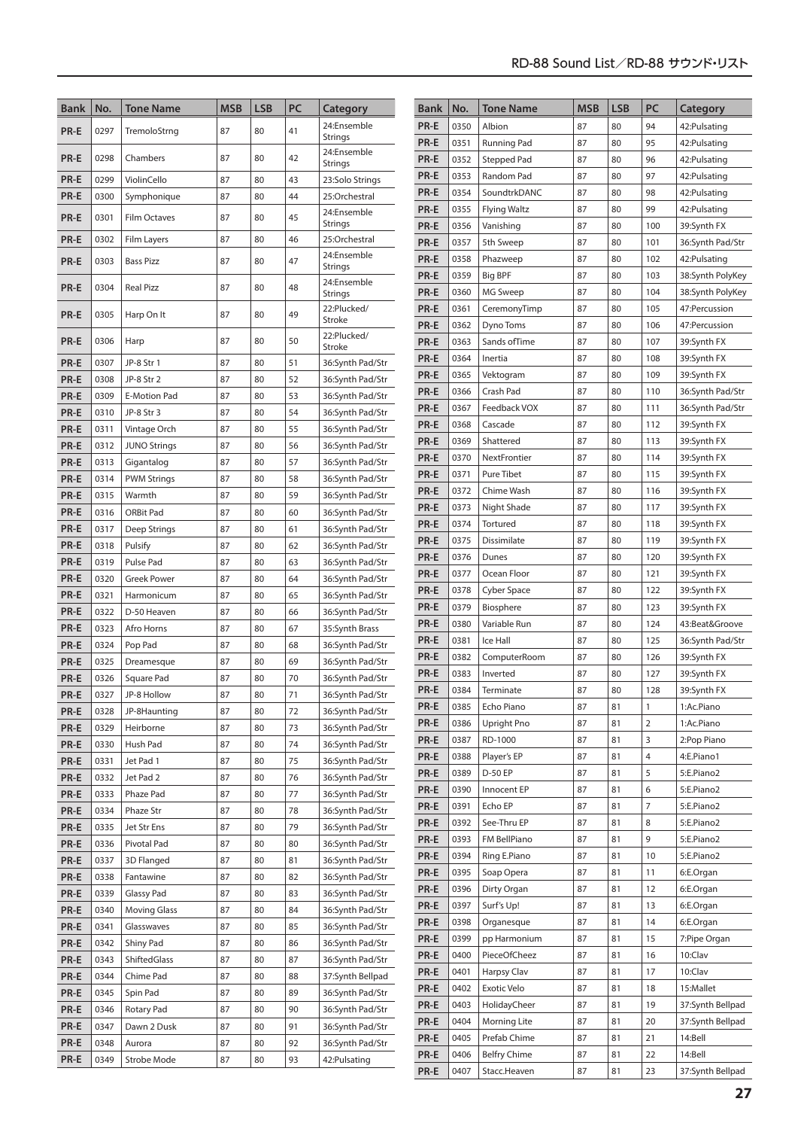| <b>Bank</b>  | No.          | <b>Tone Name</b>       | <b>MSB</b> | <b>LSB</b> | PC       | Category                             | <b>Bank</b>  | No.          | <b>Tone Name</b>         | <b>MSB</b> | <b>LSB</b> | PC             | Category                   |
|--------------|--------------|------------------------|------------|------------|----------|--------------------------------------|--------------|--------------|--------------------------|------------|------------|----------------|----------------------------|
|              |              |                        |            |            |          | 24:Ensemble                          | PR-E         | 0350         | Albion                   | 87         | 80         | 94             | 42: Pulsating              |
| PR-E         | 0297         | TremoloStrng           | 87         | 80         | 41       | Strings                              | PR-E         | 0351         | Running Pad              | 87         | 80         | 95             | 42: Pulsating              |
| PR-E         | 0298         | Chambers               | 87         | 80         | 42       | 24:Ensemble                          | PR-E         | 0352         | Stepped Pad              | 87         | 80         | 96             | 42: Pulsating              |
|              |              |                        |            |            |          | Strings                              | PR-E         | 0353         | Random Pad               | 87         | 80         | 97             | 42: Pulsating              |
| PR-E<br>PR-E | 0299         | ViolinCello            | 87<br>87   | 80<br>80   | 43<br>44 | 23:Solo Strings<br>25:Orchestral     | PR-E         | 0354         | SoundtrkDANC             | 87         | 80         | 98             | 42: Pulsating              |
|              | 0300         | Symphonique            |            |            |          | 24:Ensemble                          | PR-E         | 0355         | <b>Flying Waltz</b>      | 87         | 80         | 99             | 42: Pulsating              |
| PR-E         | 0301         | Film Octaves           | 87         | 80         | 45       | Strings                              | PR-E         | 0356         | Vanishing                | 87         | 80         | 100            | 39:Synth FX                |
| PR-E         | 0302         | Film Layers            | 87         | 80         | 46       | 25:Orchestral                        | PR-E         | 0357         | 5th Sweep                | 87         | 80         | 101            | 36:Synth Pad/Str           |
| PR-E         | 0303         | <b>Bass Pizz</b>       | 87         | 80         | 47       | 24:Ensemble                          | PR-E         | 0358         | Phazweep                 | 87         | 80         | 102            | 42: Pulsating              |
|              |              |                        |            |            |          | Strings                              | PR-E         | 0359         | <b>Big BPF</b>           | 87         | 80         | 103            | 38:Synth PolyKey           |
| PR-E         | 0304         | <b>Real Pizz</b>       | 87         | 80         | 48       | 24:Ensemble<br>Strings               | PR-E         | 0360         | MG Sweep                 | 87         | 80         | 104            | 38:Synth PolyKey           |
| PR-E         | 0305         | Harp On It             | 87         | 80         | 49       | 22:Plucked/                          | PR-E         | 0361         | CeremonyTimp             | 87         | 80         | 105            | 47: Percussion             |
|              |              |                        |            |            |          | Stroke                               | PR-E         | 0362         | Dyno Toms                | 87         | 80         | 106            | 47: Percussion             |
| PR-E         | 0306         | Harp                   | 87         | 80         | 50       | 22:Plucked/<br>Stroke                | PR-E         | 0363         | Sands of Time            | 87         | 80         | 107            | 39:Synth FX                |
| PR-E         | 0307         | JP-8 Str 1             | 87         | 80         | 51       | 36:Synth Pad/Str                     | PR-E         | 0364         | Inertia                  | 87         | 80         | 108            | 39:Synth FX                |
| PR-E         | 0308         | JP-8 Str 2             | 87         | 80         | 52       | 36:Synth Pad/Str                     | PR-E         | 0365         | Vektogram                | 87         | 80         | 109            | 39:Synth FX                |
| PR-E         | 0309         | E-Motion Pad           | 87         | 80         | 53       | 36:Synth Pad/Str                     | PR-E         | 0366         | Crash Pad                | 87         | 80         | 110            | 36:Synth Pad/Str           |
| PR-E         | 0310         | JP-8 Str 3             | 87         | 80         | 54       | 36:Synth Pad/Str                     | PR-E         | 0367         | Feedback VOX             | 87         | 80         | 111            | 36:Synth Pad/Str           |
| PR-E         | 0311         | Vintage Orch           | 87         | 80         | 55       | 36:Synth Pad/Str                     | PR-E         | 0368         | Cascade                  | 87         | 80         | 112            | 39:Synth FX                |
| PR-E         | 0312         | <b>JUNO Strings</b>    | 87         | 80         | 56       | 36:Synth Pad/Str                     | PR-E         | 0369         | Shattered                | 87         | 80         | 113            | 39:Synth FX                |
| PR-E         | 0313         | Gigantalog             | 87         | 80         | 57       | 36:Synth Pad/Str                     | PR-E         | 0370         | NextFrontier             | 87         | 80         | 114            | 39:Synth FX                |
| PR-E         | 0314         | <b>PWM Strings</b>     | 87         | 80         | 58       | 36:Synth Pad/Str                     | PR-E         | 0371         | Pure Tibet               | 87         | 80         | 115            | 39:Synth FX                |
| PR-E         | 0315         | Warmth                 | 87         | 80         | 59       | 36:Synth Pad/Str                     | PR-E         | 0372         | Chime Wash               | 87         | 80         | 116            | 39:Synth FX                |
| PR-E         | 0316         | ORBit Pad              | 87         | 80         | 60       | 36:Synth Pad/Str                     | PR-E         | 0373         | Night Shade              | 87         | 80         | 117            | 39:Synth FX                |
| PR-E         | 0317         | Deep Strings           | 87         | 80         | 61       | 36:Synth Pad/Str                     | PR-E         | 0374         | Tortured                 | 87         | 80         | 118            | 39:Synth FX                |
| PR-E         | 0318         | Pulsify                | 87         | 80         | 62       | 36:Synth Pad/Str                     | PR-E         | 0375         | Dissimilate              | 87         | 80         | 119            | 39:Synth FX                |
| PR-E         | 0319         | Pulse Pad              | 87         | 80         | 63       | 36:Synth Pad/Str                     | PR-E         | 0376         | Dunes                    | 87         | 80         | 120            | 39:Synth FX                |
| PR-E         | 0320         | <b>Greek Power</b>     | 87         | 80         | 64       | 36:Synth Pad/Str                     | PR-E         | 0377         | Ocean Floor              | 87         | 80         | 121            | 39:Synth FX                |
| PR-E         | 0321         | Harmonicum             | 87         | 80         | 65       | 36:Synth Pad/Str                     | PR-E         | 0378         | Cyber Space              | 87         | 80         | 122            | 39:Synth FX                |
| PR-E         | 0322         | D-50 Heaven            | 87         | 80         | 66       | 36:Synth Pad/Str                     | PR-E         | 0379         | Biosphere                | 87         | 80         | 123            | 39:Synth FX                |
| PR-E         | 0323         | Afro Horns             | 87         | 80         | 67       | 35:Synth Brass                       | PR-E         | 0380         | Variable Run             | 87         | 80         | 124            | 43:Beat&Groove             |
| PR-E         | 0324         | Pop Pad                | 87         | 80         | 68       | 36:Synth Pad/Str                     | PR-E         | 0381<br>0382 | Ice Hall                 | 87<br>87   | 80<br>80   | 125            | 36:Synth Pad/Str           |
| PR-E         | 0325         | Dreamesque             | 87         | 80         | 69       | 36:Synth Pad/Str                     | PR-E<br>PR-E | 0383         | ComputerRoom<br>Inverted | 87         | 80         | 126<br>127     | 39:Synth FX<br>39:Synth FX |
| PR-E         | 0326         | Square Pad             | 87         | 80         | 70       | 36:Synth Pad/Str                     | PR-E         | 0384         | Terminate                | 87         | 80         | 128            | 39:Synth FX                |
| $PR-E$       | 0327         | JP-8 Hollow            | 87         | 80         | 71       | 36:Synth Pad/Str                     | PR-E         | 0385         | Echo Piano               | 87         | 81         | $\mathbf{1}$   | 1:Ac.Piano                 |
| PR-E         | 0328         | JP-8Haunting           | 87         | 80         | 72       | 36:Synth Pad/Str                     | PR-E         | 0386         | Upright Pno              | 87         | 81         | $\overline{2}$ | 1:Ac.Piano                 |
| PR-E         | 0329         | Heirborne              | 87         | 80         | 73       | 36:Synth Pad/Str                     | PR-E         | 0387         | RD-1000                  | 87         | 81         | 3              | 2:Pop Piano                |
| PR-E         | 0330         | Hush Pad               | 87         | 80         | 74       | 36:Synth Pad/Str                     | PR-E         | 0388         | Player's EP              | 87         | 81         | $\overline{4}$ | 4:E.Piano1                 |
| PR-E         | 0331         | Jet Pad 1              | 87         | 80         | 75       | 36:Synth Pad/Str                     | PR-E         | 0389         | D-50 EP                  | 87         | 81         | 5              | 5:E.Piano2                 |
| PR-E<br>PR-E | 0332<br>0333 | Jet Pad 2<br>Phaze Pad | 87<br>87   | 80<br>80   | 76<br>77 | 36:Synth Pad/Str<br>36:Synth Pad/Str | PR-E         | 0390         | Innocent EP              | 87         | 81         | 6              | 5:E.Piano2                 |
| PR-E         | 0334         | Phaze Str              | 87         | 80         | 78       | 36:Synth Pad/Str                     | PR-E         | 0391         | Echo EP                  | 87         | 81         | $\overline{7}$ | 5:E.Piano2                 |
| PR-E         | 0335         | Jet Str Ens            | 87         | 80         | 79       | 36:Synth Pad/Str                     | PR-E         | 0392         | See-Thru EP              | 87         | 81         | 8              | 5:E.Piano2                 |
| PR-E         | 0336         | Pivotal Pad            | 87         | 80         | 80       | 36:Synth Pad/Str                     | PR-E         | 0393         | FM BellPiano             | 87         | 81         | 9              | 5:E.Piano2                 |
| PR-E         | 0337         | 3D Flanged             | 87         | 80         | 81       | 36:Synth Pad/Str                     | PR-E         | 0394         | Ring E.Piano             | 87         | 81         | 10             | 5:E.Piano2                 |
| PR-E         | 0338         | Fantawine              | 87         | 80         | 82       | 36:Synth Pad/Str                     | PR-E         | 0395         | Soap Opera               | 87         | 81         | 11             | 6:E.Organ                  |
| PR-E         | 0339         | Glassy Pad             | 87         | 80         | 83       | 36:Synth Pad/Str                     | PR-E         | 0396         | Dirty Organ              | 87         | 81         | 12             | 6:E.Organ                  |
| PR-E         | 0340         | <b>Moving Glass</b>    | 87         | 80         | 84       | 36:Synth Pad/Str                     | PR-E         | 0397         | Surf's Up!               | 87         | 81         | 13             | 6:E.Organ                  |
| PR-E         | 0341         | Glasswaves             | 87         | 80         | 85       | 36:Synth Pad/Str                     | PR-E         | 0398         | Organesque               | 87         | 81         | 14             | 6:E.Organ                  |
| PR-E         | 0342         | Shiny Pad              | 87         | 80         | 86       | 36:Synth Pad/Str                     | PR-E         | 0399         | pp Harmonium             | 87         | 81         | 15             | 7:Pipe Organ               |
| PR-E         | 0343         | ShiftedGlass           | 87         | 80         | 87       | 36:Synth Pad/Str                     | PR-E         | 0400         | PieceOfCheez             | 87         | 81         | 16             | 10:Clav                    |
| PR-E         | 0344         | Chime Pad              | 87         | 80         | 88       | 37:Synth Bellpad                     | PR-E         | 0401         | Harpsy Clav              | 87         | 81         | 17             | 10:Clav                    |
| PR-E         | 0345         | Spin Pad               | 87         | 80         | 89       | 36:Synth Pad/Str                     | PR-E         | 0402         | Exotic Velo              | 87         | 81         | 18             | 15:Mallet                  |
| PR-E         | 0346         | Rotary Pad             | 87         | 80         | 90       | 36:Synth Pad/Str                     | PR-E         | 0403         | HolidayCheer             | 87         | 81         | 19             | 37:Synth Bellpad           |
| PR-E         | 0347         | Dawn 2 Dusk            | 87         | 80         | 91       | 36:Synth Pad/Str                     | PR-E         | 0404         | Morning Lite             | 87         | 81         | 20             | 37:Synth Bellpad           |
| PR-E         | 0348         | Aurora                 | 87         | 80         | 92       | 36:Synth Pad/Str                     | PR-E         | 0405         | Prefab Chime             | 87         | 81         | 21             | 14:Bell                    |
| PR-E         | 0349         | Strobe Mode            | 87         | 80         | 93       | 42: Pulsating                        | PR-E         | 0406         | <b>Belfry Chime</b>      | 87         | 81         | 22             | 14:Bell                    |
|              |              |                        |            |            |          |                                      | PR-E         | 0407         | Stacc.Heaven             | 87         | 81         | 23             | 37:Synth Bellpad           |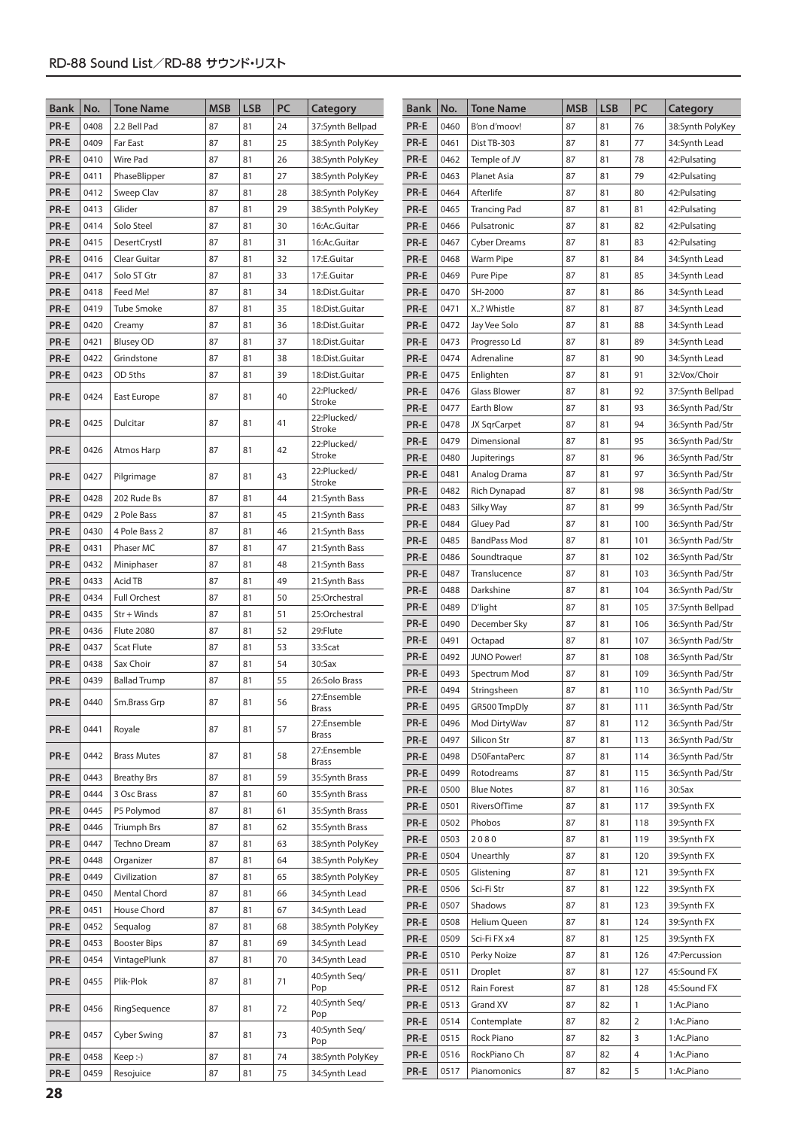| <b>Bank</b> | No.  | <b>Tone Name</b>    | <b>MSB</b> | <b>LSB</b> | PC | Category                     | <b>Bank</b> | No.  | <b>Tone Name</b>    | <b>MSB</b> | <b>LSB</b> | PC  | Category         |
|-------------|------|---------------------|------------|------------|----|------------------------------|-------------|------|---------------------|------------|------------|-----|------------------|
| PR-E        | 0408 | 2.2 Bell Pad        | 87         | 81         | 24 | 37:Synth Bellpad             | PR-E        | 0460 | B'on d'moov!        | 87         | 81         | 76  | 38:Synth PolyKey |
| PR-E        | 0409 | Far East            | 87         | 81         | 25 | 38:Synth PolyKey             | PR-E        | 0461 | Dist TB-303         | 87         | 81         | 77  | 34:Synth Lead    |
| PR-E        | 0410 | <b>Wire Pad</b>     | 87         | 81         | 26 | 38:Synth PolyKey             | PR-E        | 0462 | Temple of JV        | 87         | 81         | 78  | 42: Pulsating    |
| PR-E        | 0411 | PhaseBlipper        | 87         | 81         | 27 | 38:Synth PolyKey             | PR-E        | 0463 | Planet Asia         | 87         | 81         | 79  | 42: Pulsating    |
| PR-E        | 0412 | Sweep Clav          | 87         | 81         | 28 | 38:Synth PolyKey             | PR-E        | 0464 | Afterlife           | 87         | 81         | 80  | 42: Pulsating    |
| PR-E        | 0413 | Glider              | 87         | 81         | 29 | 38:Synth PolyKey             | PR-E        | 0465 | <b>Trancing Pad</b> | 87         | 81         | 81  | 42: Pulsating    |
| PR-E        | 0414 | Solo Steel          | 87         | 81         | 30 | 16:Ac.Guitar                 | PR-E        | 0466 | Pulsatronic         | 87         | 81         | 82  | 42: Pulsating    |
| PR-E        | 0415 | <b>DesertCrystl</b> | 87         | 81         | 31 | 16:Ac.Guitar                 | PR-E        | 0467 | <b>Cyber Dreams</b> | 87         | 81         | 83  | 42: Pulsating    |
| PR-E        | 0416 | Clear Guitar        | 87         | 81         | 32 | 17:E.Guitar                  | PR-E        | 0468 | Warm Pipe           | 87         | 81         | 84  | 34:Synth Lead    |
| PR-E        | 0417 | Solo ST Gtr         | 87         | 81         | 33 | 17:E.Guitar                  | PR-E        | 0469 | Pure Pipe           | 87         | 81         | 85  | 34:Synth Lead    |
| PR-E        | 0418 | Feed Me!            | 87         | 81         | 34 | 18:Dist.Guitar               | PR-E        | 0470 | SH-2000             | 87         | 81         | 86  | 34:Synth Lead    |
| PR-E        | 0419 | Tube Smoke          | 87         | 81         | 35 | 18:Dist.Guitar               | PR-E        | 0471 | X? Whistle          | 87         | 81         | 87  | 34:Synth Lead    |
| PR-E        | 0420 | Creamy              | 87         | 81         | 36 | 18:Dist.Guitar               | PR-E        | 0472 | Jay Vee Solo        | 87         | 81         | 88  | 34:Synth Lead    |
| PR-E        | 0421 | <b>Blusey OD</b>    | 87         | 81         | 37 | 18:Dist.Guitar               | PR-E        | 0473 | Progresso Ld        | 87         | 81         | 89  | 34:Synth Lead    |
| PR-E        | 0422 | Grindstone          | 87         | 81         | 38 | 18:Dist.Guitar               | PR-E        | 0474 | Adrenaline          | 87         | 81         | 90  | 34:Synth Lead    |
| PR-E        | 0423 | OD 5ths             | 87         | 81         | 39 | 18:Dist.Guitar               | PR-E        | 0475 | Enlighten           | 87         | 81         | 91  | 32:Vox/Choir     |
| PR-E        | 0424 | East Europe         | 87         | 81         | 40 | 22:Plucked/                  | PR-E        | 0476 | <b>Glass Blower</b> | 87         | 81         | 92  | 37:Synth Bellpad |
|             |      |                     |            |            |    | <b>Stroke</b>                | PR-E        | 0477 | Earth Blow          | 87         | 81         | 93  | 36:Synth Pad/Str |
| PR-E        | 0425 | Dulcitar            | 87         | 81         | 41 | 22:Plucked/<br>Stroke        | PR-E        | 0478 | JX SqrCarpet        | 87         | 81         | 94  | 36:Synth Pad/Str |
|             |      |                     |            |            | 42 | 22:Plucked/                  | PR-E        | 0479 | Dimensional         | 87         | 81         | 95  | 36:Synth Pad/Str |
| PR-E        | 0426 | Atmos Harp          | 87         | 81         |    | Stroke                       | PR-E        | 0480 | Jupiterings         | 87         | 81         | 96  | 36:Synth Pad/Str |
| PR-E        | 0427 | Pilgrimage          | 87         | 81         | 43 | 22:Plucked/<br><b>Stroke</b> | PR-E        | 0481 | Analog Drama        | 87         | 81         | 97  | 36:Synth Pad/Str |
| PR-E        | 0428 | 202 Rude Bs         | 87         | 81         | 44 | 21:Synth Bass                | PR-E        | 0482 | Rich Dynapad        | 87         | 81         | 98  | 36:Synth Pad/Str |
| PR-E        | 0429 | 2 Pole Bass         | 87         | 81         | 45 | 21:Synth Bass                | PR-E        | 0483 | Silky Way           | 87         | 81         | 99  | 36:Synth Pad/Str |
| PR-E        | 0430 | 4 Pole Bass 2       | 87         | 81         | 46 | 21:Synth Bass                | PR-E        | 0484 | <b>Gluey Pad</b>    | 87         | 81         | 100 | 36:Synth Pad/Str |
| PR-E        | 0431 | Phaser MC           | 87         | 81         | 47 | 21:Synth Bass                | PR-E        | 0485 | <b>BandPass Mod</b> | 87         | 81         | 101 | 36:Synth Pad/Str |
| PR-E        | 0432 | Miniphaser          | 87         | 81         | 48 | 21:Synth Bass                | PR-E        | 0486 | Soundtraque         | 87         | 81         | 102 | 36:Synth Pad/Str |
| PR-E        | 0433 | Acid TB             | 87         | 81         | 49 | 21:Synth Bass                | PR-E        | 0487 | Translucence        | 87         | 81         | 103 | 36:Synth Pad/Str |
| PR-E        | 0434 | <b>Full Orchest</b> | 87         | 81         | 50 | 25:Orchestral                | PR-E        | 0488 | Darkshine           | 87         | 81         | 104 | 36:Synth Pad/Str |
| PR-E        | 0435 | $Str + Winds$       | 87         | 81         | 51 | 25:Orchestral                | PR-E        | 0489 | D'light             | 87         | 81         | 105 | 37:Synth Bellpad |
| PR-E        | 0436 | <b>Flute 2080</b>   | 87         | 81         | 52 | 29:Flute                     | PR-E        | 0490 | December Sky        | 87         | 81         | 106 | 36:Synth Pad/Str |
| PR-E        | 0437 | <b>Scat Flute</b>   | 87         | 81         | 53 | 33:Scat                      | PR-E        | 0491 | Octapad             | 87         | 81         | 107 | 36:Synth Pad/Str |
| PR-E        | 0438 | Sax Choir           | 87         | 81         | 54 | $30:$ Sax                    | PR-E        | 0492 | <b>JUNO Power!</b>  | 87         | 81         | 108 | 36:Synth Pad/Str |
| PR-E        | 0439 | <b>Ballad Trump</b> | 87         | 81         | 55 | 26:Solo Brass                | PR-E        | 0493 | Spectrum Mod        | 87         | 81         | 109 | 36:Synth Pad/Str |
|             |      |                     |            |            |    | 27:Ensemble                  | PR-E        | 0494 | Stringsheen         | 87         | 81         | 110 | 36:Synth Pad/Str |
| PR-E        | 0440 | Sm.Brass Grp        | 87         | 81         | 56 | <b>Brass</b>                 | PR-E        | 0495 | GR500 TmpDly        | 87         | 81         | 111 | 36:Synth Pad/Str |
| PR-E        | 0441 | Royale              | 87         | 81         | 57 | 27:Ensemble<br><b>Brass</b>  | PR-E        | 0496 | Mod DirtyWav        | 87         | 81         | 112 | 36:Synth Pad/Str |
|             |      |                     |            |            |    | 27:Ensemble                  | PR-E        | 0497 | Silicon Str         | 87         | 81         | 113 | 36:Synth Pad/Str |
| PR-E        | 0442 | <b>Brass Mutes</b>  | 87         | 81         | 58 | <b>Brass</b>                 | PR-E        | 0498 | D50FantaPerc        | 87         | 81         | 114 | 36:Synth Pad/Str |
| PR-E        | 0443 | <b>Breathy Brs</b>  | 87         | 81         | 59 | 35:Synth Brass               | PR-E        | 0499 | Rotodreams          | 87         | 81         | 115 | 36:Synth Pad/Str |
| PR-E        | 0444 | 3 Osc Brass         | 87         | 81         | 60 | 35:Synth Brass               | PR-E        | 0500 | <b>Blue Notes</b>   | 87         | 81         | 116 | 30:Sax           |
| PR-E        | 0445 | P5 Polymod          | 87         | 81         | 61 | 35:Synth Brass               | PR-E        | 0501 | RiversOfTime        | 87         | 81         | 117 | 39:Synth FX      |
| PR-E        | 0446 | <b>Triumph Brs</b>  | 87         | 81         | 62 | 35:Synth Brass               | PR-E        | 0502 | Phobos              | 87         | 81         | 118 | 39:Synth FX      |
| PR-E        | 0447 | Techno Dream        | 87         | 81         | 63 | 38:Synth PolyKey             | PR-E        | 0503 | 2080                | 87         | 81         | 119 | 39:Synth FX      |
| PR-E        | 0448 | Organizer           | 87         | 81         | 64 | 38:Synth PolyKey             | PR-E        | 0504 | Unearthly           | 87         | 81         | 120 | 39:Synth FX      |
| PR-E        | 0449 | Civilization        | 87         | 81         | 65 | 38:Synth PolyKey             | PR-E        | 0505 | Glistening          | 87         | 81         | 121 | 39:Synth FX      |
| PR-E        | 0450 | Mental Chord        | 87         | 81         | 66 | 34:Synth Lead                | PR-E        | 0506 | Sci-Fi Str          | 87         | 81         | 122 | 39:Synth FX      |
| PR-E        | 0451 | House Chord         | 87         | 81         | 67 | 34:Synth Lead                | PR-E        | 0507 | Shadows             | 87         | 81         | 123 | 39:Synth FX      |
| PR-E        | 0452 | Sequalog            | 87         | 81         | 68 | 38:Synth PolyKey             | PR-E        | 0508 | Helium Queen        | 87         | 81         | 124 | 39:Synth FX      |
| PR-E        | 0453 | <b>Booster Bips</b> | 87         | 81         | 69 | 34:Synth Lead                | PR-E        | 0509 | Sci-Fi FX x4        | 87         | 81         | 125 | 39:Synth FX      |
| PR-E        | 0454 | VintagePlunk        | 87         | 81         | 70 | 34:Synth Lead                | PR-E        | 0510 | Perky Noize         | 87         | 81         | 126 | 47:Percussion    |
| PR-E        | 0455 | Plik-Plok           | 87         | 81         | 71 | 40:Synth Seq/                | PR-E        | 0511 | Droplet             | 87         | 81         | 127 | 45:Sound FX      |
|             |      |                     |            |            |    | Pop<br>40:Synth Seq/         | PR-E        | 0512 | Rain Forest         | 87         | 81         | 128 | 45:Sound FX      |
| PR-E        | 0456 | RingSequence        | 87         | 81         | 72 | Pop                          | PR-E        | 0513 | Grand XV            | 87         | 82         | 1   | 1:Ac.Piano       |
| PR-E        | 0457 | Cyber Swing         | 87         | 81         | 73 | 40:Synth Seq/                | PR-E        | 0514 | Contemplate         | 87         | 82         | 2   | 1:Ac.Piano       |
|             |      |                     |            |            |    | Pop                          | PR-E        | 0515 | Rock Piano          | 87         | 82         | 3   | 1:Ac.Piano       |
| PR-E        | 0458 | Keep:-)             | 87         | 81         | 74 | 38:Synth PolyKey             | PR-E        | 0516 | RockPiano Ch        | 87         | 82         | 4   | 1:Ac.Piano       |
| PR-E        | 0459 | Resojuice           | 87         | 81         | 75 | 34:Synth Lead                | PR-E        | 0517 | Pianomonics         | 87         | 82         | 5   | 1:Ac.Piano       |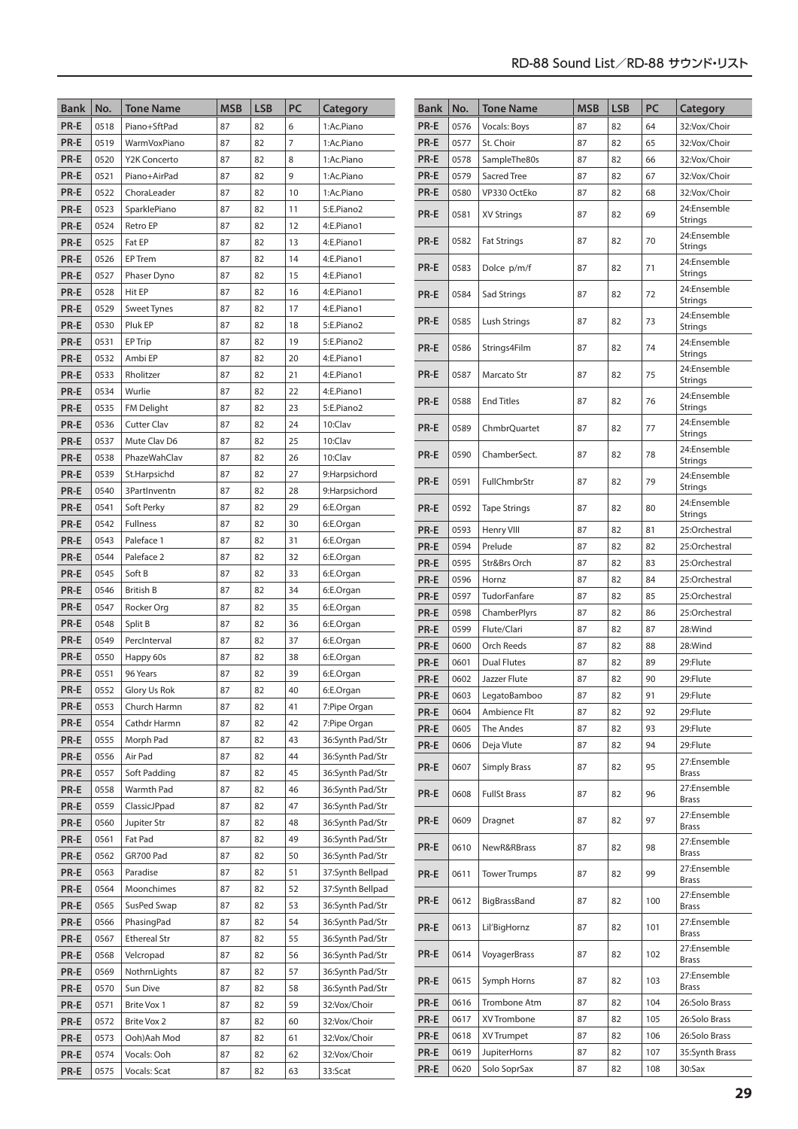| <b>Bank</b> | No.  | <b>Tone Name</b>    | <b>MSB</b> | <b>LSB</b> | PC             | Category         | Bank | No.  | <b>Tone Name</b>    | <b>MSB</b> | <b>LSB</b> | PC  | Category                      |
|-------------|------|---------------------|------------|------------|----------------|------------------|------|------|---------------------|------------|------------|-----|-------------------------------|
| PR-E        | 0518 | Piano+SftPad        | 87         | 82         | 6              | 1:Ac.Piano       | PR-E | 0576 | Vocals: Boys        | 87         | 82         | 64  | 32:Vox/Choir                  |
| PR-E        | 0519 | WarmVoxPiano        | 87         | 82         | $\overline{7}$ | 1:Ac.Piano       | PR-E | 0577 | St. Choir           | 87         | 82         | 65  | 32:Vox/Choir                  |
| PR-E        | 0520 | Y2K Concerto        | 87         | 82         | 8              | 1:Ac.Piano       | PR-E | 0578 | SampleThe80s        | 87         | 82         | 66  | 32:Vox/Choir                  |
| PR-E        | 0521 | Piano+AirPad        | 87         | 82         | 9              | 1:Ac.Piano       | PR-E | 0579 | Sacred Tree         | 87         | 82         | 67  | 32:Vox/Choir                  |
| PR-E        | 0522 | ChoraLeader         | 87         | 82         | 10             | 1:Ac.Piano       | PR-E | 0580 | VP330 OctEko        | 87         | 82         | 68  | 32:Vox/Choir                  |
| PR-E        | 0523 | SparklePiano        | 87         | 82         | 11             | 5:E.Piano2       | PR-E | 0581 | <b>XV Strings</b>   | 87         | 82         | 69  | 24:Ensemble                   |
| PR-E        | 0524 | Retro EP            | 87         | 82         | 12             | 4:E.Piano1       |      |      |                     |            |            |     | <b>Strings</b><br>24:Ensemble |
| PR-E        | 0525 | Fat EP              | 87         | 82         | 13             | 4:E.Piano1       | PR-E | 0582 | <b>Fat Strings</b>  | 87         | 82         | 70  | <b>Strings</b>                |
| PR-E        | 0526 | EP Trem             | 87         | 82         | 14             | 4:E.Piano1       | PR-E | 0583 | Dolce p/m/f         | 87         | 82         | 71  | 24:Ensemble                   |
| PR-E        | 0527 | Phaser Dyno         | 87         | 82         | 15             | 4:E.Piano1       |      |      |                     |            |            |     | <b>Strings</b>                |
| PR-E        | 0528 | Hit EP              | 87         | 82         | 16             | 4:E.Piano1       | PR-E | 0584 | Sad Strings         | 87         | 82         | 72  | 24:Ensemble<br><b>Strings</b> |
| PR-E        | 0529 | <b>Sweet Tynes</b>  | 87         | 82         | 17             | 4:E.Piano1       |      |      |                     |            |            |     | 24:Ensemble                   |
| PR-E        | 0530 | Pluk EP             | 87         | 82         | 18             | 5:E.Piano2       | PR-E | 0585 | Lush Strings        | 87         | 82         | 73  | <b>Strings</b>                |
| PR-E        | 0531 | EP Trip             | 87         | 82         | 19             | 5:E.Piano2       | PR-E | 0586 | Strings4Film        | 87         | 82         | 74  | 24:Ensemble                   |
| PR-E        | 0532 | Ambi EP             | 87         | 82         | 20             | 4:E.Piano1       |      |      |                     |            |            |     | <b>Strings</b>                |
| PR-E        | 0533 | Rholitzer           | 87         | 82         | 21             | 4:E.Piano1       | PR-E | 0587 | Marcato Str         | 87         | 82         | 75  | 24:Ensemble<br><b>Strings</b> |
| PR-E        | 0534 | Wurlie              | 87         | 82         | 22             | 4:E.Piano1       |      |      |                     |            |            |     | 24:Ensemble                   |
| PR-E        | 0535 | FM Delight          | 87         | 82         | 23             | 5:E.Piano2       | PR-E | 0588 | <b>End Titles</b>   | 87         | 82         | 76  | <b>Strings</b>                |
| PR-E        | 0536 | <b>Cutter Clav</b>  | 87         | 82         | 24             | 10:Clav          | PR-E | 0589 | ChmbrQuartet        | 87         | 82         | 77  | 24:Ensemble                   |
| PR-E        | 0537 | Mute Clav D6        | 87         | 82         | 25             | 10:Clav          |      |      |                     |            |            |     | <b>Strings</b>                |
| PR-E        | 0538 | PhazeWahClav        | 87         | 82         | 26             | 10:Clav          | PR-E | 0590 | ChamberSect.        | 87         | 82         | 78  | 24:Ensemble<br><b>Strings</b> |
| PR-E        | 0539 | St.Harpsichd        | 87         | 82         | 27             | 9:Harpsichord    | PR-E | 0591 | FullChmbrStr        | 87         | 82         | 79  | 24:Ensemble                   |
| PR-E        | 0540 | 3PartInventn        | 87         | 82         | 28             | 9:Harpsichord    |      |      |                     |            |            |     | <b>Strings</b>                |
| PR-E        | 0541 | Soft Perky          | 87         | 82         | 29             | 6:E.Organ        | PR-E | 0592 | <b>Tape Strings</b> | 87         | 82         | 80  | 24:Ensemble<br><b>Strings</b> |
| PR-E        | 0542 | Fullness            | 87         | 82         | 30             | 6:E.Organ        | PR-E | 0593 | Henry VIII          | 87         | 82         | 81  | 25:Orchestral                 |
| PR-E        | 0543 | Paleface 1          | 87         | 82         | 31             | 6:E.Organ        | PR-E | 0594 | Prelude             | 87         | 82         | 82  | 25:Orchestral                 |
| PR-E        | 0544 | Paleface 2          | 87         | 82         | 32             | 6:E.Organ        | PR-E | 0595 | Str&Brs Orch        | 87         | 82         | 83  | 25:Orchestral                 |
| PR-E        | 0545 | Soft B              | 87         | 82         | 33             | 6:E.Organ        | PR-E | 0596 | Hornz               | 87         | 82         | 84  | 25:Orchestral                 |
| PR-E        | 0546 | <b>British B</b>    | 87         | 82         | 34             | 6:E.Organ        | PR-E | 0597 | TudorFanfare        | 87         | 82         | 85  | 25:Orchestral                 |
| PR-E        | 0547 | Rocker Org          | 87         | 82         | 35             | 6:E.Organ        | PR-E | 0598 | ChamberPlyrs        | 87         | 82         | 86  | 25:Orchestral                 |
| PR-E        | 0548 | Split B             | 87         | 82         | 36             | 6:E.Organ        | PR-E | 0599 | Flute/Clari         | 87         | 82         | 87  | 28:Wind                       |
| PR-E        | 0549 | PercInterval        | 87         | 82         | 37             | 6:E.Organ        | PR-E | 0600 | Orch Reeds          | 87         | 82         | 88  | 28:Wind                       |
| PR-E        | 0550 | Happy 60s           | 87         | 82         | 38             | 6:E.Organ        | PR-E | 0601 | <b>Dual Flutes</b>  | 87         | 82         | 89  | 29:Flute                      |
| PR-E        | 0551 | 96 Years            | 87         | 82         | 39             | 6:E.Organ        | PR-E | 0602 | Jazzer Flute        | 87         | 82         | 90  | 29:Flute                      |
| PR-E        | 0552 | Glory Us Rok        | 87         | 82         | 40             | 6:E.Organ        | PR-E | 0603 | LegatoBamboo        | 87         | 82         | 91  | 29:Flute                      |
| PR-E        | 0553 | Church Harmn        | 87         | 82         | 41             | 7:Pipe Organ     | PR-E | 0604 | Ambience Flt        | 87         | 82         | 92  | 29:Flute                      |
| PR-E        | 0554 | Cathdr Harmn        | 87         | 82         | 42             | 7:Pipe Organ     | PR-E | 0605 | The Andes           | 87         | 82         | 93  | 29:Flute                      |
| PR-E        | 0555 | Morph Pad           | 87         | 82         | 43             | 36:Synth Pad/Str | PR-E | 0606 | Deja Vlute          | 87         | 82         | 94  | 29:Flute                      |
| PR-E        | 0556 | Air Pad             | 87         | 82         | 44             | 36:Synth Pad/Str |      |      |                     |            |            |     | 27:Ensemble                   |
| PR-E        | 0557 | Soft Padding        | 87         | 82         | 45             | 36:Synth Pad/Str | PR-E | 0607 | <b>Simply Brass</b> | 87         | 82         | 95  | <b>Brass</b>                  |
| PR-E        | 0558 | Warmth Pad          | 87         | 82         | 46             | 36:Synth Pad/Str | PR-E | 0608 | <b>FullSt Brass</b> | 87         | 82         | 96  | 27:Ensemble                   |
| PR-E        | 0559 | ClassicJPpad        | 87         | 82         | 47             | 36:Synth Pad/Str |      |      |                     |            |            |     | <b>Brass</b><br>27:Ensemble   |
| PR-E        | 0560 | Jupiter Str         | 87         | 82         | 48             | 36:Synth Pad/Str | PR-E | 0609 | Dragnet             | 87         | 82         | 97  | <b>Brass</b>                  |
| PR-E        | 0561 | Fat Pad             | 87         | 82         | 49             | 36:Synth Pad/Str | PR-E | 0610 | NewR&RBrass         | 87         | 82         | 98  | 27:Ensemble                   |
| PR-E        | 0562 | GR700 Pad           | 87         | 82         | 50             | 36:Synth Pad/Str |      |      |                     |            |            |     | <b>Brass</b>                  |
| PR-E        | 0563 | Paradise            | 87         | 82         | 51             | 37:Synth Bellpad | PR-E | 0611 | <b>Tower Trumps</b> | 87         | 82         | 99  | 27:Ensemble<br><b>Brass</b>   |
| PR-E        | 0564 | Moonchimes          | 87         | 82         | 52             | 37:Synth Bellpad |      |      |                     |            |            |     | 27:Ensemble                   |
| PR-E        | 0565 | SusPed Swap         | 87         | 82         | 53             | 36:Synth Pad/Str | PR-E | 0612 | BigBrassBand        | 87         | 82         | 100 | <b>Brass</b>                  |
| PR-E        | 0566 | PhasingPad          | 87         | 82         | 54             | 36:Synth Pad/Str | PR-E | 0613 | Lil'BigHornz        | 87         | 82         | 101 | 27:Ensemble                   |
| PR-E        | 0567 | <b>Ethereal Str</b> | 87         | 82         | 55             | 36:Synth Pad/Str |      |      |                     |            |            |     | <b>Brass</b>                  |
| PR-E        | 0568 | Velcropad           | 87         | 82         | 56             | 36:Synth Pad/Str | PR-E | 0614 | VoyagerBrass        | 87         | 82         | 102 | 27:Ensemble<br><b>Brass</b>   |
| PR-E        | 0569 | NothrnLights        | 87         | 82         | 57             | 36:Synth Pad/Str | PR-E |      |                     |            |            | 103 | 27:Ensemble                   |
| PR-E        | 0570 | Sun Dive            | 87         | 82         | 58             | 36:Synth Pad/Str |      | 0615 | Symph Horns         | 87         | 82         |     | <b>Brass</b>                  |
| PR-E        | 0571 | Brite Vox 1         | 87         | 82         | 59             | 32:Vox/Choir     | PR-E | 0616 | Trombone Atm        | 87         | 82         | 104 | 26:Solo Brass                 |
| PR-E        | 0572 | Brite Vox 2         | 87         | 82         | 60             | 32:Vox/Choir     | PR-E | 0617 | XV Trombone         | 87         | 82         | 105 | 26:Solo Brass                 |
| PR-E        | 0573 | Ooh)Aah Mod         | 87         | 82         | 61             | 32:Vox/Choir     | PR-E | 0618 | XV Trumpet          | 87         | 82         | 106 | 26:Solo Brass                 |
| PR-E        | 0574 | Vocals: Ooh         | 87         | 82         | 62             | 32:Vox/Choir     | PR-E | 0619 | <b>JupiterHorns</b> | 87         | 82         | 107 | 35:Synth Brass                |
| PR-E        | 0575 | Vocals: Scat        | 87         | 82         | 63             | 33:Scat          | PR-E | 0620 | Solo SoprSax        | 87         | 82         | 108 | 30:Sax                        |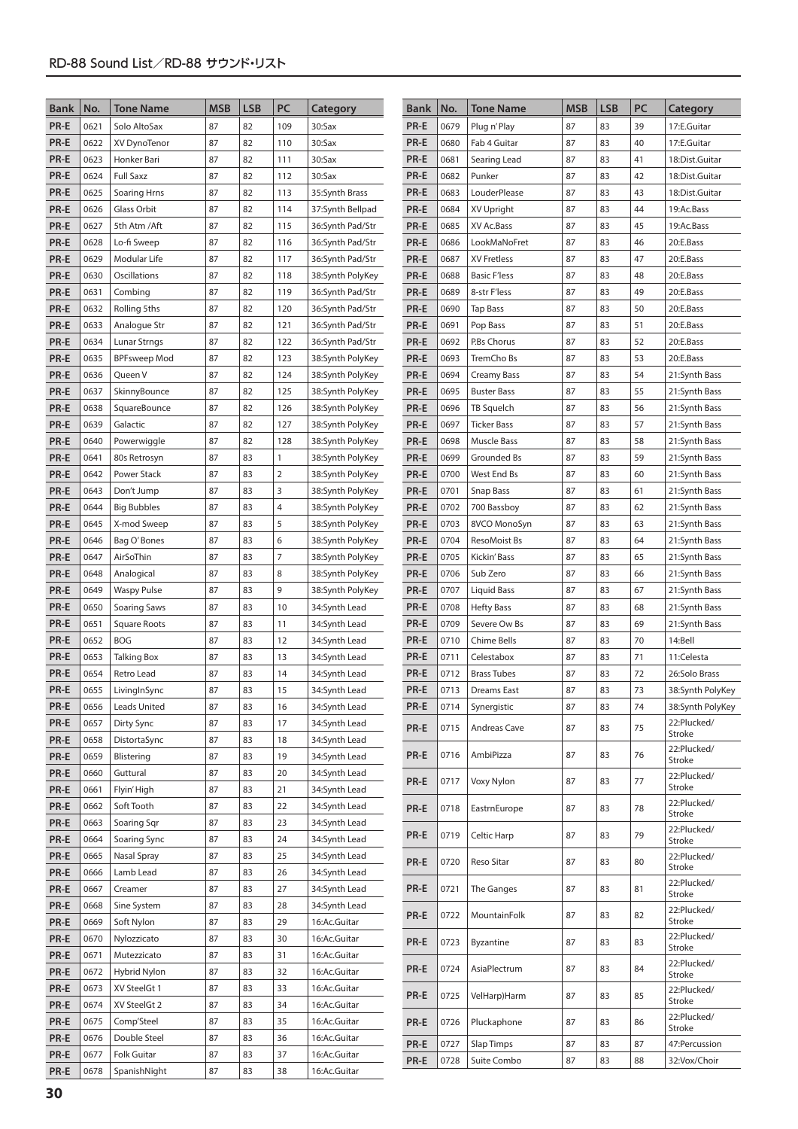| <b>Bank</b>  | No.          | <b>Tone Name</b>                    | <b>MSB</b> | <b>LSB</b> | PC             | Category                       | <b>Bank</b>  | No.          | <b>Tone Name</b>                 | <b>MSB</b> | <b>LSB</b> | PC       | Category                             |
|--------------|--------------|-------------------------------------|------------|------------|----------------|--------------------------------|--------------|--------------|----------------------------------|------------|------------|----------|--------------------------------------|
| PR-E         | 0621         | Solo AltoSax                        | 87         | 82         | 109            | 30:Sax                         | PR-E         | 0679         | Plug n'Play                      | 87         | 83         | 39       | 17:E.Guitar                          |
| PR-E         | 0622         | XV DynoTenor                        | 87         | 82         | 110            | 30:Sax                         | PR-E         | 0680         | Fab 4 Guitar                     | 87         | 83         | 40       | 17:E.Guitar                          |
| PR-E         | 0623         | Honker Bari                         | 87         | 82         | 111            | $30:$ Sax                      | PR-E         | 0681         | Searing Lead                     | 87         | 83         | 41       | 18:Dist.Guitar                       |
| PR-E         | 0624         | <b>Full Saxz</b>                    | 87         | 82         | 112            | $30:$ Sax                      | PR-E         | 0682         | Punker                           | 87         | 83         | 42       | 18:Dist.Guitar                       |
| PR-E         | 0625         | <b>Soaring Hrns</b>                 | 87         | 82         | 113            | 35:Synth Brass                 | PR-E         | 0683         | LouderPlease                     | 87         | 83         | 43       | 18:Dist.Guitar                       |
| PR-E         | 0626         | Glass Orbit                         | 87         | 82         | 114            | 37:Synth Bellpad               | PR-E         | 0684         | XV Upright                       | 87         | 83         | 44       | 19:Ac.Bass                           |
| PR-E         | 0627         | 5th Atm / Aft                       | 87         | 82         | 115            | 36:Synth Pad/Str               | PR-E         | 0685         | XV Ac.Bass                       | 87         | 83         | 45       | 19:Ac.Bass                           |
| PR-E         | 0628         | Lo-fi Sweep                         | 87         | 82         | 116            | 36:Synth Pad/Str               | PR-E         | 0686         | LookMaNoFret                     | 87         | 83         | 46       | 20:E.Bass                            |
| PR-E         | 0629         | Modular Life                        | 87         | 82         | 117            | 36:Synth Pad/Str               | PR-E         | 0687         | XV Fretless                      | 87         | 83         | 47       | 20:E.Bass                            |
| PR-E         | 0630         | Oscillations                        | 87         | 82         | 118            | 38:Synth PolyKey               | PR-E         | 0688         | <b>Basic F'less</b>              | 87         | 83         | 48       | 20:E.Bass                            |
| PR-E         | 0631         | Combing                             | 87         | 82         | 119            | 36:Synth Pad/Str               | PR-E         | 0689         | 8-str F'less                     | 87         | 83         | 49       | 20:E.Bass                            |
| PR-E         | 0632         | Rolling 5ths                        | 87         | 82         | 120            | 36:Synth Pad/Str               | PR-E         | 0690         | <b>Tap Bass</b>                  | 87         | 83         | 50       | 20:E.Bass                            |
| PR-E         | 0633         | Analogue Str                        | 87         | 82         | 121            | 36:Synth Pad/Str               | PR-E         | 0691         | Pop Bass                         | 87         | 83         | 51       | 20:E.Bass                            |
| PR-E         | 0634         | Lunar Strngs                        | 87         | 82         | 122            | 36:Synth Pad/Str               | PR-E         | 0692         | P.Bs Chorus                      | 87         | 83         | 52       | 20:E.Bass                            |
| PR-E         | 0635         | <b>BPFsweep Mod</b>                 | 87         | 82         | 123            | 38:Synth PolyKey               | PR-E         | 0693         | TremCho Bs                       | 87         | 83         | 53       | 20:E.Bass                            |
| PR-E         | 0636         | Queen V                             | 87         | 82         | 124            | 38:Synth PolyKey               | PR-E         | 0694         | Creamy Bass                      | 87         | 83         | 54       | 21:Synth Bass                        |
| PR-E         | 0637         | SkinnyBounce                        | 87         | 82         | 125            | 38:Synth PolyKey               | PR-E         | 0695         | <b>Buster Bass</b>               | 87         | 83         | 55       | 21:Synth Bass                        |
| PR-E         | 0638         | SquareBounce                        | 87         | 82         | 126            | 38:Synth PolyKey               | PR-E         | 0696         | TB Squelch                       | 87         | 83         | 56       | 21:Synth Bass                        |
| PR-E         | 0639         | Galactic                            | 87         | 82         | 127            | 38:Synth PolyKey               | PR-E         | 0697         | Ticker Bass                      | 87         | 83         | 57       | 21:Synth Bass                        |
| PR-E         | 0640         | Powerwiggle                         | 87         | 82         | 128            | 38:Synth PolyKey               | PR-E         | 0698         | Muscle Bass                      | 87         | 83         | 58       | 21:Synth Bass                        |
| PR-E         | 0641         | 80s Retrosyn                        | 87         | 83         | $\mathbf{1}$   | 38:Synth PolyKey               | PR-E         | 0699         | Grounded Bs                      | 87         | 83         | 59       | 21:Synth Bass                        |
| PR-E         | 0642         | Power Stack                         | 87         | 83         | 2              | 38:Synth PolyKey               | PR-E         | 0700         | West End Bs                      | 87         | 83         | 60       | 21:Synth Bass                        |
| PR-E         | 0643         | Don't Jump                          | 87         | 83         | 3              | 38:Synth PolyKey               | PR-E         | 0701         | Snap Bass                        | 87         | 83         | 61       | 21:Synth Bass                        |
| PR-E         | 0644         | <b>Big Bubbles</b>                  | 87         | 83         | $\overline{4}$ | 38:Synth PolyKey               | PR-E         | 0702         | 700 Bassboy                      | 87         | 83         | 62       | 21:Synth Bass                        |
| PR-E         | 0645         | X-mod Sweep                         | 87         | 83         | 5              | 38:Synth PolyKey               | PR-E         | 0703         | 8VCO MonoSyn                     | 87         | 83         | 63       | 21:Synth Bass                        |
| PR-E         | 0646         | Bag O'Bones                         | 87         | 83         | 6              | 38:Synth PolyKey               | PR-E         | 0704         | ResoMoist Bs                     | 87         | 83         | 64       | 21:Synth Bass                        |
| PR-E         | 0647         | AirSoThin                           | 87         | 83         | 7              | 38:Synth PolyKey               | PR-E         | 0705         | Kickin' Bass                     | 87         | 83         | 65       | 21:Synth Bass                        |
| PR-E         | 0648         | Analogical                          | 87         | 83         | 8              | 38:Synth PolyKey               | PR-E         | 0706         | Sub Zero                         | 87         | 83         | 66       | 21:Synth Bass                        |
| PR-E         | 0649         | <b>Waspy Pulse</b>                  | 87         | 83         | 9              | 38:Synth PolyKey               | PR-E         | 0707         | Liquid Bass                      | 87         | 83         | 67       | 21:Synth Bass                        |
| PR-E         | 0650         |                                     | 87         | 83         |                |                                |              | 0708         |                                  | 87         | 83         |          |                                      |
| PR-E         |              | Soaring Saws                        | 87         |            | 10             | 34:Synth Lead                  | PR-E<br>PR-E |              | <b>Hefty Bass</b>                | 87         |            | 68<br>69 | 21:Synth Bass                        |
|              | 0651         | Square Roots<br><b>BOG</b>          | 87         | 83<br>83   | 11             | 34:Synth Lead                  |              | 0709         | Severe Ow Bs                     | 87         | 83         | 70       | 21:Synth Bass                        |
| PR-E         | 0652         |                                     | 87         |            | 12             | 34:Synth Lead                  | PR-E         | 0710         | Chime Bells                      | 87         | 83<br>83   |          | 14:Bell                              |
| PR-E         | 0653<br>0654 | <b>Talking Box</b><br>Retro Lead    | 87         | 83<br>83   | 13<br>14       | 34:Synth Lead                  | PR-E         | 0711<br>0712 | Celestabox<br><b>Brass Tubes</b> | 87         | 83         | 71<br>72 | 11:Celesta                           |
| PR-E<br>PR-E | 0655         |                                     | 87         | 83         | 15             | 34:Synth Lead<br>34:Synth Lead | PR-E<br>PR-E | 0713         | <b>Dreams East</b>               | 87         | 83         | 73       | 26:Solo Brass                        |
| PR-E         | 0656         | LivingInSync<br><b>Leads United</b> | 87         | 83         | 16             |                                | PR-E         | 0714         |                                  | 87         | 83         | 74       | 38:Synth PolyKey<br>38:Synth PolyKey |
| PR-E         | 0657         | Dirty Sync                          | 87         | 83         | 17             | 34:Synth Lead                  |              |              | Synergistic                      |            |            |          | 22:Plucked/                          |
| PR-E         | 0658         | DistortaSync                        | 87         | 83         | 18             | 34:Synth Lead<br>34:Synth Lead | PR-E         | 0715         | Andreas Cave                     | 87         | 83         | 75       | Stroke                               |
| PR-E         | 0659         | Blistering                          | 87         | 83         | 19             |                                | PR-E         | 0716         | AmbiPizza                        | 87         | 83         | 76       | 22:Plucked/                          |
| PR-E         | 0660         | Guttural                            | 87         | 83         | 20             | 34:Synth Lead<br>34:Synth Lead |              |              |                                  |            |            |          | Stroke                               |
| PR-E         | 0661         | Flyin' High                         | 87         | 83         | 21             | 34:Synth Lead                  | PR-E         | 0717         | Voxy Nylon                       | 87         | 83         | 77       | 22:Plucked/<br>Stroke                |
| PR-E         | 0662         | Soft Tooth                          | 87         | 83         | 22             | 34:Synth Lead                  |              |              |                                  |            |            |          | 22:Plucked/                          |
| PR-E         | 0663         | Soaring Sqr                         | 87         | 83         | 23             | 34:Synth Lead                  | PR-E         | 0718         | EastrnEurope                     | 87         | 83         | 78       | Stroke                               |
| PR-E         | 0664         | Soaring Sync                        | 87         | 83         | 24             | 34:Synth Lead                  | PR-E         | 0719         | Celtic Harp                      | 87         | 83         | 79       | 22:Plucked/                          |
| PR-E         | 0665         | Nasal Spray                         | 87         | 83         | 25             | 34:Synth Lead                  |              |              |                                  |            |            |          | Stroke<br>22:Plucked/                |
| PR-E         | 0666         | Lamb Lead                           | 87         | 83         | 26             | 34:Synth Lead                  | PR-E         | 0720         | Reso Sitar                       | 87         | 83         | 80       | Stroke                               |
| PR-E         | 0667         | Creamer                             | 87         | 83         | 27             | 34:Synth Lead                  | PR-E         | 0721         | The Ganges                       | 87         | 83         | 81       | 22:Plucked/                          |
| PR-E         | 0668         | Sine System                         | 87         | 83         | 28             | 34:Synth Lead                  |              |              |                                  |            |            |          | Stroke                               |
| PR-E         | 0669         | Soft Nylon                          | 87         | 83         | 29             | 16:Ac.Guitar                   | PR-E         | 0722         | MountainFolk                     | 87         | 83         | 82       | 22:Plucked/<br>Stroke                |
|              |              |                                     |            |            |                |                                |              |              |                                  |            |            |          | 22:Plucked/                          |
| PR-E         | 0670         | Nylozzicato                         | 87         | 83         | 30             | 16:Ac.Guitar                   | PR-E         | 0723         | Byzantine                        | 87         | 83         | 83       | Stroke                               |
| PR-E         | 0671         | Mutezzicato                         | 87         | 83         | 31             | 16:Ac.Guitar                   | PR-E         | 0724         | AsiaPlectrum                     | 87         | 83         | 84       | 22:Plucked/                          |
| PR-E         | 0672         | <b>Hybrid Nylon</b>                 | 87         | 83         | 32             | 16:Ac.Guitar                   |              |              |                                  |            |            |          | Stroke                               |
| PR-E         | 0673         | XV SteelGt 1                        | 87         | 83         | 33             | 16:Ac.Guitar                   | PR-E         | 0725         | VelHarp)Harm                     | 87         | 83         | 85       | 22:Plucked/<br>Stroke                |
| PR-E         | 0674         | XV SteelGt 2                        | 87         | 83         | 34             | 16:Ac.Guitar                   |              |              |                                  |            |            |          | 22:Plucked/                          |
| PR-E         | 0675         | Comp'Steel                          | 87         | 83         | 35             | 16:Ac.Guitar                   | PR-E         | 0726         | Pluckaphone                      | 87         | 83         | 86       | Stroke                               |
| PR-E         | 0676         | Double Steel                        | 87         | 83         | 36             | 16:Ac.Guitar                   | PR-E         | 0727         | Slap Timps                       | 87         | 83         | 87       | 47:Percussion                        |
| PR-E         | 0677         | Folk Guitar<br>SpanishNight         | 87<br>87   | 83<br>83   | 37             | 16:Ac.Guitar                   | PR-E         | 0728         | Suite Combo                      | 87         | 83         | 88       | 32: Vox/Choir                        |
| PR-E         | 0678         |                                     |            |            | 38             | 16:Ac.Guitar                   |              |              |                                  |            |            |          |                                      |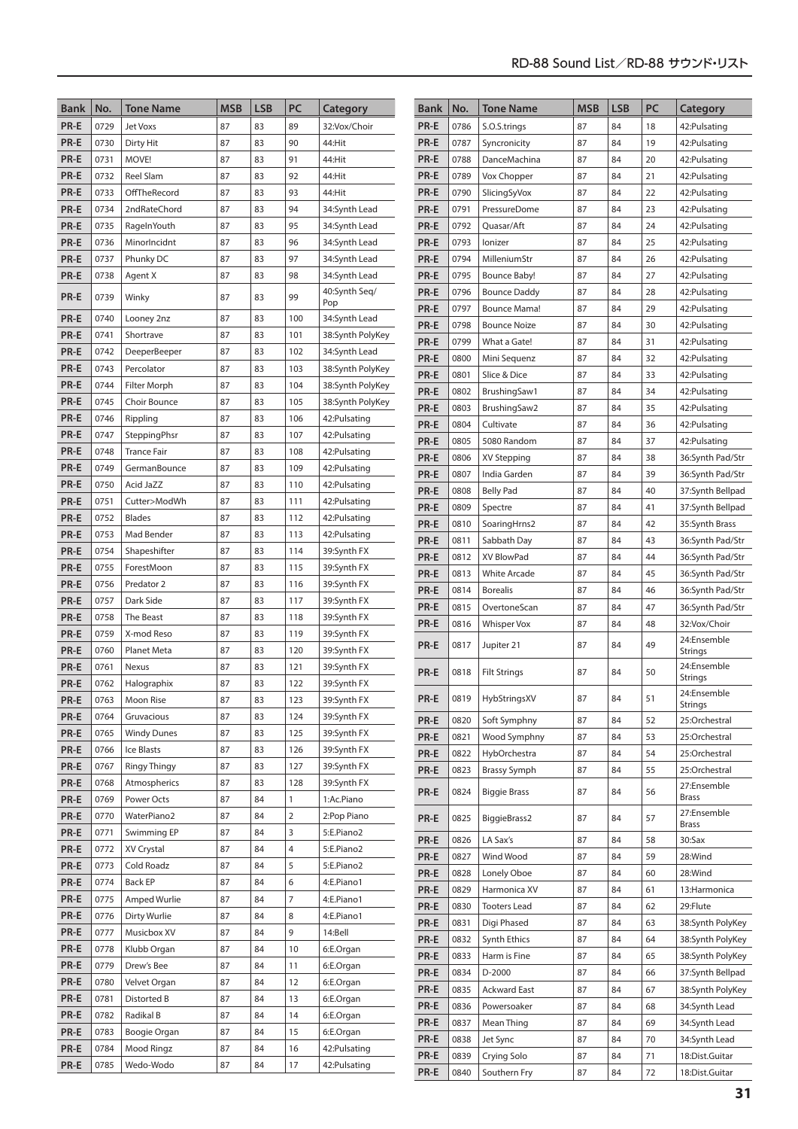| <b>Bank</b>  | No.          | <b>Tone Name</b>           | <b>MSB</b> | <b>LSB</b> | PC             | Category                          | <b>Bank</b> | No.  | <b>Tone Name</b>    | <b>MSB</b> | <b>LSB</b> | PC | Category                      |
|--------------|--------------|----------------------------|------------|------------|----------------|-----------------------------------|-------------|------|---------------------|------------|------------|----|-------------------------------|
| PR-E         | 0729         | <b>Jet Voxs</b>            | 87         | 83         | 89             | 32:Vox/Choir                      | PR-E        | 0786 | S.O.S.trings        | 87         | 84         | 18 | 42: Pulsating                 |
| PR-E         | 0730         | Dirty Hit                  | 87         | 83         | 90             | 44:Hit                            | PR-E        | 0787 | Syncronicity        | 87         | 84         | 19 | 42: Pulsating                 |
| PR-E         | 0731         | MOVE!                      | 87         | 83         | 91             | 44:Hit                            | PR-E        | 0788 | DanceMachina        | 87         | 84         | 20 | 42: Pulsating                 |
| PR-E         | 0732         | <b>Reel Slam</b>           | 87         | 83         | 92             | 44:Hit                            | PR-E        | 0789 | Vox Chopper         | 87         | 84         | 21 | 42: Pulsating                 |
| PR-E         | 0733         | OffTheRecord               | 87         | 83         | 93             | 44:Hit                            | PR-E        | 0790 | SlicingSyVox        | 87         | 84         | 22 | 42: Pulsating                 |
| PR-E         | 0734         | 2ndRateChord               | 87         | 83         | 94             | 34:Synth Lead                     | PR-E        | 0791 | PressureDome        | 87         | 84         | 23 | 42: Pulsating                 |
| PR-E         | 0735         | RageInYouth                | 87         | 83         | 95             | 34:Synth Lead                     | PR-E        | 0792 | Ouasar/Aft          | 87         | 84         | 24 | 42: Pulsating                 |
| PR-E         | 0736         | MinorIncidnt               | 87         | 83         | 96             | 34:Synth Lead                     | PR-E        | 0793 | lonizer             | 87         | 84         | 25 | 42: Pulsating                 |
| PR-E         | 0737         | Phunky DC                  | 87         | 83         | 97             | 34:Synth Lead                     | PR-E        | 0794 | MilleniumStr        | 87         | 84         | 26 | 42: Pulsating                 |
| PR-E         | 0738         | Agent X                    | 87         | 83         | 98             | 34:Synth Lead                     | PR-E        | 0795 | <b>Bounce Baby!</b> | 87         | 84         | 27 | 42: Pulsating                 |
| PR-E         | 0739         | Winky                      | 87         | 83         | 99             | 40:Synth Seg/                     | PR-E        | 0796 | <b>Bounce Daddy</b> | 87         | 84         | 28 | 42: Pulsating                 |
|              |              |                            |            |            |                | Pop                               | PR-E        | 0797 | <b>Bounce Mama!</b> | 87         | 84         | 29 | 42: Pulsating                 |
| PR-E         | 0740         | Looney 2nz                 | 87         | 83         | 100            | 34:Synth Lead                     | PR-E        | 0798 | <b>Bounce Noize</b> | 87         | 84         | 30 | 42: Pulsating                 |
| PR-E         | 0741         | Shortrave                  | 87         | 83         | 101            | 38:Synth PolyKey                  | PR-E        | 0799 | What a Gate!        | 87         | 84         | 31 | 42: Pulsating                 |
| PR-E         | 0742         | DeeperBeeper               | 87         | 83         | 102            | 34:Synth Lead                     | PR-E        | 0800 | Mini Seguenz        | 87         | 84         | 32 | 42: Pulsating                 |
| PR-E         | 0743         | Percolator                 | 87         | 83         | 103            | 38:Synth PolyKey                  | PR-E        | 0801 | Slice & Dice        | 87         | 84         | 33 | 42: Pulsating                 |
| PR-E         | 0744<br>0745 | Filter Morph               | 87<br>87   | 83<br>83   | 104            | 38:Synth PolyKey                  | PR-E        | 0802 | BrushingSaw1        | 87         | 84         | 34 | 42: Pulsating                 |
| PR-E<br>PR-E | 0746         | Choir Bounce<br>Rippling   | 87         | 83         | 105<br>106     | 38:Synth PolyKey<br>42: Pulsating | PR-E        | 0803 | BrushingSaw2        | 87         | 84         | 35 | 42: Pulsating                 |
| PR-E         | 0747         | SteppingPhsr               | 87         | 83         | 107            | 42: Pulsating                     | PR-E        | 0804 | Cultivate           | 87         | 84         | 36 | 42: Pulsating                 |
| PR-E         | 0748         | <b>Trance Fair</b>         | 87         | 83         | 108            | 42: Pulsating                     | PR-E        | 0805 | 5080 Random         | 87         | 84         | 37 | 42: Pulsating                 |
| PR-E         | 0749         | GermanBounce               | 87         | 83         | 109            | 42: Pulsating                     | PR-E        | 0806 | XV Stepping         | 87         | 84         | 38 | 36:Synth Pad/Str              |
| PR-E         | 0750         | Acid JaZZ                  | 87         | 83         | 110            | 42: Pulsating                     | PR-E        | 0807 | India Garden        | 87         | 84         | 39 | 36:Synth Pad/Str              |
| PR-E         | 0751         | Cutter>ModWh               | 87         | 83         | 111            | 42: Pulsating                     | PR-E        | 0808 | <b>Belly Pad</b>    | 87         | 84         | 40 | 37:Synth Bellpad              |
| PR-E         | 0752         | <b>Blades</b>              | 87         | 83         | 112            | 42: Pulsating                     | PR-E        | 0809 | Spectre             | 87         | 84         | 41 | 37:Synth Bellpad              |
| PR-E         | 0753         | Mad Bender                 | 87         | 83         | 113            | 42: Pulsating                     | PR-E        | 0810 | SoaringHrns2        | 87         | 84         | 42 | 35:Synth Brass                |
| PR-E         | 0754         | Shapeshifter               | 87         | 83         | 114            | 39:Synth FX                       | PR-E        | 0811 | Sabbath Day         | 87         | 84         | 43 | 36:Synth Pad/Str              |
| PR-E         | 0755         | ForestMoon                 | 87         | 83         | 115            | 39:Synth FX                       | PR-E        | 0812 | <b>XV BlowPad</b>   | 87         | 84         | 44 | 36:Synth Pad/Str              |
| PR-E         | 0756         | Predator 2                 | 87         | 83         | 116            | 39:Synth FX                       | PR-E        | 0813 | <b>White Arcade</b> | 87         | 84         | 45 | 36:Synth Pad/Str              |
| PR-E         | 0757         | Dark Side                  | 87         | 83         | 117            | 39:Synth FX                       | PR-E        | 0814 | <b>Borealis</b>     | 87         | 84         | 46 | 36:Synth Pad/Str              |
| PR-E         | 0758         | <b>The Beast</b>           | 87         | 83         | 118            | 39:Synth FX                       | PR-E        | 0815 | OvertoneScan        | 87         | 84         | 47 | 36:Synth Pad/Str              |
| PR-E         | 0759         | X-mod Reso                 | 87         | 83         | 119            | 39:Synth FX                       | PR-E        | 0816 | <b>Whisper Vox</b>  | 87         | 84         | 48 | 32:Vox/Choir                  |
| PR-E         | 0760         | <b>Planet Meta</b>         | 87         | 83         | 120            | 39:Synth FX                       | PR-E        | 0817 | Jupiter 21          | 87         | 84         | 49 | 24:Ensemble<br>Strings        |
| PR-E         | 0761         | Nexus                      | 87         | 83         | 121            | 39:Synth FX                       | PR-E        | 0818 | <b>Filt Strings</b> | 87         | 84         | 50 | 24:Ensemble                   |
| PR-E         | 0762         | Halographix                | 87         | 83         | 122            | 39:Synth FX                       |             |      |                     |            |            |    | Strings                       |
| PR-E         | 0763         | Moon Rise                  | 87         | 83         | 123            | 39:Synth FX                       | PR-E        | 0819 | HybStringsXV        | 87         | 84         | 51 | 24:Ensemble<br><b>Strings</b> |
| PR-E         | 0764         | Gruvacious                 | 87         | 83         | 124            | 39:Synth FX                       | PR-E        | 0820 | Soft Symphny        | 87         | 84         | 52 | 25:Orchestral                 |
| PR-E         | 0765         | <b>Windy Dunes</b>         | 87         | 83         | 125            | 39:Synth FX                       | PR-E        | 0821 | Wood Symphny        | 87         | 84         | 53 | 25:Orchestral                 |
| PR-E         | 0766         | Ice Blasts                 | 87         | 83         | 126            | 39:Synth FX                       | PR-E        | 0822 | HybOrchestra        | 87         | 84         | 54 | 25:Orchestral                 |
| PR-E         | 0767         | <b>Ringy Thingy</b>        | 87         | 83         | 127            | 39:Synth FX                       | PR-E        | 0823 | <b>Brassy Symph</b> | 87         | 84         | 55 | 25:Orchestral                 |
| PR-E         | 0768         | Atmospherics               | 87         | 83         | 128            | 39:Synth FX                       | PR-E        | 0824 | <b>Biggie Brass</b> | 87         | 84         | 56 | 27:Ensemble                   |
| PR-E         | 0769         | Power Octs                 | 87         | 84         | $\mathbf{1}$   | 1:Ac.Piano                        |             |      |                     |            |            |    | <b>Brass</b>                  |
| PR-E         | 0770         | WaterPiano2                | 87         | 84         | $\overline{2}$ | 2:Pop Piano                       | PR-E        | 0825 | BiggieBrass2        | 87         | 84         | 57 | 27:Ensemble<br>Brass          |
| PR-E         | 0771         | Swimming EP                | 87         | 84         | 3              | 5:E.Piano2                        | PR-E        | 0826 | LA Sax's            | 87         | 84         | 58 | 30:Sax                        |
| PR-E         | 0772         | <b>XV Crystal</b>          | 87         | 84         | $\overline{4}$ | 5:E.Piano2                        | PR-E        | 0827 | Wind Wood           | 87         | 84         | 59 | 28:Wind                       |
| PR-E         | 0773         | Cold Roadz                 | 87         | 84         | 5              | 5:E.Piano2                        | PR-E        | 0828 | Lonely Oboe         | 87         | 84         | 60 | 28:Wind                       |
| PR-E         | 0774         | <b>Back EP</b>             | 87         | 84         | 6              | 4:E.Piano1                        | PR-E        | 0829 | Harmonica XV        | 87         | 84         | 61 | 13: Harmonica                 |
| PR-E         | 0775         | Amped Wurlie               | 87         | 84         | $\overline{7}$ | 4:E.Piano1                        | PR-E        | 0830 | <b>Tooters Lead</b> | 87         | 84         | 62 | 29:Flute                      |
| PR-E         | 0776         | Dirty Wurlie               | 87         | 84         | 8              | 4:E.Piano1                        | PR-E        | 0831 | Digi Phased         | 87         | 84         | 63 | 38:Synth PolyKey              |
| PR-E         | 0777         | Musicbox XV                | 87         | 84         | 9              | 14:Bell                           | PR-E        | 0832 | Synth Ethics        | 87         | 84         | 64 | 38:Synth PolyKey              |
| PR-E         | 0778         | Klubb Organ                | 87         | 84         | 10             | 6:E.Organ                         | PR-E        | 0833 | Harm is Fine        | 87         | 84         | 65 | 38:Synth PolyKey              |
| PR-E         | 0779         | Drew's Bee                 | 87         | 84         | 11             | 6:E.Organ                         | PR-E        | 0834 | D-2000              | 87         | 84         | 66 | 37:Synth Bellpad              |
| PR-E         | 0780         | Velvet Organ               | 87         | 84         | 12             | 6:E.Organ                         | PR-E        | 0835 | <b>Ackward East</b> | 87         | 84         | 67 | 38:Synth PolyKey              |
| PR-E<br>PR-E | 0781         | Distorted B                | 87         | 84         | 13<br>14       | 6:E.Organ                         | PR-E        | 0836 | Powersoaker         | 87         | 84         | 68 | 34:Synth Lead                 |
|              | 0782<br>0783 | Radikal B                  | 87<br>87   | 84<br>84   | 15             | 6:E.Organ                         | PR-E        | 0837 | Mean Thing          | 87         | 84         | 69 | 34:Synth Lead                 |
| PR-E<br>PR-E | 0784         | Boogie Organ<br>Mood Ringz | 87         | 84         | 16             | 6:E.Organ<br>42: Pulsating        | PR-E        | 0838 | Jet Sync            | 87         | 84         | 70 | 34:Synth Lead                 |
|              |              | Wedo-Wodo                  | 87         | 84         | 17             | 42: Pulsating                     | PR-E        | 0839 | Crying Solo         | 87         | 84         | 71 | 18:Dist.Guitar                |
| PR-E         | 0785         |                            |            |            |                |                                   | PR-E        | 0840 | Southern Fry        | 87         | 84         | 72 | 18:Dist.Guitar                |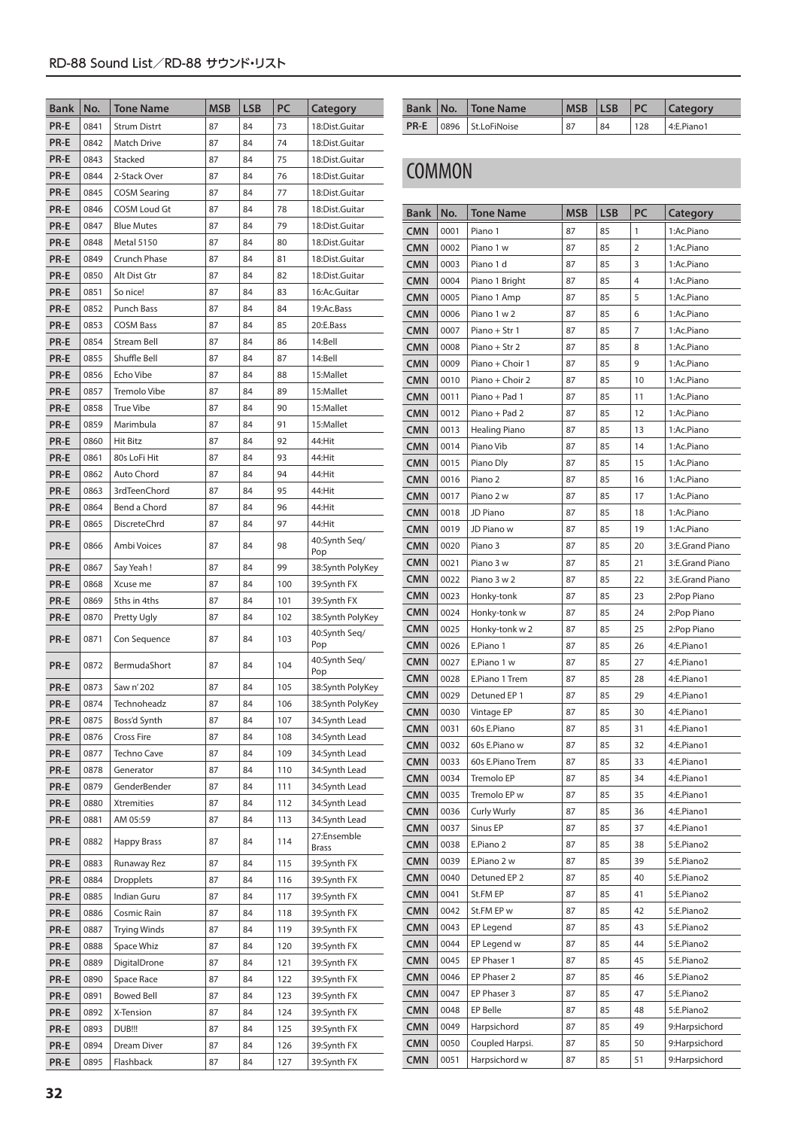| Bank        | No.  | <b>Tone Name</b>    | MSB | <b>LSB</b> | PC  | Category                    |
|-------------|------|---------------------|-----|------------|-----|-----------------------------|
| PR-E        | 0841 | <b>Strum Distrt</b> | 87  | 84         | 73  | 18:Dist.Guitar              |
| PR-E        | 0842 | Match Drive         | 87  | 84         | 74  | 18:Dist.Guitar              |
| PR-E        | 0843 | Stacked             | 87  | 84         | 75  | 18:Dist.Guitar              |
| <b>PR-E</b> | 0844 | 2-Stack Over        | 87  | 84         | 76  | 18:Dist.Guitar              |
| PR-E        | 0845 | <b>COSM Searing</b> | 87  | 84         | 77  | 18:Dist.Guitar              |
| PR-E        | 0846 | <b>COSM Loud Gt</b> | 87  | 84         | 78  | 18:Dist.Guitar              |
| PR-E        | 0847 | <b>Blue Mutes</b>   | 87  | 84         | 79  | 18:Dist.Guitar              |
| PR-E        | 0848 | <b>Metal 5150</b>   | 87  | 84         | 80  | 18:Dist.Guitar              |
| PR-E        | 0849 | Crunch Phase        | 87  | 84         | 81  | 18:Dist.Guitar              |
| PR-E        | 0850 | Alt Dist Gtr        | 87  | 84         | 82  | 18:Dist.Guitar              |
| <b>PR-E</b> | 0851 | So nice!            | 87  | 84         | 83  | 16:Ac.Guitar                |
| <b>PR-E</b> | 0852 | Punch Bass          | 87  | 84         | 84  | 19:Ac.Bass                  |
| <b>PR-E</b> | 0853 | <b>COSM Bass</b>    | 87  | 84         | 85  | 20:E.Bass                   |
| <b>PR-E</b> | 0854 | Stream Bell         | 87  | 84         | 86  | 14:Bell                     |
| <b>PR-E</b> | 0855 | Shuffle Bell        | 87  | 84         | 87  | 14:Bell                     |
| <b>PR-E</b> | 0856 | Echo Vibe           | 87  | 84         | 88  | 15:Mallet                   |
| PR-E        | 0857 | Tremolo Vibe        | 87  | 84         | 89  | 15:Mallet                   |
| <b>PR-E</b> | 0858 | <b>True Vibe</b>    | 87  | 84         | 90  | 15:Mallet                   |
| <b>PR-E</b> | 0859 | Marimbula           | 87  | 84         | 91  | 15:Mallet                   |
| <b>PR-E</b> | 0860 | <b>Hit Bitz</b>     | 87  | 84         | 92  | 44:Hit                      |
| <b>PR-E</b> | 0861 | 80s LoFi Hit        | 87  | 84         | 93  | 44:Hit                      |
| PR-E        | 0862 | Auto Chord          | 87  | 84         | 94  | 44:Hit                      |
| PR-E        | 0863 | 3rdTeenChord        | 87  | 84         | 95  | 44:Hit                      |
| PR-E        | 0864 | Bend a Chord        | 87  | 84         | 96  | 44:Hit                      |
| PR-E        | 0865 | <b>DiscreteChrd</b> | 87  | 84         | 97  | 44:Hit                      |
| PR-E        | 0866 | Ambi Voices         | 87  | 84         | 98  | 40:Synth Seq/<br>Pop        |
| <b>PR-E</b> | 0867 | Say Yeah!           | 87  | 84         | 99  | 38:Synth PolyKey            |
| PR-E        | 0868 | Xcuse me            | 87  | 84         | 100 | 39:Synth FX                 |
| PR-E        | 0869 | 5ths in 4ths        | 87  | 84         | 101 | 39:Synth FX                 |
| PR-E        | 0870 | Pretty Ugly         | 87  | 84         | 102 | 38:Synth PolyKey            |
| <b>PR-E</b> | 0871 | Con Sequence        | 87  | 84         | 103 | 40:Synth Seg/<br>Pop        |
| PR-E        | 0872 | BermudaShort        | 87  | 84         | 104 | 40:Synth Seq/<br>Pop        |
| PR-E        | 0873 | Saw n' 202          | 87  | 84         | 105 | 38:Synth PolyKey            |
| PR-E        | 0874 | Technoheadz         | 87  | 84         | 106 | 38:Synth PolyKey            |
| PR-E        | 0875 | Boss'd Synth        | 87  | 84         | 107 | 34:Synth Lead               |
| PR-E        | 0876 | Cross Fire          | 87  | 84         | 108 | 34:Synth Lead               |
| PR-E        | 0877 | Techno Cave         | 87  | 84         | 109 | 34:Synth Lead               |
| PR-E        | 0878 | Generator           | 87  | 84         | 110 | 34:Synth Lead               |
| PR-E        | 0879 | GenderBender        | 87  | 84         | 111 | 34:Synth Lead               |
| PR-E        | 0880 | Xtremities          | 87  | 84         | 112 | 34:Synth Lead               |
| PR-E        | 0881 | AM 05:59            | 87  | 84         | 113 | 34:Synth Lead               |
| PR-E        | 0882 | <b>Happy Brass</b>  | 87  | 84         | 114 | 27:Ensemble<br><b>Brass</b> |
| PR-E        | 0883 | Runaway Rez         | 87  | 84         | 115 | 39:Synth FX                 |
| PR-E        | 0884 | <b>Dropplets</b>    | 87  | 84         | 116 | 39:Synth FX                 |
| PR-E        | 0885 | Indian Guru         | 87  | 84         | 117 | 39:Synth FX                 |
| PR-E        | 0886 | Cosmic Rain         | 87  | 84         | 118 | 39:Synth FX                 |
| PR-E        | 0887 | <b>Trying Winds</b> | 87  | 84         | 119 | 39:Synth FX                 |
| PR-E        | 0888 | Space Whiz          | 87  | 84         | 120 | 39:Synth FX                 |
| PR-E        | 0889 | DigitalDrone        | 87  | 84         | 121 | 39:Synth FX                 |
| PR-E        | 0890 | Space Race          | 87  | 84         | 122 | 39:Synth FX                 |
| PR-E        | 0891 | <b>Bowed Bell</b>   | 87  | 84         | 123 | 39:Synth FX                 |
| PR-E        | 0892 | X-Tension           | 87  | 84         | 124 | 39:Synth FX                 |
| PR-E        | 0893 | DUB!!!              | 87  | 84         | 125 | 39:Synth FX                 |
| PR-E        | 0894 | Dream Diver         | 87  | 84         | 126 | 39:Synth FX                 |
| PR-E        | 0895 | Flashback           | 87  | 84         | 127 | 39:Synth FX                 |

| <b>Bank</b> | INo. | <b>Tone Name</b> |    | LSB | PC  | Category   |
|-------------|------|------------------|----|-----|-----|------------|
| PR-E        | 0896 | St.LoFiNoise     | 87 | 84  | 128 | 4:E.Piano1 |

### **COMMON**

| <b>Bank</b>              | No.          | <b>Tone Name</b>           | MSB      | LSB      | PC             | Category                 |
|--------------------------|--------------|----------------------------|----------|----------|----------------|--------------------------|
| <b>CMN</b>               | 0001         | Piano 1                    | 87       | 85       | 1              | 1:Ac.Piano               |
| <b>CMN</b>               | 0002         | Piano 1 w                  | 87       | 85       | $\overline{2}$ | 1:Ac.Piano               |
| <b>CMN</b>               | 0003         | Piano 1 d                  | 87       | 85       | 3              | 1:Ac.Piano               |
| <b>CMN</b>               | 0004         | Piano 1 Bright             | 87       | 85       | 4              | 1:Ac.Piano               |
| <b>CMN</b>               | 0005         | Piano 1 Amp                | 87       | 85       | 5              | 1:Ac.Piano               |
| <b>CMN</b>               | 0006         | Piano 1 w 2                | 87       | 85       | 6              | 1:Ac.Piano               |
| <b>CMN</b>               | 0007         | Piano + Str 1              | 87       | 85       | 7              | 1:Ac.Piano               |
| <b>CMN</b>               | 0008         | Piano + Str 2              | 87       | 85       | 8              | 1:Ac.Piano               |
| <b>CMN</b>               | 0009         | Piano + Choir 1            | 87       | 85       | 9              | 1:Ac.Piano               |
| <b>CMN</b>               | 0010         | Piano + Choir 2            | 87       | 85       | 10             | 1:Ac.Piano               |
| CMN                      | 0011         | Piano + Pad 1              | 87       | 85       | 11             | 1:Ac.Piano               |
| CMN                      | 0012         | Piano + Pad 2              | 87       | 85       | 12             | 1:Ac.Piano               |
| CMN                      | 0013         | Healing Piano              | 87       | 85       | 13             | 1:Ac.Piano               |
| <b>CMN</b>               | 0014         | Piano Vib                  | 87       | 85       | 14             | 1:Ac.Piano               |
| <b>CMN</b>               | 0015         | Piano Dly                  | 87       | 85       | 15             | 1:Ac.Piano               |
| <b>CMN</b>               | 0016         | Piano 2                    | 87       | 85       | 16             | 1:Ac.Piano               |
| <b>CMN</b>               | 0017         | Piano 2 w                  | 87       | 85       | 17             | 1:Ac.Piano               |
| <b>CMN</b>               | 0018         | JD Piano                   | 87       | 85       | 18             | 1:Ac.Piano               |
| <b>CMN</b>               | 0019         | JD Piano w                 | 87       | 85       | 19             | 1:Ac.Piano               |
| <b>CMN</b>               | 0020         | Piano 3                    | 87       | 85       | 20             | 3:E.Grand Piano          |
| <b>CMN</b>               | 0021         | Piano 3 w                  | 87       | 85       | 21             | 3:E.Grand Piano          |
| <b>CMN</b>               | 0022         | Piano 3 w 2                | 87       | 85       | 22             | 3:E.Grand Piano          |
| <b>CMN</b>               | 0023         | Honky-tonk                 | 87       | 85       | 23             | 2:Pop Piano              |
| <b>CMN</b>               | 0024         | Honky-tonk w               | 87       | 85       | 24             | 2:Pop Piano              |
| <b>CMN</b>               | 0025         | Honky-tonk w 2             | 87       | 85       | 25             | 2:Pop Piano              |
| <b>CMN</b>               | 0026         | E.Piano 1                  | 87       | 85       | 26             | 4:E.Piano1               |
| <b>CMN</b>               | 0027         | E.Piano 1 w                | 87       | 85       | 27             | 4:E.Piano1               |
| <b>CMN</b>               | 0028         | E.Piano 1 Trem             | 87       | 85       | 28             | 4:E.Piano1               |
| <b>CMN</b>               | 0029         | Detuned EP 1               | 87       | 85       | 29             | 4:E.Piano1               |
| <b>CMN</b>               | 0030         | Vintage EP                 | 87       | 85       | 30             | 4:E.Piano1               |
| <b>CMN</b>               | 0031         | 60s E.Piano                | 87       | 85       | 31             | 4:E.Piano1               |
| <b>CMN</b>               | 0032         | 60s E.Piano w              | 87       | 85       | 32             | 4:E.Piano1               |
| <b>CMN</b>               | 0033         | 60s E.Piano Trem           | 87       | 85       | 33             | 4:E.Piano1               |
| <b>CMN</b>               | 0034         | Tremolo EP                 | 87       | 85       | 34             | 4:E.Piano1               |
| CMN                      | 0035         | Tremolo EP w               | 87       | 85       | 35             | 4:E.Piano1               |
| <b>CMN</b>               | 0036         | <b>Curly Wurly</b>         | 87       | 85       | 36             | 4:E.Piano1               |
| <b>CMN</b>               | 0037         | Sinus EP                   | 87       | 85       | 37             | 4:E.Piano1               |
| <b>CMN</b>               | 0038         | E.Piano 2                  | 87       | 85       | 38             | 5:E.Piano2               |
| <b>CMN</b>               | 0039         | E.Piano 2 w                | 87       | 85       | 39             | 5:E.Piano2               |
| <b>CMN</b>               | 0040         | Detuned EP 2               | 87       | 85       | 40             | 5:E.Piano2               |
| <b>CMN</b>               | 0041         | St.FM EP                   | 87       | 85       | 41             | 5:E.Piano2               |
| <b>CMN</b>               | 0042         | St.FM EP w                 | 87<br>87 | 85       | 42<br>43       | 5:E.Piano2               |
| <b>CMN</b><br><b>CMN</b> | 0043         | EP Legend                  |          | 85       | 44             | 5:E.Piano2               |
| <b>CMN</b>               | 0044<br>0045 | EP Legend w<br>EP Phaser 1 | 87<br>87 | 85<br>85 | 45             | 5:E.Piano2<br>5:E.Piano2 |
| <b>CMN</b>               | 0046         | EP Phaser 2                | 87       | 85       | 46             | 5:E.Piano2               |
| <b>CMN</b>               | 0047         | EP Phaser 3                | 87       | 85       | 47             | 5:E.Piano2               |
| <b>CMN</b>               | 0048         | EP Belle                   | 87       | 85       | 48             | 5:E.Piano2               |
| <b>CMN</b>               | 0049         | Harpsichord                | 87       | 85       | 49             | 9:Harpsichord            |
| CMN                      | 0050         | Coupled Harpsi.            | 87       | 85       | 50             | 9:Harpsichord            |
| <b>CMN</b>               | 0051         | Harpsichord w              | 87       | 85       | 51             | 9:Harpsichord            |
|                          |              |                            |          |          |                |                          |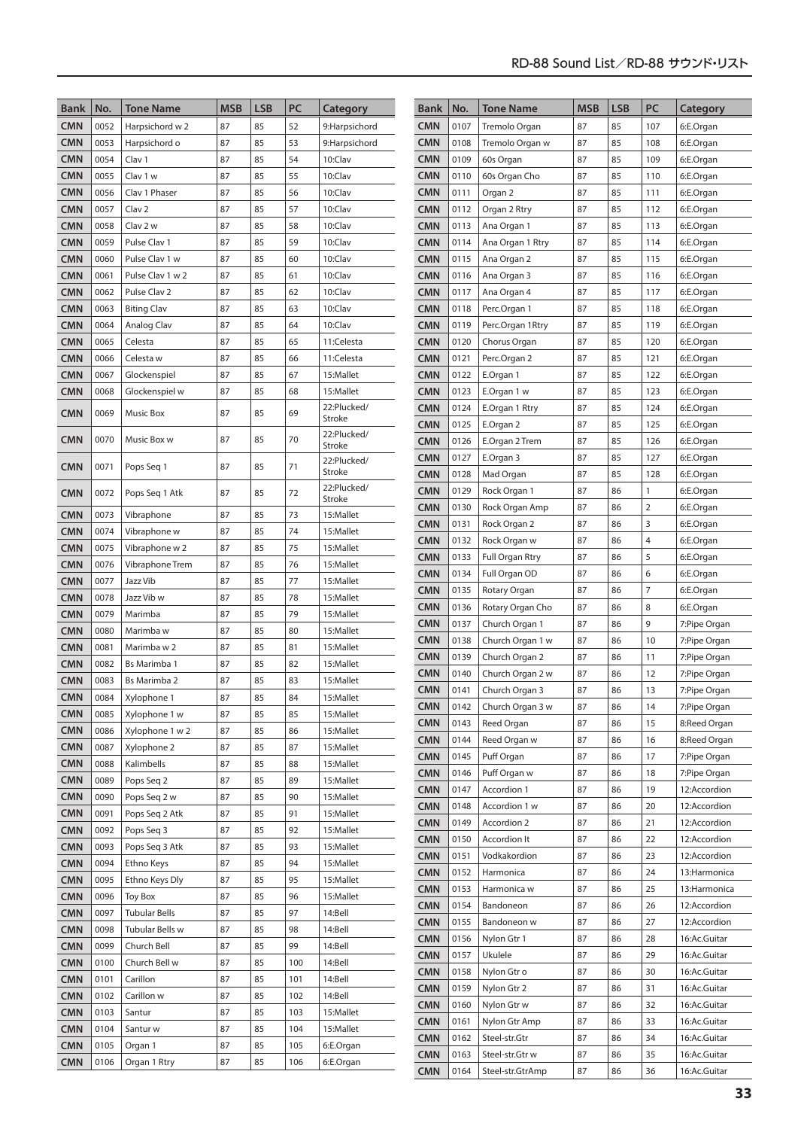| <b>Bank</b>              | No.          |                                | <b>MSB</b> | <b>LSB</b> | PC       |                          | <b>Bank</b>              | No.          |                              | <b>MSB</b> | <b>LSB</b> | PC         |                              |
|--------------------------|--------------|--------------------------------|------------|------------|----------|--------------------------|--------------------------|--------------|------------------------------|------------|------------|------------|------------------------------|
|                          |              | <b>Tone Name</b>               |            |            |          | Category                 |                          |              | <b>Tone Name</b>             |            |            |            | Category                     |
| <b>CMN</b>               | 0052         | Harpsichord w 2                | 87         | 85<br>85   | 52       | 9:Harpsichord            | <b>CMN</b>               | 0107         | Tremolo Organ                | 87<br>87   | 85<br>85   | 107        | 6:E.Organ                    |
| <b>CMN</b><br><b>CMN</b> | 0053<br>0054 | Harpsichord o                  | 87<br>87   | 85         | 53<br>54 | 9:Harpsichord<br>10:Clav | <b>CMN</b><br><b>CMN</b> | 0108<br>0109 | Tremolo Organ w<br>60s Organ | 87         | 85         | 108<br>109 | 6:E.Organ                    |
| <b>CMN</b>               | 0055         | Clav 1<br>Clav 1 w             | 87         | 85         | 55       | 10:Clav                  | <b>CMN</b>               | 0110         | 60s Organ Cho                | 87         | 85         | 110        | 6:E.Organ<br>6:E.Organ       |
| <b>CMN</b>               | 0056         | Clav 1 Phaser                  | 87         | 85         | 56       | 10:Clav                  | <b>CMN</b>               | 0111         | Organ 2                      | 87         | 85         | 111        | 6:E.Organ                    |
| <b>CMN</b>               | 0057         | Clav <sub>2</sub>              | 87         | 85         | 57       | 10:Clav                  | <b>CMN</b>               | 0112         | Organ 2 Rtry                 | 87         | 85         | 112        | 6:E.Organ                    |
| <b>CMN</b>               | 0058         | Clav 2 w                       | 87         | 85         | 58       | 10:Clav                  | <b>CMN</b>               | 0113         | Ana Organ 1                  | 87         | 85         | 113        | 6:E.Organ                    |
| <b>CMN</b>               | 0059         | Pulse Clav 1                   | 87         | 85         | 59       | 10:Clav                  | <b>CMN</b>               | 0114         | Ana Organ 1 Rtry             | 87         | 85         | 114        | 6:E.Organ                    |
| <b>CMN</b>               | 0060         | Pulse Clav 1 w                 | 87         | 85         | 60       | 10:Clav                  | <b>CMN</b>               | 0115         | Ana Organ 2                  | 87         | 85         | 115        | 6:E.Organ                    |
| <b>CMN</b>               | 0061         | Pulse Clav 1 w 2               | 87         | 85         | 61       | 10:Clav                  | <b>CMN</b>               | 0116         | Ana Organ 3                  | 87         | 85         | 116        | 6:E.Organ                    |
| <b>CMN</b>               | 0062         | Pulse Clav 2                   | 87         | 85         | 62       | 10:Clav                  | <b>CMN</b>               | 0117         | Ana Organ 4                  | 87         | 85         | 117        | 6:E.Organ                    |
| <b>CMN</b>               | 0063         | <b>Biting Clav</b>             | 87         | 85         | 63       | 10:Clav                  | <b>CMN</b>               | 0118         | Perc.Organ 1                 | 87         | 85         | 118        | 6:E.Organ                    |
| <b>CMN</b>               | 0064         | Analog Clav                    | 87         | 85         | 64       | 10:Clav                  | <b>CMN</b>               | 0119         | Perc.Organ 1Rtry             | 87         | 85         | 119        | 6:E.Organ                    |
| <b>CMN</b>               | 0065         | Celesta                        | 87         | 85         | 65       | 11:Celesta               | <b>CMN</b>               | 0120         | Chorus Organ                 | 87         | 85         | 120        | 6:E.Organ                    |
| <b>CMN</b>               | 0066         | Celesta w                      | 87         | 85         | 66       | 11:Celesta               | <b>CMN</b>               | 0121         | Perc.Organ 2                 | 87         | 85         | 121        | 6:E.Organ                    |
| <b>CMN</b>               | 0067         | Glockenspiel                   | 87         | 85         | 67       | 15:Mallet                | <b>CMN</b>               | 0122         | E.Organ 1                    | 87         | 85         | 122        | 6:E.Organ                    |
| <b>CMN</b>               | 0068         | Glockenspiel w                 | 87         | 85         | 68       | 15:Mallet                | <b>CMN</b>               | 0123         | E.Organ 1 w                  | 87         | 85         | 123        | 6:E.Organ                    |
| <b>CMN</b>               | 0069         | <b>Music Box</b>               | 87         | 85         | 69       | 22:Plucked/              | <b>CMN</b>               | 0124         | E.Organ 1 Rtry               | 87         | 85         | 124        | 6:E.Organ                    |
|                          |              |                                |            |            |          | Stroke                   | <b>CMN</b>               | 0125         | E.Organ 2                    | 87         | 85         | 125        | 6:E.Organ                    |
| <b>CMN</b>               | 0070         | Music Box w                    | 87         | 85         | 70       | 22:Plucked/<br>Stroke    | <b>CMN</b>               | 0126         | E.Organ 2 Trem               | 87         | 85         | 126        | 6:E.Organ                    |
|                          |              |                                |            |            |          | 22:Plucked/              | <b>CMN</b>               | 0127         | E.Organ 3                    | 87         | 85         | 127        | 6:E.Organ                    |
| <b>CMN</b>               | 0071         | Pops Seg 1                     | 87         | 85         | 71       | <b>Stroke</b>            | <b>CMN</b>               | 0128         | Mad Organ                    | 87         | 85         | 128        | 6:E.Organ                    |
| <b>CMN</b>               | 0072         | Pops Seg 1 Atk                 | 87         | 85         | 72       | 22:Plucked/              | <b>CMN</b>               | 0129         | Rock Organ 1                 | 87         | 86         | 1          | 6:E.Organ                    |
|                          |              |                                |            |            |          | <b>Stroke</b>            | <b>CMN</b>               | 0130         | Rock Organ Amp               | 87         | 86         | 2          | 6:E.Organ                    |
| <b>CMN</b><br><b>CMN</b> | 0073         | Vibraphone                     | 87<br>87   | 85<br>85   | 73<br>74 | 15:Mallet                | <b>CMN</b>               | 0131         | Rock Organ 2                 | 87         | 86         | 3          | 6:E.Organ                    |
| <b>CMN</b>               | 0074<br>0075 | Vibraphone w<br>Vibraphone w 2 | 87         | 85         | 75       | 15:Mallet<br>15:Mallet   | <b>CMN</b>               | 0132         | Rock Organ w                 | 87         | 86         | 4          | 6:E.Organ                    |
| <b>CMN</b>               | 0076         | Vibraphone Trem                | 87         | 85         | 76       | 15:Mallet                | <b>CMN</b>               | 0133         | Full Organ Rtry              | 87         | 86         | 5          | 6:E.Organ                    |
| <b>CMN</b>               | 0077         | Jazz Vib                       | 87         | 85         | 77       | 15:Mallet                | <b>CMN</b>               | 0134         | Full Organ OD                | 87         | 86         | 6          | 6:E.Organ                    |
| <b>CMN</b>               | 0078         | Jazz Vib w                     | 87         | 85         | 78       | 15:Mallet                | <b>CMN</b>               | 0135         | Rotary Organ                 | 87         | 86         | 7          | 6:E.Organ                    |
| <b>CMN</b>               | 0079         | Marimba                        | 87         | 85         | 79       | 15:Mallet                | <b>CMN</b>               | 0136         | Rotary Organ Cho             | 87         | 86         | 8          | 6:E.Organ                    |
| <b>CMN</b>               | 0080         | Marimba w                      | 87         | 85         | 80       | 15:Mallet                | <b>CMN</b>               | 0137         | Church Organ 1               | 87         | 86         | 9          | 7:Pipe Organ                 |
| <b>CMN</b>               | 0081         | Marimba w 2                    | 87         | 85         | 81       | 15:Mallet                | <b>CMN</b>               | 0138         | Church Organ 1 w             | 87         | 86         | 10         | 7:Pipe Organ                 |
| <b>CMN</b>               | 0082         | <b>Bs Marimba 1</b>            | 87         | 85         | 82       | 15:Mallet                | <b>CMN</b>               | 0139         | Church Organ 2               | 87         | 86         | 11         | 7:Pipe Organ                 |
| <b>CMN</b>               | 0083         | <b>Bs Marimba 2</b>            | 87         | 85         | 83       | 15:Mallet                | <b>CMN</b>               | 0140         | Church Organ 2 w             | 87         | 86         | 12         | 7:Pipe Organ                 |
| CMN                      | 0084         | Xylophone 1                    | 87         | 85         | 84       | 15:Mallet                | <b>CMN</b>               | 0141         | Church Organ 3               | 87         | 86         | 13         | 7:Pipe Organ                 |
| CMN                      | 0085         | Xylophone 1 w                  | 87         | 85         | 85       | 15:Mallet                | <b>CMN</b>               | 0142         | Church Organ 3 w             | 87         | 86         | 14         | 7:Pipe Organ                 |
| <b>CMN</b>               | 0086         | Xylophone 1 w 2                | 87         | 85         | 86       | 15:Mallet                | <b>CMN</b>               | 0143         | Reed Organ                   | 87         | 86         | 15         | 8:Reed Organ                 |
| CMN                      | 0087         | Xylophone 2                    | 87         | 85         | 87       | 15:Mallet                | <b>CMN</b>               | 0144         | Reed Organ w                 | 87         | 86         | 16         | 8:Reed Organ                 |
| <b>CMN</b>               | 0088         | Kalimbells                     | 87         | 85         | 88       | 15:Mallet                | <b>CMN</b>               | 0145         | Puff Organ                   | 87         | 86         | 17         | 7:Pipe Organ                 |
| <b>CMN</b>               | 0089         | Pops Seq 2                     | 87         | 85         | 89       | 15:Mallet                | <b>CMN</b>               | 0146         | Puff Organ w                 | 87         | 86         | 18         | 7:Pipe Organ                 |
| <b>CMN</b>               | 0090         | Pops Seq 2 w                   | 87         | 85         | 90       | 15:Mallet                | <b>CMN</b>               | 0147         | Accordion 1                  | 87         | 86         | 19         | 12:Accordion                 |
| <b>CMN</b>               | 0091         | Pops Seq 2 Atk                 | 87         | 85         | 91       | 15:Mallet                | <b>CMN</b>               | 0148         | Accordion 1 w                | 87         | 86         | 20         | 12:Accordion                 |
| <b>CMN</b>               | 0092         | Pops Seq 3                     | 87         | 85         | 92       | 15:Mallet                | <b>CMN</b>               | 0149         | Accordion 2                  | 87         | 86         | 21         | 12:Accordion                 |
| <b>CMN</b>               | 0093         | Pops Seq 3 Atk                 | 87         | 85         | 93       | 15:Mallet                | <b>CMN</b>               | 0150         | Accordion It                 | 87         | 86         | 22         | 12:Accordion                 |
| <b>CMN</b>               | 0094         | Ethno Keys                     | 87         | 85         | 94       | 15:Mallet                | <b>CMN</b>               | 0151         | Vodkakordion                 | 87         | 86         | 23         | 12:Accordion                 |
| <b>CMN</b>               | 0095         | Ethno Keys Dly                 | 87         | 85         | 95       | 15:Mallet                | <b>CMN</b>               | 0152         | Harmonica                    | 87         | 86         | 24         | 13: Harmonica                |
| <b>CMN</b>               | 0096         | <b>Toy Box</b>                 | 87         | 85         | 96       | 15:Mallet                | <b>CMN</b>               | 0153         | Harmonica w                  | 87         | 86         | 25         | 13: Harmonica                |
| <b>CMN</b>               | 0097         | <b>Tubular Bells</b>           | 87         | 85         | 97       | 14:Bell                  | <b>CMN</b>               | 0154         | Bandoneon                    | 87         | 86         | 26         | 12:Accordion                 |
| <b>CMN</b>               | 0098         | Tubular Bells w                | 87         | 85         | 98       | 14:Bell                  | <b>CMN</b>               | 0155         | Bandoneon w                  | 87         | 86         | 27         | 12:Accordion                 |
| <b>CMN</b>               | 0099         | Church Bell                    | 87         | 85         | 99       | 14:Bell                  | <b>CMN</b>               | 0156<br>0157 | Nylon Gtr 1<br>Ukulele       | 87         | 86         | 28         | 16:Ac.Guitar                 |
| <b>CMN</b>               | 0100         | Church Bell w                  | 87         | 85         | 100      | 14:Bell                  | <b>CMN</b><br><b>CMN</b> | 0158         | Nylon Gtr o                  | 87<br>87   | 86<br>86   | 29<br>30   | 16:Ac.Guitar<br>16:Ac.Guitar |
| CMN                      | 0101         | Carillon                       | 87         | 85         | 101      | 14:Bell                  | <b>CMN</b>               | 0159         | Nylon Gtr 2                  | 87         | 86         | 31         | 16:Ac.Guitar                 |
| <b>CMN</b>               | 0102         | Carillon w                     | 87         | 85         | 102      | 14:Bell                  | <b>CMN</b>               | 0160         | Nylon Gtr w                  | 87         | 86         | 32         | 16:Ac.Guitar                 |
| CMN                      | 0103         | Santur                         | 87         | 85         | 103      | 15:Mallet                | <b>CMN</b>               | 0161         | Nylon Gtr Amp                | 87         | 86         | 33         | 16:Ac.Guitar                 |
| <b>CMN</b>               | 0104         | Santur w                       | 87         | 85         | 104      | 15:Mallet                | <b>CMN</b>               | 0162         | Steel-str.Gtr                | 87         | 86         | 34         | 16:Ac.Guitar                 |
| <b>CMN</b>               | 0105         | Organ 1                        | 87         | 85         | 105      | 6:E.Organ                | <b>CMN</b>               | 0163         | Steel-str.Gtr w              | 87         | 86         | 35         | 16:Ac.Guitar                 |
| <b>CMN</b>               | 0106         | Organ 1 Rtry                   | 87         | 85         | 106      | 6:E.Organ                | <b>CMN</b>               | 0164         | Steel-str.GtrAmp             | 87         | 86         | 36         | 16:Ac.Guitar                 |
|                          |              |                                |            |            |          |                          |                          |              |                              |            |            |            |                              |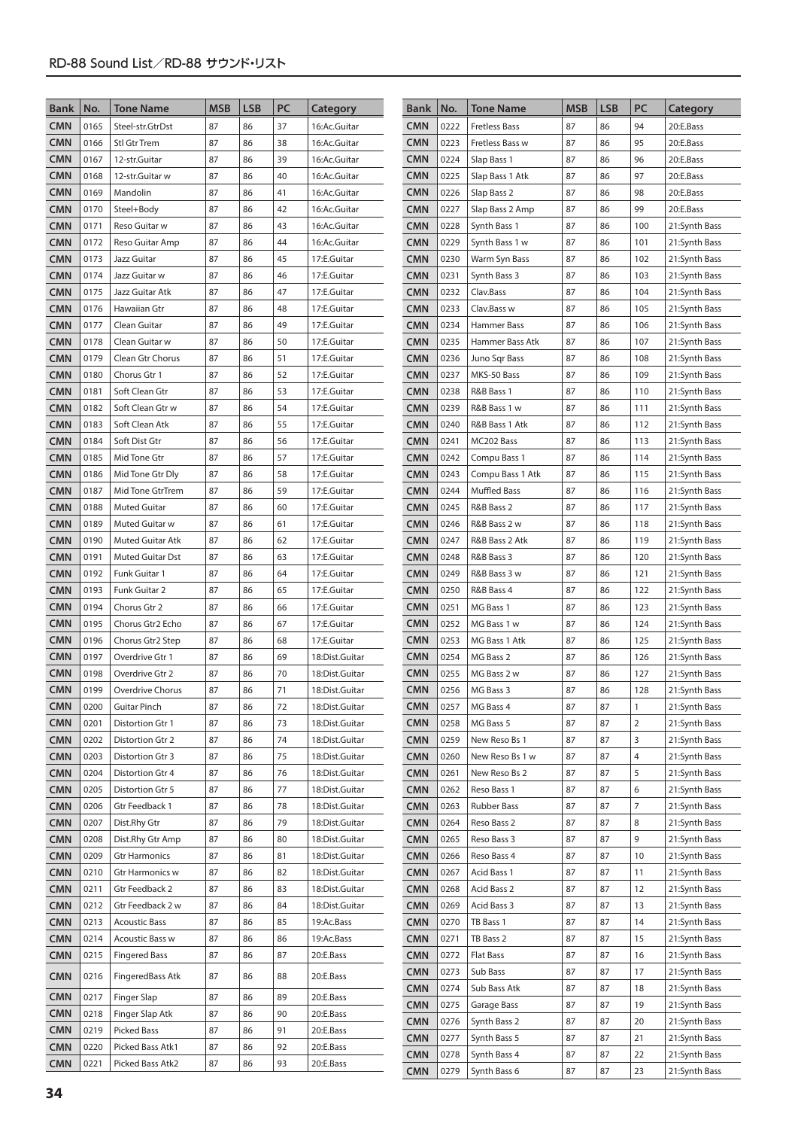| <b>Bank</b>              | No.          | <b>Tone Name</b>                          | <b>MSB</b> | <b>LSB</b> | PC       | Category                     | Bank                     | No.          | <b>Tone Name</b>               | <b>MSB</b> | <b>LSB</b> | PC         | Category                       |
|--------------------------|--------------|-------------------------------------------|------------|------------|----------|------------------------------|--------------------------|--------------|--------------------------------|------------|------------|------------|--------------------------------|
| <b>CMN</b>               | 0165         | Steel-str.GtrDst                          | 87         | 86         | 37       | 16:Ac.Guitar                 | <b>CMN</b>               | 0222         | <b>Fretless Bass</b>           | 87         | 86         | 94         | 20:E.Bass                      |
| <b>CMN</b>               | 0166         | <b>Stl Gtr Trem</b>                       | 87         | 86         | 38       | 16:Ac.Guitar                 | <b>CMN</b>               | 0223         | Fretless Bass w                | 87         | 86         | 95         | 20:E.Bass                      |
| <b>CMN</b>               | 0167         | 12-str.Guitar                             | 87         | 86         | 39       | 16:Ac.Guitar                 | <b>CMN</b>               | 0224         | Slap Bass 1                    | 87         | 86         | 96         | 20:E.Bass                      |
| <b>CMN</b>               | 0168         | 12-str.Guitar w                           | 87         | 86         | 40       | 16:Ac.Guitar                 | <b>CMN</b>               | 0225         | Slap Bass 1 Atk                | 87         | 86         | 97         | 20:E.Bass                      |
| <b>CMN</b>               | 0169         | Mandolin                                  | 87         | 86         | 41       | 16:Ac.Guitar                 | <b>CMN</b>               | 0226         | Slap Bass 2                    | 87         | 86         | 98         | 20:E.Bass                      |
| CMN                      | 0170         | Steel+Body                                | 87         | 86         | 42       | 16:Ac.Guitar                 | <b>CMN</b>               | 0227         | Slap Bass 2 Amp                | 87         | 86         | 99         | 20:E.Bass                      |
| <b>CMN</b>               | 0171         | Reso Guitar w                             | 87         | 86         | 43       | 16:Ac.Guitar                 | <b>CMN</b>               | 0228         | Synth Bass 1                   | 87         | 86         | 100        | 21:Synth Bass                  |
| <b>CMN</b>               | 0172         | Reso Guitar Amp                           | 87         | 86         | 44       | 16:Ac.Guitar                 | <b>CMN</b>               | 0229         | Synth Bass 1 w                 | 87         | 86         | 101        | 21:Synth Bass                  |
| <b>CMN</b>               | 0173         | Jazz Guitar                               | 87         | 86         | 45       | 17:E.Guitar                  | <b>CMN</b>               | 0230         | Warm Syn Bass                  | 87         | 86         | 102        | 21:Synth Bass                  |
| <b>CMN</b>               | 0174         | Jazz Guitar w                             | 87         | 86         | 46       | 17:E.Guitar                  | <b>CMN</b>               | 0231         | Synth Bass 3                   | 87         | 86         | 103        | 21:Synth Bass                  |
| <b>CMN</b>               | 0175         | Jazz Guitar Atk                           | 87         | 86         | 47       | 17:E.Guitar                  | <b>CMN</b>               | 0232         | Clav.Bass                      | 87         | 86         | 104        | 21:Synth Bass                  |
| <b>CMN</b>               | 0176         | Hawaiian Gtr                              | 87         | 86         | 48       | 17:E.Guitar                  | <b>CMN</b>               | 0233         | Clav.Bass w                    | 87         | 86         | 105        | 21:Synth Bass                  |
| <b>CMN</b>               | 0177         | Clean Guitar                              | 87         | 86         | 49       | 17:E.Guitar                  | <b>CMN</b>               | 0234         | Hammer Bass                    | 87         | 86         | 106        | 21:Synth Bass                  |
| <b>CMN</b>               | 0178         | Clean Guitar w                            | 87         | 86         | 50       | 17:E.Guitar                  | <b>CMN</b>               | 0235         | Hammer Bass Atk                | 87         | 86         | 107        | 21:Synth Bass                  |
| <b>CMN</b>               | 0179         | Clean Gtr Chorus                          | 87         | 86         | 51       | 17:E.Guitar                  | <b>CMN</b>               | 0236         | Juno Sqr Bass                  | 87         | 86         | 108        | 21:Synth Bass                  |
| <b>CMN</b>               | 0180         | Chorus Gtr 1                              | 87         | 86         | 52       | 17:E.Guitar                  | <b>CMN</b>               | 0237         | MKS-50 Bass                    | 87         | 86         | 109        | 21:Synth Bass                  |
| <b>CMN</b>               | 0181         | Soft Clean Gtr                            | 87         | 86         | 53       | 17:E.Guitar                  | <b>CMN</b>               | 0238         | R&B Bass 1                     | 87         | 86         | 110        | 21:Synth Bass                  |
| <b>CMN</b>               | 0182         | Soft Clean Gtr w                          | 87         | 86         | 54       | 17:E.Guitar                  | <b>CMN</b>               | 0239         | R&B Bass 1 w                   | 87         | 86         | 111        | 21:Synth Bass                  |
| <b>CMN</b>               | 0183         | Soft Clean Atk                            | 87         | 86         | 55       | 17:E.Guitar                  | <b>CMN</b>               | 0240         | R&B Bass 1 Atk                 | 87         | 86         | 112        | 21:Synth Bass                  |
| <b>CMN</b>               | 0184         | Soft Dist Gtr                             | 87         | 86         | 56       | 17:E.Guitar                  | <b>CMN</b>               | 0241         | MC202 Bass                     | 87         | 86         | 113        | 21:Synth Bass                  |
| <b>CMN</b>               | 0185         | Mid Tone Gtr                              | 87         | 86         | 57       | 17:E.Guitar                  | <b>CMN</b>               | 0242         | Compu Bass 1                   | 87         | 86         | 114        | 21:Synth Bass                  |
| <b>CMN</b>               | 0186         | Mid Tone Gtr Dly                          | 87         | 86         | 58       | 17:E.Guitar                  | <b>CMN</b>               | 0243         | Compu Bass 1 Atk               | 87         | 86         | 115        | 21:Synth Bass                  |
| <b>CMN</b>               | 0187         | Mid Tone GtrTrem                          | 87         | 86         | 59       | 17:E.Guitar                  | <b>CMN</b>               | 0244         | <b>Muffled Bass</b>            | 87         | 86         | 116        | 21:Synth Bass                  |
| <b>CMN</b>               | 0188         | <b>Muted Guitar</b>                       | 87         | 86         | 60       | 17:E.Guitar                  | <b>CMN</b>               | 0245         | R&B Bass 2                     | 87         | 86         | 117        | 21:Synth Bass                  |
| <b>CMN</b>               | 0189<br>0190 | Muted Guitar w<br><b>Muted Guitar Atk</b> | 87<br>87   | 86<br>86   | 61<br>62 | 17:E.Guitar<br>17:E.Guitar   | <b>CMN</b>               | 0246<br>0247 | R&B Bass 2 w<br>R&B Bass 2 Atk | 87<br>87   | 86<br>86   | 118<br>119 | 21:Synth Bass<br>21:Synth Bass |
| <b>CMN</b><br><b>CMN</b> | 0191         | <b>Muted Guitar Dst</b>                   | 87         | 86         | 63       | 17:E.Guitar                  | <b>CMN</b><br><b>CMN</b> | 0248         | R&B Bass 3                     | 87         | 86         | 120        | 21:Synth Bass                  |
| <b>CMN</b>               | 0192         | Funk Guitar 1                             | 87         | 86         | 64       | 17:E.Guitar                  | <b>CMN</b>               | 0249         | R&B Bass 3 w                   | 87         | 86         | 121        | 21:Synth Bass                  |
| <b>CMN</b>               | 0193         | Funk Guitar 2                             | 87         | 86         | 65       | 17:E.Guitar                  | <b>CMN</b>               | 0250         | R&B Bass 4                     | 87         | 86         | 122        | 21:Synth Bass                  |
| <b>CMN</b>               | 0194         | Chorus Gtr 2                              | 87         | 86         | 66       | 17:E.Guitar                  | <b>CMN</b>               | 0251         | MG Bass 1                      | 87         | 86         | 123        | 21:Synth Bass                  |
| <b>CMN</b>               | 0195         | Chorus Gtr2 Echo                          | 87         | 86         | 67       | 17:E.Guitar                  | <b>CMN</b>               | 0252         | MG Bass 1 w                    | 87         | 86         | 124        | 21:Synth Bass                  |
| <b>CMN</b>               | 0196         | Chorus Gtr2 Step                          | 87         | 86         | 68       | 17:E.Guitar                  | <b>CMN</b>               | 0253         | MG Bass 1 Atk                  | 87         | 86         | 125        | 21:Synth Bass                  |
| <b>CMN</b>               | 0197         | Overdrive Gtr 1                           | 87         | 86         | 69       | 18:Dist.Guitar               | <b>CMN</b>               | 0254         | MG Bass 2                      | 87         | 86         | 126        | 21:Synth Bass                  |
| <b>CMN</b>               | 0198         | Overdrive Gtr 2                           | 87         | 86         | 70       | 18:Dist.Guitar               | <b>CMN</b>               | 0255         | MG Bass 2 w                    | 87         | 86         | 127        | 21:Synth Bass                  |
| <b>CMN</b>               | 0199         | Overdrive Chorus                          | 87         | 86         | 71       | 18:Dist.Guitar               | <b>CMN</b>               | 0256         | MG Bass 3                      | 87         | 86         | 128        | 21:Synth Bass                  |
| <b>CMN</b>               | 0200         | Guitar Pinch                              | 87         | 86         | 72       | 18:Dist.Guitar               | <b>CMN</b>               | 0257         | MG Bass 4                      | 87         | 87         | 1          | 21:Synth Bass                  |
| <b>CMN</b>               | 0201         | Distortion Gtr 1                          | 87         | 86         | 73       | 18:Dist.Guitar               | <b>CMN</b>               | 0258         | MG Bass 5                      | 87         | 87         | 2          | 21:Synth Bass                  |
| <b>CMN</b>               | 0202         | Distortion Gtr 2                          | 87         | 86         | 74       | 18:Dist.Guitar               | <b>CMN</b>               | 0259         | New Reso Bs 1                  | 87         | 87         | 3          | 21:Synth Bass                  |
| CMN                      | 0203         | Distortion Gtr 3                          | 87         | 86         | 75       | 18:Dist.Guitar               | <b>CMN</b>               | 0260         | New Reso Bs 1 w                | 87         | 87         | 4          | 21:Synth Bass                  |
| <b>CMN</b>               | 0204         | Distortion Gtr 4                          | 87         | 86         | 76       | 18:Dist.Guitar               | <b>CMN</b>               | 0261         | New Reso Bs 2                  | 87         | 87         | 5          | 21:Synth Bass                  |
| <b>CMN</b>               | 0205         | Distortion Gtr 5                          | 87         | 86         | 77       | 18:Dist.Guitar               | <b>CMN</b>               | 0262         | Reso Bass 1                    | 87         | 87         | 6          | 21:Synth Bass                  |
| <b>CMN</b>               | 0206         | Gtr Feedback 1                            | 87         | 86         | 78       | 18:Dist.Guitar               | <b>CMN</b>               | 0263         | <b>Rubber Bass</b>             | 87         | 87         | 7          | 21:Synth Bass                  |
| <b>CMN</b>               | 0207         | Dist.Rhy Gtr                              | 87         | 86         | 79       | 18:Dist.Guitar               | <b>CMN</b>               | 0264         | Reso Bass 2                    | 87         | 87         | 8          | 21:Synth Bass                  |
| <b>CMN</b>               | 0208         | Dist.Rhy Gtr Amp                          | 87         | 86         | 80       | 18:Dist.Guitar               | <b>CMN</b>               | 0265         | Reso Bass 3                    | 87         | 87         | 9          | 21:Synth Bass                  |
| <b>CMN</b>               | 0209         | <b>Gtr Harmonics</b>                      | 87         | 86         | 81       | 18:Dist.Guitar               | <b>CMN</b>               | 0266         | Reso Bass 4                    | 87         | 87         | 10         | 21:Synth Bass                  |
| <b>CMN</b>               | 0210         | Gtr Harmonics w                           | 87         | 86         | 82       | 18:Dist.Guitar               | <b>CMN</b>               | 0267         | Acid Bass 1                    | 87         | 87         | 11         | 21:Synth Bass                  |
| <b>CMN</b>               | 0211         | Gtr Feedback 2                            | 87         | 86         | 83       | 18:Dist.Guitar               | <b>CMN</b>               | 0268         | Acid Bass 2                    | 87         | 87         | 12         | 21:Synth Bass                  |
| <b>CMN</b><br><b>CMN</b> | 0212<br>0213 | Gtr Feedback 2 w<br><b>Acoustic Bass</b>  | 87<br>87   | 86<br>86   | 84<br>85 | 18:Dist.Guitar<br>19:Ac.Bass | <b>CMN</b><br><b>CMN</b> | 0269<br>0270 | Acid Bass 3<br>TB Bass 1       | 87<br>87   | 87<br>87   | 13<br>14   | 21:Synth Bass                  |
| <b>CMN</b>               | 0214         | Acoustic Bass w                           | 87         | 86         | 86       | 19:Ac.Bass                   | <b>CMN</b>               | 0271         | TB Bass 2                      | 87         | 87         | 15         | 21:Synth Bass<br>21:Synth Bass |
| <b>CMN</b>               | 0215         | <b>Fingered Bass</b>                      | 87         | 86         | 87       | 20:E.Bass                    | <b>CMN</b>               | 0272         | <b>Flat Bass</b>               | 87         | 87         | 16         | 21:Synth Bass                  |
|                          |              |                                           |            |            |          |                              | <b>CMN</b>               | 0273         | Sub Bass                       | 87         | 87         | 17         | 21:Synth Bass                  |
| <b>CMN</b>               | 0216         | FingeredBass Atk                          | 87         | 86         | 88       | 20:E.Bass                    | <b>CMN</b>               | 0274         | Sub Bass Atk                   | 87         | 87         | 18         | 21:Synth Bass                  |
| <b>CMN</b>               | 0217         | Finger Slap                               | 87         | 86         | 89       | 20:E.Bass                    | <b>CMN</b>               | 0275         | Garage Bass                    | 87         | 87         | 19         | 21:Synth Bass                  |
| CMN                      | 0218         | Finger Slap Atk                           | 87         | 86         | 90       | 20:E.Bass                    | <b>CMN</b>               | 0276         | Synth Bass 2                   | 87         | 87         | 20         | 21:Synth Bass                  |
| <b>CMN</b>               | 0219         | <b>Picked Bass</b>                        | 87         | 86         | 91       | 20:E.Bass                    | <b>CMN</b>               | 0277         | Synth Bass 5                   | 87         | 87         | 21         | 21:Synth Bass                  |
| <b>CMN</b>               | 0220         | Picked Bass Atk1                          | 87         | 86         | 92       | 20:E.Bass                    | <b>CMN</b>               | 0278         | Synth Bass 4                   | 87         | 87         | 22         | 21:Synth Bass                  |
| <b>CMN</b>               | 0221         | Picked Bass Atk2                          | 87         | 86         | 93       | 20:E.Bass                    | <b>CMN</b>               | 0279         | Synth Bass 6                   | 87         | 87         | 23         | 21:Synth Bass                  |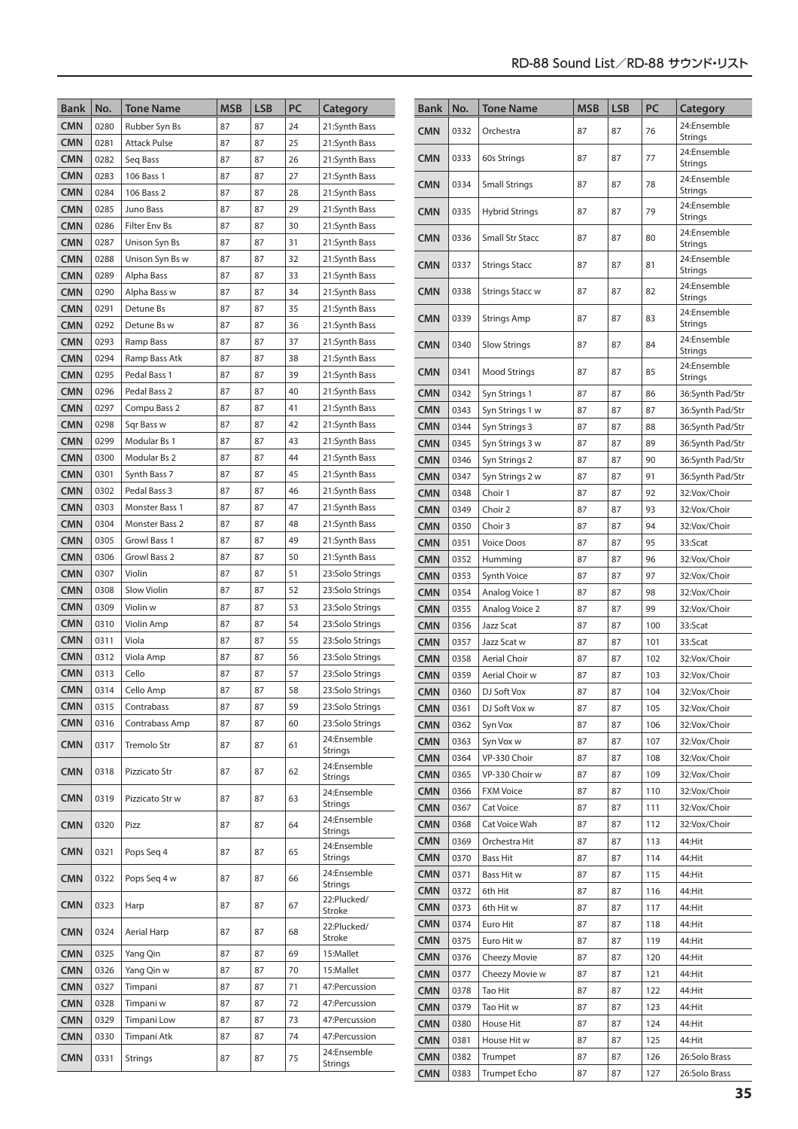| <b>Bank</b>              | No.          | <b>Tone Name</b>                 | <b>MSB</b> | <b>LSB</b> | PC       | Category                           | Bank                     | No.          | <b>Tone Name</b>              | <b>MSB</b> | <b>LSB</b> | PC         | Category                         |
|--------------------------|--------------|----------------------------------|------------|------------|----------|------------------------------------|--------------------------|--------------|-------------------------------|------------|------------|------------|----------------------------------|
| <b>CMN</b>               | 0280         | Rubber Syn Bs                    | 87         | 87         | 24       | 21:Synth Bass                      | <b>CMN</b>               | 0332         | Orchestra                     | 87         | 87         | 76         | 24:Ensemble                      |
| <b>CMN</b>               | 0281         | <b>Attack Pulse</b>              | 87         | 87         | 25       | 21:Synth Bass                      |                          |              |                               |            |            |            | <b>Strings</b>                   |
| <b>CMN</b>               | 0282         | Seq Bass                         | 87         | 87         | 26       | 21:Synth Bass                      | <b>CMN</b>               | 0333         | 60s Strings                   | 87         | 87         | 77         | 24:Ensemble<br><b>Strings</b>    |
| <b>CMN</b>               | 0283         | 106 Bass 1                       | 87         | 87         | 27       | 21:Synth Bass                      | <b>CMN</b>               | 0334         | <b>Small Strings</b>          | 87         | 87         | 78         | 24:Ensemble                      |
| <b>CMN</b>               | 0284         | 106 Bass 2                       | 87         | 87         | 28       | 21:Synth Bass                      |                          |              |                               |            |            |            | Strings<br>24:Ensemble           |
| <b>CMN</b>               | 0285         | Juno Bass                        | 87         | 87         | 29       | 21:Synth Bass                      | <b>CMN</b>               | 0335         | <b>Hybrid Strings</b>         | 87         | 87         | 79         | <b>Strings</b>                   |
| <b>CMN</b>               | 0286         | Filter Env Bs                    | 87         | 87         | 30       | 21:Synth Bass                      | <b>CMN</b>               | 0336         | Small Str Stacc               | 87         | 87         | 80         | 24:Ensemble                      |
| <b>CMN</b><br><b>CMN</b> | 0287<br>0288 | Unison Syn Bs<br>Unison Syn Bs w | 87<br>87   | 87<br>87   | 31<br>32 | 21:Synth Bass<br>21:Synth Bass     |                          |              |                               |            |            |            | <b>Strings</b><br>24:Ensemble    |
| <b>CMN</b>               | 0289         | Alpha Bass                       | 87         | 87         | 33       | 21:Synth Bass                      | <b>CMN</b>               | 0337         | <b>Strings Stacc</b>          | 87         | 87         | 81         | <b>Strings</b>                   |
| <b>CMN</b>               | 0290         | Alpha Bass w                     | 87         | 87         | 34       | 21:Synth Bass                      | <b>CMN</b>               | 0338         | <b>Strings Stacc w</b>        | 87         | 87         | 82         | 24:Ensemble                      |
| <b>CMN</b>               | 0291         | Detune Bs                        | 87         | 87         | 35       | 21:Synth Bass                      |                          |              |                               |            |            |            | <b>Strings</b><br>24:Ensemble    |
| <b>CMN</b>               | 0292         | Detune Bs w                      | 87         | 87         | 36       | 21:Synth Bass                      | <b>CMN</b>               | 0339         | Strings Amp                   | 87         | 87         | 83         | <b>Strings</b>                   |
| <b>CMN</b>               | 0293         | Ramp Bass                        | 87         | 87         | 37       | 21:Synth Bass                      | <b>CMN</b>               | 0340         | <b>Slow Strings</b>           | 87         | 87         | 84         | 24:Ensemble                      |
| <b>CMN</b>               | 0294         | Ramp Bass Atk                    | 87         | 87         | 38       | 21:Synth Bass                      |                          |              |                               |            |            |            | Strings<br>24:Ensemble           |
| <b>CMN</b>               | 0295         | Pedal Bass 1                     | 87         | 87         | 39       | 21:Synth Bass                      | CMN                      | 0341         | <b>Mood Strings</b>           | 87         | 87         | 85         | Strings                          |
| <b>CMN</b>               | 0296         | Pedal Bass 2                     | 87         | 87         | 40       | 21:Synth Bass                      | <b>CMN</b>               | 0342         | Syn Strings 1                 | 87         | 87         | 86         | 36:Synth Pad/Str                 |
| <b>CMN</b>               | 0297         | Compu Bass 2                     | 87         | 87         | 41       | 21:Synth Bass                      | <b>CMN</b>               | 0343         | Syn Strings 1 w               | 87         | 87         | 87         | 36:Synth Pad/Str                 |
| <b>CMN</b>               | 0298         | Sqr Bass w                       | 87         | 87         | 42       | 21:Synth Bass                      | <b>CMN</b>               | 0344         | Syn Strings 3                 | 87         | 87         | 88         | 36:Synth Pad/Str                 |
| <b>CMN</b><br><b>CMN</b> | 0299<br>0300 | Modular Bs 1<br>Modular Bs 2     | 87<br>87   | 87<br>87   | 43<br>44 | 21:Synth Bass<br>21:Synth Bass     | <b>CMN</b>               | 0345         | Syn Strings 3 w               | 87         | 87         | 89         | 36:Synth Pad/Str                 |
| <b>CMN</b>               | 0301         | Synth Bass 7                     | 87         | 87         | 45       | 21:Synth Bass                      | <b>CMN</b>               | 0346         | Syn Strings 2                 | 87<br>87   | 87         | 90         | 36:Synth Pad/Str                 |
| <b>CMN</b>               | 0302         | Pedal Bass 3                     | 87         | 87         | 46       | 21:Synth Bass                      | <b>CMN</b><br><b>CMN</b> | 0347<br>0348 | Syn Strings 2 w<br>Choir 1    | 87         | 87<br>87   | 91<br>92   | 36:Synth Pad/Str<br>32:Vox/Choir |
| <b>CMN</b>               | 0303         | Monster Bass 1                   | 87         | 87         | 47       | 21:Synth Bass                      | <b>CMN</b>               | 0349         | Choir 2                       | 87         | 87         | 93         | 32:Vox/Choir                     |
| <b>CMN</b>               | 0304         | Monster Bass 2                   | 87         | 87         | 48       | 21:Synth Bass                      | <b>CMN</b>               | 0350         | Choir 3                       | 87         | 87         | 94         | 32:Vox/Choir                     |
| <b>CMN</b>               | 0305         | Growl Bass 1                     | 87         | 87         | 49       | 21:Synth Bass                      | <b>CMN</b>               | 0351         | <b>Voice Doos</b>             | 87         | 87         | 95         | 33:Scat                          |
| <b>CMN</b>               | 0306         | Growl Bass 2                     | 87         | 87         | 50       | 21:Synth Bass                      | <b>CMN</b>               | 0352         | Humming                       | 87         | 87         | 96         | 32:Vox/Choir                     |
| <b>CMN</b>               | 0307         | Violin                           | 87         | 87         | 51       | 23:Solo Strings                    | <b>CMN</b>               | 0353         | <b>Synth Voice</b>            | 87         | 87         | 97         | 32:Vox/Choir                     |
| <b>CMN</b>               | 0308         | Slow Violin                      | 87         | 87         | 52       | 23:Solo Strings                    | <b>CMN</b>               | 0354         | Analog Voice 1                | 87         | 87         | 98         | 32:Vox/Choir                     |
| <b>CMN</b>               | 0309         | Violin w                         | 87         | 87         | 53       | 23:Solo Strings                    | <b>CMN</b>               | 0355         | Analog Voice 2                | 87         | 87         | 99         | 32:Vox/Choir                     |
| <b>CMN</b>               | 0310         | Violin Amp                       | 87         | 87         | 54       | 23:Solo Strings                    | <b>CMN</b>               | 0356         | Jazz Scat                     | 87         | 87         | 100        | 33:Scat                          |
| <b>CMN</b>               | 0311         | Viola                            | 87         | 87         | 55       | 23:Solo Strings                    | <b>CMN</b>               | 0357         | Jazz Scat w                   | 87         | 87         | 101        | 33:Scat                          |
| <b>CMN</b><br><b>CMN</b> | 0312<br>0313 | Viola Amp<br>Cello               | 87<br>87   | 87<br>87   | 56<br>57 | 23:Solo Strings<br>23:Solo Strings | <b>CMN</b>               | 0358         | <b>Aerial Choir</b>           | 87         | 87         | 102        | 32:Vox/Choir                     |
| <b>CMN</b>               | 0314         | Cello Amp                        | 87         | 87         | 58       | 23:Solo Strings                    | <b>CMN</b><br><b>CMN</b> | 0359<br>0360 | Aerial Choir w<br>DJ Soft Vox | 87<br>87   | 87<br>87   | 103<br>104 | 32:Vox/Choir<br>32:Vox/Choir     |
| <b>CMN</b>               | 0315         | Contrabass                       | 87         | 87         | 59       | 23:Solo Strings                    | <b>CMN</b>               | 0361         | DJ Soft Vox w                 | 87         | 87         | 105        | 32:Vox/Choir                     |
| <b>CMN</b>               | 0316         | Contrabass Amp                   | 87         | 87         | 60       | 23:Solo Strings                    | <b>CMN</b>               | 0362         | Syn Vox                       | 87         | 87         | 106        | 32:Vox/Choir                     |
| <b>CMN</b>               | 0317         | Tremolo Str                      | 87         | 87         | 61       | 24:Ensemble                        | <b>CMN</b>               | 0363         | Syn Vox w                     | 87         | 87         | 107        | 32:Vox/Choir                     |
|                          |              |                                  |            |            |          | <b>Strings</b>                     | <b>CMN</b>               | 0364         | VP-330 Choir                  | 87         | 87         | 108        | 32:Vox/Choir                     |
| <b>CMN</b>               | 0318         | Pizzicato Str                    | 87         | 87         | 62       | 24:Ensemble<br><b>Strings</b>      | <b>CMN</b>               | 0365         | VP-330 Choir w                | 87         | 87         | 109        | 32:Vox/Choir                     |
| <b>CMN</b>               | 0319         | Pizzicato Str w                  | 87         | 87         | 63       | 24:Ensemble                        | <b>CMN</b>               | 0366         | <b>FXM Voice</b>              | 87         | 87         | 110        | 32:Vox/Choir                     |
|                          |              |                                  |            |            |          | <b>Strings</b>                     | <b>CMN</b>               | 0367         | Cat Voice                     | 87         | 87         | 111        | 32:Vox/Choir                     |
| <b>CMN</b>               | 0320         | Pizz                             | 87         | 87         | 64       | 24:Ensemble<br>Strings             | <b>CMN</b>               | 0368         | Cat Voice Wah                 | 87         | 87         | 112        | 32:Vox/Choir                     |
| <b>CMN</b>               | 0321         | Pops Seq 4                       | 87         | 87         | 65       | 24:Ensemble                        | <b>CMN</b>               | 0369         | Orchestra Hit                 | 87         | 87         | 113        | 44:Hit                           |
|                          |              |                                  |            |            |          | <b>Strings</b><br>24:Ensemble      | <b>CMN</b>               | 0370         | <b>Bass Hit</b>               | 87         | 87         | 114        | 44:Hit                           |
| <b>CMN</b>               | 0322         | Pops Seq 4 w                     | 87         | 87         | 66       | <b>Strings</b>                     | <b>CMN</b><br><b>CMN</b> | 0371<br>0372 | Bass Hit w<br>6th Hit         | 87<br>87   | 87<br>87   | 115<br>116 | 44:Hit<br>44:Hit                 |
| <b>CMN</b>               | 0323         | Harp                             | 87         | 87         | 67       | 22:Plucked/                        | <b>CMN</b>               | 0373         | 6th Hit w                     | 87         | 87         | 117        | 44:Hit                           |
|                          |              |                                  |            |            |          | Stroke<br>22:Plucked/              | <b>CMN</b>               | 0374         | Euro Hit                      | 87         | 87         | 118        | 44:Hit                           |
| <b>CMN</b>               | 0324         | Aerial Harp                      | 87         | 87         | 68       | Stroke                             | <b>CMN</b>               | 0375         | Euro Hit w                    | 87         | 87         | 119        | 44:Hit                           |
| <b>CMN</b>               | 0325         | Yang Qin                         | 87         | 87         | 69       | 15:Mallet                          | <b>CMN</b>               | 0376         | Cheezy Movie                  | 87         | 87         | 120        | 44:Hit                           |
| <b>CMN</b>               | 0326         | Yang Qin w                       | 87         | 87         | 70       | 15:Mallet                          | <b>CMN</b>               | 0377         | Cheezy Movie w                | 87         | 87         | 121        | 44:Hit                           |
| <b>CMN</b>               | 0327         | Timpani                          | 87         | 87         | 71       | 47:Percussion                      | <b>CMN</b>               | 0378         | Tao Hit                       | 87         | 87         | 122        | 44:Hit                           |
| <b>CMN</b>               | 0328         | Timpani w                        | 87         | 87         | 72       | 47:Percussion                      | <b>CMN</b>               | 0379         | Tao Hit w                     | 87         | 87         | 123        | 44:Hit                           |
| <b>CMN</b>               | 0329         | Timpani Low                      | 87         | 87<br>87   | 73       | 47: Percussion<br>47:Percussion    | <b>CMN</b>               | 0380         | House Hit                     | 87         | 87         | 124        | 44:Hit                           |
| <b>CMN</b>               | 0330         | Timpani Atk                      | 87         |            | 74       | 24:Ensemble                        | <b>CMN</b>               | 0381         | House Hit w                   | 87         | 87         | 125        | 44:Hit                           |
| <b>CMN</b>               | 0331         | <b>Strings</b>                   | 87         | 87         | 75       | Strings                            | <b>CMN</b>               | 0382         | Trumpet                       | 87         | 87         | 126        | 26:Solo Brass                    |
|                          |              |                                  |            |            |          |                                    | <b>CMN</b>               | 0383         | <b>Trumpet Echo</b>           | 87         | 87         | 127        | 26:Solo Brass                    |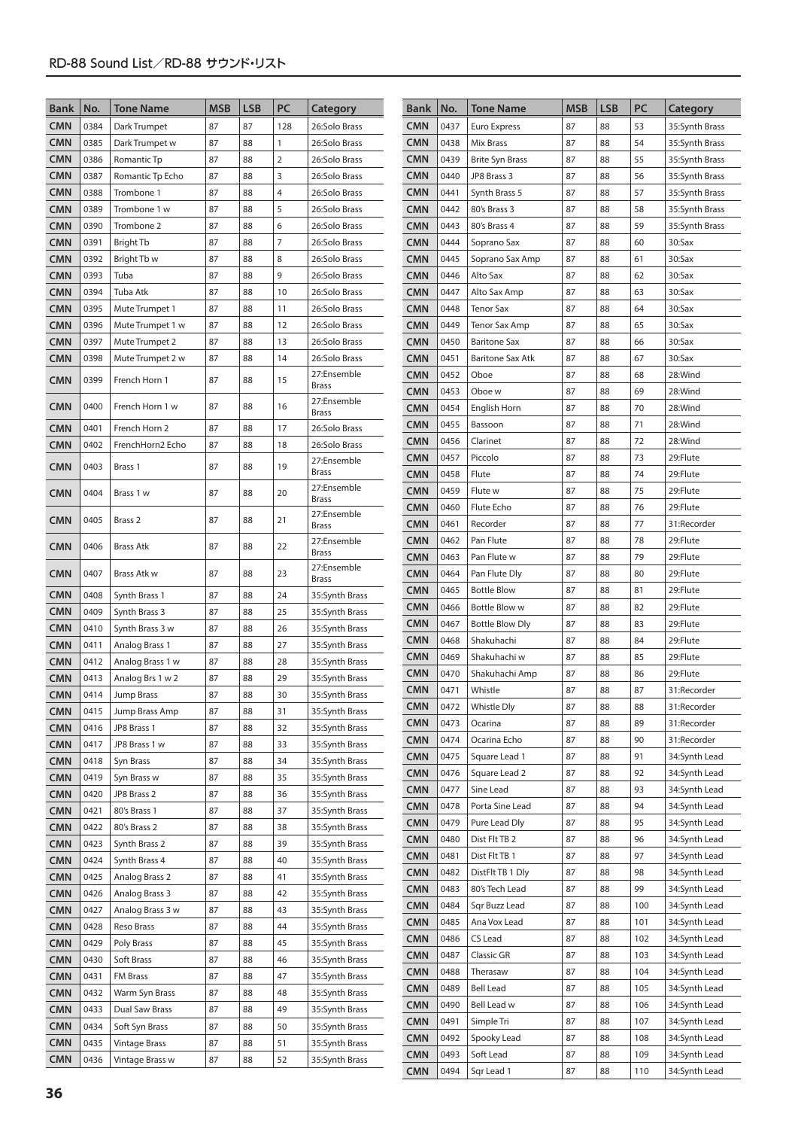| <b>LSB</b><br>PC<br><b>MSB</b><br><b>Bank</b><br>No.<br><b>Tone Name</b><br><b>Bank</b><br>No.<br><b>Tone Name</b><br>Category                | <b>MSB</b><br><b>LSB</b> | PC       | Category                       |
|-----------------------------------------------------------------------------------------------------------------------------------------------|--------------------------|----------|--------------------------------|
| <b>CMN</b><br><b>CMN</b><br>0384<br>87<br>87<br>128<br>26:Solo Brass<br>0437<br>87<br>Dark Trumpet<br><b>Euro Express</b>                     | 88                       | 53       | 35:Synth Brass                 |
| <b>CMN</b><br><b>CMN</b><br>0385<br>87<br>88<br>$\mathbf{1}$<br>0438<br>Mix Brass<br>87<br>Dark Trumpet w<br>26:Solo Brass                    | 88                       | 54       | 35:Synth Brass                 |
| <b>CMN</b><br>0386<br>87<br>88<br>$\overline{2}$<br><b>CMN</b><br>0439<br>87<br>Romantic Tp<br>26:Solo Brass<br><b>Brite Syn Brass</b>        | 88                       | 55       | 35:Synth Brass                 |
| <b>CMN</b><br>87<br>3<br><b>CMN</b><br>87<br>0387<br>88<br>0440<br>JP8 Brass 3<br>Romantic Tp Echo<br>26:Solo Brass                           | 88                       | 56       | 35:Synth Brass                 |
| <b>CMN</b><br>87<br>4<br><b>CMN</b><br>0441<br>87<br>0388<br>Trombone 1<br>88<br>26:Solo Brass<br>Synth Brass 5                               | 88                       | 57       | 35:Synth Brass                 |
| <b>CMN</b><br>5<br><b>CMN</b><br>0389<br>87<br>88<br>0442<br>80's Brass 3<br>87<br>Trombone 1 w<br>26:Solo Brass                              | 88                       | 58       | 35:Synth Brass                 |
| <b>CMN</b><br><b>CMN</b><br>0390<br>87<br>6<br>0443<br>80's Brass 4<br>87<br>Trombone 2<br>88<br>26:Solo Brass                                | 88                       | 59       | 35:Synth Brass                 |
| <b>CMN</b><br>$\overline{7}$<br><b>CMN</b><br>87<br>0391<br>87<br>88<br>0444<br><b>Bright Tb</b><br>26:Solo Brass<br>Soprano Sax              | 88                       | 60       | 30:Sax                         |
| <b>CMN</b><br>8<br>87<br><b>CMN</b><br>0445<br>87<br>0392<br>Bright Tb w<br>88<br>26:Solo Brass<br>Soprano Sax Amp                            | 88                       | 61       | 30:Sax                         |
| <b>CMN</b><br>9<br>0393<br>87<br>88<br><b>CMN</b><br>0446<br>Alto Sax<br>87<br>Tuba<br>26:Solo Brass                                          | 88                       | 62       | 30:Sax                         |
| <b>CMN</b><br>0394<br>87<br>88<br>10<br><b>CMN</b><br>0447<br>Alto Sax Amp<br>87<br>Tuba Atk<br>26:Solo Brass                                 | 88                       | 63       | 30:Sax                         |
| <b>CMN</b><br>87<br><b>CMN</b><br>87<br>0395<br>88<br>0448<br><b>Tenor Sax</b><br>Mute Trumpet 1<br>11<br>26:Solo Brass                       | 88                       | 64       | 30:Sax                         |
| <b>CMN</b><br><b>CMN</b><br>0396<br>87<br>88<br>12<br>0449<br><b>Tenor Sax Amp</b><br>87<br>Mute Trumpet 1 w<br>26:Solo Brass                 | 88                       | 65       | 30:Sax                         |
| <b>CMN</b><br><b>CMN</b><br>0397<br>Mute Trumpet 2<br>87<br>88<br>13<br>26:Solo Brass<br>0450<br><b>Baritone Sax</b><br>87                    | 88                       | 66       | 30:Sax                         |
| <b>CMN</b><br><b>CMN</b><br>0398<br>87<br>88<br>14<br>26:Solo Brass<br>0451<br>87<br>Mute Trumpet 2 w<br><b>Baritone Sax Atk</b>              | 88                       | 67       | $30:$ Sax                      |
| 27:Ensemble<br><b>CMN</b><br>0452<br>Oboe<br>87<br><b>CMN</b><br>87<br>15<br>0399<br>French Horn 1<br>88                                      | 88                       | 68       | 28:Wind                        |
| <b>Brass</b><br><b>CMN</b><br>0453<br>87<br>Oboe w<br>27:Ensemble                                                                             | 88                       | 69       | 28:Wind                        |
| <b>CMN</b><br>0400<br>87<br>88<br>16<br>French Horn 1 w<br><b>CMN</b><br>0454<br>87<br>English Horn<br><b>Brass</b>                           | 88                       | 70       | 28:Wind                        |
| 0455<br>87<br><b>CMN</b><br>Bassoon<br><b>CMN</b><br>French Horn 2<br>87<br>88<br>17<br>26:Solo Brass<br>0401                                 | 88                       | 71       | 28:Wind                        |
| 87<br><b>CMN</b><br>0456<br>Clarinet<br><b>CMN</b><br>0402<br>87<br>88<br>18<br>FrenchHorn2 Echo<br>26:Solo Brass                             | 88                       | 72       | 28:Wind                        |
| 87<br><b>CMN</b><br>0457<br>Piccolo<br>27:Ensemble<br><b>CMN</b><br>87<br>19<br>0403<br>Brass 1<br>88                                         | 88                       | 73       | 29:Flute                       |
| <b>Brass</b><br>87<br><b>CMN</b><br>0458<br>Flute                                                                                             | 88                       | 74       | 29:Flute                       |
| 27:Ensemble<br><b>CMN</b><br>0459<br>87<br>Flute w<br><b>CMN</b><br>87<br>88<br>20<br>0404<br>Brass 1 w<br><b>Brass</b>                       | 88                       | 75       | 29:Flute                       |
| 87<br><b>CMN</b><br>0460<br>Flute Echo<br>27:Ensemble                                                                                         | 88                       | 76       | 29:Flute                       |
| <b>CMN</b><br>87<br>0405<br>Brass 2<br>88<br>21<br>87<br><b>CMN</b><br>0461<br>Recorder<br><b>Brass</b>                                       | 88                       | 77       | 31:Recorder                    |
| 0462<br>Pan Flute<br>87<br>27:Ensemble<br><b>CMN</b><br>87<br>88<br>22<br><b>CMN</b><br>0406<br><b>Brass Atk</b><br><b>Brass</b>              | 88                       | 78       | 29:Flute                       |
| 0463<br>87<br><b>CMN</b><br>Pan Flute w<br>27:Ensemble                                                                                        | 88                       | 79       | 29:Flute                       |
| <b>CMN</b><br>0407<br>87<br>23<br><b>CMN</b><br>0464<br>87<br>Brass Atk w<br>88<br>Pan Flute Dly<br><b>Brass</b>                              | 88                       | 80       | 29:Flute                       |
| <b>CMN</b><br>87<br>0465<br><b>Bottle Blow</b><br><b>CMN</b><br>0408<br>87<br>88<br>24<br>Synth Brass 1<br>35:Synth Brass                     | 88                       | 81       | 29:Flute                       |
| <b>CMN</b><br>0466<br><b>Bottle Blow w</b><br>87<br><b>CMN</b><br>0409<br>87<br>25<br>Synth Brass 3<br>88<br>35:Synth Brass                   | 88                       | 82       | 29:Flute                       |
| <b>CMN</b><br>0467<br><b>Bottle Blow Dly</b><br>87<br><b>CMN</b><br>Synth Brass 3 w<br>87<br>88<br>26<br>0410<br>35:Synth Brass               | 88                       | 83       | 29:Flute                       |
| <b>CMN</b><br>0468<br>Shakuhachi<br>87<br><b>CMN</b><br>87<br>88<br>27<br>0411<br>Analog Brass 1<br>35:Synth Brass                            | 88                       | 84       | 29:Flute                       |
| <b>CMN</b><br>0469<br>87<br>Shakuhachi w<br><b>CMN</b><br>87<br>88<br>28<br>0412<br>Analog Brass 1 w<br>35:Synth Brass                        | 88                       | 85       | 29:Flute                       |
| <b>CMN</b><br>0470<br>Shakuhachi Amp<br>87<br>87<br>29<br><b>CMN</b><br>0413<br>88<br>Analog Brs 1 w 2<br>35:Synth Brass                      | 88                       | 86       | 29:Flute                       |
| <b>CMN</b><br>0471<br>Whistle<br>87<br>87<br><b>CMN</b><br>0414<br>88<br>30<br>Jump Brass<br>35:Synth Brass                                   | 88                       | 87       | 31:Recorder                    |
| 87<br><b>CMN</b><br>0472<br>Whistle Dly<br>0415<br>87<br><b>CMN</b><br>Jump Brass Amp<br>88<br>31<br>35:Synth Brass                           | 88                       | 88       | 31:Recorder                    |
| <b>CMN</b><br>0473<br>87<br>Ocarina<br><b>CMN</b><br>0416<br>JP8 Brass 1<br>87<br>32<br>35:Synth Brass<br>88<br>Ocarina Echo                  | 88                       | 89       | 31:Recorder<br>31:Recorder     |
| <b>CMN</b><br>0474<br>87<br><b>CMN</b><br>JP8 Brass 1 w<br>87<br>0417<br>88<br>33<br>35:Synth Brass                                           | 88                       | 90       |                                |
| <b>CMN</b><br>0475<br>Square Lead 1<br>87<br><b>CMN</b><br>87<br>0418<br>Syn Brass<br>88<br>34<br>35:Synth Brass<br>0476<br>87                | 88<br>88                 | 91<br>92 | 34:Synth Lead                  |
| <b>CMN</b><br>Square Lead 2<br><b>CMN</b><br>0419<br>Syn Brass w<br>87<br>88<br>35<br>35:Synth Brass<br><b>CMN</b><br>0477<br>Sine Lead<br>87 | 88                       | 93       | 34:Synth Lead<br>34:Synth Lead |
| <b>CMN</b><br>0420<br>87<br>88<br>36<br>JP8 Brass 2<br>35:Synth Brass<br><b>CMN</b><br>Porta Sine Lead<br>0478<br>87                          | 88                       | 94       | 34:Synth Lead                  |
| <b>CMN</b><br>0421<br>80's Brass 1<br>87<br>88<br>37<br>35:Synth Brass<br><b>CMN</b><br>0479<br>Pure Lead Dly<br>87                           | 88                       | 95       | 34:Synth Lead                  |
| 0422<br>87<br>88<br>38<br><b>CMN</b><br>80's Brass 2<br>35:Synth Brass<br><b>CMN</b><br>Dist Flt TB 2<br>87<br>0480                           | 88                       | 96       | 34:Synth Lead                  |
| 0423<br>87<br>39<br><b>CMN</b><br>Synth Brass 2<br>88<br>35:Synth Brass<br><b>CMN</b><br>0481<br>Dist Flt TB 1<br>87                          | 88                       | 97       | 34:Synth Lead                  |
| 87<br>40<br><b>CMN</b><br>0424<br>Synth Brass 4<br>88<br>35:Synth Brass<br><b>CMN</b><br>0482<br>DistFlt TB 1 Dly<br>87                       | 88                       | 98       | 34:Synth Lead                  |
| Analog Brass 2<br><b>CMN</b><br>0425<br>87<br>88<br>41<br>35:Synth Brass<br><b>CMN</b><br>0483<br>80's Tech Lead<br>87                        | 88                       | 99       | 34:Synth Lead                  |
| <b>CMN</b><br>Analog Brass 3<br>87<br>42<br>0426<br>88<br>35:Synth Brass<br><b>CMN</b><br>0484<br>Sqr Buzz Lead<br>87                         | 88                       | 100      | 34:Synth Lead                  |
| 87<br>88<br>43<br><b>CMN</b><br>0427<br>Analog Brass 3 w<br>35:Synth Brass<br><b>CMN</b><br>0485<br>87<br>Ana Vox Lead                        | 88                       | 101      | 34:Synth Lead                  |
| 44<br><b>CMN</b><br>0428<br>Reso Brass<br>87<br>88<br>35:Synth Brass<br><b>CMN</b><br>0486<br>CS Lead<br>87                                   | 88                       | 102      | 34:Synth Lead                  |
| 87<br>88<br>45<br><b>CMN</b><br>0429<br>Poly Brass<br>35:Synth Brass<br><b>CMN</b><br>0487<br>87<br>Classic GR                                | 88                       | 103      | 34:Synth Lead                  |
| Soft Brass<br>87<br><b>CMN</b><br>0430<br>88<br>46<br>35:Synth Brass<br><b>CMN</b><br>0488<br>87<br>Therasaw                                  | 88                       | 104      | 34:Synth Lead                  |
| 0431<br>87<br>47<br><b>CMN</b><br>FM Brass<br>88<br>35:Synth Brass<br>87<br><b>CMN</b><br>0489<br><b>Bell Lead</b>                            | 88                       | 105      | 34:Synth Lead                  |
| <b>CMN</b><br>0432<br>Warm Syn Brass<br>87<br>88<br>48<br>35:Synth Brass<br><b>CMN</b><br>0490<br>Bell Lead w<br>87                           | 88                       | 106      | 34:Synth Lead                  |
| <b>CMN</b><br>Dual Saw Brass<br>49<br>0433<br>87<br>88<br>35:Synth Brass<br><b>CMN</b><br>87<br>0491<br>Simple Tri                            | 88                       | 107      | 34:Synth Lead                  |
| <b>CMN</b><br>0434<br>Soft Syn Brass<br>87<br>50<br>35:Synth Brass<br>88<br><b>CMN</b><br>87<br>0492<br>Spooky Lead                           | 88                       | 108      | 34:Synth Lead                  |
| <b>CMN</b><br>0435<br>87<br>88<br><b>Vintage Brass</b><br>51<br>35:Synth Brass<br><b>CMN</b><br>0493<br>Soft Lead<br>87                       | 88                       | 109      | 34:Synth Lead                  |
| <b>CMN</b><br>87<br>52<br>0436<br>Vintage Brass w<br>88<br>35:Synth Brass<br><b>CMN</b><br>0494<br>Sqr Lead 1<br>87                           | 88                       | 110      | 34:Synth Lead                  |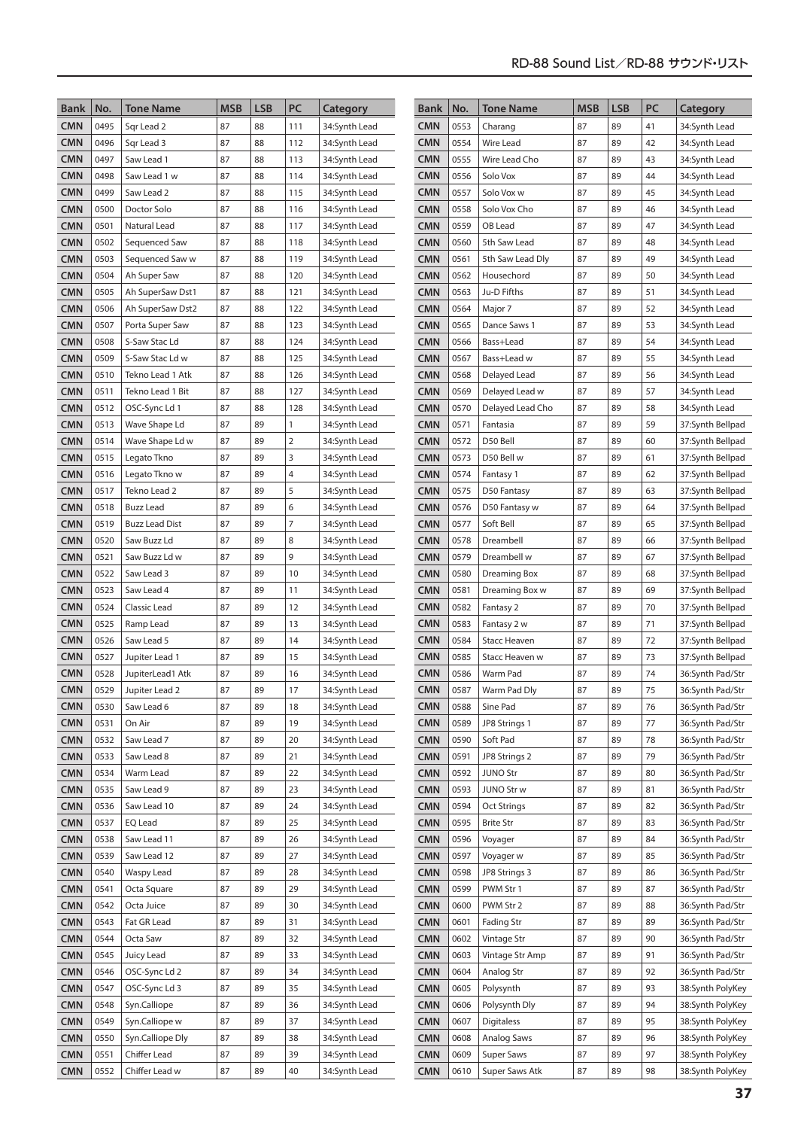| Bank                     | No.          | Tone Name                           | <b>MSB</b> | <b>LSB</b> | PC             | Category                       | <b>Bank</b>              | No.          | <b>Tone Name</b>                   | <b>MSB</b> | <b>LSB</b> | PC       | Category                             |
|--------------------------|--------------|-------------------------------------|------------|------------|----------------|--------------------------------|--------------------------|--------------|------------------------------------|------------|------------|----------|--------------------------------------|
| <b>CMN</b>               | 0495         | Sqr Lead 2                          | 87         | 88         | 111            | 34:Synth Lead                  | <b>CMN</b>               | 0553         | Charang                            | 87         | 89         | 41       | 34:Synth Lead                        |
| <b>CMN</b>               | 0496         | Sqr Lead 3                          | 87         | 88         | 112            | 34:Synth Lead                  | <b>CMN</b>               | 0554         | Wire Lead                          | 87         | 89         | 42       | 34:Synth Lead                        |
| <b>CMN</b>               | 0497         | Saw Lead 1                          | 87         | 88         | 113            | 34:Synth Lead                  | <b>CMN</b>               | 0555         | Wire Lead Cho                      | 87         | 89         | 43       | 34:Synth Lead                        |
| <b>CMN</b>               | 0498         | Saw Lead 1 w                        | 87         | 88         | 114            | 34:Synth Lead                  | <b>CMN</b>               | 0556         | Solo Vox                           | 87         | 89         | 44       | 34:Synth Lead                        |
| <b>CMN</b>               | 0499         | Saw Lead 2                          | 87         | 88         | 115            | 34:Synth Lead                  | <b>CMN</b>               | 0557         | Solo Vox w                         | 87         | 89         | 45       | 34:Synth Lead                        |
| <b>CMN</b>               | 0500         | Doctor Solo                         | 87         | 88         | 116            | 34:Synth Lead                  | <b>CMN</b>               | 0558         | Solo Vox Cho                       | 87         | 89         | 46       | 34:Synth Lead                        |
| <b>CMN</b>               | 0501         | Natural Lead                        | 87         | 88         | 117            | 34:Synth Lead                  | <b>CMN</b>               | 0559         | OB Lead                            | 87         | 89         | 47       | 34:Synth Lead                        |
| <b>CMN</b>               | 0502         | Sequenced Saw                       | 87         | 88         | 118            | 34:Synth Lead                  | <b>CMN</b>               | 0560         | 5th Saw Lead                       | 87         | 89         | 48       | 34:Synth Lead                        |
| <b>CMN</b>               | 0503         | Sequenced Saw w                     | 87         | 88         | 119            | 34:Synth Lead                  | <b>CMN</b>               | 0561         | 5th Saw Lead Dly                   | 87         | 89         | 49       | 34:Synth Lead                        |
| <b>CMN</b>               | 0504         | Ah Super Saw                        | 87         | 88         | 120            | 34:Synth Lead                  | <b>CMN</b>               | 0562         | Housechord                         | 87         | 89         | 50       | 34:Synth Lead                        |
| <b>CMN</b>               | 0505         | Ah SuperSaw Dst1                    | 87         | 88         | 121            | 34:Synth Lead                  | <b>CMN</b>               | 0563         | Ju-D Fifths                        | 87         | 89         | 51       | 34:Synth Lead                        |
| <b>CMN</b>               | 0506         | Ah SuperSaw Dst2                    | 87         | 88         | 122            | 34:Synth Lead                  | <b>CMN</b>               | 0564         | Major 7                            | 87         | 89         | 52       | 34:Synth Lead                        |
| <b>CMN</b>               | 0507         | Porta Super Saw                     | 87         | 88         | 123            | 34:Synth Lead                  | <b>CMN</b>               | 0565         | Dance Saws 1                       | 87         | 89         | 53       | 34:Synth Lead                        |
| <b>CMN</b>               | 0508         | S-Saw Stac Ld                       | 87         | 88         | 124            | 34:Synth Lead                  | <b>CMN</b>               | 0566         | Bass+Lead                          | 87         | 89         | 54       | 34:Synth Lead                        |
| <b>CMN</b>               | 0509         | S-Saw Stac Ld w<br>Tekno Lead 1 Atk | 87<br>87   | 88         | 125            | 34:Synth Lead                  | <b>CMN</b>               | 0567         | Bass+Lead w                        | 87         | 89<br>89   | 55<br>56 | 34:Synth Lead                        |
| <b>CMN</b><br><b>CMN</b> | 0510<br>0511 | Tekno Lead 1 Bit                    | 87         | 88<br>88   | 126<br>127     | 34:Synth Lead                  | <b>CMN</b><br><b>CMN</b> | 0568<br>0569 | Delayed Lead                       | 87<br>87   | 89         | 57       | 34:Synth Lead                        |
| <b>CMN</b>               | 0512         | OSC-Sync Ld 1                       | 87         | 88         | 128            | 34:Synth Lead<br>34:Synth Lead | <b>CMN</b>               | 0570         | Delayed Lead w<br>Delayed Lead Cho | 87         | 89         | 58       | 34:Synth Lead<br>34:Synth Lead       |
| <b>CMN</b>               | 0513         | Wave Shape Ld                       | 87         | 89         | $\mathbf{1}$   | 34:Synth Lead                  | <b>CMN</b>               | 0571         | Fantasia                           | 87         | 89         | 59       | 37:Synth Bellpad                     |
| <b>CMN</b>               | 0514         | Wave Shape Ld w                     | 87         | 89         | $\overline{2}$ | 34:Synth Lead                  | <b>CMN</b>               | 0572         | D50 Bell                           | 87         | 89         | 60       | 37:Synth Bellpad                     |
| <b>CMN</b>               | 0515         | Legato Tkno                         | 87         | 89         | 3              | 34:Synth Lead                  | <b>CMN</b>               | 0573         | D50 Bell w                         | 87         | 89         | 61       | 37:Synth Bellpad                     |
| <b>CMN</b>               | 0516         | Legato Tkno w                       | 87         | 89         | 4              | 34:Synth Lead                  | <b>CMN</b>               | 0574         | Fantasy 1                          | 87         | 89         | 62       | 37:Synth Bellpad                     |
| <b>CMN</b>               | 0517         | Tekno Lead 2                        | 87         | 89         | 5              | 34:Synth Lead                  | <b>CMN</b>               | 0575         | D50 Fantasy                        | 87         | 89         | 63       | 37:Synth Bellpad                     |
| <b>CMN</b>               | 0518         | <b>Buzz Lead</b>                    | 87         | 89         | 6              | 34:Synth Lead                  | <b>CMN</b>               | 0576         | D50 Fantasy w                      | 87         | 89         | 64       | 37:Synth Bellpad                     |
| <b>CMN</b>               | 0519         | <b>Buzz Lead Dist</b>               | 87         | 89         | 7              | 34:Synth Lead                  | <b>CMN</b>               | 0577         | Soft Bell                          | 87         | 89         | 65       | 37:Synth Bellpad                     |
| <b>CMN</b>               | 0520         | Saw Buzz Ld                         | 87         | 89         | 8              | 34:Synth Lead                  | <b>CMN</b>               | 0578         | Dreambell                          | 87         | 89         | 66       | 37:Synth Bellpad                     |
| <b>CMN</b>               | 0521         | Saw Buzz Ld w                       | 87         | 89         | 9              | 34:Synth Lead                  | <b>CMN</b>               | 0579         | Dreambell w                        | 87         | 89         | 67       | 37:Synth Bellpad                     |
| <b>CMN</b>               | 0522         | Saw Lead 3                          | 87         | 89         | 10             | 34:Synth Lead                  | <b>CMN</b>               | 0580         | Dreaming Box                       | 87         | 89         | 68       | 37:Synth Bellpad                     |
| <b>CMN</b>               | 0523         | Saw Lead 4                          | 87         | 89         | 11             | 34:Synth Lead                  | <b>CMN</b>               | 0581         | Dreaming Box w                     | 87         | 89         | 69       | 37:Synth Bellpad                     |
| <b>CMN</b>               | 0524         | Classic Lead                        | 87         | 89         | 12             | 34:Synth Lead                  | <b>CMN</b>               | 0582         | Fantasy 2                          | 87         | 89         | 70       | 37:Synth Bellpad                     |
| <b>CMN</b>               | 0525         | Ramp Lead                           | 87         | 89         | 13             | 34:Synth Lead                  | <b>CMN</b>               | 0583         | Fantasy 2 w                        | 87         | 89         | 71       | 37:Synth Bellpad                     |
| <b>CMN</b>               | 0526         | Saw Lead 5                          | 87         | 89         | 14             | 34:Synth Lead                  | <b>CMN</b>               | 0584         | Stacc Heaven                       | 87         | 89         | 72       | 37:Synth Bellpad                     |
| <b>CMN</b>               | 0527         | Jupiter Lead 1                      | 87         | 89         | 15             | 34:Synth Lead                  | <b>CMN</b>               | 0585         | Stacc Heaven w                     | 87         | 89         | 73       | 37:Synth Bellpad                     |
| <b>CMN</b>               | 0528         | JupiterLead1 Atk                    | 87         | 89         | 16             | 34:Synth Lead                  | <b>CMN</b>               | 0586         | Warm Pad                           | 87         | 89         | 74       | 36:Synth Pad/Str                     |
| <b>CMN</b>               | 0529         | Jupiter Lead 2                      | 87         | 89         | 17             | 34:Synth Lead                  | <b>CMN</b>               | 0587         | Warm Pad Dly                       | 87         | 89         | 75       | 36:Synth Pad/Str                     |
| <b>CMN</b>               | 0530         | Saw Lead 6                          | 87         | 89         | 18             | 34:Synth Lead                  | <b>CMN</b>               | 0588         | Sine Pad                           | 87         | 89         | 76       | 36:Synth Pad/Str                     |
| <b>CMN</b>               | 0531         | On Air                              | 87         | 89         | 19             | 34:Synth Lead                  | <b>CMN</b>               | 0589         | JP8 Strings 1                      | 87         | 89         | 77       | 36:Synth Pad/Str                     |
| <b>CMN</b>               | 0532         | Saw Lead 7                          | 87         | 89         | 20             | 34:Synth Lead                  | <b>CMN</b>               | 0590         | Soft Pad                           | 87         | 89         | 78       | 36:Synth Pad/Str                     |
| CMN                      | 0533<br>0534 | Saw Lead 8                          | 87<br>87   | 89         | 21<br>22       | 34:Synth Lead                  | <b>CMN</b>               | 0591<br>0592 | JP8 Strings 2<br><b>JUNO Str</b>   | 87<br>87   | 89<br>89   | 79<br>80 | 36:Synth Pad/Str                     |
| <b>CMN</b><br><b>CMN</b> | 0535         | Warm Lead<br>Saw Lead 9             | 87         | 89<br>89   | 23             | 34:Synth Lead<br>34:Synth Lead | <b>CMN</b><br><b>CMN</b> | 0593         | JUNO Str w                         | 87         | 89         | 81       | 36:Synth Pad/Str<br>36:Synth Pad/Str |
| <b>CMN</b>               | 0536         | Saw Lead 10                         | 87         | 89         | 24             | 34:Synth Lead                  | <b>CMN</b>               | 0594         | <b>Oct Strings</b>                 | 87         | 89         | 82       | 36:Synth Pad/Str                     |
| <b>CMN</b>               | 0537         | EQ Lead                             | 87         | 89         | 25             | 34:Synth Lead                  | <b>CMN</b>               | 0595         | <b>Brite Str</b>                   | 87         | 89         | 83       | 36:Synth Pad/Str                     |
| <b>CMN</b>               | 0538         | Saw Lead 11                         | 87         | 89         | 26             | 34:Synth Lead                  | <b>CMN</b>               | 0596         | Voyager                            | 87         | 89         | 84       | 36:Synth Pad/Str                     |
| <b>CMN</b>               | 0539         | Saw Lead 12                         | 87         | 89         | 27             | 34:Synth Lead                  | <b>CMN</b>               | 0597         | Voyager w                          | 87         | 89         | 85       | 36:Synth Pad/Str                     |
| <b>CMN</b>               | 0540         | Waspy Lead                          | 87         | 89         | 28             | 34:Synth Lead                  | <b>CMN</b>               | 0598         | JP8 Strings 3                      | 87         | 89         | 86       | 36:Synth Pad/Str                     |
| <b>CMN</b>               | 0541         | Octa Square                         | 87         | 89         | 29             | 34:Synth Lead                  | <b>CMN</b>               | 0599         | PWM Str 1                          | 87         | 89         | 87       | 36:Synth Pad/Str                     |
| <b>CMN</b>               | 0542         | Octa Juice                          | 87         | 89         | 30             | 34:Synth Lead                  | <b>CMN</b>               | 0600         | PWM Str 2                          | 87         | 89         | 88       | 36:Synth Pad/Str                     |
| <b>CMN</b>               | 0543         | Fat GR Lead                         | 87         | 89         | 31             | 34:Synth Lead                  | <b>CMN</b>               | 0601         | <b>Fading Str</b>                  | 87         | 89         | 89       | 36:Synth Pad/Str                     |
| <b>CMN</b>               | 0544         | Octa Saw                            | 87         | 89         | 32             | 34:Synth Lead                  | <b>CMN</b>               | 0602         | Vintage Str                        | 87         | 89         | 90       | 36:Synth Pad/Str                     |
| <b>CMN</b>               | 0545         | Juicy Lead                          | 87         | 89         | 33             | 34:Synth Lead                  | <b>CMN</b>               | 0603         | Vintage Str Amp                    | 87         | 89         | 91       | 36:Synth Pad/Str                     |
| <b>CMN</b>               | 0546         | OSC-Sync Ld 2                       | 87         | 89         | 34             | 34:Synth Lead                  | <b>CMN</b>               | 0604         | Analog Str                         | 87         | 89         | 92       | 36:Synth Pad/Str                     |
| <b>CMN</b>               | 0547         | OSC-Sync Ld 3                       | 87         | 89         | 35             | 34:Synth Lead                  | <b>CMN</b>               | 0605         | Polysynth                          | 87         | 89         | 93       | 38:Synth PolyKey                     |
| <b>CMN</b>               | 0548         | Syn.Calliope                        | 87         | 89         | 36             | 34:Synth Lead                  | <b>CMN</b>               | 0606         | Polysynth Dly                      | 87         | 89         | 94       | 38:Synth PolyKey                     |
| CMN                      | 0549         | Syn.Calliope w                      | 87         | 89         | 37             | 34:Synth Lead                  | <b>CMN</b>               | 0607         | Digitaless                         | 87         | 89         | 95       | 38:Synth PolyKey                     |
| <b>CMN</b>               | 0550         | Syn.Calliope Dly                    | 87         | 89         | 38             | 34:Synth Lead                  | <b>CMN</b>               | 0608         | Analog Saws                        | 87         | 89         | 96       | 38:Synth PolyKey                     |
| <b>CMN</b>               | 0551         | Chiffer Lead                        | 87         | 89         | 39             | 34:Synth Lead                  | <b>CMN</b>               | 0609         | <b>Super Saws</b>                  | 87         | 89         | 97       | 38:Synth PolyKey                     |
| <b>CMN</b>               | 0552         | Chiffer Lead w                      | 87         | 89         | 40             | 34:Synth Lead                  | <b>CMN</b>               | 0610         | Super Saws Atk                     | 87         | 89         | 98       | 38:Synth PolyKey                     |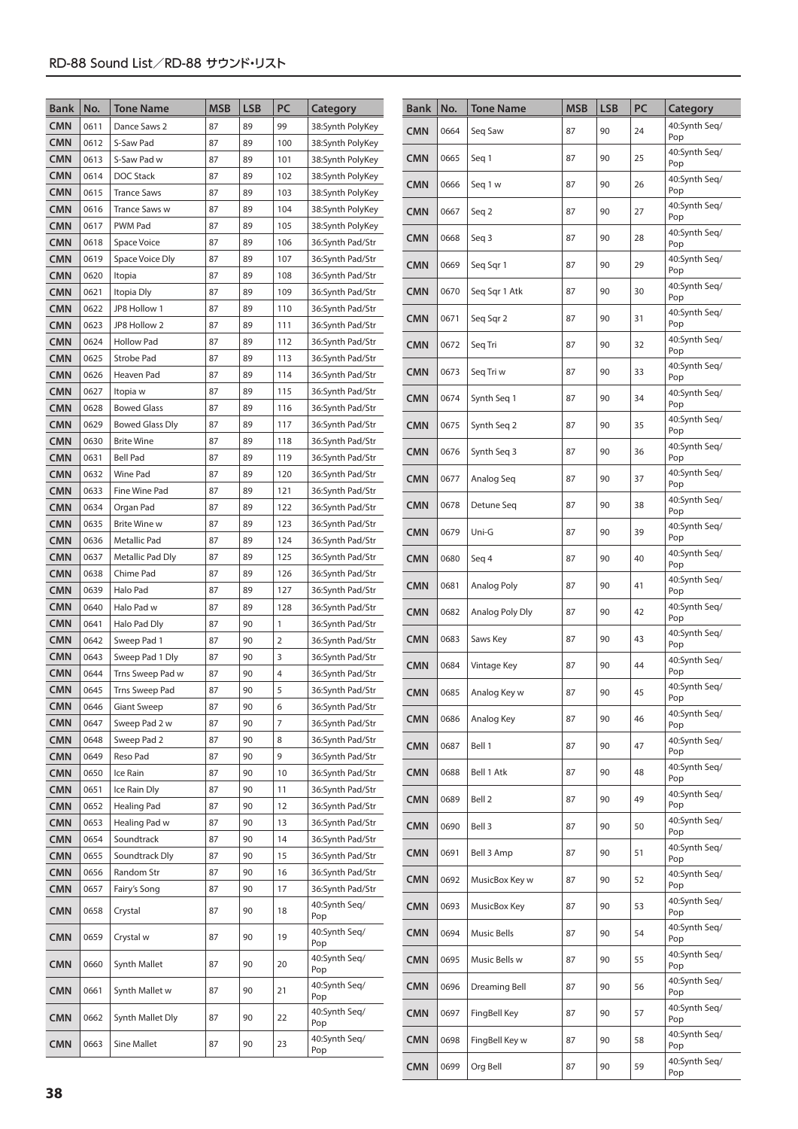| <b>Bank</b>              | No.          | <b>Tone Name</b>                            | <b>MSB</b> | <b>LSB</b> | PC         | Category                             | <b>Bank</b> | No.  | <b>Tone Name</b> | <b>MSB</b> | <b>LSB</b> | PC | Category             |
|--------------------------|--------------|---------------------------------------------|------------|------------|------------|--------------------------------------|-------------|------|------------------|------------|------------|----|----------------------|
| <b>CMN</b>               | 0611         | Dance Saws 2                                | 87         | 89         | 99         | 38:Synth PolyKey                     | <b>CMN</b>  | 0664 | Seg Saw          | 87         | 90         | 24 | 40:Synth Seg/        |
| <b>CMN</b>               | 0612         | S-Saw Pad                                   | 87         | 89         | 100        | 38:Synth PolyKey                     |             |      |                  |            |            |    | Pop                  |
| <b>CMN</b>               | 0613         | S-Saw Pad w                                 | 87         | 89         | 101        | 38:Synth PolyKey                     | <b>CMN</b>  | 0665 | Seg 1            | 87         | 90         | 25 | 40:Synth Seq/<br>Pop |
| <b>CMN</b>               | 0614         | DOC Stack                                   | 87         | 89         | 102        | 38:Synth PolyKey                     | <b>CMN</b>  | 0666 | Seq 1 w          | 87         | 90         | 26 | 40:Synth Seg/        |
| <b>CMN</b>               | 0615         | <b>Trance Saws</b>                          | 87         | 89         | 103        | 38:Synth PolyKey                     |             |      |                  |            |            |    | Pop                  |
| <b>CMN</b>               | 0616         | <b>Trance Saws w</b>                        | 87         | 89         | 104        | 38:Synth PolyKey                     | <b>CMN</b>  | 0667 | Seq 2            | 87         | 90         | 27 | 40:Synth Seq/<br>Pop |
| <b>CMN</b><br><b>CMN</b> | 0617         | PWM Pad                                     | 87         | 89         | 105        | 38:Synth PolyKey                     | <b>CMN</b>  | 0668 | Seq 3            | 87         | 90         | 28 | 40:Synth Seq/        |
| <b>CMN</b>               | 0618<br>0619 | Space Voice<br>Space Voice Dly              | 87<br>87   | 89<br>89   | 106<br>107 | 36:Synth Pad/Str<br>36:Synth Pad/Str |             |      |                  |            |            |    | Pop<br>40:Synth Seg/ |
| <b>CMN</b>               | 0620         | Itopia                                      | 87         | 89         | 108        | 36:Synth Pad/Str                     | <b>CMN</b>  | 0669 | Seq Sqr 1        | 87         | 90         | 29 | Pop                  |
| <b>CMN</b>               | 0621         | Itopia Dly                                  | 87         | 89         | 109        | 36:Synth Pad/Str                     | <b>CMN</b>  | 0670 | Seg Sqr 1 Atk    | 87         | 90         | 30 | 40:Synth Seg/        |
| <b>CMN</b>               | 0622         | JP8 Hollow 1                                | 87         | 89         | 110        | 36:Synth Pad/Str                     |             |      |                  |            |            |    | Pop<br>40:Synth Seq/ |
| <b>CMN</b>               | 0623         | JP8 Hollow 2                                | 87         | 89         | 111        | 36:Synth Pad/Str                     | <b>CMN</b>  | 0671 | Seg Sgr 2        | 87         | 90         | 31 | Pop                  |
| <b>CMN</b>               | 0624         | <b>Hollow Pad</b>                           | 87         | 89         | 112        | 36:Synth Pad/Str                     | <b>CMN</b>  | 0672 | Seq Tri          | 87         | 90         | 32 | 40:Synth Seq/<br>Pop |
| <b>CMN</b>               | 0625         | Strobe Pad                                  | 87         | 89         | 113        | 36:Synth Pad/Str                     |             |      |                  |            |            |    | 40:Synth Seq/        |
| <b>CMN</b>               | 0626         | Heaven Pad                                  | 87         | 89         | 114        | 36:Synth Pad/Str                     | <b>CMN</b>  | 0673 | Seq Tri w        | 87         | 90         | 33 | Pop                  |
| <b>CMN</b>               | 0627         | Itopia w                                    | 87         | 89         | 115        | 36:Synth Pad/Str                     | <b>CMN</b>  | 0674 | Synth Seq 1      | 87         | 90         | 34 | 40:Synth Seq/<br>Pop |
| <b>CMN</b>               | 0628         | <b>Bowed Glass</b>                          | 87         | 89<br>89   | 116        | 36:Synth Pad/Str                     |             |      |                  |            |            |    | 40:Synth Seq/        |
| <b>CMN</b><br><b>CMN</b> | 0629<br>0630 | <b>Bowed Glass Dly</b><br><b>Brite Wine</b> | 87<br>87   | 89         | 117<br>118 | 36:Synth Pad/Str<br>36:Synth Pad/Str | <b>CMN</b>  | 0675 | Synth Seg 2      | 87         | 90         | 35 | Pop                  |
| <b>CMN</b>               | 0631         | <b>Bell Pad</b>                             | 87         | 89         | 119        | 36:Synth Pad/Str                     | <b>CMN</b>  | 0676 | Synth Seq 3      | 87         | 90         | 36 | 40:Synth Seg/<br>Pop |
| <b>CMN</b>               | 0632         | <b>Wine Pad</b>                             | 87         | 89         | 120        | 36:Synth Pad/Str                     | <b>CMN</b>  | 0677 | Analog Seg       | 87         | 90         | 37 | 40:Synth Seq/        |
| <b>CMN</b>               | 0633         | Fine Wine Pad                               | 87         | 89         | 121        | 36:Synth Pad/Str                     |             |      |                  |            |            |    | Pop                  |
| <b>CMN</b>               | 0634         | Organ Pad                                   | 87         | 89         | 122        | 36:Synth Pad/Str                     | <b>CMN</b>  | 0678 | Detune Seq       | 87         | 90         | 38 | 40:Synth Seq/<br>Pop |
| <b>CMN</b>               | 0635         | <b>Brite Wine w</b>                         | 87         | 89         | 123        | 36:Synth Pad/Str                     | <b>CMN</b>  | 0679 | Uni-G            | 87         | 90         | 39 | 40:Synth Seq/        |
| <b>CMN</b>               | 0636         | <b>Metallic Pad</b>                         | 87         | 89         | 124        | 36:Synth Pad/Str                     |             |      |                  |            |            |    | Pop<br>40:Synth Seq/ |
| <b>CMN</b>               | 0637<br>0638 | Metallic Pad Dly<br>Chime Pad               | 87<br>87   | 89<br>89   | 125        | 36:Synth Pad/Str                     | <b>CMN</b>  | 0680 | Seq 4            | 87         | 90         | 40 | Pop                  |
| <b>CMN</b><br><b>CMN</b> | 0639         | Halo Pad                                    | 87         | 89         | 126<br>127 | 36:Synth Pad/Str<br>36:Synth Pad/Str | <b>CMN</b>  | 0681 | Analog Poly      | 87         | 90         | 41 | 40:Synth Seq/<br>Pop |
| <b>CMN</b>               | 0640         | Halo Pad w                                  | 87         | 89         | 128        | 36:Synth Pad/Str                     |             |      |                  |            |            |    | 40:Synth Seq/        |
| <b>CMN</b>               | 0641         | Halo Pad Dly                                | 87         | 90         | 1          | 36:Synth Pad/Str                     | <b>CMN</b>  | 0682 | Analog Poly Dly  | 87         | 90         | 42 | Pop                  |
| <b>CMN</b>               | 0642         | Sweep Pad 1                                 | 87         | 90         | 2          | 36:Synth Pad/Str                     | <b>CMN</b>  | 0683 | Saws Key         | 87         | 90         | 43 | 40:Synth Seq/<br>Pop |
| <b>CMN</b>               | 0643         | Sweep Pad 1 Dly                             | 87         | 90         | 3          | 36:Synth Pad/Str                     | <b>CMN</b>  | 0684 | Vintage Key      | 87         | 90         | 44 | 40:Synth Seq/        |
| <b>CMN</b>               | 0644         | Trns Sweep Pad w                            | 87         | 90         | 4          | 36:Synth Pad/Str                     |             |      |                  |            |            |    | Pop                  |
| <b>CMN</b>               | 0645         | Trns Sweep Pad                              | 87         | 90         | 5          | 36:Synth Pad/Str                     | <b>CMN</b>  | 0685 | Analog Key w     | 87         | 90         | 45 | 40:Synth Seq/<br>Pop |
| <b>CMN</b><br><b>CMN</b> | 0646<br>0647 | <b>Giant Sweep</b><br>Sweep Pad 2 w         | 87<br>87   | 90<br>90   | 6<br>7     | 36:Synth Pad/Str<br>36:Synth Pad/Str | <b>CMN</b>  | 0686 | Analog Key       | 87         | 90         | 46 | 40:Synth Seq/        |
| <b>CMN</b>               | 0648         | Sweep Pad 2                                 | 87         | 90         | 8          | 36:Synth Pad/Str                     |             |      |                  |            |            |    | Pop<br>40:Synth Seq/ |
| <b>CMN</b>               | 0649         | Reso Pad                                    | 87         | 90         | 9          | 36:Synth Pad/Str                     | <b>CMN</b>  | 0687 | Bell 1           | 87         | 90         | 47 | Pop                  |
| <b>CMN</b>               | 0650         | Ice Rain                                    | 87         | 90         | 10         | 36:Synth Pad/Str                     | <b>CMN</b>  | 0688 | Bell 1 Atk       | 87         | 90         | 48 | 40:Synth Seg/<br>Pop |
| <b>CMN</b>               | 0651         | Ice Rain Dly                                | 87         | 90         | 11         | 36:Synth Pad/Str                     |             |      |                  |            |            |    | 40:Synth Seg/        |
| <b>CMN</b>               | 0652         | Healing Pad                                 | 87         | 90         | 12         | 36:Synth Pad/Str                     | <b>CMN</b>  | 0689 | Bell 2           | 87         | 90         | 49 | Pop                  |
| <b>CMN</b>               | 0653         | Healing Pad w                               | 87         | 90         | 13         | 36:Synth Pad/Str                     | <b>CMN</b>  | 0690 | Bell 3           | 87         | 90         | 50 | 40:Synth Seg/<br>Pop |
| <b>CMN</b>               | 0654         | Soundtrack                                  | 87         | 90         | 14         | 36:Synth Pad/Str                     | <b>CMN</b>  | 0691 | Bell 3 Amp       | 87         | 90         | 51 | 40:Synth Seg/        |
| <b>CMN</b><br><b>CMN</b> | 0655<br>0656 | Soundtrack Dly<br>Random Str                | 87<br>87   | 90<br>90   | 15<br>16   | 36:Synth Pad/Str                     |             |      |                  |            |            |    | Pop                  |
| <b>CMN</b>               | 0657         | Fairy's Song                                | 87         | 90         | 17         | 36:Synth Pad/Str<br>36:Synth Pad/Str | <b>CMN</b>  | 0692 | MusicBox Key w   | 87         | 90         | 52 | 40:Synth Seg/<br>Pop |
| <b>CMN</b>               | 0658         | Crystal                                     | 87         | 90         | 18         | 40:Synth Seq/                        | <b>CMN</b>  | 0693 | MusicBox Key     | 87         | 90         | 53 | 40:Synth Seg/        |
|                          |              |                                             |            |            |            | Pop                                  |             |      |                  |            |            |    | Pop<br>40:Synth Seg/ |
| <b>CMN</b>               | 0659         | Crystal w                                   | 87         | 90         | 19         | 40:Synth Seq/<br>Pop                 | <b>CMN</b>  | 0694 | Music Bells      | 87         | 90         | 54 | Pop                  |
| <b>CMN</b>               | 0660         | Synth Mallet                                | 87         | 90         | 20         | 40:Synth Seq/                        | <b>CMN</b>  | 0695 | Music Bells w    | 87         | 90         | 55 | 40:Synth Seg/<br>Pop |
|                          |              |                                             |            |            |            | Pop<br>40:Synth Seq/                 | <b>CMN</b>  | 0696 | Dreaming Bell    | 87         | 90         | 56 | 40:Synth Seg/        |
| <b>CMN</b>               | 0661         | Synth Mallet w                              | 87         | 90         | 21         | Pop                                  |             |      |                  |            |            |    | Pop<br>40:Synth Seg/ |
| <b>CMN</b>               | 0662         | Synth Mallet Dly                            | 87         | 90         | 22         | 40:Synth Seq/<br>Pop                 | <b>CMN</b>  | 0697 | FingBell Key     | 87         | 90         | 57 | Pop                  |
| <b>CMN</b>               | 0663         | Sine Mallet                                 | 87         | 90         | 23         | 40:Synth Seq/<br>Pop                 | <b>CMN</b>  | 0698 | FingBell Key w   | 87         | 90         | 58 | 40:Synth Seg/<br>Pop |
|                          |              |                                             |            |            |            |                                      | <b>CMN</b>  | 0699 | Org Bell         | 87         | 90         | 59 | 40:Synth Seg/<br>Pop |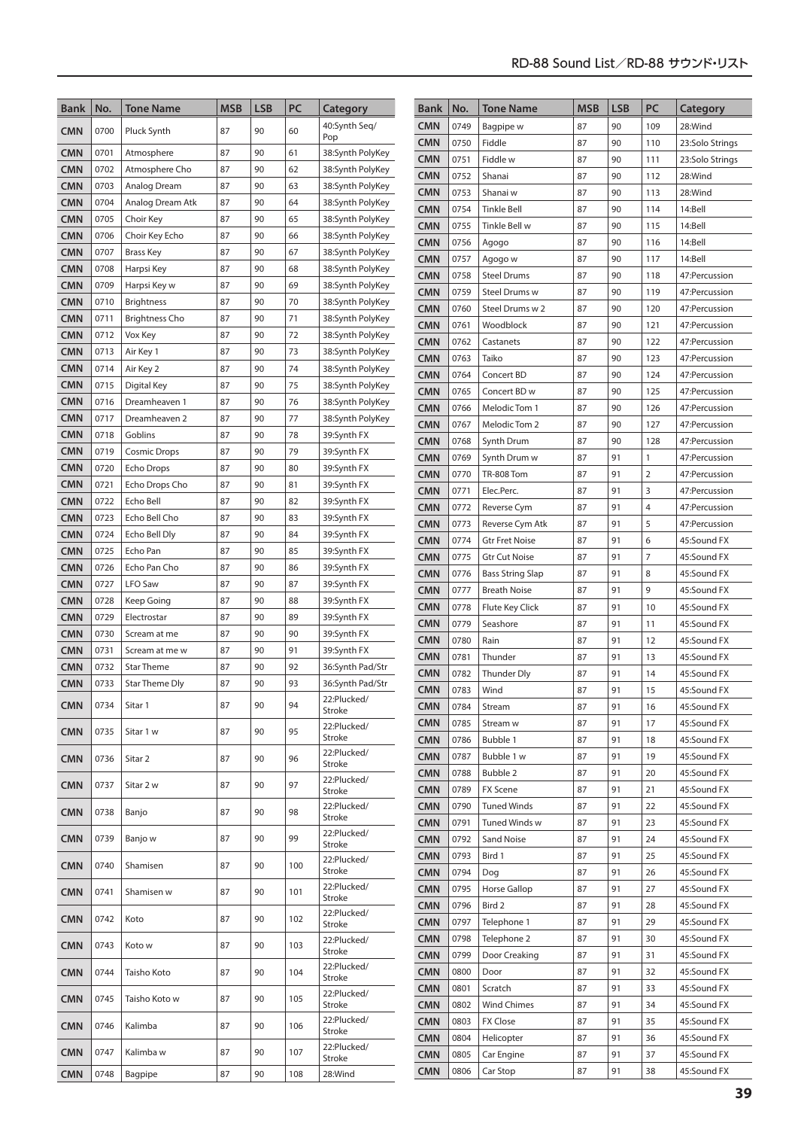| <b>Bank</b>              | No.          | <b>Tone Name</b>                           | <b>MSB</b> | <b>LSB</b> | PC       | Category                             | <b>Bank</b>              | No.          | <b>Tone Name</b>      | <b>MSB</b> | <b>LSB</b> | PC             | Category                   |
|--------------------------|--------------|--------------------------------------------|------------|------------|----------|--------------------------------------|--------------------------|--------------|-----------------------|------------|------------|----------------|----------------------------|
| <b>CMN</b>               | 0700         | Pluck Synth                                | 87         | 90         | 60       | 40:Synth Seg/                        | <b>CMN</b>               | 0749         | Bagpipe w             | 87         | 90         | 109            | 28:Wind                    |
|                          |              |                                            |            |            |          | Pop                                  | <b>CMN</b>               | 0750         | Fiddle                | 87         | 90         | 110            | 23:Solo Strings            |
| <b>CMN</b>               | 0701         | Atmosphere                                 | 87         | 90         | 61       | 38:Synth PolyKey                     | <b>CMN</b>               | 0751         | Fiddle w              | 87         | 90         | 111            | 23:Solo Strings            |
| <b>CMN</b>               | 0702         | Atmosphere Cho                             | 87         | 90         | 62       | 38:Synth PolyKey                     | <b>CMN</b>               | 0752         | Shanai                | 87         | 90         | 112            | 28:Wind                    |
| <b>CMN</b>               | 0703         | Analog Dream                               | 87         | 90         | 63       | 38:Synth PolyKey                     | <b>CMN</b>               | 0753         | Shanai w              | 87         | 90         | 113            | 28:Wind                    |
| <b>CMN</b>               | 0704         | Analog Dream Atk                           | 87         | 90         | 64       | 38:Synth PolyKey                     | <b>CMN</b>               | 0754         | <b>Tinkle Bell</b>    | 87         | 90         | 114            | 14:Bell                    |
| <b>CMN</b>               | 0705         | Choir Key                                  | 87         | 90         | 65       | 38:Synth PolyKey                     | <b>CMN</b>               | 0755         | Tinkle Bell w         | 87         | 90         | 115            | 14:Bell                    |
| <b>CMN</b>               | 0706<br>0707 | Choir Key Echo                             | 87<br>87   | 90<br>90   | 66<br>67 | 38:Synth PolyKey                     | <b>CMN</b>               | 0756         | Agogo                 | 87         | 90         | 116            | 14:Bell                    |
| <b>CMN</b><br><b>CMN</b> | 0708         | <b>Brass Key</b>                           | 87         | 90         | 68       | 38:Synth PolyKey                     | <b>CMN</b>               | 0757         | Agogo w               | 87         | 90         | 117            | 14:Bell                    |
| <b>CMN</b>               | 0709         | Harpsi Key<br>Harpsi Key w                 | 87         | 90         | 69       | 38:Synth PolyKey                     | <b>CMN</b>               | 0758         | <b>Steel Drums</b>    | 87         | 90         | 118            | 47: Percussion             |
| <b>CMN</b>               | 0710         |                                            | 87         | 90         | 70       | 38:Synth PolyKey                     | <b>CMN</b>               | 0759         | Steel Drums w         | 87         | 90         | 119            | 47: Percussion             |
| <b>CMN</b>               | 0711         | <b>Brightness</b><br><b>Brightness Cho</b> | 87         | 90         | 71       | 38:Synth PolyKey                     | <b>CMN</b>               | 0760         | Steel Drums w 2       | 87         | 90         | 120            | 47: Percussion             |
| CMN                      | 0712         | Vox Key                                    | 87         | 90         | 72       | 38:Synth PolyKey<br>38:Synth PolyKey | <b>CMN</b>               | 0761         | Woodblock             | 87         | 90         | 121            | 47:Percussion              |
| <b>CMN</b>               | 0713         | Air Key 1                                  | 87         | 90         | 73       | 38:Synth PolyKey                     | <b>CMN</b>               | 0762         | Castanets             | 87         | 90         | 122            | 47:Percussion              |
| <b>CMN</b>               | 0714         | Air Key 2                                  | 87         | 90         | 74       | 38:Synth PolyKey                     | <b>CMN</b>               | 0763         | Taiko                 | 87         | 90         | 123            | 47: Percussion             |
| <b>CMN</b>               | 0715         | Digital Key                                | 87         | 90         | 75       | 38:Synth PolyKey                     | <b>CMN</b>               | 0764         | Concert BD            | 87         | 90         | 124            | 47:Percussion              |
| <b>CMN</b>               | 0716         | Dreamheaven 1                              | 87         | 90         | 76       | 38:Synth PolyKey                     | <b>CMN</b>               | 0765         | Concert BD w          | 87         | 90         | 125            | 47:Percussion              |
| <b>CMN</b>               | 0717         | Dreamheaven 2                              | 87         | 90         | 77       | 38:Synth PolyKey                     | <b>CMN</b>               | 0766         | Melodic Tom 1         | 87         | 90         | 126            | 47: Percussion             |
| <b>CMN</b>               | 0718         | Goblins                                    | 87         | 90         | 78       | 39:Synth FX                          | <b>CMN</b>               | 0767         | Melodic Tom 2         | 87         | 90         | 127            | 47:Percussion              |
| <b>CMN</b>               | 0719         | <b>Cosmic Drops</b>                        | 87         | 90         | 79       | 39:Synth FX                          | <b>CMN</b>               | 0768         | Synth Drum            | 87         | 90         | 128            | 47:Percussion              |
| <b>CMN</b>               | 0720         | <b>Echo Drops</b>                          | 87         | 90         | 80       | 39:Synth FX                          | <b>CMN</b>               | 0769         | Synth Drum w          | 87         | 91         | 1              | 47: Percussion             |
| <b>CMN</b>               | 0721         | Echo Drops Cho                             | 87         | 90         | 81       | 39:Synth FX                          | <b>CMN</b>               | 0770         | <b>TR-808 Tom</b>     | 87         | 91         | $\overline{2}$ | 47:Percussion              |
| <b>CMN</b>               | 0722         | Echo Bell                                  | 87         | 90         | 82       | 39:Synth FX                          | <b>CMN</b>               | 0771         | Elec.Perc.            | 87         | 91         | 3              | 47:Percussion              |
| <b>CMN</b>               | 0723         | Echo Bell Cho                              | 87         | 90         | 83       | 39:Synth FX                          | <b>CMN</b>               | 0772         | Reverse Cym           | 87         | 91         | 4              | 47:Percussion              |
| <b>CMN</b>               | 0724         | Echo Bell Dly                              | 87         | 90         | 84       | 39:Synth FX                          | <b>CMN</b>               | 0773         | Reverse Cym Atk       | 87         | 91         | 5              | 47: Percussion             |
| <b>CMN</b>               | 0725         | Echo Pan                                   | 87         | 90         | 85       | 39:Synth FX                          | <b>CMN</b>               | 0774         | <b>Gtr Fret Noise</b> | 87         | 91         | 6              | 45:Sound FX                |
| <b>CMN</b>               | 0726         | Echo Pan Cho                               | 87         | 90         | 86       | 39:Synth FX                          | <b>CMN</b>               | 0775         | Gtr Cut Noise         | 87         | 91         | $\overline{7}$ | 45:Sound FX                |
| <b>CMN</b>               | 0727         | <b>LFO Saw</b>                             | 87         | 90         | 87       | 39:Synth FX                          | <b>CMN</b>               | 0776         | Bass String Slap      | 87         | 91         | 8              | 45:Sound FX                |
| <b>CMN</b>               | 0728         | Keep Going                                 | 87         | 90         | 88       | 39:Synth FX                          | <b>CMN</b>               | 0777         | <b>Breath Noise</b>   | 87         | 91         | 9              | 45:Sound FX                |
| <b>CMN</b>               | 0729         | Electrostar                                | 87         | 90         | 89       | 39:Synth FX                          | <b>CMN</b>               | 0778         | Flute Key Click       | 87         | 91         | 10             | 45:Sound FX                |
| <b>CMN</b>               | 0730         | Scream at me                               | 87         | 90         | 90       | 39:Synth FX                          | <b>CMN</b>               | 0779         | Seashore<br>Rain      | 87<br>87   | 91<br>91   | 11<br>12       | 45:Sound FX                |
| <b>CMN</b>               | 0731         | Scream at me w                             | 87         | 90         | 91       | 39:Synth FX                          | <b>CMN</b><br><b>CMN</b> | 0780<br>0781 | Thunder               | 87         | 91         | 13             | 45:Sound FX<br>45:Sound FX |
| <b>CMN</b>               | 0732         | <b>Star Theme</b>                          | 87         | 90         | 92       | 36:Synth Pad/Str                     | <b>CMN</b>               | 0782         | <b>Thunder Dly</b>    | 87         | 91         | 14             | 45:Sound FX                |
| <b>CMN</b>               | 0733         | Star Theme Dly                             | 87         | 90         | 93       | 36:Synth Pad/Str                     | <b>CMN</b>               | 0783         | Wind                  | 87         | 91         | 15             | 45:Sound FX                |
| <b>CMN</b>               | 0734         | Sitar 1                                    | 87         | 90         | 94       | 22:Plucked/                          | <b>CMN</b>               | 0784         | Stream                | 87         | 91         | 16             | 45:Sound FX                |
|                          |              |                                            |            |            |          | Stroke                               | <b>CMN</b>               | 0785         | Stream w              | 87         | 91         | 17             | 45:Sound FX                |
| <b>CMN</b>               | 0735         | Sitar 1 w                                  | 87         | 90         | 95       | 22:Plucked/<br>Stroke                | <b>CMN</b>               | 0786         | Bubble 1              | 87         | 91         | 18             | 45:Sound FX                |
| <b>CMN</b>               | 0736         | Sitar 2                                    | 87         | 90         | 96       | 22:Plucked/                          | <b>CMN</b>               | 0787         | Bubble 1 w            | 87         | 91         | 19             | 45:Sound FX                |
|                          |              |                                            |            |            |          | Stroke                               | <b>CMN</b>               | 0788         | Bubble 2              | 87         | 91         | 20             | 45:Sound FX                |
| <b>CMN</b>               | 0737         | Sitar 2 w                                  | 87         | 90         | 97       | 22:Plucked/<br>Stroke                | <b>CMN</b>               | 0789         | <b>FX Scene</b>       | 87         | 91         | 21             | 45:Sound FX                |
|                          |              |                                            |            |            |          | 22:Plucked/                          | <b>CMN</b>               | 0790         | <b>Tuned Winds</b>    | 87         | 91         | 22             | 45:Sound FX                |
| CMN                      | 0738         | Banjo                                      | 87         | 90         | 98       | Stroke                               | <b>CMN</b>               | 0791         | Tuned Winds w         | 87         | 91         | 23             | 45:Sound FX                |
| <b>CMN</b>               | 0739         | Banjo w                                    | 87         | 90         | 99       | 22:Plucked/                          | <b>CMN</b>               | 0792         | Sand Noise            | 87         | 91         | 24             | 45:Sound FX                |
|                          |              |                                            |            |            |          | Stroke<br>22:Plucked/                | <b>CMN</b>               | 0793         | Bird 1                | 87         | 91         | 25             | 45:Sound FX                |
| <b>CMN</b>               | 0740         | Shamisen                                   | 87         | 90         | 100      | Stroke                               | <b>CMN</b>               | 0794         | Dog                   | 87         | 91         | 26             | 45:Sound FX                |
| CMN                      | 0741         | Shamisen w                                 | 87         | 90         | 101      | 22:Plucked/                          | <b>CMN</b>               | 0795         | <b>Horse Gallop</b>   | 87         | 91         | 27             | 45:Sound FX                |
|                          |              |                                            |            |            |          | Stroke                               | <b>CMN</b>               | 0796         | Bird 2                | 87         | 91         | 28             | 45:Sound FX                |
| <b>CMN</b>               | 0742         | Koto                                       | 87         | 90         | 102      | 22:Plucked/<br>Stroke                | <b>CMN</b>               | 0797         | Telephone 1           | 87         | 91         | 29             | 45:Sound FX                |
|                          |              |                                            |            |            |          | 22:Plucked/                          | <b>CMN</b>               | 0798         | Telephone 2           | 87         | 91         | 30             | 45:Sound FX                |
| <b>CMN</b>               | 0743         | Koto w                                     | 87         | 90         | 103      | Stroke                               | <b>CMN</b>               | 0799         | Door Creaking         | 87         | 91         | 31             | 45:Sound FX                |
| <b>CMN</b>               | 0744         | Taisho Koto                                | 87         | 90         | 104      | 22:Plucked/<br>Stroke                | <b>CMN</b>               | 0800         | Door                  | 87         | 91         | 32             | 45:Sound FX                |
|                          |              |                                            |            |            |          | 22:Plucked/                          | <b>CMN</b>               | 0801         | Scratch               | 87         | 91         | 33             | 45:Sound FX                |
| <b>CMN</b>               | 0745         | Taisho Koto w                              | 87         | 90         | 105      | Stroke                               | <b>CMN</b>               | 0802         | <b>Wind Chimes</b>    | 87         | 91         | 34             | 45:Sound FX                |
| <b>CMN</b>               | 0746         | Kalimba                                    | 87         | 90         | 106      | 22:Plucked/                          | <b>CMN</b>               | 0803         | <b>FX Close</b>       | 87         | 91         | 35             | 45:Sound FX                |
|                          |              |                                            |            |            |          | Stroke                               | <b>CMN</b>               | 0804         | Helicopter            | 87         | 91         | 36             | 45:Sound FX                |
| <b>CMN</b>               | 0747         | Kalimba w                                  | 87         | 90         | 107      | 22:Plucked/<br>Stroke                | <b>CMN</b>               | 0805         | Car Engine            | 87         | 91         | 37             | 45:Sound FX                |
| <b>CMN</b>               | 0748         | Bagpipe                                    | 87         | 90         | 108      | 28:Wind                              | <b>CMN</b>               | 0806         | Car Stop              | 87         | 91         | 38             | 45:Sound FX                |